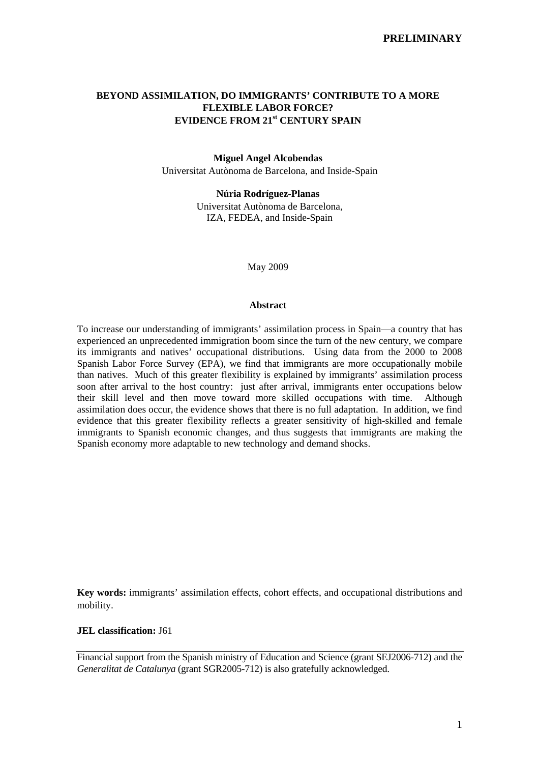# **BEYOND ASSIMILATION, DO IMMIGRANTS' CONTRIBUTE TO A MORE FLEXIBLE LABOR FORCE? EVIDENCE FROM 21st CENTURY SPAIN**

### **Miguel Angel Alcobendas**

Universitat Autònoma de Barcelona, and Inside-Spain

## **Núria Rodríguez-Planas**

Universitat Autònoma de Barcelona, IZA, FEDEA, and Inside-Spain

May 2009

#### **Abstract**

To increase our understanding of immigrants' assimilation process in Spain—a country that has experienced an unprecedented immigration boom since the turn of the new century, we compare its immigrants and natives' occupational distributions. Using data from the 2000 to 2008 Spanish Labor Force Survey (EPA), we find that immigrants are more occupationally mobile than natives. Much of this greater flexibility is explained by immigrants' assimilation process soon after arrival to the host country: just after arrival, immigrants enter occupations below their skill level and then move toward more skilled occupations with time. Although assimilation does occur, the evidence shows that there is no full adaptation. In addition, we find evidence that this greater flexibility reflects a greater sensitivity of high-skilled and female immigrants to Spanish economic changes, and thus suggests that immigrants are making the Spanish economy more adaptable to new technology and demand shocks.

**Key words:** immigrants' assimilation effects, cohort effects, and occupational distributions and mobility.

## **JEL classification:** J61

Financial support from the Spanish ministry of Education and Science (grant SEJ2006-712) and the *Generalitat de Catalunya* (grant SGR2005-712) is also gratefully acknowledged.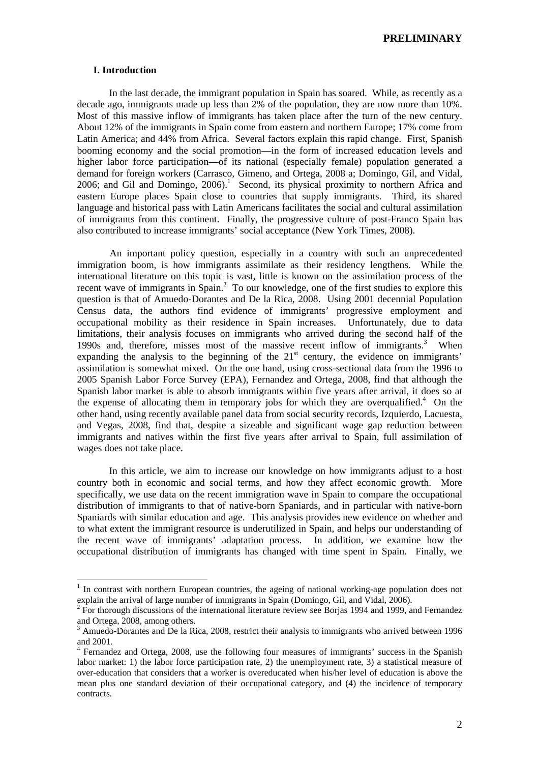## **I. Introduction**

 $\overline{a}$ 

 In the last decade, the immigrant population in Spain has soared. While, as recently as a decade ago, immigrants made up less than 2% of the population, they are now more than 10%. Most of this massive inflow of immigrants has taken place after the turn of the new century. About 12% of the immigrants in Spain come from eastern and northern Europe; 17% come from Latin America; and 44% from Africa. Several factors explain this rapid change. First, Spanish booming economy and the social promotion—in the form of increased education levels and higher labor force participation—of its national (especially female) population generated a demand for foreign workers (Carrasco, Gimeno, and Ortega, 2008 a; Domingo, Gil, and Vidal, 2006; and Gil and Domingo,  $2006$ .<sup>1</sup> Second, its physical proximity to northern Africa and eastern Europe places Spain close to countries that supply immigrants. Third, its shared language and historical pass with Latin Americans facilitates the social and cultural assimilation of immigrants from this continent. Finally, the progressive culture of post-Franco Spain has also contributed to increase immigrants' social acceptance (New York Times, 2008).

An important policy question, especially in a country with such an unprecedented immigration boom, is how immigrants assimilate as their residency lengthens. While the international literature on this topic is vast, little is known on the assimilation process of the recent wave of immigrants in  $Spin<sup>2</sup>$  To our knowledge, one of the first studies to explore this question is that of Amuedo-Dorantes and De la Rica, 2008. Using 2001 decennial Population Census data, the authors find evidence of immigrants' progressive employment and occupational mobility as their residence in Spain increases. Unfortunately, due to data limitations, their analysis focuses on immigrants who arrived during the second half of the 1990s and, therefore, misses most of the massive recent inflow of immigrants.<sup>3</sup> When expanding the analysis to the beginning of the  $21<sup>st</sup>$  century, the evidence on immigrants' assimilation is somewhat mixed. On the one hand, using cross-sectional data from the 1996 to 2005 Spanish Labor Force Survey (EPA), Fernandez and Ortega, 2008, find that although the Spanish labor market is able to absorb immigrants within five years after arrival, it does so at the expense of allocating them in temporary jobs for which they are overqualified.<sup>4</sup> On the other hand, using recently available panel data from social security records, Izquierdo, Lacuesta, and Vegas, 2008, find that, despite a sizeable and significant wage gap reduction between immigrants and natives within the first five years after arrival to Spain, full assimilation of wages does not take place.

 In this article, we aim to increase our knowledge on how immigrants adjust to a host country both in economic and social terms, and how they affect economic growth. More specifically, we use data on the recent immigration wave in Spain to compare the occupational distribution of immigrants to that of native-born Spaniards, and in particular with native-born Spaniards with similar education and age. This analysis provides new evidence on whether and to what extent the immigrant resource is underutilized in Spain, and helps our understanding of the recent wave of immigrants' adaptation process. In addition, we examine how the occupational distribution of immigrants has changed with time spent in Spain. Finally, we

<sup>&</sup>lt;sup>1</sup> In contrast with northern European countries, the ageing of national working-age population does not explain the arrival of large number of immigrants in Spain (Domingo, Gil, and Vidal, 2006).

 $2 \text{ For thorough discussions of the international literature review see Borjas 1994 and 1999, and Fernandes.}$ and Ortega, 2008, among others.

<sup>&</sup>lt;sup>3</sup> Amuedo-Dorantes and De la Rica, 2008, restrict their analysis to immigrants who arrived between 1996 and 2001.

<sup>&</sup>lt;sup>4</sup> Fernandez and Ortega, 2008, use the following four measures of immigrants' success in the Spanish labor market: 1) the labor force participation rate, 2) the unemployment rate, 3) a statistical measure of over-education that considers that a worker is overeducated when his/her level of education is above the mean plus one standard deviation of their occupational category, and (4) the incidence of temporary contracts.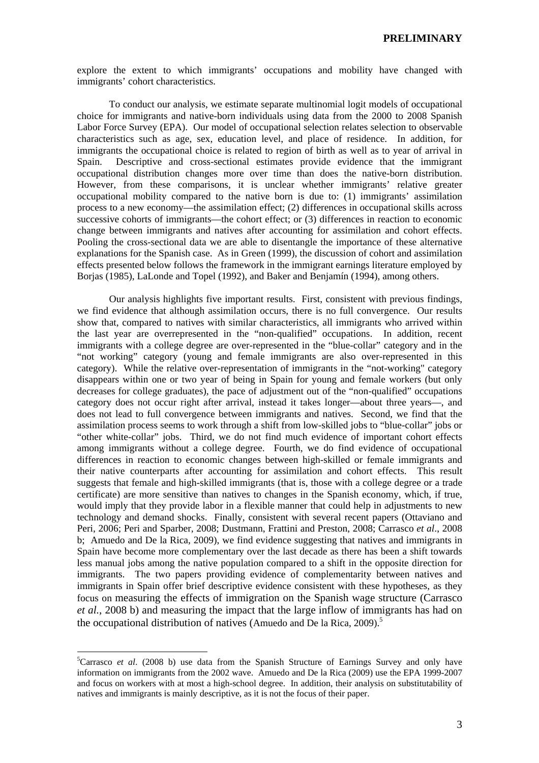explore the extent to which immigrants' occupations and mobility have changed with immigrants' cohort characteristics.

 To conduct our analysis, we estimate separate multinomial logit models of occupational choice for immigrants and native-born individuals using data from the 2000 to 2008 Spanish Labor Force Survey (EPA). Our model of occupational selection relates selection to observable characteristics such as age, sex, education level, and place of residence. In addition, for immigrants the occupational choice is related to region of birth as well as to year of arrival in Spain. Descriptive and cross-sectional estimates provide evidence that the immigrant occupational distribution changes more over time than does the native-born distribution. However, from these comparisons, it is unclear whether immigrants' relative greater occupational mobility compared to the native born is due to: (1) immigrants' assimilation process to a new economy—the assimilation effect; (2) differences in occupational skills across successive cohorts of immigrants—the cohort effect; or (3) differences in reaction to economic change between immigrants and natives after accounting for assimilation and cohort effects. Pooling the cross-sectional data we are able to disentangle the importance of these alternative explanations for the Spanish case. As in Green (1999), the discussion of cohort and assimilation effects presented below follows the framework in the immigrant earnings literature employed by Borjas (1985), LaLonde and Topel (1992), and Baker and Benjamín (1994), among others.

Our analysis highlights five important results. First, consistent with previous findings, we find evidence that although assimilation occurs, there is no full convergence. Our results show that, compared to natives with similar characteristics, all immigrants who arrived within the last year are overrepresented in the "non-qualified" occupations. In addition, recent immigrants with a college degree are over-represented in the "blue-collar" category and in the "not working" category (young and female immigrants are also over-represented in this category). While the relative over-representation of immigrants in the "not-working" category disappears within one or two year of being in Spain for young and female workers (but only decreases for college graduates), the pace of adjustment out of the "non-qualified" occupations category does not occur right after arrival, instead it takes longer—about three years—, and does not lead to full convergence between immigrants and natives. Second, we find that the assimilation process seems to work through a shift from low-skilled jobs to "blue-collar" jobs or "other white-collar" jobs. Third, we do not find much evidence of important cohort effects among immigrants without a college degree. Fourth, we do find evidence of occupational differences in reaction to economic changes between high-skilled or female immigrants and their native counterparts after accounting for assimilation and cohort effects. This result suggests that female and high-skilled immigrants (that is, those with a college degree or a trade certificate) are more sensitive than natives to changes in the Spanish economy, which, if true, would imply that they provide labor in a flexible manner that could help in adjustments to new technology and demand shocks. Finally, consistent with several recent papers (Ottaviano and Peri, 2006; Peri and Sparber, 2008; Dustmann, Frattini and Preston, 2008; Carrasco *et al*., 2008 b; Amuedo and De la Rica, 2009), we find evidence suggesting that natives and immigrants in Spain have become more complementary over the last decade as there has been a shift towards less manual jobs among the native population compared to a shift in the opposite direction for immigrants. The two papers providing evidence of complementarity between natives and immigrants in Spain offer brief descriptive evidence consistent with these hypotheses, as they focus on measuring the effects of immigration on the Spanish wage structure (Carrasco *et al.*, 2008 b) and measuring the impact that the large inflow of immigrants has had on the occupational distribution of natives (Amuedo and De la Rica, 2009).<sup>5</sup>

<sup>&</sup>lt;sup>5</sup>Carrasco *et al.* (2008 b) use data from the Spanish Structure of Earnings Survey and only have information on immigrants from the 2002 wave. Amuedo and De la Rica (2009) use the EPA 1999-2007 and focus on workers with at most a high-school degree. In addition, their analysis on substitutability of natives and immigrants is mainly descriptive, as it is not the focus of their paper.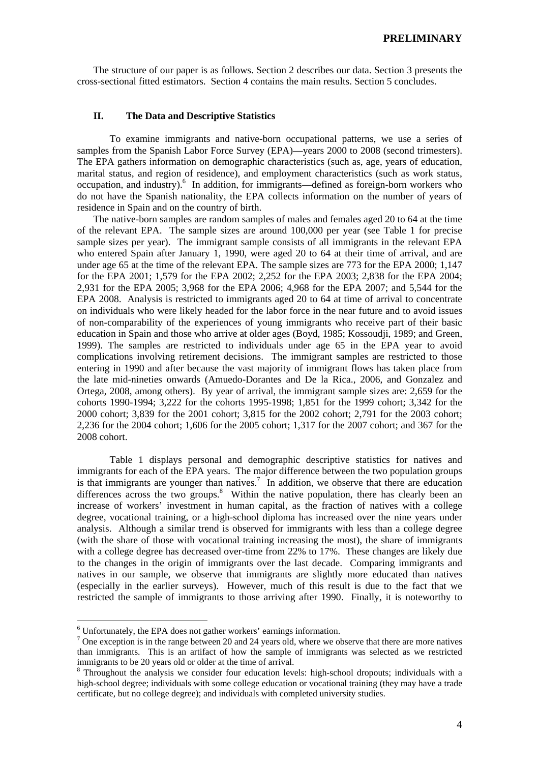The structure of our paper is as follows. Section 2 describes our data. Section 3 presents the cross-sectional fitted estimators. Section 4 contains the main results. Section 5 concludes.

# **II. The Data and Descriptive Statistics**

 To examine immigrants and native-born occupational patterns, we use a series of samples from the Spanish Labor Force Survey (EPA)—years 2000 to 2008 (second trimesters). The EPA gathers information on demographic characteristics (such as, age, years of education, marital status, and region of residence), and employment characteristics (such as work status, occupation, and industry).<sup>6</sup> In addition, for immigrants—defined as foreign-born workers who do not have the Spanish nationality, the EPA collects information on the number of years of residence in Spain and on the country of birth.

 The native-born samples are random samples of males and females aged 20 to 64 at the time of the relevant EPA. The sample sizes are around 100,000 per year (see Table 1 for precise sample sizes per year). The immigrant sample consists of all immigrants in the relevant EPA who entered Spain after January 1, 1990, were aged 20 to 64 at their time of arrival, and are under age 65 at the time of the relevant EPA. The sample sizes are 773 for the EPA 2000; 1,147 for the EPA 2001; 1,579 for the EPA 2002; 2,252 for the EPA 2003; 2,838 for the EPA 2004; 2,931 for the EPA 2005; 3,968 for the EPA 2006; 4,968 for the EPA 2007; and 5,544 for the EPA 2008. Analysis is restricted to immigrants aged 20 to 64 at time of arrival to concentrate on individuals who were likely headed for the labor force in the near future and to avoid issues of non-comparability of the experiences of young immigrants who receive part of their basic education in Spain and those who arrive at older ages (Boyd, 1985; Kossoudji, 1989; and Green, 1999). The samples are restricted to individuals under age 65 in the EPA year to avoid complications involving retirement decisions. The immigrant samples are restricted to those entering in 1990 and after because the vast majority of immigrant flows has taken place from the late mid-nineties onwards (Amuedo-Dorantes and De la Rica., 2006, and Gonzalez and Ortega, 2008, among others). By year of arrival, the immigrant sample sizes are: 2,659 for the cohorts 1990-1994; 3,222 for the cohorts 1995-1998; 1,851 for the 1999 cohort; 3,342 for the 2000 cohort; 3,839 for the 2001 cohort; 3,815 for the 2002 cohort; 2,791 for the 2003 cohort; 2,236 for the 2004 cohort; 1,606 for the 2005 cohort; 1,317 for the 2007 cohort; and 367 for the 2008 cohort.

 Table 1 displays personal and demographic descriptive statistics for natives and immigrants for each of the EPA years. The major difference between the two population groups is that immigrants are younger than natives.<sup>7</sup> In addition, we observe that there are education differences across the two groups.<sup>8</sup> Within the native population, there has clearly been an increase of workers' investment in human capital, as the fraction of natives with a college degree, vocational training, or a high-school diploma has increased over the nine years under analysis. Although a similar trend is observed for immigrants with less than a college degree (with the share of those with vocational training increasing the most), the share of immigrants with a college degree has decreased over-time from 22% to 17%. These changes are likely due to the changes in the origin of immigrants over the last decade. Comparing immigrants and natives in our sample, we observe that immigrants are slightly more educated than natives (especially in the earlier surveys). However, much of this result is due to the fact that we restricted the sample of immigrants to those arriving after 1990. Finally, it is noteworthy to

<sup>&</sup>lt;sup>6</sup> Unfortunately, the EPA does not gather workers' earnings information.<br> $\frac{7}{2}$  One execution is in the range between 20 and 24 years old, where we obtain

 $\frac{7}{1}$  One exception is in the range between 20 and 24 years old, where we observe that there are more natives than immigrants. This is an artifact of how the sample of immigrants was selected as we restricted immigrants to be 20 years old or older at the time of arrival.

<sup>&</sup>lt;sup>8</sup> Throughout the analysis we consider four education levels: high-school dropouts; individuals with a high-school degree; individuals with some college education or vocational training (they may have a trade certificate, but no college degree); and individuals with completed university studies.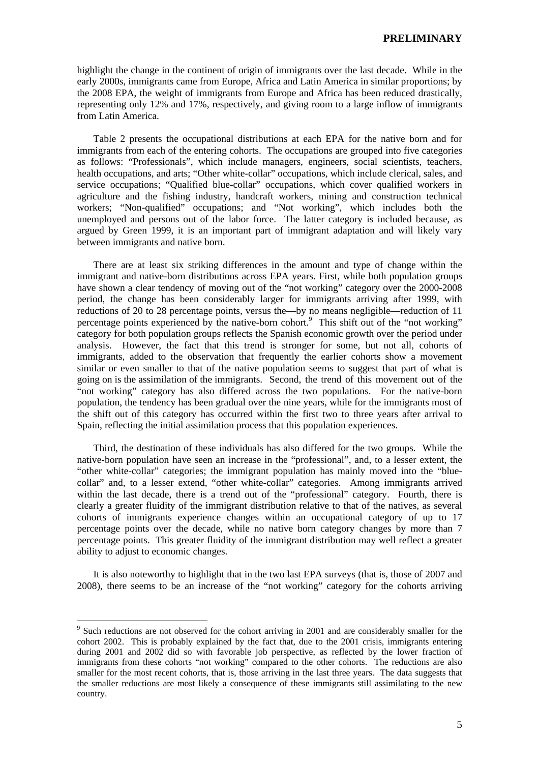highlight the change in the continent of origin of immigrants over the last decade. While in the early 2000s, immigrants came from Europe, Africa and Latin America in similar proportions; by the 2008 EPA, the weight of immigrants from Europe and Africa has been reduced drastically, representing only 12% and 17%, respectively, and giving room to a large inflow of immigrants from Latin America.

 Table 2 presents the occupational distributions at each EPA for the native born and for immigrants from each of the entering cohorts. The occupations are grouped into five categories as follows: "Professionals", which include managers, engineers, social scientists, teachers, health occupations, and arts; "Other white-collar" occupations, which include clerical, sales, and service occupations; "Qualified blue-collar" occupations, which cover qualified workers in agriculture and the fishing industry, handcraft workers, mining and construction technical workers; "Non-qualified" occupations; and "Not working", which includes both the unemployed and persons out of the labor force. The latter category is included because, as argued by Green 1999, it is an important part of immigrant adaptation and will likely vary between immigrants and native born.

 There are at least six striking differences in the amount and type of change within the immigrant and native-born distributions across EPA years. First, while both population groups have shown a clear tendency of moving out of the "not working" category over the 2000-2008 period, the change has been considerably larger for immigrants arriving after 1999, with reductions of 20 to 28 percentage points, versus the—by no means negligible—reduction of 11 percentage points experienced by the native-born cohort.<sup>9</sup> This shift out of the "not working" category for both population groups reflects the Spanish economic growth over the period under analysis. However, the fact that this trend is stronger for some, but not all, cohorts of immigrants, added to the observation that frequently the earlier cohorts show a movement similar or even smaller to that of the native population seems to suggest that part of what is going on is the assimilation of the immigrants. Second, the trend of this movement out of the "not working" category has also differed across the two populations. For the native-born population, the tendency has been gradual over the nine years, while for the immigrants most of the shift out of this category has occurred within the first two to three years after arrival to Spain, reflecting the initial assimilation process that this population experiences.

 Third, the destination of these individuals has also differed for the two groups. While the native-born population have seen an increase in the "professional", and, to a lesser extent, the "other white-collar" categories; the immigrant population has mainly moved into the "bluecollar" and, to a lesser extend, "other white-collar" categories. Among immigrants arrived within the last decade, there is a trend out of the "professional" category. Fourth, there is clearly a greater fluidity of the immigrant distribution relative to that of the natives, as several cohorts of immigrants experience changes within an occupational category of up to 17 percentage points over the decade, while no native born category changes by more than 7 percentage points. This greater fluidity of the immigrant distribution may well reflect a greater ability to adjust to economic changes.

 It is also noteworthy to highlight that in the two last EPA surveys (that is, those of 2007 and 2008), there seems to be an increase of the "not working" category for the cohorts arriving

<sup>&</sup>lt;sup>9</sup> Such reductions are not observed for the cohort arriving in 2001 and are considerably smaller for the cohort 2002. This is probably explained by the fact that, due to the 2001 crisis, immigrants entering during 2001 and 2002 did so with favorable job perspective, as reflected by the lower fraction of immigrants from these cohorts "not working" compared to the other cohorts. The reductions are also smaller for the most recent cohorts, that is, those arriving in the last three years. The data suggests that the smaller reductions are most likely a consequence of these immigrants still assimilating to the new country.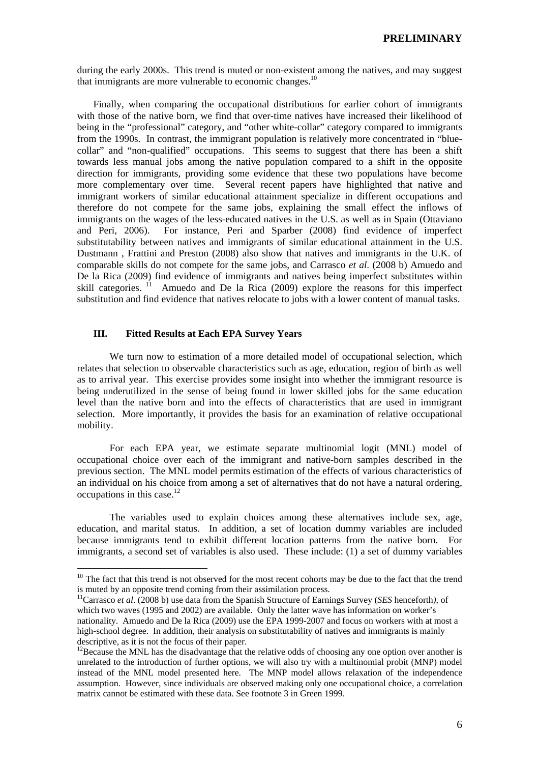during the early 2000s. This trend is muted or non-existent among the natives, and may suggest that immigrants are more vulnerable to economic changes. $10$ 

 Finally, when comparing the occupational distributions for earlier cohort of immigrants with those of the native born, we find that over-time natives have increased their likelihood of being in the "professional" category, and "other white-collar" category compared to immigrants from the 1990s. In contrast, the immigrant population is relatively more concentrated in "bluecollar" and "non-qualified" occupations. This seems to suggest that there has been a shift towards less manual jobs among the native population compared to a shift in the opposite direction for immigrants, providing some evidence that these two populations have become more complementary over time. Several recent papers have highlighted that native and immigrant workers of similar educational attainment specialize in different occupations and therefore do not compete for the same jobs, explaining the small effect the inflows of immigrants on the wages of the less-educated natives in the U.S. as well as in Spain (Ottaviano and Peri, 2006). For instance, Peri and Sparber (2008) find evidence of imperfect substitutability between natives and immigrants of similar educational attainment in the U.S. Dustmann , Frattini and Preston (2008) also show that natives and immigrants in the U.K. of comparable skills do not compete for the same jobs, and Carrasco *et al*. (2008 b) Amuedo and De la Rica (2009) find evidence of immigrants and natives being imperfect substitutes within skill categories.  $11$  Amuedo and De la Rica (2009) explore the reasons for this imperfect substitution and find evidence that natives relocate to jobs with a lower content of manual tasks.

## **III. Fitted Results at Each EPA Survey Years**

 $\overline{a}$ 

 We turn now to estimation of a more detailed model of occupational selection, which relates that selection to observable characteristics such as age, education, region of birth as well as to arrival year. This exercise provides some insight into whether the immigrant resource is being underutilized in the sense of being found in lower skilled jobs for the same education level than the native born and into the effects of characteristics that are used in immigrant selection. More importantly, it provides the basis for an examination of relative occupational mobility.

 For each EPA year, we estimate separate multinomial logit (MNL) model of occupational choice over each of the immigrant and native-born samples described in the previous section. The MNL model permits estimation of the effects of various characteristics of an individual on his choice from among a set of alternatives that do not have a natural ordering, occupations in this case.<sup>12</sup>

 The variables used to explain choices among these alternatives include sex, age, education, and marital status. In addition, a set of location dummy variables are included because immigrants tend to exhibit different location patterns from the native born. For immigrants, a second set of variables is also used. These include: (1) a set of dummy variables

<sup>&</sup>lt;sup>10</sup> The fact that this trend is not observed for the most recent cohorts may be due to the fact that the trend is muted by an opposite trend coming from their assimilation process.

<sup>11</sup>Carrasco *et al*. (2008 b) use data from the Spanish Structure of Earnings Survey (*SES* henceforth*),* of which two waves (1995 and 2002) are available. Only the latter wave has information on worker's nationality. Amuedo and De la Rica (2009) use the EPA 1999-2007 and focus on workers with at most a high-school degree. In addition, their analysis on substitutability of natives and immigrants is mainly descriptive, as it is not the focus of their paper.

 $12$ Because the MNL has the disadvantage that the relative odds of choosing any one option over another is unrelated to the introduction of further options, we will also try with a multinomial probit (MNP) model instead of the MNL model presented here. The MNP model allows relaxation of the independence assumption. However, since individuals are observed making only one occupational choice, a correlation matrix cannot be estimated with these data. See footnote 3 in Green 1999.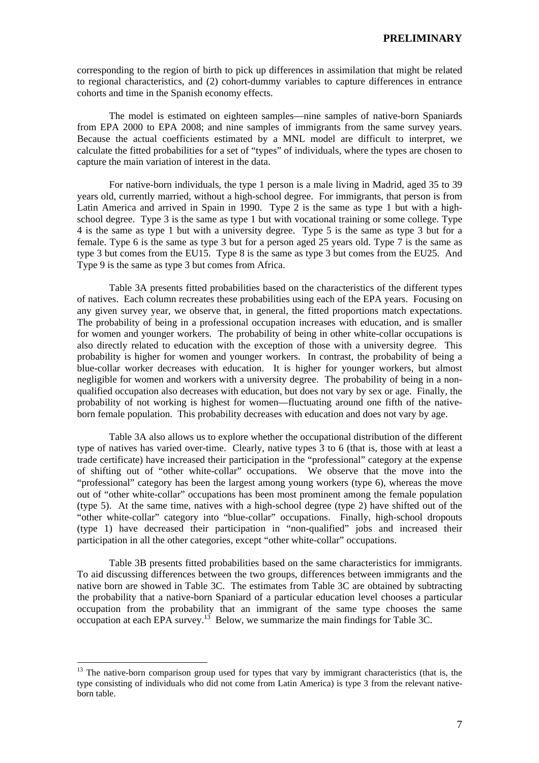corresponding to the region of birth to pick up differences in assimilation that might be related to regional characteristics, and (2) cohort-dummy variables to capture differences in entrance cohorts and time in the Spanish economy effects.

 The model is estimated on eighteen samples—nine samples of native-born Spaniards from EPA 2000 to EPA 2008; and nine samples of immigrants from the same survey years. Because the actual coefficients estimated by a MNL model are difficult to interpret, we calculate the fitted probabilities for a set of "types" of individuals, where the types are chosen to capture the main variation of interest in the data.

 For native-born individuals, the type 1 person is a male living in Madrid, aged 35 to 39 years old, currently married, without a high-school degree. For immigrants, that person is from Latin America and arrived in Spain in 1990. Type 2 is the same as type 1 but with a highschool degree. Type 3 is the same as type 1 but with vocational training or some college. Type 4 is the same as type 1 but with a university degree. Type 5 is the same as type 3 but for a female. Type 6 is the same as type 3 but for a person aged 25 years old. Type 7 is the same as type 3 but comes from the EU15. Type 8 is the same as type 3 but comes from the EU25. And Type 9 is the same as type 3 but comes from Africa.

 Table 3A presents fitted probabilities based on the characteristics of the different types of natives. Each column recreates these probabilities using each of the EPA years. Focusing on any given survey year, we observe that, in general, the fitted proportions match expectations. The probability of being in a professional occupation increases with education, and is smaller for women and younger workers. The probability of being in other white-collar occupations is also directly related to education with the exception of those with a university degree. This probability is higher for women and younger workers. In contrast, the probability of being a blue-collar worker decreases with education. It is higher for younger workers, but almost negligible for women and workers with a university degree. The probability of being in a nonqualified occupation also decreases with education, but does not vary by sex or age. Finally, the probability of not working is highest for women—fluctuating around one fifth of the nativeborn female population. This probability decreases with education and does not vary by age.

 Table 3A also allows us to explore whether the occupational distribution of the different type of natives has varied over-time. Clearly, native types 3 to 6 (that is, those with at least a trade certificate) have increased their participation in the "professional" category at the expense of shifting out of "other white-collar" occupations. We observe that the move into the "professional" category has been the largest among young workers (type 6), whereas the move out of "other white-collar" occupations has been most prominent among the female population (type 5). At the same time, natives with a high-school degree (type 2) have shifted out of the "other white-collar" category into "blue-collar" occupations. Finally, high-school dropouts (type 1) have decreased their participation in "non-qualified" jobs and increased their participation in all the other categories, except "other white-collar" occupations.

 Table 3B presents fitted probabilities based on the same characteristics for immigrants. To aid discussing differences between the two groups, differences between immigrants and the native born are showed in Table 3C. The estimates from Table 3C are obtained by subtracting the probability that a native-born Spaniard of a particular education level chooses a particular occupation from the probability that an immigrant of the same type chooses the same occupation at each EPA survey.<sup>13</sup> Below, we summarize the main findings for Table 3C.

<sup>&</sup>lt;sup>13</sup> The native-born comparison group used for types that vary by immigrant characteristics (that is, the type consisting of individuals who did not come from Latin America) is type 3 from the relevant nativeborn table.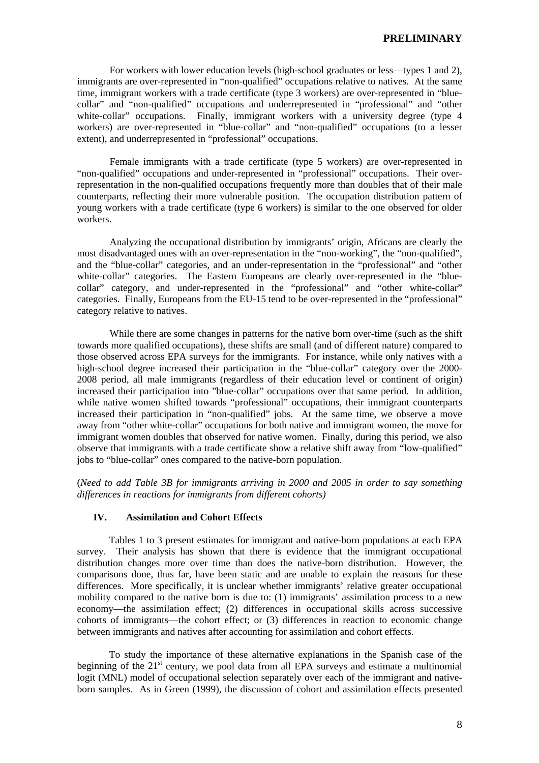For workers with lower education levels (high-school graduates or less—types 1 and 2), immigrants are over-represented in "non-qualified" occupations relative to natives. At the same time, immigrant workers with a trade certificate (type 3 workers) are over-represented in "bluecollar" and "non-qualified" occupations and underrepresented in "professional" and "other white-collar" occupations. Finally, immigrant workers with a university degree (type 4 workers) are over-represented in "blue-collar" and "non-qualified" occupations (to a lesser extent), and underrepresented in "professional" occupations.

 Female immigrants with a trade certificate (type 5 workers) are over-represented in "non-qualified" occupations and under-represented in "professional" occupations. Their overrepresentation in the non-qualified occupations frequently more than doubles that of their male counterparts, reflecting their more vulnerable position. The occupation distribution pattern of young workers with a trade certificate (type 6 workers) is similar to the one observed for older workers.

 Analyzing the occupational distribution by immigrants' origin, Africans are clearly the most disadvantaged ones with an over-representation in the "non-working", the "non-qualified", and the "blue-collar" categories, and an under-representation in the "professional" and "other white-collar" categories. The Eastern Europeans are clearly over-represented in the "bluecollar" category, and under-represented in the "professional" and "other white-collar" categories. Finally, Europeans from the EU-15 tend to be over-represented in the "professional" category relative to natives.

 While there are some changes in patterns for the native born over-time (such as the shift towards more qualified occupations), these shifts are small (and of different nature) compared to those observed across EPA surveys for the immigrants. For instance, while only natives with a high-school degree increased their participation in the "blue-collar" category over the 2000- 2008 period, all male immigrants (regardless of their education level or continent of origin) increased their participation into "blue-collar" occupations over that same period. In addition, while native women shifted towards "professional" occupations, their immigrant counterparts increased their participation in "non-qualified" jobs. At the same time, we observe a move away from "other white-collar" occupations for both native and immigrant women, the move for immigrant women doubles that observed for native women. Finally, during this period, we also observe that immigrants with a trade certificate show a relative shift away from "low-qualified" jobs to "blue-collar" ones compared to the native-born population.

(*Need to add Table 3B for immigrants arriving in 2000 and 2005 in order to say something differences in reactions for immigrants from different cohorts)* 

# **IV. Assimilation and Cohort Effects**

 Tables 1 to 3 present estimates for immigrant and native-born populations at each EPA survey. Their analysis has shown that there is evidence that the immigrant occupational distribution changes more over time than does the native-born distribution. However, the comparisons done, thus far, have been static and are unable to explain the reasons for these differences. More specifically, it is unclear whether immigrants' relative greater occupational mobility compared to the native born is due to: (1) immigrants' assimilation process to a new economy—the assimilation effect; (2) differences in occupational skills across successive cohorts of immigrants—the cohort effect; or (3) differences in reaction to economic change between immigrants and natives after accounting for assimilation and cohort effects.

 To study the importance of these alternative explanations in the Spanish case of the beginning of the  $21<sup>st</sup>$  century, we pool data from all EPA surveys and estimate a multinomial logit (MNL) model of occupational selection separately over each of the immigrant and nativeborn samples. As in Green (1999), the discussion of cohort and assimilation effects presented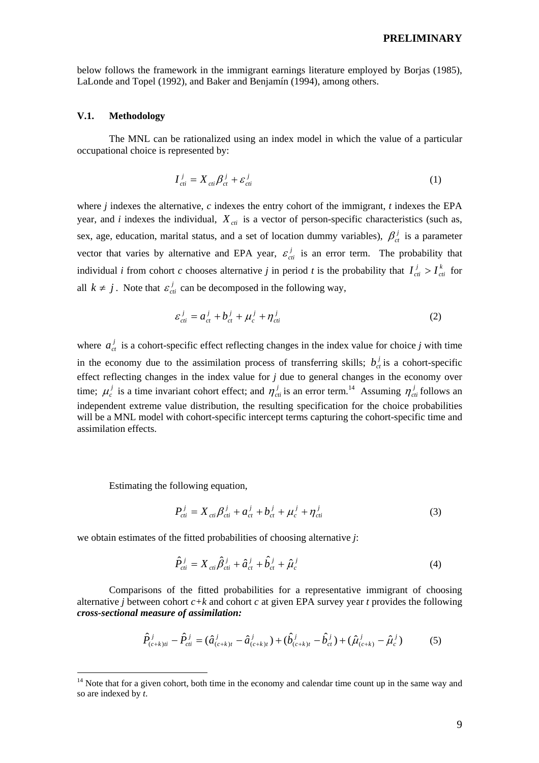below follows the framework in the immigrant earnings literature employed by Borjas (1985), LaLonde and Topel (1992), and Baker and Benjamín (1994), among others.

### **V.1. Methodology**

The MNL can be rationalized using an index model in which the value of a particular occupational choice is represented by:

$$
I_{ci}^j = X_{ci} \beta_{ct}^j + \varepsilon_{ci}^j \tag{1}
$$

where *j* indexes the alternative, *c* indexes the entry cohort of the immigrant, *t* indexes the EPA year, and *i* indexes the individual,  $X_{\text{crit}}$  is a vector of person-specific characteristics (such as, sex, age, education, marital status, and a set of location dummy variables),  $\beta_{ct}^{j}$  is a parameter vector that varies by alternative and EPA year,  $\varepsilon_{ci}^{j}$  is an error term. The probability that individual *i* from cohort *c* chooses alternative *j* in period *t* is the probability that  $I_{ci}^{j} > I_{ci}^{k}$  $I_{\text{cti}}^j > I_{\text{cti}}^k$  for all  $k \neq j$ . Note that  $\varepsilon_{ci}^j$  can be decomposed in the following way,

$$
\varepsilon_{ci}^j = a_{ct}^j + b_{ct}^j + \mu_c^j + \eta_{ci}^j \tag{2}
$$

where  $a_{ct}^{j}$  is a cohort-specific effect reflecting changes in the index value for choice *j* with time in the economy due to the assimilation process of transferring skills;  $b_{\alpha}^{j}$  is a cohort-specific effect reflecting changes in the index value for *j* due to general changes in the economy over time;  $\mu_c^j$  is a time invariant cohort effect; and  $\eta_{cti}^j$  is an error term.<sup>14</sup> Assuming  $\eta_{cti}^j$  follows an independent extreme value distribution, the resulting specification for the choice probabilities will be a MNL model with cohort-specific intercept terms capturing the cohort-specific time and assimilation effects.

Estimating the following equation,

 $\overline{a}$ 

$$
P_{ci}^{j} = X_{ci} \beta_{ci}^{j} + a_{ct}^{j} + b_{ct}^{j} + \mu_{c}^{j} + \eta_{ct}^{j}
$$
(3)

we obtain estimates of the fitted probabilities of choosing alternative *j*:

$$
\hat{P}_{\text{cti}}^j = X_{\text{cti}} \hat{\beta}_{\text{cti}}^j + \hat{a}_{\text{ct}}^j + \hat{b}_{\text{ct}}^j + \hat{\mu}_c^j \tag{4}
$$

 Comparisons of the fitted probabilities for a representative immigrant of choosing alternative *j* between cohort  $c + k$  and cohort *c* at given EPA survey year *t* provides the following *cross-sectional measure of assimilation:* 

$$
\hat{P}_{(c+k)ii}^j - \hat{P}_{cii}^j = (\hat{a}_{(c+k)t}^j - \hat{a}_{(c+k)t}^j) + (\hat{b}_{(c+k)t}^j - \hat{b}_{ct}^j) + (\hat{\mu}_{(c+k)}^j - \hat{\mu}_c^j)
$$
(5)

 $14$  Note that for a given cohort, both time in the economy and calendar time count up in the same way and so are indexed by *t*.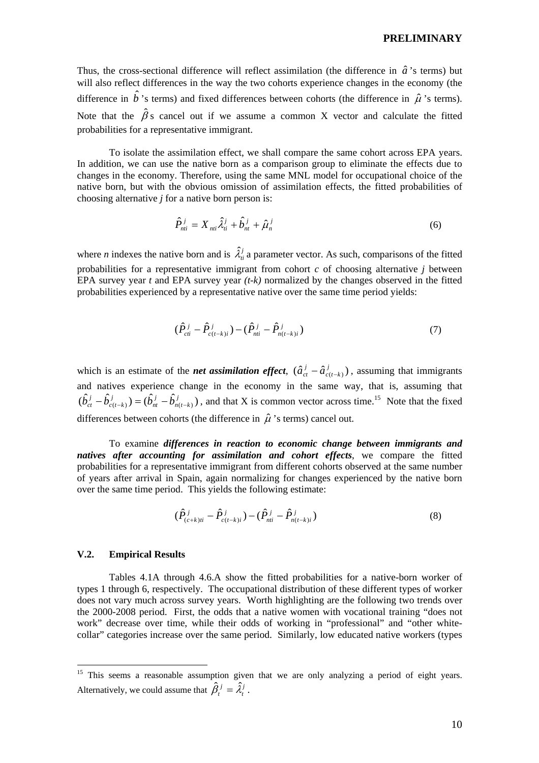Thus, the cross-sectional difference will reflect assimilation (the difference in  $\hat{a}$ 's terms) but will also reflect differences in the way the two cohorts experience changes in the economy (the difference in  $\hat{b}$ 's terms) and fixed differences between cohorts (the difference in  $\hat{\mu}$ 's terms). Note that the  $\hat{\beta}$ s cancel out if we assume a common X vector and calculate the fitted probabilities for a representative immigrant.

 To isolate the assimilation effect, we shall compare the same cohort across EPA years. In addition, we can use the native born as a comparison group to eliminate the effects due to changes in the economy. Therefore, using the same MNL model for occupational choice of the native born, but with the obvious omission of assimilation effects, the fitted probabilities of choosing alternative *j* for a native born person is:

$$
\hat{P}_{ni}^{j} = X_{ni} \hat{\lambda}_{ni}^{j} + \hat{b}_{nt}^{j} + \hat{\mu}_{n}^{j}
$$
\n
$$
\tag{6}
$$

where *n* indexes the native born and is  $\hat{\lambda}^j_{\hat{n}}$  a parameter vector. As such, comparisons of the fitted probabilities for a representative immigrant from cohort *c* of choosing alternative *j* between EPA survey year *t* and EPA survey year *(t-k)* normalized by the changes observed in the fitted probabilities experienced by a representative native over the same time period yields:

$$
(\hat{P}_{\text{cti}}^{j} - \hat{P}_{\text{ct-k}}^{j}) - (\hat{P}_{\text{nti}}^{j} - \hat{P}_{\text{nt-k}}^{j})
$$
\n(7)

which is an estimate of the *net assimilation effect*,  $(\hat{a}_{ct}^j - \hat{a}_{c(t-k)}^j)$  $c(t-k)$  $\hat{a}^j_{ct} - \hat{a}^j_{c(t-k)}$ ), assuming that immigrants and natives experience change in the economy in the same way, that is, assuming that  $(\hat{b}_{ct}^j - \hat{b}_{c(t-k)}^j) = (\hat{b}_{nt}^j - \hat{b}_{n(t-k)}^j)$  $n(t-k)$ *j nt j*  $\hat{b}_{ct}^j - \hat{b}_{ct-k}^j$ ) =  $(\hat{b}_{nt}^j - \hat{b}_{nt-k}^j)$ , and that X is common vector across time.<sup>15</sup> Note that the fixed differences between cohorts (the difference in  $\hat{\mu}$ 's terms) cancel out.

 To examine *differences in reaction to economic change between immigrants and natives after accounting for assimilation and cohort effects*, we compare the fitted probabilities for a representative immigrant from different cohorts observed at the same number of years after arrival in Spain, again normalizing for changes experienced by the native born over the same time period. This yields the following estimate:

$$
(\hat{P}_{(c+k)ii}^j - \hat{P}_{c(t-k)i}^j) - (\hat{P}_{ni}^j - \hat{P}_{n(t-k)i}^j)
$$
\n(8)

## **V.2. Empirical Results**

 $\overline{a}$ 

 Tables 4.1A through 4.6.A show the fitted probabilities for a native-born worker of types 1 through 6, respectively. The occupational distribution of these different types of worker does not vary much across survey years. Worth highlighting are the following two trends over the 2000-2008 period. First, the odds that a native women with vocational training "does not work" decrease over time, while their odds of working in "professional" and "other whitecollar" categories increase over the same period. Similarly, low educated native workers (types

<sup>&</sup>lt;sup>15</sup> This seems a reasonable assumption given that we are only analyzing a period of eight years. Alternatively, we could assume that  $\hat{\beta}_t^j = \hat{\lambda}_t^j$ .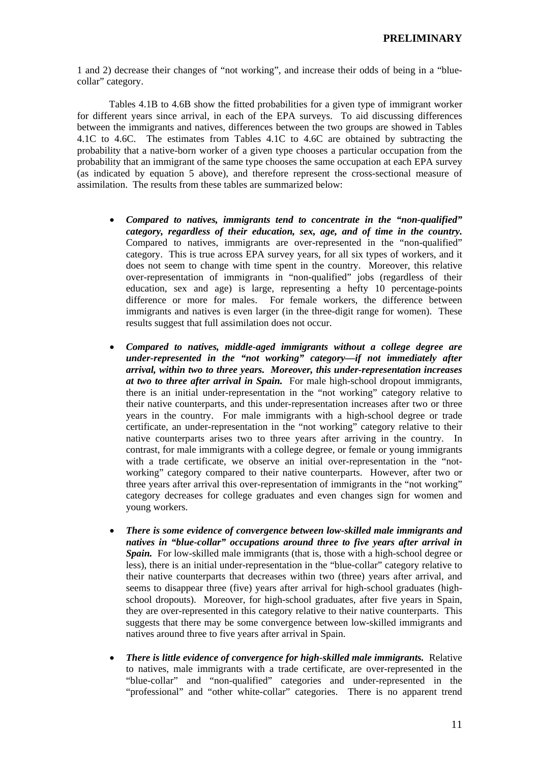1 and 2) decrease their changes of "not working", and increase their odds of being in a "bluecollar" category.

 Tables 4.1B to 4.6B show the fitted probabilities for a given type of immigrant worker for different years since arrival, in each of the EPA surveys. To aid discussing differences between the immigrants and natives, differences between the two groups are showed in Tables 4.1C to 4.6C. The estimates from Tables 4.1C to 4.6C are obtained by subtracting the probability that a native-born worker of a given type chooses a particular occupation from the probability that an immigrant of the same type chooses the same occupation at each EPA survey (as indicated by equation 5 above), and therefore represent the cross-sectional measure of assimilation. The results from these tables are summarized below:

- *Compared to natives, immigrants tend to concentrate in the "non-qualified" category, regardless of their education, sex, age, and of time in the country.*  Compared to natives, immigrants are over-represented in the "non-qualified" category. This is true across EPA survey years, for all six types of workers, and it does not seem to change with time spent in the country. Moreover, this relative over-representation of immigrants in "non-qualified" jobs (regardless of their education, sex and age) is large, representing a hefty 10 percentage-points difference or more for males. For female workers, the difference between immigrants and natives is even larger (in the three-digit range for women). These results suggest that full assimilation does not occur.
- *Compared to natives, middle-aged immigrants without a college degree are under-represented in the "not working" category—if not immediately after arrival, within two to three years. Moreover, this under-representation increases at two to three after arrival in Spain.* For male high-school dropout immigrants, there is an initial under-representation in the "not working" category relative to their native counterparts, and this under-representation increases after two or three years in the country. For male immigrants with a high-school degree or trade certificate, an under-representation in the "not working" category relative to their native counterparts arises two to three years after arriving in the country. In contrast, for male immigrants with a college degree, or female or young immigrants with a trade certificate, we observe an initial over-representation in the "notworking" category compared to their native counterparts. However, after two or three years after arrival this over-representation of immigrants in the "not working" category decreases for college graduates and even changes sign for women and young workers.
- *There is some evidence of convergence between low-skilled male immigrants and natives in "blue-collar" occupations around three to five years after arrival in Spain.* For low-skilled male immigrants (that is, those with a high-school degree or less), there is an initial under-representation in the "blue-collar" category relative to their native counterparts that decreases within two (three) years after arrival, and seems to disappear three (five) years after arrival for high-school graduates (highschool dropouts). Moreover, for high-school graduates, after five years in Spain, they are over-represented in this category relative to their native counterparts. This suggests that there may be some convergence between low-skilled immigrants and natives around three to five years after arrival in Spain.
- *There is little evidence of convergence for high-skilled male immigrants.* Relative to natives, male immigrants with a trade certificate, are over-represented in the "blue-collar" and "non-qualified" categories and under-represented in the "professional" and "other white-collar" categories. There is no apparent trend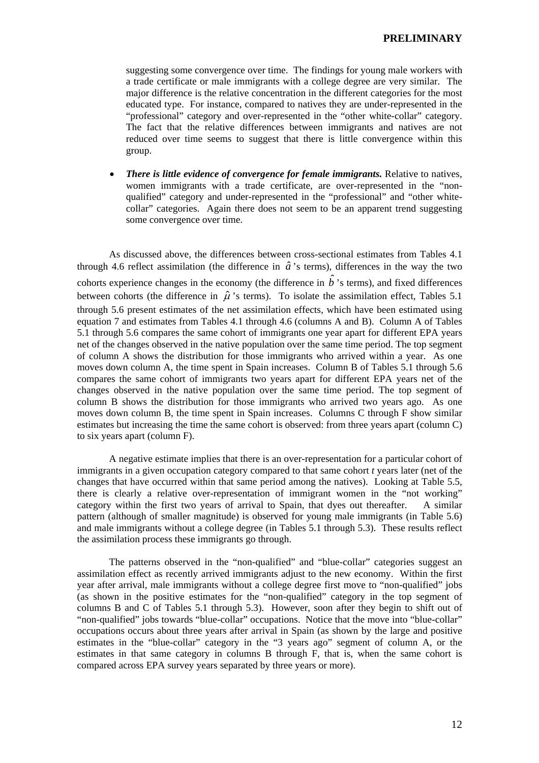suggesting some convergence over time. The findings for young male workers with a trade certificate or male immigrants with a college degree are very similar. The major difference is the relative concentration in the different categories for the most educated type. For instance, compared to natives they are under-represented in the "professional" category and over-represented in the "other white-collar" category. The fact that the relative differences between immigrants and natives are not reduced over time seems to suggest that there is little convergence within this group.

• *There is little evidence of convergence for female immigrants.* Relative to natives, women immigrants with a trade certificate, are over-represented in the "nonqualified" category and under-represented in the "professional" and "other whitecollar" categories. Again there does not seem to be an apparent trend suggesting some convergence over time.

 As discussed above, the differences between cross-sectional estimates from Tables 4.1 through 4.6 reflect assimilation (the difference in  $\hat{a}$ 's terms), differences in the way the two cohorts experience changes in the economy (the difference in  $\hat{b}$ <sup>'</sup>s terms), and fixed differences between cohorts (the difference in  $\hat{\mu}$ 's terms). To isolate the assimilation effect, Tables 5.1 through 5.6 present estimates of the net assimilation effects, which have been estimated using equation 7 and estimates from Tables 4.1 through 4.6 (columns A and B). Column A of Tables 5.1 through 5.6 compares the same cohort of immigrants one year apart for different EPA years net of the changes observed in the native population over the same time period. The top segment of column A shows the distribution for those immigrants who arrived within a year. As one moves down column A, the time spent in Spain increases. Column B of Tables 5.1 through 5.6 compares the same cohort of immigrants two years apart for different EPA years net of the changes observed in the native population over the same time period. The top segment of column B shows the distribution for those immigrants who arrived two years ago. As one moves down column B, the time spent in Spain increases. Columns C through F show similar estimates but increasing the time the same cohort is observed: from three years apart (column C) to six years apart (column F).

A negative estimate implies that there is an over-representation for a particular cohort of immigrants in a given occupation category compared to that same cohort *t* years later (net of the changes that have occurred within that same period among the natives). Looking at Table 5.5, there is clearly a relative over-representation of immigrant women in the "not working" category within the first two years of arrival to Spain, that dyes out thereafter. A similar pattern (although of smaller magnitude) is observed for young male immigrants (in Table 5.6) and male immigrants without a college degree (in Tables 5.1 through 5.3). These results reflect the assimilation process these immigrants go through.

The patterns observed in the "non-qualified" and "blue-collar" categories suggest an assimilation effect as recently arrived immigrants adjust to the new economy. Within the first year after arrival, male immigrants without a college degree first move to "non-qualified" jobs (as shown in the positive estimates for the "non-qualified" category in the top segment of columns B and C of Tables 5.1 through 5.3). However, soon after they begin to shift out of "non-qualified" jobs towards "blue-collar" occupations. Notice that the move into "blue-collar" occupations occurs about three years after arrival in Spain (as shown by the large and positive estimates in the "blue-collar" category in the "3 years ago" segment of column A, or the estimates in that same category in columns B through F, that is, when the same cohort is compared across EPA survey years separated by three years or more).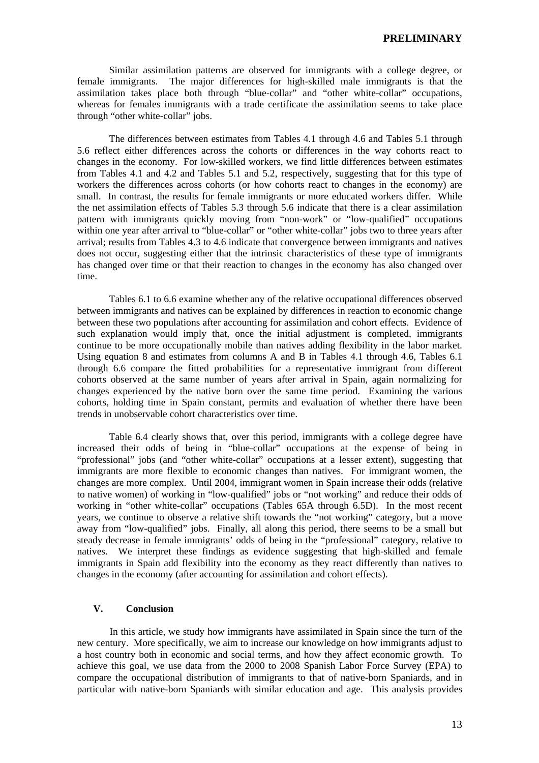Similar assimilation patterns are observed for immigrants with a college degree, or female immigrants. The major differences for high-skilled male immigrants is that the assimilation takes place both through "blue-collar" and "other white-collar" occupations, whereas for females immigrants with a trade certificate the assimilation seems to take place through "other white-collar" jobs.

The differences between estimates from Tables 4.1 through 4.6 and Tables 5.1 through 5.6 reflect either differences across the cohorts or differences in the way cohorts react to changes in the economy. For low-skilled workers, we find little differences between estimates from Tables 4.1 and 4.2 and Tables 5.1 and 5.2, respectively, suggesting that for this type of workers the differences across cohorts (or how cohorts react to changes in the economy) are small. In contrast, the results for female immigrants or more educated workers differ. While the net assimilation effects of Tables 5.3 through 5.6 indicate that there is a clear assimilation pattern with immigrants quickly moving from "non-work" or "low-qualified" occupations within one year after arrival to "blue-collar" or "other white-collar" jobs two to three years after arrival; results from Tables 4.3 to 4.6 indicate that convergence between immigrants and natives does not occur, suggesting either that the intrinsic characteristics of these type of immigrants has changed over time or that their reaction to changes in the economy has also changed over time.

Tables 6.1 to 6.6 examine whether any of the relative occupational differences observed between immigrants and natives can be explained by differences in reaction to economic change between these two populations after accounting for assimilation and cohort effects. Evidence of such explanation would imply that, once the initial adjustment is completed, immigrants continue to be more occupationally mobile than natives adding flexibility in the labor market. Using equation 8 and estimates from columns A and B in Tables 4.1 through 4.6, Tables 6.1 through 6.6 compare the fitted probabilities for a representative immigrant from different cohorts observed at the same number of years after arrival in Spain, again normalizing for changes experienced by the native born over the same time period. Examining the various cohorts, holding time in Spain constant, permits and evaluation of whether there have been trends in unobservable cohort characteristics over time.

Table 6.4 clearly shows that, over this period, immigrants with a college degree have increased their odds of being in "blue-collar" occupations at the expense of being in "professional" jobs (and "other white-collar" occupations at a lesser extent), suggesting that immigrants are more flexible to economic changes than natives. For immigrant women, the changes are more complex. Until 2004, immigrant women in Spain increase their odds (relative to native women) of working in "low-qualified" jobs or "not working" and reduce their odds of working in "other white-collar" occupations (Tables 65A through 6.5D). In the most recent years, we continue to observe a relative shift towards the "not working" category, but a move away from "low-qualified" jobs. Finally, all along this period, there seems to be a small but steady decrease in female immigrants' odds of being in the "professional" category, relative to natives. We interpret these findings as evidence suggesting that high-skilled and female immigrants in Spain add flexibility into the economy as they react differently than natives to changes in the economy (after accounting for assimilation and cohort effects).

# **V. Conclusion**

In this article, we study how immigrants have assimilated in Spain since the turn of the new century. More specifically, we aim to increase our knowledge on how immigrants adjust to a host country both in economic and social terms, and how they affect economic growth. To achieve this goal, we use data from the 2000 to 2008 Spanish Labor Force Survey (EPA) to compare the occupational distribution of immigrants to that of native-born Spaniards, and in particular with native-born Spaniards with similar education and age. This analysis provides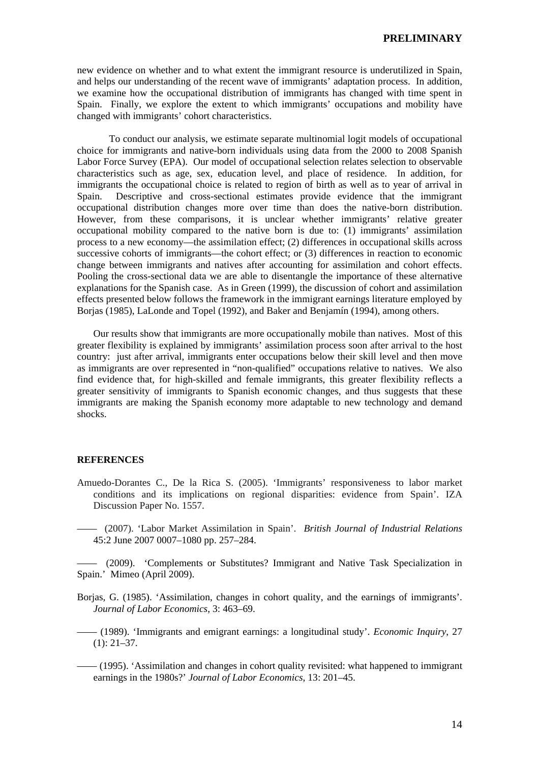new evidence on whether and to what extent the immigrant resource is underutilized in Spain, and helps our understanding of the recent wave of immigrants' adaptation process. In addition, we examine how the occupational distribution of immigrants has changed with time spent in Spain. Finally, we explore the extent to which immigrants' occupations and mobility have changed with immigrants' cohort characteristics.

 To conduct our analysis, we estimate separate multinomial logit models of occupational choice for immigrants and native-born individuals using data from the 2000 to 2008 Spanish Labor Force Survey (EPA). Our model of occupational selection relates selection to observable characteristics such as age, sex, education level, and place of residence. In addition, for immigrants the occupational choice is related to region of birth as well as to year of arrival in Spain. Descriptive and cross-sectional estimates provide evidence that the immigrant occupational distribution changes more over time than does the native-born distribution. However, from these comparisons, it is unclear whether immigrants' relative greater occupational mobility compared to the native born is due to: (1) immigrants' assimilation process to a new economy—the assimilation effect; (2) differences in occupational skills across successive cohorts of immigrants—the cohort effect; or (3) differences in reaction to economic change between immigrants and natives after accounting for assimilation and cohort effects. Pooling the cross-sectional data we are able to disentangle the importance of these alternative explanations for the Spanish case. As in Green (1999), the discussion of cohort and assimilation effects presented below follows the framework in the immigrant earnings literature employed by Borjas (1985), LaLonde and Topel (1992), and Baker and Benjamín (1994), among others.

 Our results show that immigrants are more occupationally mobile than natives. Most of this greater flexibility is explained by immigrants' assimilation process soon after arrival to the host country: just after arrival, immigrants enter occupations below their skill level and then move as immigrants are over represented in "non-qualified" occupations relative to natives. We also find evidence that, for high-skilled and female immigrants, this greater flexibility reflects a greater sensitivity of immigrants to Spanish economic changes, and thus suggests that these immigrants are making the Spanish economy more adaptable to new technology and demand shocks.

#### **REFERENCES**

- Amuedo-Dorantes C., De la Rica S. (2005). 'Immigrants' responsiveness to labor market conditions and its implications on regional disparities: evidence from Spain'. IZA Discussion Paper No. 1557.
- —— (2007). 'Labor Market Assimilation in Spain'. *British Journal of Industrial Relations*  45:2 June 2007 0007–1080 pp. 257–284.

—— (2009). 'Complements or Substitutes? Immigrant and Native Task Specialization in Spain.' Mimeo (April 2009).

- Borjas, G. (1985). 'Assimilation, changes in cohort quality, and the earnings of immigrants'. *Journal of Labor Economics*, 3: 463–69.
- —— (1989). 'Immigrants and emigrant earnings: a longitudinal study'. *Economic Inquiry*, 27  $(1): 21-37.$
- —— (1995). 'Assimilation and changes in cohort quality revisited: what happened to immigrant earnings in the 1980s?' *Journal of Labor Economics*, 13: 201–45.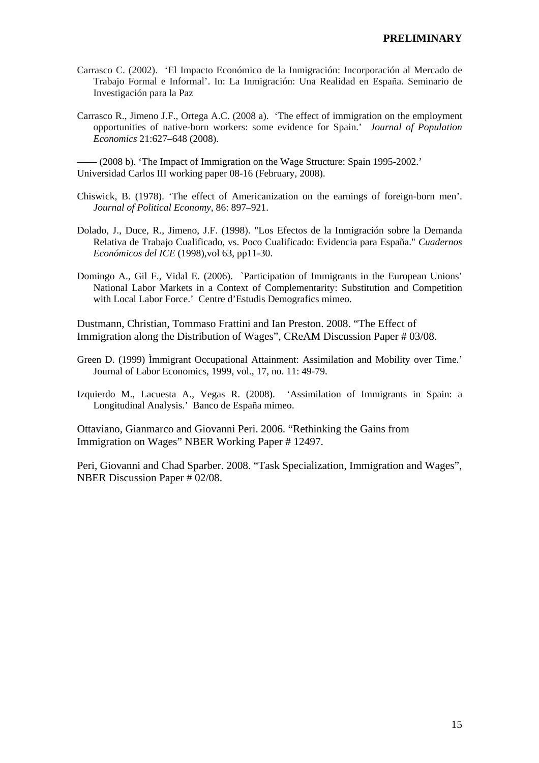- Carrasco C. (2002). 'El Impacto Económico de la Inmigración: Incorporación al Mercado de Trabajo Formal e Informal'. In: La Inmigración: Una Realidad en España. Seminario de Investigación para la Paz
- Carrasco R., Jimeno J.F., Ortega A.C. (2008 a). 'The effect of immigration on the employment opportunities of native-born workers: some evidence for Spain.' *Journal of Population Economics* 21:627–648 (2008).

—— (2008 b). 'The Impact of Immigration on the Wage Structure: Spain 1995-2002.' Universidad Carlos III working paper 08-16 (February, 2008).

- Chiswick, B. (1978). 'The effect of Americanization on the earnings of foreign-born men'. *Journal of Political Economy*, 86: 897–921.
- Dolado, J., Duce, R., Jimeno, J.F. (1998). "Los Efectos de la Inmigración sobre la Demanda Relativa de Trabajo Cualificado, vs. Poco Cualificado: Evidencia para España." *Cuadernos Económicos del ICE* (1998),vol 63, pp11-30.
- Domingo A., Gil F., Vidal E. (2006). `Participation of Immigrants in the European Unions' National Labor Markets in a Context of Complementarity: Substitution and Competition with Local Labor Force.' Centre d'Estudis Demografics mimeo.

Dustmann, Christian, Tommaso Frattini and Ian Preston. 2008. "The Effect of Immigration along the Distribution of Wages", CReAM Discussion Paper # 03/08.

- Green D. (1999) Ìmmigrant Occupational Attainment: Assimilation and Mobility over Time.' Journal of Labor Economics, 1999, vol., 17, no. 11: 49-79.
- Izquierdo M., Lacuesta A., Vegas R. (2008). 'Assimilation of Immigrants in Spain: a Longitudinal Analysis.' Banco de España mimeo.

Ottaviano, Gianmarco and Giovanni Peri. 2006. "Rethinking the Gains from Immigration on Wages" NBER Working Paper # 12497.

Peri, Giovanni and Chad Sparber. 2008. "Task Specialization, Immigration and Wages", NBER Discussion Paper # 02/08.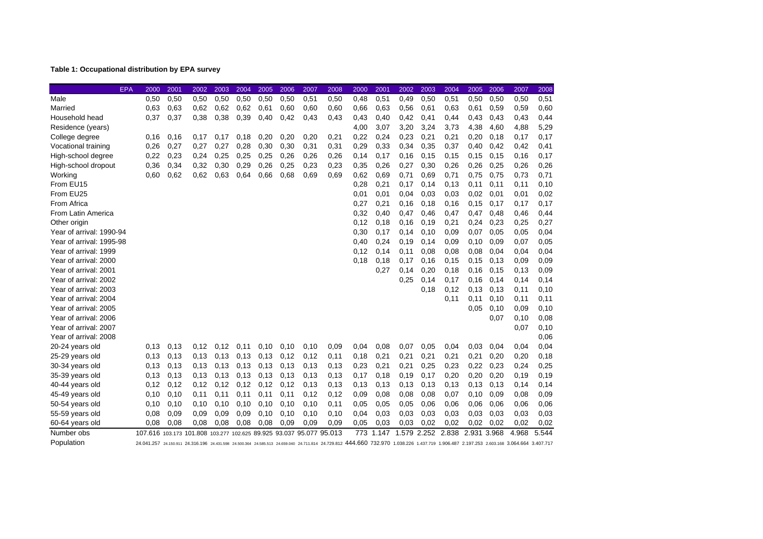## **Table 1: Occupational distribution by EPA survey**

| EPA                      | 2000    | 2001  | 2002                                                                                                                                                                                     | 2003 | 2004 | 2005 | 2006 | 2007 | 2008 | 2000 | 2001  | 2002        | 2003 | 2004  | 2005  | 2006  | 2007  | 2008  |
|--------------------------|---------|-------|------------------------------------------------------------------------------------------------------------------------------------------------------------------------------------------|------|------|------|------|------|------|------|-------|-------------|------|-------|-------|-------|-------|-------|
| Male                     | 0,50    | 0,50  | 0,50                                                                                                                                                                                     | 0,50 | 0,50 | 0,50 | 0,50 | 0,51 | 0,50 | 0,48 | 0,51  | 0,49        | 0,50 | 0,51  | 0,50  | 0,50  | 0,50  | 0,51  |
| Married                  | 0.63    | 0,63  | 0,62                                                                                                                                                                                     | 0,62 | 0.62 | 0,61 | 0,60 | 0,60 | 0,60 | 0,66 | 0,63  | 0,56        | 0,61 | 0,63  | 0,61  | 0,59  | 0,59  | 0,60  |
| Household head           | 0,37    | 0,37  | 0,38                                                                                                                                                                                     | 0,38 | 0,39 | 0,40 | 0,42 | 0,43 | 0,43 | 0,43 | 0,40  | 0,42        | 0,41 | 0,44  | 0,43  | 0,43  | 0,43  | 0,44  |
| Residence (years)        |         |       |                                                                                                                                                                                          |      |      |      |      |      |      | 4,00 | 3,07  | 3,20        | 3,24 | 3,73  | 4,38  | 4,60  | 4,88  | 5,29  |
| College degree           | 0.16    | 0,16  | 0.17                                                                                                                                                                                     | 0,17 | 0,18 | 0,20 | 0,20 | 0,20 | 0,21 | 0,22 | 0,24  | 0,23        | 0,21 | 0,21  | 0,20  | 0,18  | 0,17  | 0,17  |
| Vocational training      | 0,26    | 0,27  | 0,27                                                                                                                                                                                     | 0,27 | 0,28 | 0,30 | 0,30 | 0,31 | 0,31 | 0,29 | 0,33  | 0,34        | 0,35 | 0,37  | 0,40  | 0,42  | 0,42  | 0,41  |
| High-school degree       | 0,22    | 0,23  | 0,24                                                                                                                                                                                     | 0,25 | 0,25 | 0,25 | 0,26 | 0,26 | 0,26 | 0,14 | 0,17  | 0,16        | 0,15 | 0,15  | 0,15  | 0,15  | 0,16  | 0,17  |
| High-school dropout      | 0,36    | 0,34  | 0,32                                                                                                                                                                                     | 0,30 | 0,29 | 0,26 | 0,25 | 0,23 | 0,23 | 0,35 | 0,26  | 0,27        | 0,30 | 0,26  | 0,26  | 0,25  | 0,26  | 0,26  |
| Working                  | 0,60    | 0.62  | 0,62                                                                                                                                                                                     | 0.63 | 0.64 | 0,66 | 0,68 | 0.69 | 0,69 | 0,62 | 0.69  | 0,71        | 0.69 | 0,71  | 0,75  | 0,75  | 0,73  | 0,71  |
| From EU15                |         |       |                                                                                                                                                                                          |      |      |      |      |      |      | 0,28 | 0,21  | 0.17        | 0,14 | 0,13  | 0,11  | 0,11  | 0,11  | 0, 10 |
| From EU25                |         |       |                                                                                                                                                                                          |      |      |      |      |      |      | 0,01 | 0,01  | 0,04        | 0,03 | 0,03  | 0,02  | 0,01  | 0,01  | 0,02  |
| From Africa              |         |       |                                                                                                                                                                                          |      |      |      |      |      |      | 0,27 | 0,21  | 0,16        | 0,18 | 0,16  | 0,15  | 0,17  | 0,17  | 0,17  |
| From Latin America       |         |       |                                                                                                                                                                                          |      |      |      |      |      |      | 0,32 | 0,40  | 0,47        | 0,46 | 0,47  | 0,47  | 0,48  | 0,46  | 0,44  |
| Other origin             |         |       |                                                                                                                                                                                          |      |      |      |      |      |      | 0,12 | 0,18  | 0,16        | 0,19 | 0,21  | 0,24  | 0,23  | 0,25  | 0,27  |
| Year of arrival: 1990-94 |         |       |                                                                                                                                                                                          |      |      |      |      |      |      | 0,30 | 0,17  | 0,14        | 0,10 | 0,09  | 0,07  | 0,05  | 0,05  | 0,04  |
| Year of arrival: 1995-98 |         |       |                                                                                                                                                                                          |      |      |      |      |      |      | 0.40 | 0,24  | 0.19        | 0,14 | 0,09  | 0,10  | 0,09  | 0,07  | 0,05  |
| Year of arrival: 1999    |         |       |                                                                                                                                                                                          |      |      |      |      |      |      | 0,12 | 0.14  | 0.11        | 0.08 | 0,08  | 0.08  | 0,04  | 0,04  | 0,04  |
| Year of arrival: 2000    |         |       |                                                                                                                                                                                          |      |      |      |      |      |      | 0,18 | 0,18  | 0.17        | 0,16 | 0,15  | 0.15  | 0,13  | 0,09  | 0,09  |
| Year of arrival: 2001    |         |       |                                                                                                                                                                                          |      |      |      |      |      |      |      | 0,27  | 0.14        | 0,20 | 0,18  | 0.16  | 0,15  | 0,13  | 0,09  |
| Year of arrival: 2002    |         |       |                                                                                                                                                                                          |      |      |      |      |      |      |      |       | 0,25        | 0,14 | 0,17  | 0.16  | 0,14  | 0,14  | 0,14  |
| Year of arrival: 2003    |         |       |                                                                                                                                                                                          |      |      |      |      |      |      |      |       |             | 0.18 | 0,12  | 0,13  | 0,13  | 0,11  | 0, 10 |
| Year of arrival: 2004    |         |       |                                                                                                                                                                                          |      |      |      |      |      |      |      |       |             |      | 0.11  | 0.11  | 0,10  | 0,11  | 0,11  |
| Year of arrival: 2005    |         |       |                                                                                                                                                                                          |      |      |      |      |      |      |      |       |             |      |       | 0,05  | 0, 10 | 0,09  | 0, 10 |
| Year of arrival: 2006    |         |       |                                                                                                                                                                                          |      |      |      |      |      |      |      |       |             |      |       |       | 0,07  | 0,10  | 0,08  |
| Year of arrival: 2007    |         |       |                                                                                                                                                                                          |      |      |      |      |      |      |      |       |             |      |       |       |       | 0,07  | 0,10  |
| Year of arrival: 2008    |         |       |                                                                                                                                                                                          |      |      |      |      |      |      |      |       |             |      |       |       |       |       | 0,06  |
| 20-24 years old          | 0,13    | 0,13  | 0,12                                                                                                                                                                                     | 0,12 | 0,11 | 0,10 | 0,10 | 0,10 | 0,09 | 0,04 | 0,08  | 0,07        | 0,05 | 0,04  | 0,03  | 0,04  | 0,04  | 0,04  |
| 25-29 years old          | 0,13    | 0,13  | 0,13                                                                                                                                                                                     | 0,13 | 0,13 | 0,13 | 0,12 | 0,12 | 0,11 | 0,18 | 0,21  | 0,21        | 0,21 | 0,21  | 0,21  | 0,20  | 0,20  | 0,18  |
| 30-34 years old          | 0,13    | 0,13  | 0,13                                                                                                                                                                                     | 0,13 | 0,13 | 0,13 | 0,13 | 0,13 | 0,13 | 0,23 | 0,21  | 0,21        | 0,25 | 0,23  | 0,22  | 0,23  | 0,24  | 0,25  |
| 35-39 years old          | 0,13    | 0,13  | 0,13                                                                                                                                                                                     | 0.13 | 0,13 | 0,13 | 0,13 | 0,13 | 0,13 | 0,17 | 0,18  | 0,19        | 0,17 | 0,20  | 0,20  | 0,20  | 0,19  | 0,19  |
| 40-44 years old          | 0,12    | 0,12  | 0,12                                                                                                                                                                                     | 0,12 | 0,12 | 0,12 | 0,12 | 0,13 | 0,13 | 0,13 | 0,13  | 0,13        | 0,13 | 0,13  | 0,13  | 0,13  | 0,14  | 0,14  |
| 45-49 years old          | 0,10    | 0, 10 | 0,11                                                                                                                                                                                     | 0,11 | 0,11 | 0,11 | 0,11 | 0,12 | 0,12 | 0,09 | 0,08  | 0.08        | 0.08 | 0,07  | 0,10  | 0.09  | 0,08  | 0,09  |
| 50-54 years old          | 0,10    | 0, 10 | 0,10                                                                                                                                                                                     | 0,10 | 0,10 | 0,10 | 0,10 | 0,10 | 0,11 | 0,05 | 0,05  | 0,05        | 0,06 | 0,06  | 0,06  | 0,06  | 0,06  | 0,06  |
| 55-59 years old          | 0,08    | 0,09  | 0.09                                                                                                                                                                                     | 0,09 | 0.09 | 0,10 | 0,10 | 0,10 | 0,10 | 0,04 | 0,03  | 0.03        | 0,03 | 0,03  | 0.03  | 0,03  | 0,03  | 0,03  |
| 60-64 years old          | 0,08    | 0,08  | 0,08                                                                                                                                                                                     | 0,08 | 0.08 | 0.08 | 0,09 | 0.09 | 0,09 | 0,05 | 0,03  | 0.03        | 0,02 | 0,02  | 0,02  | 0,02  | 0,02  | 0,02  |
| Number obs               | 107.616 |       | 103.173 101.808 103.277 102.625 89.925 93.037 95.077 95.013                                                                                                                              |      |      |      |      |      |      | 773  | 1.147 | 1.579 2.252 |      | 2.838 | 2.931 | 3.968 | 4.968 | 5.544 |
| Population               |         |       | 24.041.257 24.150.911 24.316.196 24.431.598 24.500.364 24.585.513 24.659.040 24.711.814 24.729.812 444.660 732.970 1.038.226 1.437.719 1.906.487 2.197.253 2.603.168 3.064.664 3.407.717 |      |      |      |      |      |      |      |       |             |      |       |       |       |       |       |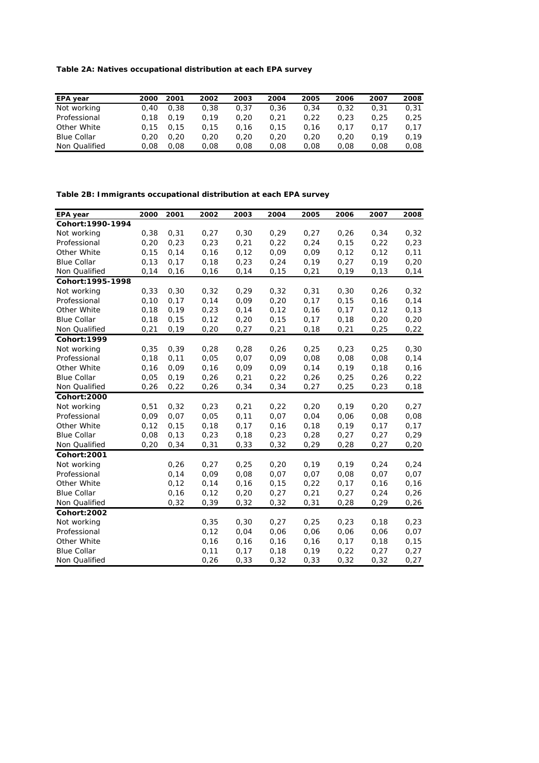**Table 2A: Natives occupational distribution at each EPA survey**

| EPA year           | 2000 | 2001 | 2002 | 2003 | 2004 | 2005 | 2006 | 2007 | 2008 |
|--------------------|------|------|------|------|------|------|------|------|------|
| Not working        | 0.40 | 0.38 | 0.38 | 0.37 | 0.36 | 0.34 | 0.32 | 0.31 | 0.31 |
| Professional       | 0.18 | 0.19 | 0.19 | 0.20 | 0.21 | 0.22 | 0.23 | 0.25 | 0.25 |
| Other White        | 0.15 | 0.15 | 0.15 | 0.16 | 0.15 | 0.16 | 0.17 | 0.17 | 0.17 |
| <b>Blue Collar</b> | 0.20 | 0.20 | 0.20 | 0.20 | 0.20 | 0.20 | 0.20 | 0.19 | 0.19 |
| Non Qualified      | 0.08 | 0.08 | 0.08 | 0.08 | 0.08 | 0.08 | 0.08 | 0.08 | 0,08 |

**Table 2B: Immigrants occupational distribution at each EPA survey**

| <b>EPA</b> year    | 2000  | 2001  | 2002  | 2003  | 2004  | 2005  | 2006  | 2007  | 2008  |
|--------------------|-------|-------|-------|-------|-------|-------|-------|-------|-------|
| Cohort: 1990-1994  |       |       |       |       |       |       |       |       |       |
| Not working        | 0,38  | 0,31  | 0,27  | 0, 30 | 0,29  | 0,27  | 0,26  | 0,34  | 0,32  |
| Professional       | 0,20  | 0,23  | 0,23  | 0,21  | 0,22  | 0,24  | 0, 15 | 0,22  | 0,23  |
| Other White        | 0, 15 | 0,14  | 0,16  | 0, 12 | 0,09  | 0,09  | 0,12  | 0,12  | 0,11  |
| <b>Blue Collar</b> | 0, 13 | 0,17  | 0,18  | 0,23  | 0,24  | 0, 19 | 0,27  | 0,19  | 0,20  |
| Non Qualified      | 0,14  | 0,16  | 0,16  | 0,14  | 0, 15 | 0,21  | 0, 19 | 0, 13 | 0,14  |
| Cohort: 1995-1998  |       |       |       |       |       |       |       |       |       |
| Not working        | 0,33  | 0,30  | 0,32  | 0,29  | 0,32  | 0,31  | 0,30  | 0,26  | 0,32  |
| Professional       | 0, 10 | 0,17  | 0,14  | 0,09  | 0,20  | 0,17  | 0, 15 | 0,16  | 0,14  |
| Other White        | 0,18  | 0,19  | 0,23  | 0,14  | 0, 12 | 0, 16 | 0,17  | 0,12  | 0,13  |
| <b>Blue Collar</b> | 0, 18 | 0,15  | 0, 12 | 0,20  | 0, 15 | 0,17  | 0,18  | 0,20  | 0,20  |
| Non Qualified      | 0,21  | 0,19  | 0,20  | 0,27  | 0,21  | 0, 18 | 0,21  | 0,25  | 0,22  |
| Cohort: 1999       |       |       |       |       |       |       |       |       |       |
| Not working        | 0,35  | 0,39  | 0,28  | 0,28  | 0,26  | 0,25  | 0,23  | 0,25  | 0,30  |
| Professional       | 0, 18 | 0,11  | 0,05  | 0,07  | 0,09  | 0,08  | 0,08  | 0,08  | 0,14  |
| Other White        | 0, 16 | 0,09  | 0,16  | 0,09  | 0,09  | 0,14  | 0,19  | 0,18  | 0,16  |
| <b>Blue Collar</b> | 0,05  | 0,19  | 0,26  | 0,21  | 0,22  | 0,26  | 0,25  | 0,26  | 0,22  |
| Non Qualified      | 0,26  | 0,22  | 0,26  | 0,34  | 0,34  | 0,27  | 0,25  | 0,23  | 0, 18 |
| Cohort: 2000       |       |       |       |       |       |       |       |       |       |
| Not working        | 0,51  | 0,32  | 0,23  | 0,21  | 0,22  | 0,20  | 0,19  | 0,20  | 0,27  |
| Professional       | 0,09  | 0,07  | 0,05  | 0,11  | 0,07  | 0,04  | 0,06  | 0,08  | 0,08  |
| Other White        | 0, 12 | 0,15  | 0,18  | 0,17  | 0,16  | 0, 18 | 0,19  | 0,17  | 0,17  |
| <b>Blue Collar</b> | 0,08  | 0, 13 | 0,23  | 0, 18 | 0,23  | 0,28  | 0,27  | 0,27  | 0,29  |
| Non Qualified      | 0,20  | 0,34  | 0,31  | 0,33  | 0,32  | 0, 29 | 0,28  | 0,27  | 0,20  |
| Cohort: 2001       |       |       |       |       |       |       |       |       |       |
| Not working        |       | 0,26  | 0,27  | 0,25  | 0,20  | 0, 19 | 0,19  | 0,24  | 0,24  |
| Professional       |       | 0,14  | 0,09  | 0,08  | 0,07  | 0,07  | 0,08  | 0,07  | 0,07  |
| Other White        |       | 0, 12 | 0, 14 | 0, 16 | 0, 15 | 0,22  | 0,17  | 0,16  | 0,16  |
| <b>Blue Collar</b> |       | 0,16  | 0,12  | 0,20  | 0,27  | 0,21  | 0,27  | 0,24  | 0,26  |
| Non Qualified      |       | 0,32  | 0,39  | 0,32  | 0,32  | 0,31  | 0,28  | 0,29  | 0,26  |
| Cohort: 2002       |       |       |       |       |       |       |       |       |       |
| Not working        |       |       | 0,35  | 0, 30 | 0,27  | 0,25  | 0,23  | 0,18  | 0,23  |
| Professional       |       |       | 0,12  | 0,04  | 0,06  | 0,06  | 0,06  | 0,06  | 0,07  |
| Other White        |       |       | 0, 16 | 0, 16 | 0,16  | 0, 16 | 0,17  | 0,18  | 0,15  |
| <b>Blue Collar</b> |       |       | 0,11  | 0,17  | 0,18  | 0, 19 | 0,22  | 0,27  | 0,27  |
| Non Qualified      |       |       | 0,26  | 0,33  | 0,32  | 0,33  | 0,32  | 0,32  | 0,27  |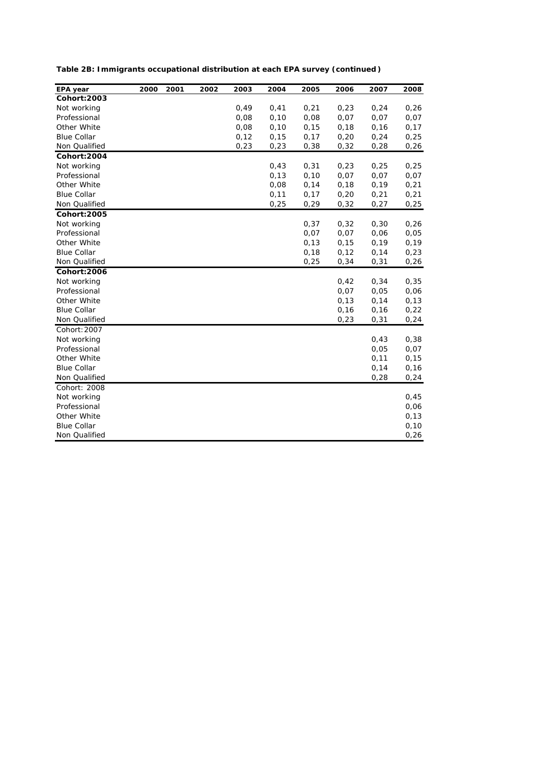| Table 2B: Immigrants occupational distribution at each EPA survey (continued) |  |  |
|-------------------------------------------------------------------------------|--|--|
|-------------------------------------------------------------------------------|--|--|

| EPA year           | 2000 | 2001 | 2002 | 2003  | 2004  | 2005  | 2006  | 2007 | 2008  |
|--------------------|------|------|------|-------|-------|-------|-------|------|-------|
| Cohort: 2003       |      |      |      |       |       |       |       |      |       |
| Not working        |      |      |      | 0,49  | 0,41  | 0,21  | 0,23  | 0,24 | 0,26  |
| Professional       |      |      |      | 0,08  | 0,10  | 0,08  | 0,07  | 0,07 | 0,07  |
| Other White        |      |      |      | 0,08  | 0,10  | 0, 15 | 0,18  | 0,16 | 0,17  |
| <b>Blue Collar</b> |      |      |      | 0, 12 | 0, 15 | 0,17  | 0,20  | 0,24 | 0,25  |
| Non Qualified      |      |      |      | 0,23  | 0,23  | 0,38  | 0,32  | 0,28 | 0,26  |
| Cohort: 2004       |      |      |      |       |       |       |       |      |       |
| Not working        |      |      |      |       | 0,43  | 0,31  | 0,23  | 0,25 | 0,25  |
| Professional       |      |      |      |       | 0, 13 | 0,10  | 0,07  | 0,07 | 0,07  |
| Other White        |      |      |      |       | 0,08  | 0,14  | 0,18  | 0,19 | 0,21  |
| <b>Blue Collar</b> |      |      |      |       | 0,11  | 0,17  | 0,20  | 0,21 | 0,21  |
| Non Qualified      |      |      |      |       | 0,25  | 0,29  | 0,32  | 0,27 | 0,25  |
| Cohort: 2005       |      |      |      |       |       |       |       |      |       |
| Not working        |      |      |      |       |       | 0,37  | 0,32  | 0,30 | 0,26  |
| Professional       |      |      |      |       |       | 0,07  | 0,07  | 0,06 | 0,05  |
| Other White        |      |      |      |       |       | 0, 13 | 0, 15 | 0,19 | 0,19  |
| <b>Blue Collar</b> |      |      |      |       |       | 0, 18 | 0,12  | 0,14 | 0,23  |
| Non Qualified      |      |      |      |       |       | 0,25  | 0,34  | 0,31 | 0,26  |
| Cohort: 2006       |      |      |      |       |       |       |       |      |       |
| Not working        |      |      |      |       |       |       | 0,42  | 0,34 | 0,35  |
| Professional       |      |      |      |       |       |       | 0,07  | 0,05 | 0,06  |
| Other White        |      |      |      |       |       |       | 0,13  | 0,14 | 0,13  |
| <b>Blue Collar</b> |      |      |      |       |       |       | 0, 16 | 0,16 | 0,22  |
| Non Qualified      |      |      |      |       |       |       | 0,23  | 0,31 | 0,24  |
| Cohort: 2007       |      |      |      |       |       |       |       |      |       |
| Not working        |      |      |      |       |       |       |       | 0,43 | 0,38  |
| Professional       |      |      |      |       |       |       |       | 0,05 | 0,07  |
| Other White        |      |      |      |       |       |       |       | 0,11 | 0, 15 |
| <b>Blue Collar</b> |      |      |      |       |       |       |       | 0,14 | 0,16  |
| Non Qualified      |      |      |      |       |       |       |       | 0,28 | 0,24  |
| Cohort: 2008       |      |      |      |       |       |       |       |      |       |
| Not working        |      |      |      |       |       |       |       |      | 0,45  |
| Professional       |      |      |      |       |       |       |       |      | 0,06  |
| Other White        |      |      |      |       |       |       |       |      | 0,13  |
| <b>Blue Collar</b> |      |      |      |       |       |       |       |      | 0,10  |
| Non Qualified      |      |      |      |       |       |       |       |      | 0,26  |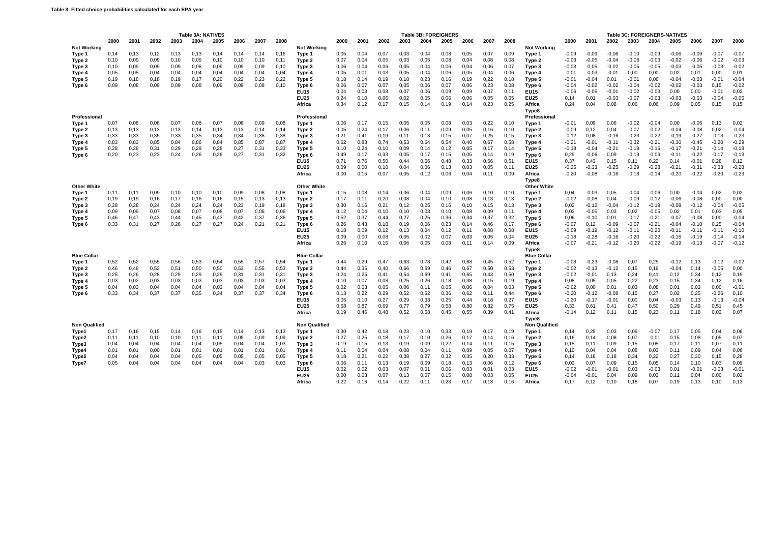|                      |              |              |              |              | Table 3A: NATIVES |              |               |              |              |                            |              |              |              |              | <b>Table 3B: FOREIGNERS</b> |              |              |              |              |                               |                    |                    |                    |                    | Table 3C: FOREIGNERS-NATIVES |                    |                    |                    |                    |
|----------------------|--------------|--------------|--------------|--------------|-------------------|--------------|---------------|--------------|--------------|----------------------------|--------------|--------------|--------------|--------------|-----------------------------|--------------|--------------|--------------|--------------|-------------------------------|--------------------|--------------------|--------------------|--------------------|------------------------------|--------------------|--------------------|--------------------|--------------------|
| <b>Not Working</b>   | 2000         | 2001         | 2002         | 2003         | 2004              | 2005         | 2006          | 2007         | 2008         | <b>Not Working</b>         | 2000         | 2001         | 2002         | 2003         | 2004                        | 2005         | 2006         | 2007         | 2008         | <b>Not Working</b>            | 2000               | 2001               | 2002               | 2003               | 2004                         | 2005               | 2006               | 2007               | 2008               |
| Type 1<br>Type 2     | 0,14<br>0,10 | 0.13<br>0,09 | 0.12<br>0,09 | 0.13<br>0,10 | 0.13<br>0,09      | 0.14<br>0,10 | 0.14<br>0, 10 | 0.14<br>0,10 | 0.16<br>0,11 | Type 1<br>Type 2           | 0.05<br>0,07 | 0.04<br>0,04 | 0.07<br>0,05 | 0.03<br>0,03 | 0.04<br>0,05                | 0.08<br>0,08 | 0.05<br>0,04 | 0.07<br>0,08 | 0,09<br>0,08 | Type 1<br>Type 2              | $-0.09$<br>$-0,03$ | $-0.09$<br>$-0.05$ | $-0.06$<br>$-0,04$ | $-0.10$<br>$-0,06$ | $-0.09$<br>$-0,03$           | $-0.06$<br>$-0.02$ | $-0.09$<br>$-0,06$ | $-0.07$<br>$-0,02$ | $-0,07$<br>$-0,03$ |
| Type 3               | 0,10         | 0,09         | 0,09         | 0,09         | 0,08              | 0,09         | 0,09          | 0,09         | 0,10         | Type 3                     | 0,06         | 0,04         | 0,06         | 0,05         | 0,04                        | 0,06         | 0,04         | 0,06         | 0,07         | Type 3                        | $-0,03$            | $-0.05$            | $-0,02$            | $-0,05$            | $-0,05$                      | $-0.03$            | $-0,05$            | $-0,03$            | $-0,02$            |
| Type 4               | 0,05         | 0.05         | 0.04         | 0.04         | 0,04              | 0,04         | 0.04          | 0,04         | 0,04         | Type 4                     | 0,05         | 0,01         | 0.03         | 0,05         | 0.04                        | 0,06         | 0.05         | 0.04         | 0,06         | Type 4                        | $-0.01$            | $-0.03$            | $-0,01$            | 0.00               | 0,00                         | 0,02               | 0.01               | 0,00               | 0,01               |
| Type 5               | 0,19         | 0,18         | 0,18         | 0,19         | 0,17              | 0,20         | 0,22          | 0,23         | 0,22         | Type 5                     | 0,18         | 0,14         | 0,19         | 0,18         | 0,23                        | 0,16         | 0,19         | 0,22         | 0,18         | Type 5                        | $-0,01$            | $-0.04$            | 0,01               | $-0,01$            | 0,06                         | $-0.04$            | $-0.03$            | $-0,01$            | $-0,04$            |
| Type 6               | 0,09         | 0,08         | 0.09         | 0,09         | 0.08              | 0.09         | 0.09          | 0.08         | 0.10         | Type 6                     | 0.06         | 0.07         | 0.07         | 0.05         | 0.06                        | 0.07         | 0.06         | 0.23         | 0.08         | Type 6                        | $-0.04$            | $-0.02$            | $-0.02$            | $-0.04$            | $-0.02$                      | $-0.02$            | $-0.03$            | 0.15               | $-0,02$            |
|                      |              |              |              |              |                   |              |               |              |              | <b>EU15</b>                | 0,04         | 0,03         | 0,08         | 0,07         | 0,06                        | 0,09         | 0,09         | 0,07         | 0,11         | <b>EU15</b>                   | $-0,06$            | $-0.05$            | $-0,01$            | $-0,02$            | $-0,03$                      | 0,00               | 0,00               | $-0,01$            | 0,02               |
|                      |              |              |              |              |                   |              |               |              |              | <b>EU25</b>                | 0,24         | 0,10         | 0,06         | 0,02         | 0,05                        | 0,06         | 0,06         | 0,05         | 0,05         | <b>EU25</b>                   | 0,14               | 0,01               | $-0,03$            | $-0,07$            | $-0,03$                      | $-0.03$            | $-0,03$            | $-0,04$            | $-0,05$            |
|                      |              |              |              |              |                   |              |               |              |              | Africa                     | 0,34         | 0.12         | 0,17         | 0.15         | 0.14                        | 0.19         | 0,14         | 0,23         | 0,25         | Africa                        | 0.24               | 0,04               | 0,08               | 0,06               | 0,06                         | 0,09               | 0,05               | 0,15               | 0,15               |
| Professional         |              |              |              |              |                   |              |               |              |              | Professional               |              |              |              |              |                             |              |              |              |              | Type8<br>Professional         |                    |                    |                    |                    |                              |                    |                    |                    |                    |
| Type 1               | 0,07         | 0.08         | 0,08         | 0,07         | 0,08              | 0,07         | 0,08          | 0,09         | 0,08         | Type 1                     | 0,06         | 0,17         | 0,15         | 0,05         | 0,05                        | 0,08         | 0,03         | 0,22         | 0,10         | Type 1                        | $-0,01$            | 0,09               | 0,06               | $-0,02$            | $-0,04$                      | 0,00               | $-0.05$            | 0,13               | 0,02               |
| Type 2               | 0.13         | 0.13         | 0.13         | 0,13         | 0,14              | 0.13         | 0.13          | 0,14         | 0,14         | Type 2                     | 0,05         | 0,24         | 0.17         | 0,06         | 0,11                        | 0,09         | 0,05         | 0.16         | 0,10         | Type 2                        | $-0.09$            | 0,12               | 0,04               | $-0,07$            | $-0,02$                      | $-0.04$            | $-0.08$            | 0,02               | $-0,04$            |
| Type 3               | 0,33         | 0,33         | 0,35         | 0,33         | 0,35              | 0,34         | 0,34          | 0,38         | 0,38         | Type 3                     | 0,21         | 0,41         | 0,19         | 0,11         | 0,13                        | 0,15         | 0,07         | 0,25         | 0,15         | Type 3                        | $-0,12$            | 0,08               | $-0,16$            | $-0,23$            | $-0,22$                      | $-0,19$            | $-0,27$            | $-0,13$            | $-0,23$            |
| Type 4               | 0,83         | 0.83         | 0.85         | 0,84         | 0.86              | 0.84         | 0.85          | 0.87         | 0.87         | Type 4                     | 0.62         | 0.83         | 0.74         | 0.53         | 0.64                        | 0.54         | 0.40         | 0.67         | 0,58         | Type 4                        | $-0.21$            | $-0.01$            | $-0.11$            | $-0.32$            | $-0.21$                      | $-0.30$            | $-0.45$            | $-0.20$            | $-0,29$            |
| Type 5               | 0,28         | 0,28         | 0,31         | 0,29         | 0,29              | 0,28         | 0,27          | 0,31         | 0,33         | Type 5                     | 0,10         | 0,24         | 0,10         | 0,09         | 0,14                        | 0,12         | 0,05         | 0,17         | 0,14         | Type 5                        | $-0,18$            | $-0.04$            | $-0,21$            | $-0,19$            | $-0,16$                      | $-0,17$            | $-0,21$            | $-0,14$            | $-0,19$            |
| Type 6               | 0,20         | 0,23         | 0,23         | 0,24         | 0,26              | 0,26         | 0,27          | 0,31         | 0,32         | Type 6                     | 0,49         | 0,17<br>0.76 | 0,33         | 0,05<br>0.44 | 0,17<br>0.56                | 0,15<br>0.48 | 0,05         | 0,14<br>0.66 | 0,19         | Type 6                        | 0,29               | $-0.06$            | 0,09               | $-0,19$<br>0,11    | $-0,09$                      | $-0,11$<br>0.14    | $-0,22$<br>$-0.01$ | $-0,17$            | $-0,13$<br>0,12    |
|                      |              |              |              |              |                   |              |               |              |              | <b>EU15</b><br><b>EU25</b> | 0,71<br>0.09 | 0.00         | 0,50<br>0.10 | 0.04         | 0.06                        | 0.13         | 0,33<br>0.03 | 0.05         | 0,51<br>0,11 | <b>EU15</b><br><b>EU25</b>    | 0,37<br>$-0.25$    | 0,43<br>$-0.33$    | 0,15<br>$-0,25$    | $-0.29$            | 0,22<br>$-0.28$              | $-0,21$            | $-0.31$            | 0,28<br>$-0.33$    | $-0,28$            |
|                      |              |              |              |              |                   |              |               |              |              | Africa                     | 0,00         | 0,15         | 0,07         | 0,05         | 0,12                        | 0,06         | 0,04         | 0,11         | 0,09         | Africa                        | $-0,20$            | $-0.08$            | $-0,16$            | $-0,18$            | $-0,14$                      | $-0,20$            | $-0,22$            | $-0,20$            | $-0,23$            |
|                      |              |              |              |              |                   |              |               |              |              |                            |              |              |              |              |                             |              |              |              |              | Type8                         |                    |                    |                    |                    |                              |                    |                    |                    |                    |
| <b>Other White</b>   |              |              |              |              |                   |              |               |              |              | <b>Other White</b>         |              |              |              |              |                             |              |              |              |              | <b>Other White</b>            |                    |                    |                    |                    |                              |                    |                    |                    |                    |
| Type 1               | 0,11<br>0.19 | 0.11         | 0,09<br>0.16 | 0.10<br>0.17 | 0.10              | 0.10<br>0.16 | 0.09<br>0.15  | 0,08<br>0.13 | 0,08<br>0.13 | Type 1                     | 0,15<br>0.17 | 0,08<br>0.11 | 0.14<br>0.20 | 0,06<br>0.08 | 0.04<br>0.04                | 0,09<br>0.10 | 0.06<br>0.08 | 0.10<br>0.13 | 0,10         | Type 1                        | 0.04<br>$-0.02$    | $-0.03$<br>$-0.08$ | 0,05<br>0.04       | $-0,04$<br>$-0.09$ | $-0.06$<br>$-0.12$           | 0.00<br>$-0.06$    | $-0.04$<br>$-0.08$ | 0.02<br>0.00       | 0,02               |
| Type 2               | 0,28         | 0.19<br>0,28 | 0,24         | 0,24         | 0.16<br>0,24      | 0,24         | 0,23          | 0,19         | 0,18         | Type 2                     | 0,30         | 0,16         | 0,21         | 0,12         | 0,05                        | 0,16         | 0,10         | 0,15         | 0.13<br>0,13 | Type 2                        | 0,02               | $-0,12$            | $-0,04$            | $-0,12$            | $-0,19$                      | $-0.08$            | $-0, 12$           | $-0,04$            | 0,00<br>$-0,05$    |
| Type 3<br>Type 4     | 0,09         | 0,09         | 0,07         | 0,08         | 0,07              | 0,08         | 0,07          | 0,06         | 0,06         | Type 3<br>Type 4           | 0,12         | 0,04         | 0,10         | 0,10         | 0,03                        | 0,10         | 0,08         | 0,09         | 0,11         | Type 3<br>Type 4              | 0,03               | $-0.05$            | 0,03               | 0,02               | $-0,05$                      | 0,02               | 0,01               | 0,03               | 0,05               |
| Type 5               | 0,46         | 0.47         | 0.43         | 0.44         | 0.45              | 0.43         | 0.42          | 0.37         | 0.36         | Type 5                     | 0.52         | 0.37         | 0.44         | 0,27         | 0.25                        | 0.36         | 0,34         | 0.37         | 0,32         | Type 5                        | 0.06               | $-0,10$            | 0,01               | $-0.17$            | $-0,21$                      | $-0.07$            | $-0.08$            | 0.00               | $-0,04$            |
| Type 6               | 0.33         | 0.31         | 0.27         | 0.26         | 0.27              | 0.27         | 0.24          | 0.21         | 0.21         | Type 6                     | 0.26         | 0.43         | 0.18         | 0.19         | 0.06                        | 0.23         | 0.14         | 0.46         | 0,17         | Type 6                        | $-0.07$            | 0.12               | $-0.09$            | $-0.07$            | $-0,21$                      | $-0.04$            | $-0.10$            | 0.25               | $-0,04$            |
|                      |              |              |              |              |                   |              |               |              |              | <b>EU15</b>                | 0,18         | 0,09         | 0,12         | 0,13         | 0,04                        | 0,12         | 0,11         | 0,08         | 0,08         | <b>EU15</b>                   | $-0.09$            | $-0,19$            | $-0,12$            | $-0,11$            | $-0,20$                      | $-0,11$            | $-0,11$            | $-0,11$            | $-0,10$            |
|                      |              |              |              |              |                   |              |               |              |              | <b>EU25</b>                | 0,09         | 0,00         | 0,08         | 0,05         | 0,02                        | 0,07         | 0,03         | 0,05         | 0,04         | <b>EU25</b>                   | $-0,18$            | $-0,28$            | $-0,16$            | $-0,20$            | $-0,22$                      | $-0,16$            | $-0.19$            | $-0.14$            | $-0,14$            |
|                      |              |              |              |              |                   |              |               |              |              | Africa                     | 0,26         | 0,10         | 0,15         | 0,06         | 0,05                        | 0,08         | 0,11         | 0,14         | 0,09         | Africa                        | $-0.07$            | $-0,21$            | $-0,12$            | $-0,20$            | $-0,22$                      | $-0,19$            | $-0.13$            | $-0.07$            | $-0,12$            |
| <b>Blue Collar</b>   |              |              |              |              |                   |              |               |              |              | <b>Blue Collar</b>         |              |              |              |              |                             |              |              |              |              | Type8<br><b>Blue Collar</b>   |                    |                    |                    |                    |                              |                    |                    |                    |                    |
| Type 1               | 0,52         | 0,52         | 0,55         | 0,56         | 0,53              | 0,54         | 0,55          | 0,57         | 0,54         | Type 1                     | 0,44         | 0,29         | 0,47         | 0.63         | 0,78                        | 0,42         | 0,68         | 0,45         | 0,52         | Type 1                        | $-0.08$            | $-0,23$            | $-0.08$            | 0,07               | 0,25                         | $-0,12$            | 0,13               | $-0,12$            | $-0,02$            |
| Type 2               | 0,46         | 0,48         | 0,52         | 0,51         | 0,50              | 0,50         | 0,53          | 0,55         | 0,53         | Type 2                     | 0,44         | 0,35         | 0,40         | 0,66         | 0,69                        | 0,46         | 0,67         | 0,50         | 0,53         | Type 2                        | $-0,02$            | $-0,13$            | $-0,12$            | 0,15               | 0,19                         | $-0.04$            | 0,14               | $-0,05$            | 0,00               |
| Type 3               | 0,25         | 0.26         | 0,28         | 0,29         | 0.29              | 0.29         | 0,31          | 0.31         | 0.31         | Type 3                     | 0.24         | 0.25         | 0.41         | 0,54         | 0.69                        | 0,41         | 0.65         | 0.43         | 0,50         | Type 3                        | $-0.02$            | $-0,01$            | 0,13               | 0.24               | 0,41                         | 0.12               | 0.34               | 0.12               | 0,19               |
| Type 4               | 0,03         | 0.02         | 0.03         | 0.03         | 0.03              | 0.03         | 0.03          | 0.03         | 0,03         | Type 4                     | 0.10         | 0.07         | 0.08         | 0,25         | 0.26                        | 0.18         | 0.38         | 0.15         | 0,19         | Type 4                        | 0.08               | 0.05               | 0.05               | 0.22               | 0.23                         | 0.15               | 0.34               | 0.12               | 0,16               |
| Type 5               | 0,04         | 0,03         | 0,04         | 0,04         | 0,04              | 0,03         | 0,04          | 0,04         | 0,04         | Type 5                     | 0,02         | 0,03         | 0,05         | 0,06         | 0,11                        | 0,05         | 0,06         | 0,04         | 0,03         | Type 5                        | $-0,02$            | 0,00               | 0,01               | 0,03               | 0,08                         | 0,01               | 0,03               | 0,00               | $-0,01$            |
| Type 6               | 0,33         | 0,34         | 0,37         | 0,37         | 0,35              | 0,34         | 0,37          | 0,37         | 0,34         | Type 6                     | 0,13         | 0,22         | 0,29         | 0,52         | 0.62                        | 0,36         | 0,62         | 0.11         | 0,44         | Type 6                        | $-0,20$            | $-0,12$            | $-0.08$            | 0.15               | 0,27                         | 0,02               | 0,25               | $-0,26$            | 0, 10              |
|                      |              |              |              |              |                   |              |               |              |              | <b>EU15</b>                | 0,05         | 0.10         | 0.27         | 0,29         | 0,33                        | 0.25         | 0.44         | 0.18         | 0,27         | <b>EU15</b>                   | $-0,20$            | $-0.17$            | $-0,01$            | 0.00               | 0.04                         | $-0.03$            | 0.13               | $-0,13$            | $-0,04$            |
|                      |              |              |              |              |                   |              |               |              |              | <b>EU25</b>                | 0,58         | 0,87         | 0.69         | 0.77         | 0,79                        | 0,58         | 0,80         | 0,82         | 0,75         | <b>EU25</b>                   | 0,33               | 0.61               | 0,41               | 0,47               | 0,50                         | 0,29               | 0,49               | 0,51               | 0,45               |
|                      |              |              |              |              |                   |              |               |              |              | Africa                     | 0,19         | 0,46         | 0,48         | 0,52         | 0,58                        | 0,45         | 0,55         | 0,39         | 0,41         | Africa                        | $-0.14$            | 0,12               | 0,11               | 0,15               | 0,23                         | 0,11               | 0,18               | 0,02               | 0,07               |
| <b>Non Qualified</b> |              |              |              |              |                   |              |               |              |              | <b>Non Qualified</b>       |              |              |              |              |                             |              |              |              |              | Type8<br><b>Non Qualified</b> |                    |                    |                    |                    |                              |                    |                    |                    |                    |
| Type1                | 0.17         | 0.16         | 0.15         | 0,14         | 0,16              | 0.15         | 0.14          | 0,13         | 0,13         | Type 1                     | 0,30         | 0,42         | 0.18         | 0,23         | 0.10                        | 0,33         | 0,19         | 0.17         | 0.19         | Type 1                        | 0.14               | 0,25               | 0,03               | 0.09               | $-0,07$                      | 0,17               | 0,05               | 0,04               | 0,06               |
| Type2                | 0,11         | 0,11         | 0,10         | 0,10         | 0,11              | 0,11         | 0,09          | 0,09         | 0,09         | Type 2                     | 0,27         | 0,25         | 0,18         | 0,17         | 0, 10                       | 0,26         | 0,17         | 0,14         | 0,16         | Type 2                        | 0,16               | 0,14               | 0,08               | 0,07               | $-0,01$                      | 0,15               | 0,08               | 0,05               | 0,07               |
| Type3                | 0,04         | 0,04         | 0,04         | 0,04         | 0,04              | 0,05         | 0,04          | 0,04         | 0,03         | Type 3                     | 0,19         | 0,15         | 0,13         | 0,19         | 0,09                        | 0,22         | 0,14         | 0,11         | 0,15         | Type 3                        | 0,15               | 0,11               | 0,09               | 0,15               | 0,05                         | 0,17               | 0,11               | 0,07               | 0,11               |
| Type4                | 0,01         | 0,01         | 0,00         | 0,01         | 0,01              | 0,01         | 0,01          | 0,01         | 0,01         | Type 4                     | 0,11         | 0.04         | 0,04         | 0,08         | 0.04                        | 0,11         | 0,09         | 0,05         | 0,07         | Type 4                        | 0.10               | 0,04               | 0,04               | 0,08               | 0,03                         | 0,11               | 0,09               | 0,04               | 0,06               |
| Type5                | 0,04         | 0,04         | 0,04         | 0,04         | 0,05              | 0,05         | 0,05          | 0,05         | 0,05         | Type 5                     | 0,18         | 0,21         | 0,22         | 0,38         | 0,27                        | 0,32         | 0,35         | 0,20         | 0,33         | Type 5                        | 0.14               | 0,18               | 0,18               | 0,34               | 0,22                         | 0,27               | 0.30               | 0.15               | 0,28               |
| Type7                | 0,05         | 0,04         | 0,04         | 0,04         | 0,04              | 0,04         | 0,04          | 0,03         | 0.03         | Type 6                     | 0,06         | 0.11         | 0,13         | 0,19         | 0.09                        | 0.18         | 0,13         | 0,06         | 0,12         | Type 6                        | 0,02               | 0,07               | 0,09               | 0,15               | 0,05                         | 0.14               | 0.10               | 0,03               | 0,09               |
|                      |              |              |              |              |                   |              |               |              |              | EU15                       | 0,02         | 0,02         | 0,03         | 0,07         | 0,01                        | 0,06         | 0,03         | 0,01         | 0,03         | <b>EU15</b>                   | $-0,02$            | $-0,01$            | $-0,01$            | 0.03               | $-0,03$                      | 0,01               | $-0,01$            | $-0,03$            | $-0,01$            |
|                      |              |              |              |              |                   |              |               |              |              | <b>EU25</b>                | 0,00         | 0,03         | 0,07         | 0.13         | 0,07                        | 0,15         | 0,08         | 0,03         | 0,05         | <b>EU25</b>                   | $-0.04$            | $-0,01$            | 0,04               | 0.09               | 0,03                         | 0,11               | 0.04               | 0,00               | 0,02<br>0.13       |
|                      |              |              |              |              |                   |              |               |              |              | Africa                     | 0.22         | 0.16         | 0.14         | 0,22         | 0.11                        | 0,23         | 0.17         | 0.13         | 0.16         | Africa                        | 0.17               | 0,12               | 0.10               | 0.18               | 0.07                         | 0.19               | 0.13               | 0.10               |                    |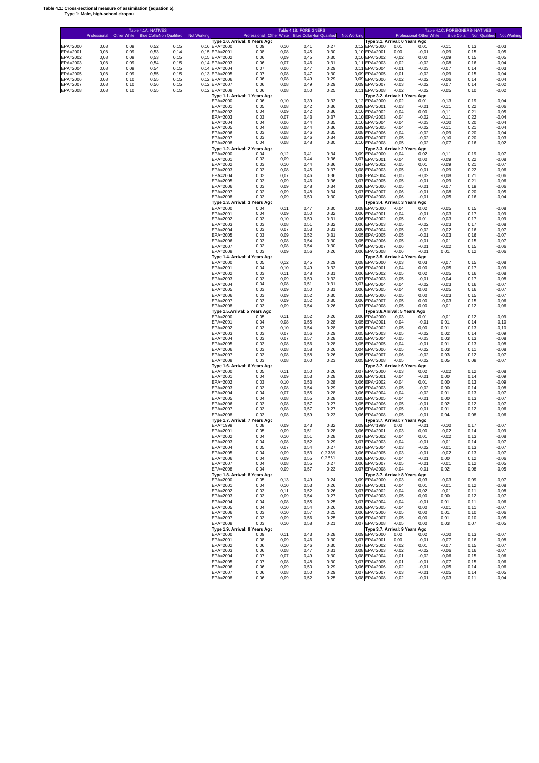#### **Table 4.1: Cross-sectional measure of assimilation (equation 5). Type 1: Male, high-school dropout**

r

|                      | Professional Other White Blue Collar Non Qualified |              |              |                | Not Working |                                | Professional Other White Blue Collar Non Qualified<br>Type 1.0. Arrival: 0 Years Agc |               |              |                | Not Working    | Type 3.1. Arrival: 0 Years Agc                  |                    | Professional Other White |                     |               | Blue Collar Non Qualified Not Working |
|----------------------|----------------------------------------------------|--------------|--------------|----------------|-------------|--------------------------------|--------------------------------------------------------------------------------------|---------------|--------------|----------------|----------------|-------------------------------------------------|--------------------|--------------------------|---------------------|---------------|---------------------------------------|
| EPA=2000             | 0,08                                               | 0,09         | 0,52         | 0, 15          |             | 0,16 EPA=2000                  | 0,09                                                                                 | 0, 10         | 0,41         | 0,27           | 0,12           | EPA=2000                                        | 0,01               | 0,01                     | $-0,11$             | 0, 13         | $-0,03$                               |
| EPA=2001             | 0,08                                               | 0,09         | 0,53         | 0,14           |             | 0,15 EPA=2001                  | 0,08                                                                                 | 0,08          | 0,45         | 0,30           | 0, 10          | EPA=2001                                        | 0,00               | $-0,01$                  | $-0,09$             | 0, 15         | $-0,05$                               |
| EPA=2002<br>EPA=2003 | 0,08<br>0,08                                       | 0,09<br>0,09 | 0,53<br>0,54 | 0, 15<br>0, 15 |             | 0,15 EPA=2002<br>0,14 EPA=2003 | 0,06<br>0,06                                                                         | 0,09<br>0,07  | 0,45<br>0,46 | 0,30<br>0,31   | 0, 10<br>0,11  | EPA=2002<br>EPA=2003                            | $-0,02$<br>$-0,02$ | 0,00<br>$-0,02$          | $-0,09$<br>$-0,08$  | 0, 15<br>0,16 | $-0,05$<br>$-0,04$                    |
| EPA=2004             | 0,08                                               | 0,09         | 0,54         | 0, 15          |             | 0,14 EPA=2004                  | 0,07                                                                                 | 0,06          | 0,47         | 0,29           | 0,11           | EPA=2004                                        | $-0,01$            | $-0,03$                  | $-0,07$             | 0,14          | $-0,03$                               |
| EPA=2005             | 0,08                                               | 0,09         | 0,55         | 0, 15          |             | 0,13 EPA=2005                  | 0,07                                                                                 | 0,08          | 0,47         | 0,30           | 0,09           | EPA=2005                                        | $-0,01$            | $-0,02$                  | $-0,09$             | 0, 15         | $-0,04$                               |
| EPA=2006<br>EPA=2007 | 0,08<br>0,08                                       | 0,10<br>0,10 | 0,55<br>0,56 | 0, 15<br>0, 15 |             | 0,12 EPA=2006<br>0,12 EPA=2007 | 0,06<br>0,06                                                                         | 0,08<br>0,08  | 0,49<br>0,49 | 0,29<br>0,29   | 0,09<br>0,09   | EPA=2006<br>EPA=2007                            | $-0,02$<br>$-0,03$ | $-0,02$<br>$-0,02$       | $-0,06$<br>$-0,07$  | 0,14<br>0,14  | $-0,04$<br>$-0,02$                    |
| EPA=2008             | 0,08                                               | 0,10         | 0,55         | 0, 15          |             | 0,12 EPA=2008                  | 0,06                                                                                 | 0,08          | 0,50         | 0,25           | 0,11           | EPA=2008                                        | $-0,02$            | $-0,02$                  | $-0,05$             | 0, 10         | $-0,02$                               |
|                      |                                                    |              |              |                |             |                                | Type 1.1. Arrival: 1 Years Agc                                                       |               |              |                |                | Type 3.2. Arrival: 1 Years Agc                  |                    |                          |                     |               |                                       |
|                      |                                                    |              |              |                |             | EPA=2000<br>EPA=2001           | 0,06<br>0,05                                                                         | 0, 10<br>0,08 | 0,39<br>0,42 | 0,33<br>0,36   | 0, 12<br>0,09  | EPA=2000<br>EPA=2001                            | $-0,02$<br>$-0,03$ | 0,01<br>$-0,01$          | $-0,13$<br>$-0,11$  | 0, 19<br>0,22 | $-0,04$<br>$-0,06$                    |
|                      |                                                    |              |              |                |             | EPA=2002                       | 0,04                                                                                 | 0,09          | 0,42         | 0,36           | 0, 10          | EPA=2002                                        | $-0,04$            | 0,00                     | $-0,11$             | 0,21          | $-0,05$                               |
|                      |                                                    |              |              |                |             | EPA=2003<br>EPA=2004           | 0,03<br>0,04                                                                         | 0,07<br>0,06  | 0,43<br>0,44 | 0,37<br>0,35   | 0, 10<br>0, 10 | EPA=2003<br>EPA=2004                            | $-0,04$<br>$-0,04$ | $-0,02$<br>$-0,03$       | $-0,11$<br>$-0,10$  | 0,22<br>0,20  | $-0,04$<br>$-0.04$                    |
|                      |                                                    |              |              |                |             | EPA=2005                       | 0,04                                                                                 | 0,08          | 0,44         | 0,36           | 0.09           | EPA=2005                                        | $-0,04$            | $-0.02$                  | $-0,11$             | 0,21          | $-0.04$                               |
|                      |                                                    |              |              |                |             | EPA=2006                       | 0,03                                                                                 | 0,08          | 0,46         | 0,35           | 0,08           | EPA=2006                                        | $-0,04$            | $-0,02$                  | $-0,09$             | 0,20          | $-0,04$                               |
|                      |                                                    |              |              |                |             | EPA=2007<br>EPA=2008           | 0,03<br>0,04                                                                         | 0,08<br>0,08  | 0,46<br>0,48 | 0,34<br>0,30   | 0.09           | EPA=2007<br>0,10 EPA=2008                       | $-0,05$<br>$-0,05$ | $-0,02$<br>$-0,02$       | $-0,10$<br>$-0,07$  | 0,20<br>0, 16 | $-0,03$<br>$-0,02$                    |
|                      |                                                    |              |              |                |             |                                | Type 1.2. Arrival: 2 Years Ago                                                       |               |              |                |                | Type 3.3. Arrival: 2 Years Agc                  |                    |                          |                     |               |                                       |
|                      |                                                    |              |              |                |             | EPA=2000<br>EPA=2001           | 0.04<br>0,03                                                                         | 0,12<br>0,09  | 0,41<br>0,44 | 0,34<br>0,36   | 0,09<br>0,07   | EPA=2000<br>EPA=2001                            | $-0,04$<br>$-0,04$ | 0,02<br>0,00             | $-0,11$<br>$-0.09$  | 0, 19<br>0,22 | $-0.07$<br>$-0,08$                    |
|                      |                                                    |              |              |                |             | EPA=2002                       | 0,03                                                                                 | 0, 10         | 0,44         | 0,36           | 0,07           | EPA=2002                                        | $-0,05$            | 0,01                     | $-0,09$             | 0,21          | $-0,07$                               |
|                      |                                                    |              |              |                |             | EPA=2003                       | 0,03                                                                                 | 0,08          | 0,45         | 0,37           | 0,08           | EPA=2003                                        | $-0,05$            | $-0,01$                  | $-0,09$             | 0,22          | $-0,06$                               |
|                      |                                                    |              |              |                |             | EPA=2004<br>EPA=2005           | 0,03<br>0,03                                                                         | 0,07<br>0,09  | 0,46<br>0,46 | 0,36<br>0,36   | 0,08<br>0,07   | EPA=2004<br>EPA=2005                            | $-0,05$<br>$-0,05$ | $-0,02$<br>$-0,01$       | $-0,08$<br>$-0,09$  | 0,21<br>0,21  | $-0,06$<br>$-0,06$                    |
|                      |                                                    |              |              |                |             | EPA=2006                       | 0,03                                                                                 | 0,09          | 0,48         | 0,34           | 0,06           | EPA=2006                                        | $-0,05$            | $-0,01$                  | $-0.07$             | 0,19          | $-0,06$                               |
|                      |                                                    |              |              |                |             | EPA=2007                       | 0,02                                                                                 | 0,09          | 0,48         | 0,34           | 0.07           | EPA=2007                                        | $-0,06$            | $-0,01$                  | $-0.08$             | 0,20          | $-0,05$                               |
|                      |                                                    |              |              |                |             | EPA=2008                       | 0,03<br>Type 1.3. Arrival: 3 Years Ago                                               | 0,09          | 0,50         | 0,30           |                | 0,08 EPA=2008<br>Type 3.4. Arrival: 3 Years Agc | $-0,06$            | $-0,01$                  | $-0,05$             | 0, 16         | $-0,04$                               |
|                      |                                                    |              |              |                |             | EPA=2000                       | 0.04                                                                                 | 0,11          | 0,47         | 0,30           | 0,08           | EPA=2000                                        | $-0,04$            | 0,02                     | $-0.05$             | 0, 15         | $-0,08$                               |
|                      |                                                    |              |              |                |             | EPA=2001                       | 0,04                                                                                 | 0,09          | 0,50         | 0,32           | 0,06           | EPA=2001                                        | $-0,04$            | $-0,01$                  | $-0.03$             | 0,17          | $-0,09$                               |
|                      |                                                    |              |              |                |             | EPA=2002<br>EPA=2003           | 0,03<br>0,03                                                                         | 0, 10<br>0,08 | 0,50<br>0,51 | 0,31<br>0,32   | 0,06<br>0.06   | EPA=2002<br>EPA=2003                            | $-0,05$<br>$-0,05$ | 0,01<br>$-0,02$          | $-0,03$<br>$-0,03$  | 0,17<br>0,17  | $-0,09$<br>$-0,08$                    |
|                      |                                                    |              |              |                |             | EPA=2004                       | 0,03                                                                                 | 0,07          | 0,53         | 0,31           | 0.06           | EPA=2004                                        | $-0,05$            | $-0,02$                  | $-0,02$             | 0.16          | $-0,07$                               |
|                      |                                                    |              |              |                |             | EPA=2005                       | 0,03                                                                                 | 0,09          | 0,52         | 0,31           | 0,05           | EPA=2005                                        | $-0,05$            | $-0,01$                  | $-0,03$             | 0,16          | $-0,07$                               |
|                      |                                                    |              |              |                |             | EPA=2006<br>EPA=2007           | 0,03<br>0,02                                                                         | 0,08<br>0,08  | 0,54<br>0,54 | 0,30<br>0,30   | 0.05<br>0.06   | EPA=2006<br>EPA=2007                            | $-0,05$<br>$-0,06$ | $-0,01$<br>$-0,01$       | $-0,01$<br>$-0,02$  | 0, 15<br>0,15 | $-0,07$<br>$-0,06$                    |
|                      |                                                    |              |              |                |             | EPA=2008                       | 0,03                                                                                 | 0,09          | 0,56         | 0,26           | 0,06           | EPA=2008                                        | $-0,06$            | $-0,01$                  | 0,01                | 0,12          | $-0,06$                               |
|                      |                                                    |              |              |                |             |                                | Type 1.4. Arrival: 4 Years Agc                                                       |               |              |                |                | Type 3.5. Arrival: 4 Years Agc                  |                    |                          |                     |               |                                       |
|                      |                                                    |              |              |                |             | EPA=2000<br>EPA=2001           | 0.05<br>0,04                                                                         | 0,12<br>0, 10 | 0,45<br>0,49 | 0,29<br>0,32   | 0,08<br>0,06   | EPA=2000<br>EPA=2001                            | $-0,03$<br>$-0,04$ | 0,03<br>0,00             | $-0,07$<br>$-0,05$  | 0, 15<br>0,17 | $-0,08$<br>$-0,09$                    |
|                      |                                                    |              |              |                |             | EPA=2002                       | 0,03                                                                                 | 0.11          | 0,48         | 0,31           | 0,06           | EPA=2002                                        | $-0,05$            | 0,02                     | $-0,05$             | 0,16          | $-0,08$                               |
|                      |                                                    |              |              |                |             | EPA=2003                       | 0,03                                                                                 | 0,09          | 0,50         | 0,32           | 0,07           | EPA=2003                                        | $-0,05$            | $-0,01$                  | $-0,04$             | 0,17          | $-0,08$                               |
|                      |                                                    |              |              |                |             | EPA=2004<br>EPA=2005           | 0,04<br>0,03                                                                         | 0,08<br>0,09  | 0,51<br>0,50 | 0,31<br>0,31   | 0,07<br>0,06   | EPA=2004<br>EPA=2005                            | $-0,04$<br>$-0,04$ | $-0,02$<br>0,00          | $-0,03$<br>$-0,05$  | 0,16<br>0,16  | $-0,07$<br>$-0,07$                    |
|                      |                                                    |              |              |                |             | EPA=2006                       | 0,03                                                                                 | 0,09          | 0,52         | 0,30           | 0,05           | EPA=2006                                        | $-0,05$            | 0,00                     | $-0,03$             | 0,15          | $-0,07$                               |
|                      |                                                    |              |              |                |             | EPA=2007                       | 0,03                                                                                 | 0.09<br>0,09  | 0,52<br>0,54 | 0,30<br>0,26   | 0.06<br>0,07   | EPA=2007                                        | $-0,05$            | 0,00                     | $-0,03$             | 0,15          | $-0,06$                               |
|                      |                                                    |              |              |                |             | EPA=2008                       | 0,03<br>Type 1.5.Arrival: 5 Years Ago                                                |               |              |                |                | EPA=2008<br>Type 3.6.Arrival: 5 Years Ago       | $-0,05$            | 0,00                     | $-0,01$             | 0,12          | $-0,06$                               |
|                      |                                                    |              |              |                |             | EPA=2000                       | 0,05                                                                                 | 0,11          | 0,52         | 0,26           | 0,06           | EPA=2000                                        | $-0,03$            | 0,01                     | $-0,01$             | 0,12          | $-0,09$                               |
|                      |                                                    |              |              |                |             | EPA=2001<br>EPA=2002           | 0,04<br>0,03                                                                         | 0,08<br>0, 10 | 0,55<br>0,54 | 0,28<br>0,28   | 0,05<br>0,05   | EPA=2001<br>EPA=2002                            | $-0,04$<br>$-0,05$ | $-0,01$<br>0,00          | 0,01<br>0,01        | 0,14<br>0,13  | $-0,10$<br>$-0,10$                    |
|                      |                                                    |              |              |                |             | EPA=2003                       | 0,03                                                                                 | 0,07          | 0,56         | 0,29           | 0,05           | EPA=2003                                        | $-0,05$            | $-0,02$                  | 0,02                | 0,14          | $-0,09$                               |
|                      |                                                    |              |              |                |             | EPA=2004                       | 0,03                                                                                 | 0,07<br>0,08  | 0,57         | 0,28           | 0,05           | EPA=2004                                        | $-0,05$            | $-0,03$                  | 0,03                | 0,13          | $-0,08$                               |
|                      |                                                    |              |              |                |             | EPA=2005<br>EPA=2006           | 0,03<br>0,03                                                                         | 0,08          | 0,56<br>0,58 | 0,28<br>0,26   | 0,05<br>0,04   | EPA=2005<br>EPA=2006                            | $-0,04$<br>$-0,05$ | $-0,01$<br>$-0,02$       | 0,01<br>0,03        | 0,13<br>0,11  | $-0,08$<br>$-0,08$                    |
|                      |                                                    |              |              |                |             | EPA=2007                       | 0,03                                                                                 | 0,08          | 0,58         | 0,26           | 0,05           | EPA=2007                                        | $-0,06$            | $-0,02$                  | 0,03                | 0,12          | $-0,07$                               |
|                      |                                                    |              |              |                |             | EPA=2008                       | 0,03                                                                                 | 0,08          | 0,60         | 0,23           | 0,05           | EPA=2008<br>Type 3.7. Arrival: 6 Years Agc      | $-0,05$            | $-0,02$                  | 0,05                | 0,08          | $-0,07$                               |
|                      |                                                    |              |              |                |             | EPA=2000                       | Type 1.6. Arrival: 6 Years Agc<br>0,05                                               | 0,11          | 0,50         | 0,26           | 0,07           | EPA=2000                                        | $-0,03$            | 0,02                     | $-0,02$             | 0,12          | $-0,08$                               |
|                      |                                                    |              |              |                |             | EPA=2001                       | 0,04                                                                                 | 0,09          | 0,53         | 0,28           | 0,06           | EPA=2001                                        | $-0,04$            | $-0,01$                  | 0,00                | 0,14          | $-0,09$                               |
|                      |                                                    |              |              |                |             | EPA=2002<br>EPA=2003           | 0,03<br>0,03                                                                         | 0,10<br>0,08  | 0,53<br>0,54 | 0,28<br>0,29   | 0,06<br>0,06   | EPA=2002<br>EPA=2003                            | $-0,04$<br>$-0,05$ | 0,01<br>$-0,02$          | 0,00<br>0,00        | 0,13<br>0,14  | $-0,09$<br>$-0,08$                    |
|                      |                                                    |              |              |                |             | EPA=2004                       | 0,04                                                                                 | 0,07          | 0,55         | 0,28           | 0,06           | EPA=2004                                        | $-0,04$            | $-0,02$                  | 0,01                | 0,13          | $-0,07$                               |
|                      |                                                    |              |              |                |             | EPA=2005                       | 0,04                                                                                 | 0,08          | 0,55         | 0,28           | 0,05           | EPA=2005                                        | $-0,04$            | $-0,01$                  | 0,00                | 0,13          | $-0,07$                               |
|                      |                                                    |              |              |                |             | EPA=2006<br>EPA=2007           | 0,03<br>0,03                                                                         | 0,08<br>0,08  | 0,57<br>0,57 | 0,27<br>0,27   | 0,05<br>0,06   | EPA=2006<br>EPA=2007                            | $-0,05$<br>$-0,05$ | $-0,01$<br>$-0,01$       | 0,02<br>0,01        | 0,12<br>0,12  | $-0,07$<br>$-0,06$                    |
|                      |                                                    |              |              |                |             | EPA=2008                       | 0,03                                                                                 | 0,08          | 0,59         | 0,23           | 0,06           | EPA=2008                                        | $-0,05$            | $-0,01$                  | 0,04                | 0,08          | $-0,06$                               |
|                      |                                                    |              |              |                |             |                                | Type 1.7. Arrival: 7 Years Agc                                                       |               |              |                |                | Type 3.7. Arrival: 7 Years Agc                  |                    |                          |                     |               |                                       |
|                      |                                                    |              |              |                |             | EPA=1999<br>EPA=2001           | 0,08<br>0,05                                                                         | 0,09<br>0,09  | 0,43<br>0,51 | 0,32<br>0,28   | 0,09<br>0,06   | EPA=1999<br>EPA=2001                            | 0,00<br>$-0,03$    | $-0,01$<br>0,00          | $-0, 10$<br>$-0,02$ | 0,17<br>0,14  | $-0,07$<br>$-0,09$                    |
|                      |                                                    |              |              |                |             | EPA=2002                       | 0,04                                                                                 | 0, 10         | 0,51         | 0,28           | 0,07           | EPA=2002                                        | $-0,04$            | 0,01                     | $-0,02$             | 0, 13         | $-0,08$                               |
|                      |                                                    |              |              |                |             | EPA=2003                       | 0,04                                                                                 | 0,08          | 0,52         | 0,29           |                | 0,07 EPA=2003                                   | $-0,04$            | $-0,01$                  | $-0,01$             | 0,14          | $-0,07$                               |
|                      |                                                    |              |              |                |             | EPA=2004<br>EPA=2005           | 0,05<br>0,04                                                                         | 0,07<br>0,09  | 0,54<br>0,53 | 0,27<br>0,2789 | 0,07<br>0,06   | EPA=2004<br>EPA=2005                            | $-0,03$<br>$-0,03$ | $-0,02$<br>$-0,01$       | $-0,01$<br>$-0,02$  | 0,13<br>0,13  | $-0,07$<br>$-0,07$                    |
|                      |                                                    |              |              |                |             | EPA=2006                       | 0,04                                                                                 | 0,09          | 0,55         | 0,2651         | 0,06           | EPA=2006                                        | $-0,04$            | $-0,01$                  | 0,00                | 0,12          | $-0,06$                               |
|                      |                                                    |              |              |                |             | EPA=2007                       | 0,04<br>0,04                                                                         | 0,08          | 0,55<br>0,57 | 0,27           | 0,06           | EPA=2007<br>EPA=2008                            | $-0,05$<br>$-0,04$ | $-0,01$                  | $-0,01$             | 0,12<br>0,08  | $-0,05$<br>$-0,05$                    |
|                      |                                                    |              |              |                |             | EPA=2008                       | Type 1.8. Arrival: 8 Years Ago                                                       | 0,09          |              | 0,23           | 0,07           | Type 3.7. Arrival: 8 Years Agc                  |                    | $-0,01$                  | 0,02                |               |                                       |
|                      |                                                    |              |              |                |             | EPA=2000                       | 0,05                                                                                 | 0,13          | 0,49         | 0,24           | 0,09           | EPA=2000                                        | $-0,03$            | 0,03                     | $-0,03$             | 0,09          | $-0,07$                               |
|                      |                                                    |              |              |                |             | EPA=2001<br>EPA=2002           | 0,04<br>0,03                                                                         | 0, 10<br>0,11 | 0,53<br>0,52 | 0,26<br>0,26   | 0,07<br>0,07   | EPA=2001<br>EPA=2002                            | $-0,04$<br>$-0,04$ | 0,01<br>0,02             | $-0,01$<br>$-0,01$  | 0,12<br>0,11  | $-0,08$<br>$-0,08$                    |
|                      |                                                    |              |              |                |             | EPA=2003                       | 0,03                                                                                 | 0,09          | 0,54         | 0,27           | 0,07           | EPA=2003                                        | $-0,05$            | 0,00                     | 0,00                | 0,12          | $-0,07$                               |
|                      |                                                    |              |              |                |             | EPA=2004                       | 0,04                                                                                 | 0,08          | 0,55         | 0,25           | 0,07           | EPA=2004                                        | $-0,04$            | $-0,01$                  | 0,01                | 0,11          | $-0,06$                               |
|                      |                                                    |              |              |                |             | EPA=2005<br>EPA=2006           | 0,04<br>0,03                                                                         | 0,10<br>0,10  | 0,54<br>0,57 | 0,26<br>0,25   | 0,06<br>0,06   | EPA=2005<br>EPA=2006                            | $-0,04$<br>$-0,05$ | 0,00<br>0,00             | $-0,01$<br>0,01     | 0,11<br>0, 10 | $-0,07$<br>$-0,06$                    |
|                      |                                                    |              |              |                |             | EPA=2007                       | 0,03                                                                                 | 0,09          | 0,56         | 0,25           | 0,06           | EPA=2007                                        | $-0,05$            | 0,00                     | 0,01                | 0, 10         | $-0,05$                               |
|                      |                                                    |              |              |                |             | EPA=2008                       | 0,03                                                                                 | 0, 10         | 0,58         | 0,21           | 0,07           | EPA=2008                                        | $-0,05$            | 0,00                     | 0,03                | 0,07          | $-0,05$                               |
|                      |                                                    |              |              |                |             | EPA=2000                       | Type 1.9. Arrival: 9 Years Ago<br>0,09                                               | 0,11          | 0,43         | 0,28           | 0,09           | Type 3.7. Arrival: 9 Years Agc<br>EPA=2000      | 0,02               | 0,02                     | $-0, 10$            | 0, 13         | $-0,07$                               |
|                      |                                                    |              |              |                |             | EPA=2001                       | 0,08                                                                                 | 0,09          | 0,46         | 0,30           | 0,07           | EPA=2001                                        | 0,00               | $-0,01$                  | $-0,07$             | 0, 16         | $-0,08$                               |
|                      |                                                    |              |              |                |             | EPA=2002                       | 0,06                                                                                 | 0,10          | 0,46         | 0,30           | 0,07           | EPA=2002                                        | $-0,02$            | 0,01                     | $-0,07$             | 0,15          | $-0,07$                               |
|                      |                                                    |              |              |                |             | EPA=2003<br>EPA=2004           | 0,06<br>0,07                                                                         | 0,08<br>0,07  | 0,47<br>0,49 | 0,31<br>0,30   | 0,08<br>0,08   | EPA=2003<br>EPA=2004                            | $-0,02$<br>$-0,01$ | $-0,02$<br>$-0,02$       | $-0,06$<br>$-0,06$  | 0,16<br>0,15  | $-0,07$<br>$-0,06$                    |
|                      |                                                    |              |              |                |             | EPA=2005                       | 0,07                                                                                 | 0,08          | 0,48         | 0,30           | 0,07           | EPA=2005                                        | $-0,01$            | $-0,01$                  | $-0,07$             | 0,15          | $-0,06$                               |
|                      |                                                    |              |              |                |             | EPA=2006<br>EPA=2007           | 0,06<br>0,06                                                                         | 0,09<br>0,08  | 0,50<br>0,50 | 0,29<br>0,29   | 0,06<br>0,07   | EPA=2006<br>EPA=2007                            | $-0,02$<br>$-0,03$ | $-0,01$<br>$-0,01$       | $-0,05$<br>$-0,05$  | 0,14<br>0,14  | $-0,06$<br>$-0,05$                    |
|                      |                                                    |              |              |                |             | EPA=2008                       | 0,06                                                                                 | 0,09          | 0,52         | 0,25           |                | 0,08 EPA=2008                                   | $-0,02$            | $-0,01$                  | $-0,03$             | 0,11          | $-0,04$                               |

Table 4.1A: NATIVES Table 4.1B: FOREIGNERS Table 4.1C: FOREIGNERS- NATIVES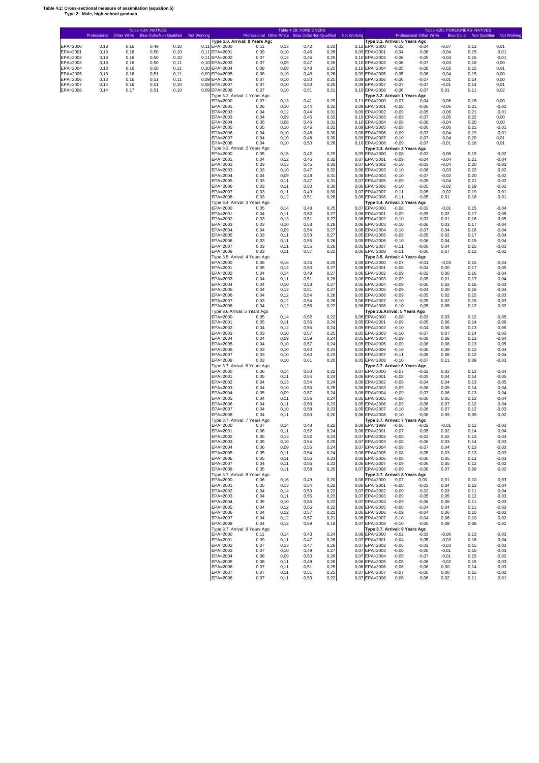#### **Table 4.2: Cross-sectional measure of assimilation (equation 5) Type 2: Male, high-school graduate**

Ē

|                      | Professional Other White |              | Table 4.2A: NATIVES<br>Blue Collar Von Qualified Not Working |                |                                | Professional Other White Blue Collar Von Qualified Not Working |                | Table 4.2B: FOREIGNERS |               |      |                                                 |                     | Professional Other White |                    | Table 4.2C: FOREIGNERS- NATIVES | Blue Collar  Non Qualified  Not Working |  |
|----------------------|--------------------------|--------------|--------------------------------------------------------------|----------------|--------------------------------|----------------------------------------------------------------|----------------|------------------------|---------------|------|-------------------------------------------------|---------------------|--------------------------|--------------------|---------------------------------|-----------------------------------------|--|
| EPA=2000             | 0, 13                    | 0,16         | 0,49                                                         | 0, 10          | 0,11 EPA=2000                  | Type 1.0. Arrival: 0 Years Agc<br>0,11                         | 0, 13          | 0,42                   | 0,23          |      | Type 3.1. Arrival: 0 Years Agc<br>0,12 EPA=2000 | $-0,02$             | $-0,04$                  | $-0,07$            | 0,13                            | 0,01                                    |  |
| EPA=2001<br>EPA=2002 | 0, 13                    | 0,16         | 0,50                                                         | 0, 10          | 0,11 EPA=2001                  | 0,09                                                           | 0, 10          | 0,46                   | 0,26          |      | 0,09 EPA=2001<br>0.10 EPA=2002                  | $-0,04$             | $-0,06$                  | $-0,04$            | 0, 15                           | $-0,01$                                 |  |
| EPA=2003             | 0, 13<br>0, 13           | 0,16<br>0,16 | 0,50<br>0,50                                                 | 0, 10<br>0,11  | 0,11 EPA=2002<br>0,10 EPA=2003 | 0,07<br>0,07                                                   | 0,12<br>0,09   | 0,46<br>0,47           | 0,25<br>0,26  |      | 0,10 EPA=2003                                   | $-0,06$<br>$-0,06$  | $-0,05$<br>$-0,07$       | $-0,04$<br>$-0,03$ | 0, 15<br>0, 16                  | $-0,01$<br>0,00                         |  |
| EPA=2004<br>EPA=2005 | 0, 13<br>0, 13           | 0,16<br>0,16 | 0,50<br>0,51                                                 | 0,11<br>0,11   | 0.10 EPA=2004<br>0,09 EPA=2005 | 0,08<br>0,08                                                   | 0,08<br>0, 10  | 0,48<br>0,48           | 0,25<br>0,26  |      | 0,10 EPA=2004<br>0,09 EPA=2005                  | $-0,05$<br>$-0,05$  | $-0,08$<br>$-0,06$       | $-0,02$<br>$-0,04$ | 0,15<br>0,15                    | 0,01<br>0,00                            |  |
| EPA=2006             | 0, 13                    | 0,16         | 0,51                                                         | 0,11           | 0,09 EPA=2006                  | 0,07                                                           | 0, 10          | 0,50                   | 0,25          |      | 0,09 EPA=2006                                   | $-0,06$             | $-0,07$                  | $-0,01$            | 0,14                            | 0,00                                    |  |
| EPA=2007<br>EPA=2008 | 0,14<br>0,14             | 0,16<br>0,17 | 0,51<br>0,51                                                 | 0, 10<br>0, 10 | 0,08 EPA=2007<br>0.09 EPA=2008 | 0,07<br>0,07                                                   | 0, 10<br>0, 10 | 0,50<br>0,51           | 0,25<br>0,21  |      | 0,09 EPA=2007<br>0,10 EPA=2008                  | $-0,07$<br>$-0,06$  | $-0,07$<br>$-0,07$       | $-0,01$<br>0,01    | 0,14<br>0,11                    | 0,01<br>0,02                            |  |
|                      |                          |              |                                                              |                |                                | Type 3.2. Arrival: 1 Years Ago                                 |                |                        |               |      | Type 3.2. Arrival: 1 Years Agc                  |                     |                          |                    |                                 |                                         |  |
|                      |                          |              |                                                              |                | EPA=2000<br>EPA=2001           | 0,07<br>0,06                                                   | 0, 13<br>0, 10 | 0,41<br>0,44           | 0,29<br>0,31  |      | 0,11 EPA=2000<br>0,09 EPA=2001                  | $-0,07$<br>$-0,08$  | $-0,04$<br>$-0,06$       | $-0.08$<br>$-0,06$ | 0, 18<br>0,21                   | 0,00<br>$-0,02$                         |  |
|                      |                          |              |                                                              |                | EPA=2002<br>EPA=2003           | 0,04                                                           | 0,12           | 0,44<br>0,45           | 0,31          |      | 0,09 EPA=2002                                   | $-0,09$             | $-0,05$                  | $-0,06$            | 0,21<br>0,22                    | $-0,01$                                 |  |
|                      |                          |              |                                                              |                | EPA=2004                       | 0,04<br>0,05                                                   | 0,09<br>0,08   | 0,46                   | 0,32<br>0,31  |      | 0,10 EPA=2003<br>0.10 EPA=2004                  | $-0,09$<br>$-0,08$  | $-0,07$<br>$-0.08$       | $-0.05$<br>$-0.04$ | 0,20                            | 0,00<br>0,00                            |  |
|                      |                          |              |                                                              |                | EPA=2005<br>EPA=2006           | 0,05<br>0,04                                                   | 0, 10<br>0,10  | 0,46<br>0,48           | 0,31<br>0,30  |      | 0,09 EPA=2005<br>0,08 EPA=2006                  | $-0,08$<br>$-0,09$  | $-0,06$<br>$-0,07$       | $-0,06$<br>$-0,04$ | 0,21<br>0, 19                   | $-0,01$<br>$-0,01$                      |  |
|                      |                          |              |                                                              |                | EPA=2007<br>EPA=2008           | 0,04<br>0,04                                                   | 0.10<br>0, 10  | 0,48<br>0,50           | 0,30<br>0,26  |      | 0,09 EPA=2007<br>0,10 EPA=2008                  | $-0,10$<br>$-0.09$  | $-0,07$<br>$-0,07$       | $-0,04$<br>$-0,01$ | 0,20<br>0, 16                   | 0,01<br>0,01                            |  |
|                      |                          |              |                                                              |                |                                | Type 3.3. Arrival: 2 Years Ago                                 |                |                        |               |      | Type 3.3. Arrival: 2 Years Agc                  |                     |                          |                    |                                 |                                         |  |
|                      |                          |              |                                                              |                | EPA=2000<br>EPA=2001           | 0,05<br>0,04                                                   | 0, 15<br>0,12  | 0,42<br>0,46           | 0,29<br>0,32  |      | 0,09 EPA=2000<br>0.07 EPA=2001                  | $-0.08$<br>$-0,09$  | $-0.02$<br>$-0,04$       | $-0,06$<br>$-0.04$ | 0, 19<br>0,21                   | $-0.02$<br>$-0.04$                      |  |
|                      |                          |              |                                                              |                | EPA=2002                       | 0,03                                                           | 0, 13          | 0,45                   | 0,31          |      | 0.07 EPA=2002                                   | $-0,10$             | $-0.03$                  | $-0.04$            | 0,20                            | $-0.03$                                 |  |
|                      |                          |              |                                                              |                | EPA=2003<br>EPA=2004           | 0,03<br>0,04                                                   | 0, 10<br>0,09  | 0,47<br>0,48           | 0,32<br>0,31  |      | 0.08 EPA=2003<br>0,08 EPA=2004                  | $-0,10$<br>$-0, 10$ | $-0,06$<br>$-0,07$       | $-0.03$<br>$-0.02$ | 0,22<br>0,20                    | $-0.02$<br>$-0.02$                      |  |
|                      |                          |              |                                                              |                | EPA=2005                       | 0,03                                                           | 0,11           | 0,47                   | 0,31          | 0.07 | EPA=2005                                        | $-0,09$             | $-0.05$                  | $-0.04$            | 0,21                            | $-0.02$                                 |  |
|                      |                          |              |                                                              |                | EPA=2006<br>EPA=2007           | 0,03<br>0,03                                                   | 0,11<br>0,11   | 0,50<br>0,49           | 0,30<br>0,30  |      | 0,06 EPA=2006<br>0.07 EPA=2007                  | $-0,10$<br>$-0,11$  | $-0.05$<br>$-0.05$       | $-0.02$<br>$-0.02$ | 0, 19<br>0, 19                  | $-0.02$<br>$-0,01$                      |  |
|                      |                          |              |                                                              |                | EPA=2008                       | 0,03<br>Type 3.4. Arrival: 3 Years Ago                         | 0,12           | 0,51                   | 0,26          |      | 0,08 EPA=2008<br>Type 3.4. Arrival: 3 Years Agc | $-0,11$             | $-0.05$                  | 0,01               | 0, 16                           | $-0,01$                                 |  |
|                      |                          |              |                                                              |                | EPA=2000                       | 0,05                                                           | 0,14           | 0,48                   | 0,25          |      | 0,07 EPA=2000                                   | $-0,08$             | $-0.02$                  | $-0,01$            | 0, 15                           | $-0.04$                                 |  |
|                      |                          |              |                                                              |                | EPA=2001<br>EPA=2002           | 0,04<br>0,03                                                   | 0,11<br>0, 13  | 0,52<br>0,51           | 0,27<br>0,27  |      | 0,06 EPA=2001<br>0,06 EPA=2002                  | $-0,09$<br>$-0,10$  | $-0.05$<br>$-0.03$       | 0,02<br>0,01       | 0,17<br>0, 16                   | $-0.05$<br>$-0.05$                      |  |
|                      |                          |              |                                                              |                | EPA=2003                       | 0,03                                                           | 0, 10          | 0,53                   | 0,28          |      | 0.06 EPA=2003                                   | $-0, 10$            | $-0,06$                  | 0,03               | 0,17                            | $-0.04$                                 |  |
|                      |                          |              |                                                              |                | EPA=2004<br>EPA=2005           | 0,04<br>0,03                                                   | 0,09<br>0,11   | 0,54<br>0,53           | 0,27<br>0,27  |      | 0.06 EPA=2004<br>0.05 EPA=2005                  | $-0,10$<br>$-0,09$  | $-0,07$<br>$-0.05$       | 0,04<br>0,02       | 0, 16<br>0,17                   | $-0.04$<br>$-0.04$                      |  |
|                      |                          |              |                                                              |                | EPA=2006<br>EPA=2007           | 0,03<br>0,03                                                   | 0,11<br>0,11   | 0,55<br>0,55           | 0,26<br>0,26  |      | 0.05 EPA=2006<br>0,05 EPA=2007                  | $-0,10$<br>$-0,11$  | $-0,06$<br>$-0,06$       | 0,04<br>0,04       | 0, 15<br>0,15                   | $-0.04$<br>$-0.03$                      |  |
|                      |                          |              |                                                              |                | EPA=2008                       | 0,03                                                           | 0,11           | 0,57                   | 0,22          |      | 0,06 EPA=2008                                   | $-0,11$             | $-0,06$                  | 0,07               | 0,12                            | $-0,02$                                 |  |
|                      |                          |              |                                                              |                | EPA=2000                       | Type 3.5. Arrival: 4 Years Ago<br>0.06                         | 0, 16          | 0,46                   | 0,25          |      | Type 3.5. Arrival: 4 Years Agc<br>0.08 EPA=2000 | $-0,07$             | $-0,01$                  | $-0,03$            | 0, 15                           | $-0.04$                                 |  |
|                      |                          |              |                                                              |                | EPA=2001                       | 0,05                                                           | 0,12           | 0,50                   | 0,27          |      | 0,06 EPA=2001                                   | $-0,08$             | $-0,04$                  | 0,00               | 0,17                            | $-0.05$                                 |  |
|                      |                          |              |                                                              |                | EPA=2002<br>EPA=2003           | 0,04<br>0,04                                                   | 0,14<br>0,11   | 0,49<br>0,51           | 0,27<br>0,28  |      | 0,06 EPA=2002<br>0,06 EPA=2003                  | $-0,09$<br>$-0,09$  | $-0,02$<br>$-0.05$       | 0,00<br>0,01       | 0, 16<br>0,17                   | $-0.04$<br>$-0.04$                      |  |
|                      |                          |              |                                                              |                | EPA=2004<br>EPA=2005           | 0,04<br>0,04                                                   | 0, 10<br>0,12  | 0,53<br>0,51           | 0,27<br>0,27  |      | 0,06 EPA=2004<br>0,06 EPA=2005                  | $-0,09$<br>$-0,09$  | $-0,06$<br>$-0,04$       | 0,02               | 0, 16<br>0, 16                  | $-0.03$<br>$-0.04$                      |  |
|                      |                          |              |                                                              |                | EPA=2006                       | 0,04                                                           | 0,12           | 0,54                   | 0,26          |      | 0,05 EPA=2006                                   | $-0,09$             | $-0.05$                  | 0,00<br>0,02       | 0, 15                           | $-0.03$                                 |  |
|                      |                          |              |                                                              |                | EPA=2007<br>EPA=2008           | 0,03<br>0,04                                                   | 0,12<br>0,12   | 0,54<br>0,55           | 0,26<br>0,22  |      | 0,06 EPA=2007<br>0,06 EPA=2008                  | $-0,10$<br>$-0, 10$ | $-0.05$<br>$-0,05$       | 0,02<br>0,05       | 0,15<br>0,12                    | $-0.03$<br>$-0,02$                      |  |
|                      |                          |              |                                                              |                |                                | Type 3.6.Arrival: 5 Years Ago                                  |                |                        |               |      | Type 3.6.Arrival: 5 Years Ago                   |                     |                          |                    |                                 |                                         |  |
|                      |                          |              |                                                              |                | EPA=2000<br>EPA=2001           | 0,05<br>0,05                                                   | 0,14<br>0,11   | 0,52<br>0,56           | 0,22<br>0,24  |      | 0,06 EPA=2000<br>0,05 EPA=2001                  | $-0,08$<br>$-0,09$  | $-0,03$<br>$-0.05$       | 0,03<br>0,06       | 0,12<br>0,14                    | $-0.05$<br>$-0,06$                      |  |
|                      |                          |              |                                                              |                | EPA=2002<br>EPA=2003           | 0,04<br>0,03                                                   | 0,12<br>0, 10  | 0,55<br>0,57           | 0,24          |      | 0,05 EPA=2002<br>0,05 EPA=2003                  | $-0,10$             | $-0,04$<br>$-0,07$       | 0,06               | 0, 13<br>0.14                   | $-0,05$                                 |  |
|                      |                          |              |                                                              |                | EPA=2004                       | 0,04                                                           | 0,09           | 0,59                   | 0,25<br>0,24  |      | 0,05 EPA=2004                                   | $-0,10$<br>$-0,09$  | $-0.08$                  | 0,07<br>0,08       | 0, 13                           | $-0,05$<br>$-0,04$                      |  |
|                      |                          |              |                                                              |                | EPA=2005<br>EPA=2006           | 0,04<br>0,03                                                   | 0, 10<br>0, 10 | 0,57<br>0,60           | 0,24<br>0,23  |      | 0,05 EPA=2005<br>0,04 EPA=2006                  | $-0,09$<br>$-0,10$  | $-0,06$<br>$-0,06$       | 0,06<br>0,08       | 0, 13<br>0,12                   | $-0,05$<br>$-0,04$                      |  |
|                      |                          |              |                                                              |                | EPA=2007                       | 0,03                                                           | 0.10           | 0,60                   | 0,23          |      | 0,05 EPA=2007                                   | $-0,11$             | $-0,06$                  | 0,08               | 0,12                            | $-0,04$                                 |  |
|                      |                          |              |                                                              |                | EPA=2008                       | 0,03<br>Type 3.7. Arrival: 6 Years Ago                         | 0, 10          | 0,61                   | 0,20          |      | 0,05 EPA=2008<br>Type 3.7. Arrival: 6 Years Agc | $-0, 10$            | $-0,07$                  | 0,11               | 0,09                            | $-0,03$                                 |  |
|                      |                          |              |                                                              |                | EPA=2000<br>EPA=2001           | 0,06<br>0,05                                                   | 0,14<br>0,11   | 0,50<br>0,54           | 0,22          |      | 0,07 EPA=2000<br>0,06 EPA=2001                  | $-0,07$             | $-0.02$<br>$-0.05$       | 0,02               | 0,12<br>0,14                    | $-0.04$<br>$-0,05$                      |  |
|                      |                          |              |                                                              |                | EPA=2002                       | 0,04                                                           | 0, 13          | 0,54                   | 0,24<br>0,24  |      | 0,06 EPA=2002                                   | $-0,08$<br>$-0,09$  | $-0,04$                  | 0,04<br>0,04       | 0,13                            | $-0,05$                                 |  |
|                      |                          |              |                                                              |                | EPA=2003<br>EPA=2004           | 0,04<br>0,05                                                   | 0, 10<br>0,09  | 0,56<br>0,57           | 0,25<br>0,24  |      | 0,06 EPA=2003<br>0,06 EPA=2004                  | $-0,09$<br>$-0,09$  | $-0,06$<br>$-0,07$       | 0,05<br>0,06       | 0,14<br>0,13                    | $-0,04$<br>$-0.04$                      |  |
|                      |                          |              |                                                              |                | EPA=2005                       | 0,04                                                           | 0,11           | 0,56                   | 0,24          |      | 0,05 EPA=2005                                   | $-0,08$             | $-0,06$                  | 0,05               | 0,13                            | $-0.04$                                 |  |
|                      |                          |              |                                                              |                | EPA=2006<br>EPA=2007           | 0,04<br>0,04                                                   | 0,11<br>0, 10  | 0,58<br>0,58           | 0,23<br>0,23  |      | 0,05 EPA=2006<br>0,05 EPA=2007                  | $-0,09$<br>$-0,10$  | $-0,06$<br>$-0,06$       | 0,07<br>0,07       | 0,12<br>0,12                    | $-0.04$<br>$-0.03$                      |  |
|                      |                          |              |                                                              |                | EPA=2008                       | 0,04<br>Type 3.7. Arrival: 7 Years Ago                         | 0,11           | 0,60                   | 0,20          |      | 0,06 EPA=2008<br>Type 3.7. Arrival: 7 Years Agc | $-0, 10$            | $-0,06$                  | 0,09               | 0,09                            | $-0,02$                                 |  |
|                      |                          |              |                                                              |                | EPA=2000                       | 0,07                                                           | 0,14           | 0,48                   | 0,22          |      | 0,08 EPA=1999                                   | $-0,06$             | $-0.02$                  | $-0,01$            | 0,12                            | $-0.03$                                 |  |
|                      |                          |              |                                                              |                | EPA=2001<br>-PA=2002           | 0.06<br>0,05                                                   | 0,11<br>0,13   | 0,52<br>0,52           | 0,24<br>0,24  |      | 0,06 EPA=2001<br>0,07 EPA=2002                  | $-0,07$<br>-0,08    | $-0.05$<br>-0,03         | 0,02<br>0,02       | 0,14<br>0,13                    | $-0.04$<br>-0.04                        |  |
|                      |                          |              |                                                              |                | EPA=2003                       | 0,05                                                           | 0, 10          | 0,54                   | 0,25          |      | 0,07 EPA=2003                                   | $-0,08$             | $-0,06$                  | 0,03               | 0,14                            | $-0,03$                                 |  |
|                      |                          |              |                                                              |                | EPA=2004<br>EPA=2005           | 0,06<br>0,05                                                   | 0,09<br>0,11   | 0,55<br>0,54           | 0,24<br>0,24  |      | 0,07 EPA=2004<br>0,06 EPA=2005                  | $-0,08$<br>$-0,08$  | $-0,07$<br>$-0,05$       | 0,04<br>0,03       | 0,13<br>0, 13                   | $-0,03$<br>$-0,03$                      |  |
|                      |                          |              |                                                              |                | EPA=2006<br>EPA=2007           | 0,05<br>0,04                                                   | 0,11<br>0.11   | 0,56<br>0,56           | 0,23<br>0,23  |      | 0,06 EPA=2006<br>0,06 EPA=2007                  | $-0,08$<br>$-0,09$  | $-0,06$<br>$-0,06$       | 0,05               | 0,12                            | $-0,03$<br>$-0,02$                      |  |
|                      |                          |              |                                                              |                | EPA=2008                       | 0,05                                                           | 0,11           | 0,58                   | 0,20          |      | 0,07 EPA=2008                                   | $-0,09$             | $-0,06$                  | 0,05<br>0,07       | 0,12<br>0,09                    | $-0,02$                                 |  |
|                      |                          |              |                                                              |                | EPA=2000                       | Type 3.7. Arrival: 8 Years Ago<br>0,06                         | 0, 16          | 0,49                   | 0,20          |      | Type 3.7. Arrival: 8 Years Agc<br>0,08 EPA=2000 | $-0,07$             | 0,00                     | 0,01               | 0, 10                           | $-0,03$                                 |  |
|                      |                          |              |                                                              |                | EPA=2001                       | 0,05                                                           | 0, 13          | 0,54                   | 0,22          |      | 0,06 EPA=2001                                   | $-0,08$             | $-0,03$                  | 0,04               | 0,12                            | $-0,04$                                 |  |
|                      |                          |              |                                                              |                | EPA=2002<br>EPA=2003           | 0,04<br>0,04                                                   | 0,14<br>0,11   | 0,53<br>0,55           | 0,22<br>0,23  |      | 0.07 EPA=2002<br>0,07 EPA=2003                  | $-0,09$<br>$-0,09$  | $-0,02$<br>$-0,05$       | 0,03<br>0,05       | 0,11<br>0,12                    | $-0,04$<br>$-0,03$                      |  |
|                      |                          |              |                                                              |                | EPA=2004<br>EPA=2005           | 0,05                                                           | 0, 10          | 0,56<br>0,55           | 0,22          |      | 0.07 EPA=2004<br>0,06 EPA=2005                  | $-0,09$             | $-0,06$                  | 0,06               | 0,11                            | $-0,03$                                 |  |
|                      |                          |              |                                                              |                | EPA=2006                       | 0,04<br>0,04                                                   | 0,12<br>0,12   | 0,57                   | 0,22<br>0,21  |      | 0,06 EPA=2006                                   | $-0,08$<br>$-0,09$  | $-0,04$<br>$-0,04$       | 0,04<br>0,06       | 0,11<br>0, 10                   | $-0,03$<br>$-0,03$                      |  |
|                      |                          |              |                                                              |                | EPA=2007<br>EPA=2008           | 0,04<br>0,04                                                   | 0,12<br>0,12   | 0,57<br>0,59           | 0,21<br>0, 18 |      | 0,06 EPA=2007<br>0,07 EPA=2008                  | $-0,10$<br>$-0, 10$ | $-0,04$<br>$-0,05$       | 0,06<br>0,08       | 0, 10<br>0,08                   | $-0,02$<br>$-0,02$                      |  |
|                      |                          |              |                                                              |                |                                | Type 3.7. Arrival: 9 Years Ago                                 |                |                        |               |      | Type 3.7. Arrival: 9 Years Agc                  |                     |                          |                    |                                 |                                         |  |
|                      |                          |              |                                                              |                | EPA=2000<br>EPA=2001           | 0,11<br>0,09                                                   | 0,14<br>0,11   | 0,43<br>0,47           | 0,24<br>0,26  |      | 0,08 EPA=2000<br>0,07 EPA=2001                  | $-0,02$<br>$-0,04$  | $-0,03$<br>$-0,05$       | $-0,06$<br>$-0,03$ | 0,13<br>0, 16                   | $-0,03$<br>$-0,04$                      |  |
|                      |                          |              |                                                              |                | EPA=2002                       | 0,07                                                           | 0, 13          | 0,47                   | 0,26          |      | 0,07 EPA=2002                                   | $-0,06$             | $-0,03$                  | $-0,03$            | 0, 15                           | $-0,03$                                 |  |
|                      |                          |              |                                                              |                | EPA=2003<br>EPA=2004           | 0,07<br>0,08                                                   | 0, 10<br>0,09  | 0,49<br>0,50           | 0,27<br>0,26  |      | 0,07 EPA=2003<br>0,07 EPA=2004                  | $-0,06$<br>$-0,05$  | $-0,06$<br>$-0,07$       | $-0,01$<br>$-0,01$ | 0,16<br>0, 15                   | $-0,03$<br>$-0,02$                      |  |
|                      |                          |              |                                                              |                | EPA=2005<br>EPA=2006           | 0,08                                                           | 0,11           | 0,49                   | 0,26<br>0,25  |      | 0,06 EPA=2005<br>0,06 EPA=2006                  | $-0,05$<br>$-0,06$  | $-0,06$                  | $-0,02$            | 0, 15                           | $-0,03$<br>$-0,03$                      |  |
|                      |                          |              |                                                              |                | EPA=2007                       | 0,07<br>0,07                                                   | 0,11<br>0,11   | 0,51<br>0,51           | 0,25          |      | 0,07 EPA=2007                                   | $-0,07$             | $-0,06$<br>$-0,06$       | 0,00<br>0,00       | 0,14<br>0, 15                   | $-0,02$                                 |  |
|                      |                          |              |                                                              |                | EPA=2008                       | 0,07                                                           | 0,11           | 0,53                   | 0,22          |      | 0,07 EPA=2008                                   | $-0,06$             | $-0,06$                  | 0,02               | 0,11                            | $-0,01$                                 |  |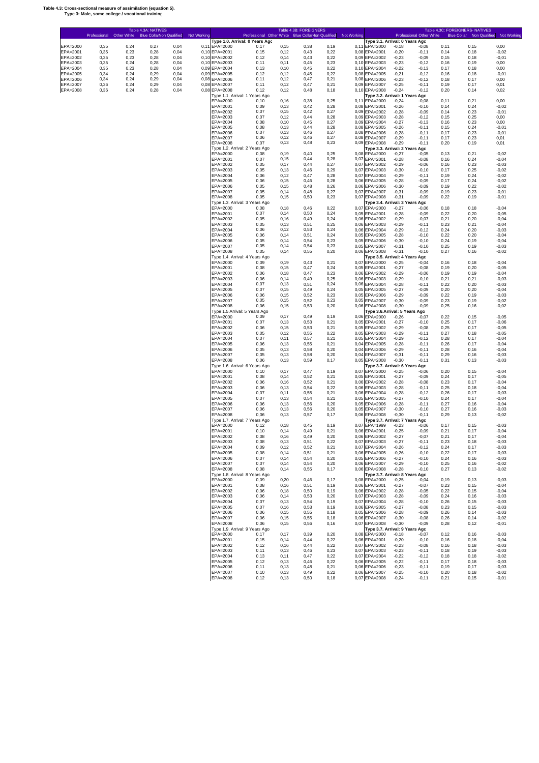#### **Table 4.3: Cross-sectional measure of assimilation (equation 5). Type 3: Male, some college / vocational training**

'n

|                      | Professional Other White |              | Table 4.3A: NATIVES<br>Blue Collar Non Qualified Not Working |              |                                | Professional Other White Blue Collar Von Qualified Not Working |                | Table 4.3B: FOREIGNERS |                |              |                                                 |                    | Professional Other White |               | Table 4.3C: FOREIGNERS- NATIVES | Blue Collar  Non Qualified  Not Working |
|----------------------|--------------------------|--------------|--------------------------------------------------------------|--------------|--------------------------------|----------------------------------------------------------------|----------------|------------------------|----------------|--------------|-------------------------------------------------|--------------------|--------------------------|---------------|---------------------------------|-----------------------------------------|
| EPA=2000             | 0,35                     | 0,24         | 0,27                                                         | 0,04         | 0,11 EPA=2000                  | Type 1.0. Arrival: 0 Years Ago<br>0.17                         | 0, 15          | 0,38                   | 0, 19          |              | Type 3.1. Arrival: 0 Years Agc<br>0,11 EPA=2000 | $-0,18$            | $-0,08$                  | 0,11          | 0, 15                           | 0,00                                    |
| EPA=2001             | 0,35                     | 0,23         | 0,28                                                         | 0,04         | 0,10 EPA=2001                  | 0, 15                                                          | 0,12           | 0,43                   | 0,22           |              | 0.08 EPA=2001                                   | $-0,20$            | $-0, 11$                 | 0,14          | 0, 18                           | $-0,02$                                 |
| EPA=2002             | 0,35                     | 0,23         | 0,28                                                         | 0,04         | 0,10 EPA=2002                  | 0,12                                                           | 0,14           | 0,43                   | 0,22           |              | 0.09 EPA=2002                                   | $-0,23$            | $-0,09$                  | 0, 15         | 0,18                            | $-0,01$                                 |
| EPA=2003<br>EPA=2004 | 0,35<br>0,35             | 0,24<br>0,23 | 0,28<br>0,28                                                 | 0,04<br>0,04 | 0,10 EPA=2003<br>0,09 EPA=2004 | 0,11<br>0,13                                                   | 0.11<br>0.10   | 0,45<br>0,45           | 0,23<br>0,22   |              | 0,10 EPA=2003<br>0,10 EPA=2004                  | $-0,23$<br>$-0,22$ | $-0,12$<br>$-0, 13$      | 0,16<br>0,17  | 0, 19<br>0,18                   | 0,00<br>0,00                            |
| EPA=2005             | 0,34                     | 0,24         | 0,29                                                         | 0,04         | 0,09 EPA=2005                  | 0,12                                                           | 0,12           | 0,45                   | 0,22           |              | 0.08 EPA=2005                                   | $-0,21$            | $-0,12$                  | 0, 16         | 0,18                            | $-0,01$                                 |
| EPA=2006<br>EPA=2007 | 0,34<br>0,36             | 0,24<br>0,24 | 0,29<br>0,29                                                 | 0,04<br>0,04 | 0,08 EPA=2006<br>0,08 EPA=2007 | 0,11<br>0,11                                                   | 0,12<br>0,12   | 0,47<br>0,47           | 0,21<br>0,21   |              | 0.08 EPA=2006<br>0.09 EPA=2007                  | $-0,23$<br>$-0,25$ | $-0,12$<br>$-0,11$       | 0,18<br>0, 19 | 0,17<br>0,17                    | 0,00<br>0,01                            |
| EPA=2008             | 0,36                     | 0,24         | 0,28                                                         | 0,04         | 0,08 EPA=2008                  | 0,12                                                           | 0,12           | 0,48                   | 0, 18          |              | 0.10 EPA=2008                                   | $-0,24$            | $-0,12$                  | 0,20          | 0,14                            | 0,02                                    |
|                      |                          |              |                                                              |              | EPA=2000                       | Type 1.1. Arrival: 1 Years Ago<br>0.10                         |                | 0,38                   | 0,25           |              | Type 3.2. Arrival: 1 Years Agc<br>0,11 EPA=2000 |                    | $-0,08$                  | 0,11          | 0,21                            | 0,00                                    |
|                      |                          |              |                                                              |              | EPA=2001                       | 0,09                                                           | 0, 16<br>0,13  | 0,42                   | 0,28           |              | 0.08 EPA=2001                                   | $-0,24$<br>$-0,26$ | $-0, 10$                 | 0,14          | 0,24                            | $-0,02$                                 |
|                      |                          |              |                                                              |              | EPA=2002                       | 0,07                                                           | 0.15           | 0,42                   | 0,27           |              | 0.09 EPA=2002                                   | $-0,28$            | $-0,09$                  | 0.14          | 0,23                            | $-0,01$                                 |
|                      |                          |              |                                                              |              | EPA=2003<br>EPA=2004           | 0,07<br>0,08                                                   | 0,12<br>0, 10  | 0,44<br>0,45           | 0,28<br>0,27   |              | 0,09 EPA=2003<br>0,09 EPA=2004                  | $-0,28$<br>$-0,27$ | $-0,12$<br>$-0,13$       | 0.15<br>0, 16 | 0,25<br>0,23                    | 0,00<br>0,00                            |
|                      |                          |              |                                                              |              | EPA=2005                       | 0,08                                                           | 0,13           | 0,44                   | 0,28           |              | 0,08 EPA=2005                                   | $-0,26$            | $-0, 11$                 | 0, 15         | 0,24                            | $-0,01$                                 |
|                      |                          |              |                                                              |              | EPA=2006<br>EPA=2007           | 0,07<br>0,06                                                   | 0,13<br>0,12   | 0,46<br>0,46           | 0,27<br>0,27   |              | 0,08 EPA=2006<br>0,08 EPA=2007                  | $-0,28$<br>$-0,29$ | $-0,11$<br>$-0,11$       | 0,17<br>0,17  | 0,23<br>0,23                    | $-0,01$<br>0,01                         |
|                      |                          |              |                                                              |              | EPA=2008                       | 0,07<br>Type 1.2. Arrival: 2 Years Ago                         | 0, 13          | 0,48                   | 0,23           |              | 0,09 EPA=2008                                   | $-0,29$            | $-0,11$                  | 0,20          | 0, 19                           | 0,01                                    |
|                      |                          |              |                                                              |              | EPA=2000                       | 0,08                                                           | 0, 19          | 0,40                   | 0,25           | 0,08         | Type 3.3. Arrival: 2 Years Agc<br>EPA=2000      | $-0,27$            | $-0.05$                  | 0,13          | 0,21                            | $-0.02$                                 |
|                      |                          |              |                                                              |              | EPA=2001                       | 0,07                                                           | 0, 15          | 0,44                   | 0,28           | 0,07         | EPA=2001                                        | $-0,28$            | $-0.08$                  | 0, 16         | 0,24                            | $-0.04$                                 |
|                      |                          |              |                                                              |              | EPA=2002<br>EPA=2003           | 0,05<br>0,05                                                   | 0,17<br>0, 13  | 0,44<br>0,46           | 0,27<br>0,29   | 0.07<br>0.07 | EPA=2002<br>EPA=2003                            | $-0,29$<br>$-0,30$ | $-0,06$<br>$-0,10$       | 0, 16<br>0,17 | 0,23<br>0,25                    | $-0.03$<br>$-0.02$                      |
|                      |                          |              |                                                              |              | EPA=2004                       | 0,06                                                           | 0,12           | 0,47                   | 0,28           | 0.07         | EPA=2004                                        | $-0,29$            | $-0,11$                  | 0, 19         | 0,24                            | $-0.02$                                 |
|                      |                          |              |                                                              |              | EPA=2005<br>EPA=2006           | 0,06<br>0,05                                                   | 0, 15<br>0, 15 | 0,46<br>0,48           | 0,28<br>0,26   | 0,06<br>0,06 | EPA=2005<br>EPA=2006                            | $-0,28$<br>$-0,30$ | $-0.09$<br>$-0.09$       | 0,17<br>0, 19 | 0,24<br>0,22                    | $-0.02$<br>$-0.02$                      |
|                      |                          |              |                                                              |              | EPA=2007                       | 0,05                                                           | 0,14           | 0,48                   | 0,27           | 0,07         | EPA=2007                                        | $-0,31$            | $-0.09$                  | 0, 19         | 0,23                            | $-0,01$                                 |
|                      |                          |              |                                                              |              | EPA=2008                       | 0,05                                                           | 0, 15          | 0,50                   | 0,23           | 0,07         | EPA=2008                                        | $-0,31$            | $-0.09$                  | 0,22          | 0, 19                           | $-0,01$                                 |
|                      |                          |              |                                                              |              | EPA=2000                       | Type 1.3. Arrival: 3 Years Ago<br>0,08                         | 0,18           | 0,46                   | 0,22           | 0.07         | Type 3.4. Arrival: 3 Years Agc<br>EPA=2000      | $-0,27$            | $-0.06$                  | 0,18          | 0,18                            | $-0.04$                                 |
|                      |                          |              |                                                              |              | EPA=2001                       | 0,07                                                           | 0,14           | 0,50                   | 0,24           | 0,05         | EPA=2001                                        | $-0,28$            | $-0.09$                  | 0,22          | 0,20                            | $-0.05$                                 |
|                      |                          |              |                                                              |              | EPA=2002<br>EPA=2003           | 0,05<br>0,05                                                   | 0,16<br>0, 13  | 0,49<br>0,51           | 0,24<br>0,25   | 0,06<br>0,06 | EPA=2002<br>EPA=2003                            | $-0,29$<br>$-0,29$ | $-0,07$<br>$-0,11$       | 0,21<br>0,23  | 0,20<br>0,21                    | $-0.04$<br>$-0.04$                      |
|                      |                          |              |                                                              |              | EPA=2004                       | 0,06                                                           | 0,12           | 0.53                   | 0,24           | 0,06         | EPA=2004                                        | $-0,29$            | $-0,12$                  | 0,24          | 0,20                            | $-0.03$                                 |
|                      |                          |              |                                                              |              | EPA=2005<br>EPA=2006           | 0,06<br>0,05                                                   | 0,14<br>0,14   | 0,51<br>0,54           | 0,24<br>0,23   | 0,05<br>0,05 | EPA=2005<br>EPA=2006                            | $-0,28$<br>$-0,30$ | $-0,10$<br>$-0,10$       | 0,22<br>0,24  | 0,20<br>0, 19                   | $-0.04$<br>$-0.04$                      |
|                      |                          |              |                                                              |              | EPA=2007                       | 0,05                                                           | 0,14           | 0,54                   | 0,23           |              | 0.05 EPA=2007                                   | $-0,31$            | $-0,10$                  | 0,25          | 0, 19                           | $-0.03$                                 |
|                      |                          |              |                                                              |              | EPA=2008                       | 0,05                                                           | 0,14           | 0,55                   | 0,20           |              | 0,06 EPA=2008                                   | $-0,31$            | $-0, 10$                 | 0,27          | 0, 16                           | $-0,02$                                 |
|                      |                          |              |                                                              |              | EPA=2000                       | Type 1.4. Arrival: 4 Years Ago<br>0,09                         | 0, 19          | 0,43                   | 0,21           | 0.07         | Type 3.5. Arrival: 4 Years Agc<br>EPA=2000      | $-0,25$            | $-0,04$                  | 0, 16         | 0,18                            | $-0.04$                                 |
|                      |                          |              |                                                              |              | EPA=2001                       | 0,08                                                           | 0, 15          | 0,47                   | 0,24           |              | 0,05 EPA=2001                                   | $-0,27$            | $-0,08$                  | 0.19          | 0,20                            | $-0,05$                                 |
|                      |                          |              |                                                              |              | EPA=2002<br>EPA=2003           | 0,06<br>0,06                                                   | 0, 18<br>0,14  | 0,47<br>0,49           | 0,23<br>0,25   |              | 0,06 EPA=2002<br>0,06 EPA=2003                  | $-0,29$<br>$-0,29$ | $-0,06$<br>$-0, 10$      | 0, 19<br>0,21 | 0, 19<br>0,21                   | $-0,04$<br>$-0,03$                      |
|                      |                          |              |                                                              |              | EPA=2004                       | 0,07                                                           | 0, 13          | 0,51                   | 0,24           |              | 0.06 EPA=2004                                   | $-0,28$            | $-0,11$                  | 0,22          | 0,20                            | $-0,03$                                 |
|                      |                          |              |                                                              |              | EPA=2005<br>EPA=2006           | 0,07<br>0,06                                                   | 0, 15<br>0, 15 | 0,49<br>0,52           | 0,24<br>0,23   | 0,05         | EPA=2005<br>0,05 EPA=2006                       | $-0,27$<br>$-0,29$ | $-0,09$<br>$-0.09$       | 0,20<br>0,22  | 0,20<br>0, 19                   | $-0.04$<br>$-0.03$                      |
|                      |                          |              |                                                              |              | EPA=2007                       | 0,05                                                           | 0,15           | 0,52                   | 0,23           |              | 0,05 EPA=2007                                   | $-0,30$            | $-0.09$                  | 0,23          | 0, 19                           | $-0.02$                                 |
|                      |                          |              |                                                              |              | EPA=2008                       | 0,06<br>Type 1.5. Arrival: 5 Years Ago                         | 0, 15          | 0,53                   | 0,20           |              | 0,06 EPA=2008<br>Type 3.6.Arrival: 5 Years Ago  | $-0,30$            | $-0,09$                  | 0,25          | 0, 16                           | $-0,02$                                 |
|                      |                          |              |                                                              |              | EPA=2000                       | 0,09                                                           | 0,17           | 0,49                   | 0, 19          | 0.06         | EPA=2000                                        | $-0,26$            | $-0.07$                  | 0,22          | 0,15                            | $-0.05$                                 |
|                      |                          |              |                                                              |              | EPA=2001<br>EPA=2002           | 0,07<br>0,06                                                   | 0, 13<br>0, 15 | 0,53<br>0.53           | 0,21<br>0,21   | 0,05         | 0,05 EPA=2001<br>EPA=2002                       | $-0,27$            | $-0, 10$                 | 0,25          | 0,17                            | $-0.06$                                 |
|                      |                          |              |                                                              |              | EPA=2003                       | 0,05                                                           | 0,12           | 0,55                   | 0,22           | 0,05         | EPA=2003                                        | $-0,29$<br>$-0,29$ | $-0,08$<br>$-0,11$       | 0,25<br>0,27  | 0,17<br>0,18                    | $-0.05$<br>$-0.05$                      |
|                      |                          |              |                                                              |              | EPA=2004                       | 0,07                                                           | 0,11           | 0,57                   | 0,21           | 0,05         | EPA=2004                                        | $-0,29$            | $-0,12$                  | 0,28          | 0,17                            | $-0.04$                                 |
|                      |                          |              |                                                              |              | EPA=2005<br>EPA=2006           | 0,06<br>0,05                                                   | 0, 13<br>0, 13 | 0,55<br>0,58           | 0,21<br>0,20   | 0,04         | EPA=2005<br>0,04 EPA=2006                       | $-0,28$<br>$-0,29$ | $-0,11$<br>$-0,11$       | 0,26<br>0,28  | 0,17<br>0, 16                   | $-0.04$<br>$-0.04$                      |
|                      |                          |              |                                                              |              | EPA=2007                       | 0,05                                                           | 0,13           | 0,58                   | 0,20           |              | 0,04 EPA=2007                                   | $-0,31$            | $-0,11$                  | 0,29          | 0, 16                           | $-0.03$                                 |
|                      |                          |              |                                                              |              | EPA=2008                       | 0,06<br>Type 1.6. Arrival: 6 Years Ago                         | 0, 13          | 0.59                   | 0,17           |              | 0,05 EPA=2008<br>Type 3.7. Arrival: 6 Years Agc | $-0,30$            | $-0,11$                  | 0,31          | 0, 13                           | $-0,03$                                 |
|                      |                          |              |                                                              |              | EPA=2000                       | 0,10                                                           | 0,17           | 0,47                   | 0, 19          |              | 0,07 EPA=2000                                   | $-0,25$            | $-0.06$                  | 0,20          | 0, 15                           | $-0.04$                                 |
|                      |                          |              |                                                              |              | EPA=2001<br>EPA=2002           | 0,08<br>0,06                                                   | 0,14<br>0,16   | 0,52<br>0,52           | 0,21<br>0,21   |              | 0,05 EPA=2001<br>0.06 EPA=2002                  | $-0,27$<br>$-0,28$ | $-0.09$<br>$-0,08$       | 0,24<br>0,23  | 0,17<br>0,17                    | $-0.05$<br>$-0.04$                      |
|                      |                          |              |                                                              |              | EPA=2003                       | 0,06                                                           | 0.13           | 0,54                   | 0,22           |              | 0,06 EPA=2003                                   | $-0,28$            | $-0,11$                  | 0,25          | 0,18                            | $-0.04$                                 |
|                      |                          |              |                                                              |              | EPA=2004                       | 0,07                                                           | 0.11           | 0,55                   | 0,21           |              | 0,06 EPA=2004                                   | $-0,28$            | $-0,12$                  | 0,26          | 0,17                            | $-0.03$                                 |
|                      |                          |              |                                                              |              | EPA=2005<br>EPA=2006           | 0,07<br>0,06                                                   | 0.13<br>0,13   | 0,54<br>0,56           | 0,21<br>0,20   |              | 0,05 EPA=2005<br>0,05 EPA=2006                  | $-0,27$<br>$-0,28$ | $-0, 10$<br>$-0,11$      | 0,24<br>0,27  | 0,17<br>0, 16                   | $-0.04$<br>$-0.04$                      |
|                      |                          |              |                                                              |              | EPA=2007                       | 0,06                                                           | 0.13           | 0,56                   | 0,20           |              | 0,05 EPA=2007                                   | $-0,30$            | $-0, 10$                 | 0,27          | 0.16                            | $-0.03$                                 |
|                      |                          |              |                                                              |              | EPA=2008                       | 0,06<br>Type 1.7. Arrival: 7 Years Ago                         | 0,13           | 0,57                   | 0,17           |              | 0,06 EPA=2008<br>Type 3.7. Arrival: 7 Years Agc | $-0,30$            | $-0,11$                  | 0,29          | 0,13                            | $-0,02$                                 |
|                      |                          |              |                                                              |              | EPA=2000                       | 0,12                                                           | 0,18           | 0,45                   | 0, 19          |              | 0.07 EPA=1999                                   | $-0,23$            | $-0.06$                  | 0,17          | 0,15                            | $-0.03$                                 |
|                      |                          |              |                                                              |              | EPA=2001<br>EPA=2002           | 0, 10<br>0,08                                                  | 0,14<br>0,16   | 0,49<br>0,49           | 0,21<br>0,20   |              | 0,06 EPA=2001<br>0.06 EPA=2002                  | $-0,25$<br>-0,27   | $-0,09$<br>-0,07         | 0,21<br>0,21  | 0,17<br>0,17                    | $-0.04$<br>-0.04                        |
|                      |                          |              |                                                              |              | EPA=2003                       | 0,08                                                           | 0,13           | 0,51                   | 0,22           |              | 0,07 EPA=2003                                   | $-0,27$            | $-0,11$                  | 0,23          | 0, 18                           | $-0,03$                                 |
|                      |                          |              |                                                              |              | EPA=2004<br>EPA=2005           | 0,09<br>0,08                                                   | 0,12<br>0,14   | 0,52<br>0,51           | 0,21<br>0,21   |              | 0,07 EPA=2004<br>0,06 EPA=2005                  | $-0,26$<br>$-0,26$ | $-0,12$<br>$-0, 10$      | 0,24<br>0,22  | 0,17<br>0,17                    | $-0,03$<br>$-0,03$                      |
|                      |                          |              |                                                              |              | EPA=2006                       | 0,07                                                           | 0,14           | 0,54                   | 0,20           |              | 0,05 EPA=2006                                   | $-0,27$            | $-0, 10$                 | 0,24          | 0, 16                           | $-0,03$                                 |
|                      |                          |              |                                                              |              | EPA=2007<br>EPA=2008           | 0,07                                                           | 0,14           | 0,54                   | 0,20           |              | 0,06 EPA=2007                                   | $-0,29$            | $-0, 10$                 | 0,25          | 0, 16                           | $-0,02$                                 |
|                      |                          |              |                                                              |              |                                | 0,08<br>Type 1.8. Arrival: 8 Years Ago                         | 0,14           | 0,55                   | 0,17           |              | 0,06 EPA=2008<br>Type 3.7. Arrival: 8 Years Agc | $-0,28$            | $-0, 10$                 | 0,27          | 0, 13                           | $-0,02$                                 |
|                      |                          |              |                                                              |              | EPA=2000                       | 0,09                                                           | 0,20           | 0,46                   | 0,17           |              | 0,08 EPA=2000                                   | $-0,25$            | $-0,04$                  | 0, 19         | 0, 13                           | $-0,03$                                 |
|                      |                          |              |                                                              |              | EPA=2001<br>EPA=2002           | 0,08<br>0,06                                                   | 0, 16<br>0,18  | 0,51<br>0,50           | 0, 19<br>0, 19 |              | 0,06 EPA=2001<br>0.06 EPA=2002                  | $-0,27$<br>$-0,28$ | $-0,07$<br>$-0,05$       | 0,23<br>0,22  | 0, 15<br>0, 15                  | $-0,04$<br>$-0,04$                      |
|                      |                          |              |                                                              |              | EPA=2003                       | 0,06                                                           | 0,14           | 0,53                   | 0,20           |              | 0,07 EPA=2003                                   | $-0,28$            | $-0,09$                  | 0,24          | 0, 16                           | $-0,03$                                 |
|                      |                          |              |                                                              |              | EPA=2004<br>EPA=2005           | 0,07<br>0,07                                                   | 0, 13<br>0,16  | 0,54<br>0,53           | 0, 19<br>0, 19 |              | 0,07 EPA=2004<br>0,06 EPA=2005                  | $-0,28$<br>$-0,27$ | $-0, 10$<br>$-0,08$      | 0,26<br>0,23  | 0, 15<br>0, 15                  | $-0,03$<br>$-0,03$                      |
|                      |                          |              |                                                              |              | EPA=2006                       | 0,06                                                           | 0, 15          | 0,55                   | 0, 18          |              | 0,05 EPA=2006                                   | $-0,28$            | $-0,09$                  | 0,26          | 0,14                            | $-0,03$                                 |
|                      |                          |              |                                                              |              | EPA=2007<br>EPA=2008           | 0,06<br>0,06                                                   | 0, 15          | 0,55<br>0,56           | 0,18           |              | 0,06 EPA=2007<br>0,07 EPA=2008                  | $-0,30$<br>$-0,30$ | $-0,08$                  | 0,26          | 0,14                            | $-0,02$                                 |
|                      |                          |              |                                                              |              |                                | Type 1.9. Arrival: 9 Years Ago                                 | 0, 15          |                        | 0,16           |              | Type 3.7. Arrival: 9 Years Agc                  |                    | $-0,09$                  | 0,28          | 0,12                            | $-0,01$                                 |
|                      |                          |              |                                                              |              | EPA=2000                       | 0,17                                                           | 0,17           | 0,39                   | 0,20           |              | 0.08 EPA=2000                                   | $-0,18$            | $-0,07$                  | 0,12          | 0, 16                           | $-0,03$                                 |
|                      |                          |              |                                                              |              | EPA=2001<br>EPA=2002           | 0, 15<br>0,12                                                  | 0,14<br>0, 16  | 0,44<br>0,44           | 0,22<br>0,22   |              | 0.06 EPA=2001<br>0,07 EPA=2002                  | $-0,20$<br>$-0,23$ | $-0, 10$<br>$-0,08$      | 0,16<br>0,16  | 0, 18<br>0,18                   | $-0,04$<br>$-0,03$                      |
|                      |                          |              |                                                              |              | EPA=2003                       | 0,11                                                           | 0,13           | 0,46                   | 0,23           |              | 0,07 EPA=2003                                   | $-0,23$            | $-0,11$                  | 0, 18         | 0, 19                           | $-0,03$                                 |
|                      |                          |              |                                                              |              | EPA=2004<br>EPA=2005           | 0, 13<br>0,12                                                  | 0.11<br>0,13   | 0,47<br>0,46           | 0,22<br>0,22   |              | 0,07 EPA=2004<br>0,06 EPA=2005                  | $-0,22$<br>$-0,22$ | $-0,12$<br>$-0,11$       | 0, 18<br>0,17 | 0,18<br>0, 18                   | $-0,02$<br>$-0,03$                      |
|                      |                          |              |                                                              |              | EPA=2006                       | 0,11                                                           | 0,13           | 0,48                   | 0,21           |              | 0,06 EPA=2006                                   | $-0,23$            | $-0,11$                  | 0, 19         | 0,17                            | $-0,03$                                 |
|                      |                          |              |                                                              |              | EPA=2007<br>EPA=2008           | 0, 10<br>0,12                                                  | 0, 13<br>0,13  | 0,49<br>0,50           | 0,22<br>0, 18  |              | 0,06 EPA=2007<br>0.07 EPA=2008                  | $-0,25$<br>$-0,24$ | $-0, 10$<br>$-0,11$      | 0,20<br>0,21  | 0, 18<br>0,15                   | $-0,02$<br>$-0.01$                      |
|                      |                          |              |                                                              |              |                                |                                                                |                |                        |                |              |                                                 |                    |                          |               |                                 |                                         |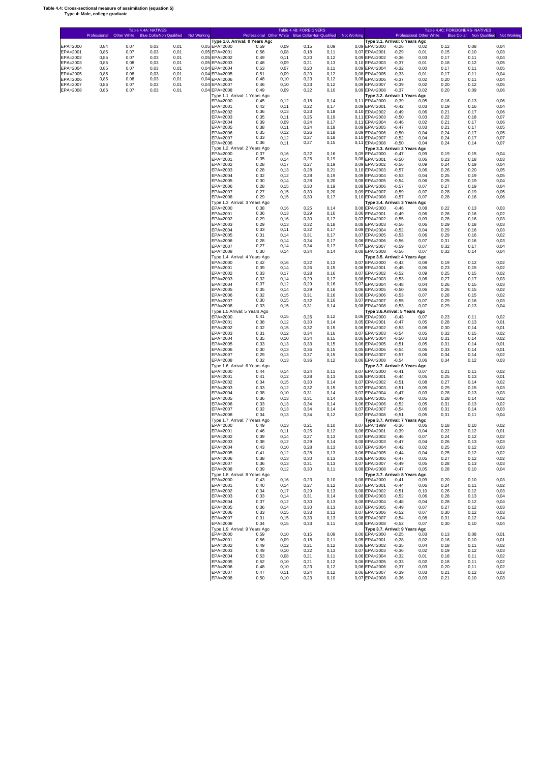#### **Table 4.4: Cross-sectional measure of assimilation (equation 5) Type 4: Male, college graduate**

r

|                      | Professional Other White Blue Collar Non Qualified |              |              |              | Not Working  |                      | Professional Other White Blue Collar Non Qualified<br>Type 1.0. Arrival: 0 Years Agc |                |              |                | <b>Not Working</b> | Type 3.1. Arrival: 0 Years Agc                  |                    | Professional Other White |                | <b>Blue Collar</b> Non Qualified | Not Working  |
|----------------------|----------------------------------------------------|--------------|--------------|--------------|--------------|----------------------|--------------------------------------------------------------------------------------|----------------|--------------|----------------|--------------------|-------------------------------------------------|--------------------|--------------------------|----------------|----------------------------------|--------------|
| EPA=2000             | 0,84                                               | 0,07         | 0,03         | 0,01         | 0,05         | EPA=2000             | 0,59                                                                                 | 0,09           | 0, 15        | 0,09           |                    | 0,09 EPA=2000                                   | $-0,26$            | 0,02                     | 0,12           | 0,08                             | 0,04         |
| EPA=2001<br>EPA=2002 | 0,85<br>0,85                                       | 0,07<br>0,07 | 0,03<br>0,03 | 0,01<br>0,01 | 0.05<br>0,05 | EPA=2001<br>EPA=2002 | 0,56<br>0,49                                                                         | 0,08<br>0,11   | 0,18<br>0,20 | 0,11<br>0,12   |                    | 0,07 EPA=2001<br>0,09 EPA=2002                  | $-0,29$<br>$-0,36$ | 0,01<br>0,03             | 0, 15<br>0,17  | 0,10<br>0,11                     | 0,03<br>0,04 |
| EPA=2003             | 0,85                                               | 0,08         | 0,03         | 0,01         | 0,05         | EPA=2003             | 0,48                                                                                 | 0,09           | 0,21         | 0,13           |                    | 0,10 EPA=2003                                   | $-0,37$            | 0,01                     | 0, 18          | 0,12                             | 0.05         |
| EPA=2004             | 0,85<br>0.85                                       | 0,07<br>0,08 | 0,03         | 0,01         | 0,04<br>0,04 | EPA=2004<br>EPA=2005 | 0,53                                                                                 | 0,07<br>0,09   | 0,20<br>0,20 | 0,11<br>0,12   |                    | 0,09 EPA=2004<br>0,08 EPA=2005                  | $-0,32$<br>$-0,33$ | 0,00                     | 0,17<br>0,17   | 0,11<br>0,11                     | 0.05<br>0,04 |
| EPA=2005<br>EPA=2006 | 0.85                                               | 0,08         | 0,03<br>0,03 | 0,01<br>0,01 | 0,04         | EPA=2006             | 0,51<br>0,48                                                                         | 0, 10          | 0,23         | 0,12           |                    | 0,08 EPA=2006                                   | $-0,37$            | 0,01<br>0,02             | 0,20           | 0,11                             | 0,04         |
| EPA=2007             | 0.86                                               | 0,07         | 0,03         | 0,01         | 0,04         | EPA=2007             | 0,46                                                                                 | 0, 10          | 0,23         | 0,12           |                    | 0,09 EPA=2007                                   | $-0,39$            | 0,02                     | 0,20           | 0,12                             | 0.05         |
| EPA=2008             | 0,86                                               | 0,07         | 0,03         | 0,01         | 0,04         | EPA=2008             | 0,49<br>Type 1.1. Arrival: 1 Years Ago                                               | 0,09           | 0,22         | 0,10           |                    | 0.09 EPA=2008<br>Type 3.2. Arrival: 1 Years Agc | $-0,37$            | 0,02                     | 0,20           | 0,09                             | 0,06         |
|                      |                                                    |              |              |              |              | EPA=2000             | 0,45                                                                                 | 0,12           | 0,18         | 0,14           |                    | 0,11 EPA=2000                                   | $-0,39$            | 0,05                     | 0, 16          | 0,13                             | 0,06         |
|                      |                                                    |              |              |              |              | EPA=2001<br>EPA=2002 | 0,42<br>0,36                                                                         | 0,11<br>0, 13  | 0,22<br>0,23 | 0,17<br>0,18   |                    | 0,09 EPA=2001<br>0,10 EPA=2002                  | $-0,42$<br>$-0,49$ | 0,03<br>0,06             | 0, 19<br>0,21  | 0,16<br>0,17                     | 0,04<br>0,06 |
|                      |                                                    |              |              |              |              | EPA=2003             | 0,35                                                                                 | 0,11           | 0,25         | 0, 19          | 0,11               | EPA=2003                                        | $-0,50$            | 0,03                     | 0,22           | 0, 18                            | 0,07         |
|                      |                                                    |              |              |              |              | EPA=2004<br>EPA=2005 | 0,39<br>0,38                                                                         | 0,09<br>0,11   | 0,24<br>0,24 | 0,17<br>0,18   | 0, 11              | EPA=2004<br>0,09 EPA=2005                       | $-0,46$<br>$-0,47$ | 0,02<br>0,03             | 0,21<br>0,21   | 0,17<br>0,17                     | 0,06<br>0,05 |
|                      |                                                    |              |              |              |              | EPA=2006             | 0,35                                                                                 | 0,12           | 0,26         | 0, 18          |                    | 0,09 EPA=2006                                   | $-0,50$            | 0,04                     | 0,24           | 0,17                             | 0,05         |
|                      |                                                    |              |              |              |              | EPA=2007<br>EPA=2008 | 0,33<br>0,36                                                                         | 0,12<br>0,11   | 0,27<br>0,27 | 0, 18<br>0, 15 |                    | 0,10 EPA=2007<br>0,11 EPA=2008                  | $-0,52$<br>$-0,50$ | 0,04<br>0,04             | 0,24<br>0,24   | 0,17<br>0,14                     | 0,07<br>0,07 |
|                      |                                                    |              |              |              |              |                      | Type 1.2. Arrival: 2 Years Ago                                                       |                |              |                |                    | Type 3.3. Arrival: 2 Years Agc                  |                    |                          |                |                                  |              |
|                      |                                                    |              |              |              |              | EPA=2000<br>EPA=2001 | 0,37<br>0,35                                                                         | 0, 16<br>0,14  | 0,22<br>0,25 | 0, 16<br>0, 19 |                    | 0,09 EPA=2000<br>0.08 EPA=2001                  | $-0,47$<br>$-0,50$ | 0,09<br>0,06             | 0, 19<br>0,23  | 0,15<br>0,18                     | 0,04<br>0,03 |
|                      |                                                    |              |              |              |              | EPA=2002             | 0,28                                                                                 | 0,17           | 0,27         | 0, 19          |                    | 0.09 EPA=2002                                   | $-0,56$            | 0,09                     | 0,24           | 0,19                             | 0,04         |
|                      |                                                    |              |              |              |              | EPA=2003<br>EPA=2004 | 0,28<br>0,32                                                                         | 0, 13<br>0,12  | 0,28<br>0,28 | 0,21<br>0, 19  |                    | 0,10 EPA=2003<br>0.09 EPA=2004                  | $-0,57$<br>$-0.53$ | 0,06<br>0,04             | 0,26<br>0,25   | 0,20<br>0,19                     | 0,05<br>0,05 |
|                      |                                                    |              |              |              |              | EPA=2005             | 0,30                                                                                 | 0,14           | 0,28         | 0,20           |                    | 0.08 EPA=2005                                   | $-0,54$            | 0,06                     | 0,25           | 0,19                             | 0,04         |
|                      |                                                    |              |              |              |              | EPA=2006             | 0,28                                                                                 | 0, 15          | 0,30         | 0, 19          |                    | 0.08 EPA=2006                                   | $-0,57$            | 0,07                     | 0,27           | 0,19                             | 0,04         |
|                      |                                                    |              |              |              |              | EPA=2007<br>EPA=2008 | 0,27<br>0,29                                                                         | 0, 15<br>0, 15 | 0,30<br>0,30 | 0,20<br>0,17   |                    | 0.09 EPA=2007<br>0,10 EPA=2008                  | $-0,59$<br>$-0,57$ | 0,07<br>0,07             | 0,28<br>0,28   | 0,19<br>0,16                     | 0,05<br>0,06 |
|                      |                                                    |              |              |              |              |                      | Type 1.3. Arrival: 3 Years Ago                                                       |                |              |                |                    | Type 3.4. Arrival: 3 Years Agc                  |                    |                          |                |                                  |              |
|                      |                                                    |              |              |              |              | EPA=2000<br>EPA=2001 | 0,38<br>0,36                                                                         | 0, 16<br>0, 13 | 0,25<br>0,29 | 0,14<br>0, 16  |                    | 0,08 EPA=2000<br>0,06 EPA=2001                  | $-0,46$<br>$-0,49$ | 0,08<br>0,06             | 0,22<br>0,26   | 0, 13<br>0,16                    | 0,03<br>0,02 |
|                      |                                                    |              |              |              |              | EPA=2002             | 0,29                                                                                 | 0, 16          | 0,30         | 0,17           |                    | 0,07 EPA=2002                                   | $-0,55$            | 0,09                     | 0,28           | 0,16                             | 0,03         |
|                      |                                                    |              |              |              |              | EPA=2003<br>EPA=2004 | 0,29<br>0,33                                                                         | 0, 13<br>0,11  | 0.32<br>0,32 | 0,18<br>0,17   |                    | 0.08 EPA=2003<br>0.08 EPA=2004                  | $-0,56$<br>$-0,52$ | 0,06<br>0,04             | 0,29<br>0,29   | 0,18<br>0,16                     | 0,03<br>0,03 |
|                      |                                                    |              |              |              |              | EPA=2005             | 0,31                                                                                 | 0,14           | 0,31         | 0,17           |                    | 0,07 EPA=2005                                   | $-0,53$            | 0,06                     | 0,29           | 0,16                             | 0,02         |
|                      |                                                    |              |              |              |              | EPA=2006<br>EPA=2007 | 0,28<br>0,27                                                                         | 0,14<br>0,14   | 0,34<br>0,34 | 0,17<br>0,17   |                    | 0,06 EPA=2006<br>0,07 EPA=2007                  | $-0,56$<br>$-0,59$ | 0,07<br>0,07             | 0,31<br>0,32   | 0,16<br>0,17                     | 0,03<br>0,04 |
|                      |                                                    |              |              |              |              | EPA=2008             | 0,30                                                                                 | 0,14           | 0,34         | 0,14           |                    | 0,08 EPA=2008                                   | $-0,56$            | 0,07                     | 0,32           | 0,14                             | 0,04         |
|                      |                                                    |              |              |              |              |                      | Type 1.4. Arrival: 4 Years Ago                                                       |                | 0,22         | 0,13           |                    | Type 3.5. Arrival: 4 Years Agc                  |                    |                          |                |                                  |              |
|                      |                                                    |              |              |              |              | EPA=2000<br>EPA=2001 | 0,42<br>0,39                                                                         | 0, 16<br>0,14  | 0.26         | 0, 15          |                    | 0,07 EPA=2000<br>0,06 EPA=2001                  | $-0,42$<br>$-0,45$ | 0,08<br>0,06             | 0, 19<br>0,23  | 0,12<br>0, 15                    | 0,02<br>0,02 |
|                      |                                                    |              |              |              |              | EPA=2002             | 0,33                                                                                 | 0,17           | 0.28         | 0, 16          |                    | 0,07 EPA=2002                                   | $-0,52$            | 0,09                     | 0,25           | 0, 15                            | 0,02         |
|                      |                                                    |              |              |              |              | EPA=2003<br>EPA=2004 | 0,32<br>0,37                                                                         | 0,14<br>0,12   | 0.29<br>0.29 | 0,17<br>0, 16  |                    | 0,08 EPA=2003<br>0,07 EPA=2004                  | $-0,53$<br>$-0,48$ | 0,06<br>0,04             | 0,27<br>0,26   | 0,17<br>0, 15                    | 0,03<br>0,03 |
|                      |                                                    |              |              |              |              | EPA=2005             | 0,35                                                                                 | 0,14           | 0.29         | 0, 16          |                    | 0,06 EPA=2005                                   | $-0,50$            | 0,06                     | 0,26           | 0, 15                            | 0,02         |
|                      |                                                    |              |              |              |              | EPA=2006<br>EPA=2007 | 0,32<br>0,30                                                                         | 0, 15<br>0, 15 | 0,31<br>0,32 | 0, 16<br>0, 16 |                    | 0,06 EPA=2006<br>0,07 EPA=2007                  | $-0,53$<br>$-0,55$ | 0,07<br>0,07             | 0,28<br>0,29   | 0,15<br>0,16                     | 0,02<br>0,03 |
|                      |                                                    |              |              |              |              | EPA=2008             | 0,33                                                                                 | 0, 15          | 0,31         | 0,14           |                    | 0,08 EPA=2008                                   | $-0,53$            | 0,07                     | 0,29           | 0, 13                            | 0,04         |
|                      |                                                    |              |              |              |              | EPA=2000             | Type 1.5.Arrival: 5 Years Ago<br>0,41                                                | 0, 15          | 0,26         | 0,12           |                    | Type 3.6.Arrival: 5 Years Ago<br>0,06 EPA=2000  | $-0,43$            | 0,07                     | 0,23           | 0,11                             | 0,02         |
|                      |                                                    |              |              |              |              | EPA=2001             | 0,38                                                                                 | 0,12           | 0,30         | 0,14           |                    | 0,05 EPA=2001                                   | $-0,47$            | 0,05                     | 0,28           | 0,13                             | 0,01         |
|                      |                                                    |              |              |              |              | EPA=2002<br>EPA=2003 | 0,32<br>0,31                                                                         | 0, 15<br>0,12  | 0,32<br>0,34 | 0, 15<br>0, 16 |                    | 0,06 EPA=2002<br>0,07 EPA=2003                  | $-0,53$<br>$-0,54$ | 0,08<br>0,05             | 0,30<br>0,32   | 0,14<br>0, 15                    | 0,01<br>0,02 |
|                      |                                                    |              |              |              |              | EPA=2004             | 0,35                                                                                 | 0, 10          | 0,34         | 0, 15          |                    | 0,06 EPA=2004                                   | $-0,50$            | 0,03                     | 0,31           | 0,14                             | 0,02         |
|                      |                                                    |              |              |              |              | EPA=2005             | 0,33                                                                                 | 0, 13<br>0, 13 | 0,33         | 0, 15          |                    | 0,06 EPA=2005                                   | $-0,51$            | 0,05                     | 0,31           | 0,14                             | 0,01         |
|                      |                                                    |              |              |              |              | EPA=2006<br>EPA=2007 | 0,30<br>0,29                                                                         | 0, 13          | 0,36<br>0,37 | 0, 15<br>0,15  |                    | 0,05 EPA=2006<br>0,06 EPA=2007                  | $-0,54$<br>$-0,57$ | 0,06<br>0,06             | 0,33<br>0,34   | 0,14<br>0,14                     | 0,01<br>0,02 |
|                      |                                                    |              |              |              |              | EPA=2008             | 0,32                                                                                 | 0, 13          | 0,36         | 0,12           |                    | 0,06 EPA=2008                                   | $-0,54$            | 0,06                     | 0,34           | 0,12                             | 0,03         |
|                      |                                                    |              |              |              |              | EPA=2000             | Type 1.6. Arrival: 6 Years Ago<br>0,44                                               | 0,14           | 0,24         | 0,11           |                    | Type 3.7. Arrival: 6 Years Agc<br>0,07 EPA=2000 | $-0,41$            | 0,07                     | 0,21           | 0,11                             | 0,02         |
|                      |                                                    |              |              |              |              | EPA=2001             | 0,41                                                                                 | 0,12           | 0,28         | 0, 13          |                    | 0,06 EPA=2001                                   | $-0,44$            | 0,05                     | 0,25           | 0,13                             | 0,01         |
|                      |                                                    |              |              |              |              | EPA=2002<br>EPA=2003 | 0,34<br>0,33                                                                         | 0,15<br>0,12   | 0,30<br>0,32 | 0,14<br>0, 15  |                    | 0,07 EPA=2002<br>0,07 EPA=2003                  | $-0,51$<br>$-0,51$ | 0,08<br>0,05             | 0,27<br>0,29   | 0,14<br>0,15                     | 0,02<br>0,03 |
|                      |                                                    |              |              |              |              | EPA=2004             | 0,38                                                                                 | 0, 10          | 0,31         | 0,14           |                    | 0,07 EPA=2004                                   | $-0,47$            | 0,03                     | 0,28           | 0,13                             | 0,03         |
|                      |                                                    |              |              |              |              | EPA=2005<br>EPA=2006 | 0,36<br>0,33                                                                         | 0, 13<br>0, 13 | 0,31<br>0,34 | 0,14<br>0,14   |                    | 0,06 EPA=2005<br>0,06 EPA=2006                  | $-0,49$<br>$-0,52$ | 0,05<br>0,05             | 0,28<br>0,31   | 0,14<br>0,13                     | 0,02<br>0,02 |
|                      |                                                    |              |              |              |              | EPA=2007             | 0,32                                                                                 | 0, 13          | 0,34         | 0,14           |                    | 0,07 EPA=2007                                   | $-0,54$            | 0,06                     | 0,31           | 0,14                             | 0,03         |
|                      |                                                    |              |              |              |              | EPA=2008             | 0,34<br>Type 1.7. Arrival: 7 Years Ago                                               | 0, 13          | 0,34         | 0,12           |                    | 0,07 EPA=2008<br>Type 3.7. Arrival: 7 Years Agc | $-0,51$            | 0,05                     | 0,31           | 0,11                             | 0,04         |
|                      |                                                    |              |              |              |              | EPA=2000             | 0,49                                                                                 | 0, 13          | 0,21         | 0,10           |                    | 0,07 EPA=1999                                   | $-0,36$            | 0,06                     | 0, 18          | 0,10                             | 0,02         |
|                      |                                                    |              |              |              |              | EPA=2001             | 0,46                                                                                 | 0,11           | 0,25         | 0,12           |                    | 0,06 EPA=2001                                   | $-0,39$            | 0,04                     | 0,22           | 0,12                             | 0,01         |
|                      |                                                    |              |              |              |              | EPA=2002<br>EPA=2003 | 0,39<br>0,38                                                                         | 0,14<br>0,12   | 0,27<br>0,29 | 0,13<br>0,14   |                    | 0,07 EPA=2002<br>0,08 EPA=2003                  | $-0,46$<br>$-0,47$ | 0,07<br>0,04             | 0,24<br>0,26   | 0,12<br>0, 13                    | 0,02<br>0,03 |
|                      |                                                    |              |              |              |              | EPA=2004             | 0,43                                                                                 | 0, 10          | 0,28         | 0,13           |                    | 0,07 EPA=2004                                   | $-0,42$            | 0,02                     | 0,25           | 0,12                             | 0,03         |
|                      |                                                    |              |              |              |              | EPA=2005<br>EPA=2006 | 0,41<br>0,38                                                                         | 0,12<br>0, 13  | 0,28<br>0,30 | 0, 13<br>0, 13 |                    | 0.06 EPA=2005<br>0,06 EPA=2006                  | $-0,44$<br>$-0,47$ | 0,04<br>0,05             | 0,25<br>0,27   | 0,12<br>0,12                     | 0,02<br>0,02 |
|                      |                                                    |              |              |              |              | EPA=2007             | 0,36                                                                                 | 0, 13          | 0,31         | 0, 13          |                    | 0,07 EPA=2007                                   | $-0,49$            | 0,05                     | 0,28           | 0,13                             | 0,03         |
|                      |                                                    |              |              |              |              | EPA=2008             | 0,39<br>Type 1.8. Arrival: 8 Years Ago                                               | 0,12           | 0,30         | 0,11           |                    | 0,08 EPA=2008<br>Type 3.7. Arrival: 8 Years Agc | $-0,47$            | 0,05                     | 0,28           | 0,10                             | 0,04         |
|                      |                                                    |              |              |              |              | EPA=2000             | 0,43                                                                                 | 0, 16          | 0,23         | 0,10           |                    | 0,08 EPA=2000                                   | $-0,41$            | 0,09                     | 0,20           | 0,10                             | 0,03         |
|                      |                                                    |              |              |              |              | EPA=2001<br>EPA=2002 | 0,40<br>0,34                                                                         | 0,14<br>0,17   | 0,27<br>0,29 | 0,12<br>0,13   |                    | 0,07 EPA=2001<br>0,08 EPA=2002                  | $-0,44$<br>$-0,51$ | 0,06<br>0, 10            | 0,24<br>0,26   | 0,11<br>0,12                     | 0,02<br>0,03 |
|                      |                                                    |              |              |              |              | EPA=2003             | 0,33                                                                                 | 0,14           | 0,31         | 0,14           |                    | 0,08 EPA=2003                                   | $-0,52$            | 0,06                     | 0,28           | 0,13                             | 0,04         |
|                      |                                                    |              |              |              |              | EPA=2004<br>EPA=2005 | 0,37<br>0,36                                                                         | 0,12<br>0,14   | 0,30<br>0,30 | 0,13<br>0,13   |                    | 0,08 EPA=2004<br>0,07 EPA=2005                  | $-0,48$<br>$-0,49$ | 0,04<br>0,07             | 0,28<br>0,27   | 0,12<br>0,12                     | 0,04<br>0,03 |
|                      |                                                    |              |              |              |              | EPA=2006             | 0,33                                                                                 | 0, 15          | 0,33         | 0,13           |                    | 0,07 EPA=2006                                   | $-0,52$            | 0,07                     | 0,30           | 0,12                             | 0,03         |
|                      |                                                    |              |              |              |              | EPA=2007             | 0,31                                                                                 | 0, 15          | 0,33         | 0,13           |                    | 0,08 EPA=2007                                   | $-0,54$            | 0,08                     | 0,31           | 0,12                             | 0,04         |
|                      |                                                    |              |              |              |              | EPA=2008             | 0,34<br>Type 1.9. Arrival: 9 Years Ago                                               | 0, 15          | 0,33         | 0,11           |                    | 0,08 EPA=2008<br>Type 3.7. Arrival: 9 Years Agc | $-0,52$            | 0,07                     | 0,30           | 0,10                             | 0,04         |
|                      |                                                    |              |              |              |              | EPA=2000             | 0,59                                                                                 | 0, 10          | 0,15         | 0,09           |                    | 0,06 EPA=2000                                   | $-0,25$            | 0,03                     | 0,13           | 0,08                             | 0,01         |
|                      |                                                    |              |              |              |              | EPA=2001<br>EPA=2002 | 0,56<br>0,49                                                                         | 0,09<br>0,12   | 0,18<br>0,21 | 0,11<br>0,12   |                    | 0,05 EPA=2001<br>0,06 EPA=2002                  | $-0,28$<br>$-0,35$ | 0,02<br>0,04             | 0, 16<br>0, 18 | 0,10<br>0,11                     | 0,01<br>0,02 |
|                      |                                                    |              |              |              |              | EPA=2003             | 0,49                                                                                 | 0, 10          | 0,22         | 0,13           |                    | 0,07 EPA=2003                                   | $-0,36$            | 0,02                     | 0, 19          | 0,12                             | 0,03         |
|                      |                                                    |              |              |              |              | EPA=2004<br>EPA=2005 | 0,53<br>0,52                                                                         | 0,08<br>0, 10  | 0,21<br>0,21 | 0,11<br>0,12   |                    | 0,06 EPA=2004<br>0,06 EPA=2005                  | $-0,32$<br>$-0,33$ | 0,01<br>0,02             | 0, 18<br>0, 18 | 0,11<br>0,11                     | 0,02<br>0,02 |
|                      |                                                    |              |              |              |              | EPA=2006             | 0,48                                                                                 | 0, 10          | 0,23         | 0,12           |                    | 0,06 EPA=2006                                   | $-0,37$            | 0,03                     | 0,20           | 0,11                             | 0,02         |
|                      |                                                    |              |              |              |              | EPA=2007<br>EPA=2008 | 0,47<br>0,50                                                                         | 0,11<br>0, 10  | 0,24<br>0,23 | 0,12<br>0,10   |                    | 0,06 EPA=2007<br>0,07 EPA=2008                  | $-0,39$<br>$-0,36$ | 0,03<br>0,03             | 0,21<br>0,21   | 0,12<br>0, 10                    | 0,03<br>0,03 |
|                      |                                                    |              |              |              |              |                      |                                                                                      |                |              |                |                    |                                                 |                    |                          |                |                                  |              |

Table 4.4A: NATIVES Table 4.4B: FOREIGNERS Table 4.4C: FOREIGNERS- NATIVES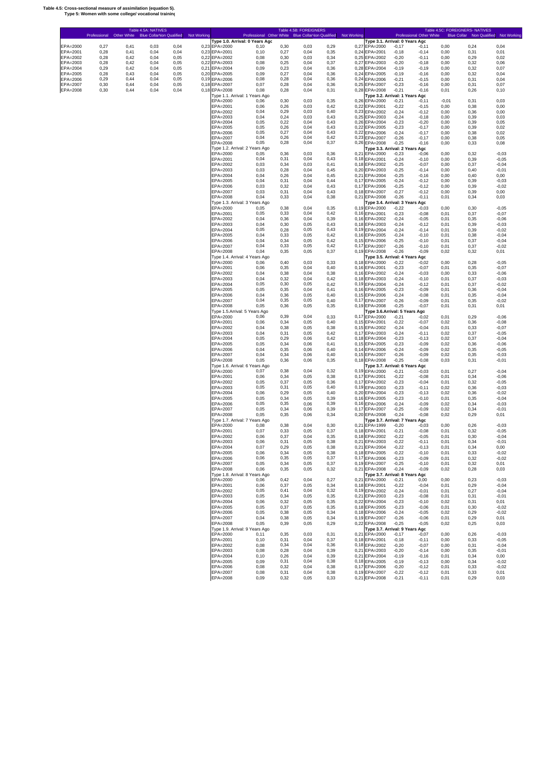#### **Table 4.5: Cross-sectional measure of assimilation (equation 5). Type 5: Women with some college/ vocational training**

Е

|                      | Professional | Other White  | Table 4.5A: NATIVES<br><b>Blue Collar Von Qualified</b> |              | Not Working |                                | Professional Other White Blue Collar Non Qualified |              | Table 4.5B: FOREIGNERS |              | Not Working   |                                                 |                    | Professional Other White |              | Table 4.5C: FOREIGNERS- NATIVES | <b>Blue Collar</b> Non Qualified Not Working |
|----------------------|--------------|--------------|---------------------------------------------------------|--------------|-------------|--------------------------------|----------------------------------------------------|--------------|------------------------|--------------|---------------|-------------------------------------------------|--------------------|--------------------------|--------------|---------------------------------|----------------------------------------------|
| EPA=2000             | 0,27         | 0,41         | 0,03                                                    | 0,04         |             | 0,23 EPA=2000                  | Type 1.0. Arrival: 0 Years Agc<br>0.10             | 0,30         | 0,03                   | 0,29         |               | Type 3.1. Arrival: 0 Years Agc<br>0,27 EPA=2000 | $-0,17$            | -0,11                    | 0,00         | 0,24                            | 0,04                                         |
| EPA=2001             | 0,28         | 0,41         | 0,04                                                    | 0,04         |             | 0,23 EPA=2001                  | 0,10                                               | 0,27         | 0,04                   | 0,35         |               | 0,24 EPA=2001                                   | $-0,18$            | $-0, 14$                 | 0,00         | 0,31                            | 0,01                                         |
| EPA=2002             | 0,28         | 0,42         | 0,04                                                    | 0,05         |             | 0,22 EPA=2002                  | 0,08                                               | 0,30         | 0,03                   | 0,34         |               | 0,25 EPA=2002                                   | $-0,20$            | $-0,11$                  | 0,00         | 0,29                            | 0,02                                         |
| EPA=2003<br>EPA=2004 | 0,28<br>0,29 | 0,42<br>0,42 | 0,04<br>0,04                                            | 0,05<br>0,05 |             | 0,22 EPA=2003<br>0,21 EPA=2004 | 0,08<br>0,09                                       | 0,25<br>0,23 | 0,04<br>0,04           | 0,37<br>0,36 |               | 0,27 EPA=2003<br>0,28 EPA=2004                  | $-0,20$<br>$-0,19$ | $-0,18$<br>$-0,19$       | 0,00<br>0,00 | 0,32<br>0,32                    | 0,06<br>0,07                                 |
| EPA=2005             | 0,28         | 0,43         | 0,04                                                    | 0,05         |             | 0,20 EPA=2005                  | 0,09                                               | 0,27         | 0,04                   | 0,36         |               | 0,24 EPA=2005                                   | $-0,19$            | $-0,16$                  | 0,00         | 0,32                            | 0,04                                         |
| EPA=2006             | 0,29         | 0,44         | 0,04                                                    | 0,05         |             | 0,19 EPA=2006                  | 0,08                                               | 0,28         | 0,04                   | 0,36         |               | 0,24 EPA=2006                                   | $-0,21$            | $-0, 15$                 | 0,00         | 0,31                            | 0,04                                         |
| EPA=2007<br>EPA=2008 | 0,30<br>0,30 | 0,44<br>0,44 | 0,04<br>0,04                                            | 0,05<br>0,04 |             | 0,18 EPA=2007<br>0,18 EPA=2008 | 0,07<br>0,08                                       | 0,28<br>0,28 | 0,04<br>0,04           | 0,36<br>0,31 |               | 0,25 EPA=2007<br>0,28 EPA=2008                  | $-0,23$<br>$-0,21$ | $-0, 16$<br>$-0,16$      | 0,00<br>0,01 | 0,31<br>0,26                    | 0,07<br>0, 10                                |
|                      |              |              |                                                         |              |             |                                | Type 1.1. Arrival: 1 Years Ago                     |              |                        |              |               | Type 3.2. Arrival: 1 Years Agc                  |                    |                          |              |                                 |                                              |
|                      |              |              |                                                         |              |             | EPA=2000                       | 0,06                                               | 0,30         | 0,03                   | 0,35         |               | 0,26 EPA=2000                                   | $-0,21$            | $-0,11$                  | $-0,01$      | 0,31                            | 0,03                                         |
|                      |              |              |                                                         |              |             | EPA=2001<br>EPA=2002           | 0,06<br>0,04                                       | 0,26<br>0,29 | 0,03<br>0,03           | 0,42<br>0,40 |               | 0,22 EPA=2001<br>0,23 EPA=2002                  | $-0,22$<br>$-0,24$ | $-0, 15$<br>$-0,12$      | 0,00<br>0,00 | 0,38<br>0,36                    | 0,00<br>0,00                                 |
|                      |              |              |                                                         |              |             | EPA=2003                       | 0,04                                               | 0,24         | 0,03                   | 0,43         |               | 0,25 EPA=2003                                   | $-0,24$            | $-0,18$                  | 0,00         | 0,39                            | 0,03                                         |
|                      |              |              |                                                         |              |             | EPA=2004<br>EPA=2005           | 0,05<br>0,05                                       | 0,22<br>0,26 | 0,04<br>0,04           | 0,43<br>0,43 |               | 0,26 EPA=2004<br>0,22 EPA=2005                  | $-0,23$<br>$-0,23$ | $-0,20$<br>$-0,17$       | 0,00<br>0,00 | 0.39<br>0,39                    | 0,05<br>0,02                                 |
|                      |              |              |                                                         |              |             | EPA=2006                       | 0,05                                               | 0,27         | 0,04                   | 0,43         |               | 0,22 EPA=2006                                   | $-0,24$            | $-0,17$                  | 0,00         | 0,38                            | 0,02                                         |
|                      |              |              |                                                         |              |             | EPA=2007<br>EPA=2008           | 0,04<br>0,05                                       | 0,26<br>0,28 | 0,04<br>0,04           | 0,42<br>0,37 |               | 0.23 EPA=2007<br>0,26 EPA=2008                  | $-0,26$<br>$-0,25$ | $-0,17$<br>$-0,16$       | 0,00<br>0,00 | 0,38<br>0,33                    | 0,05<br>0,08                                 |
|                      |              |              |                                                         |              |             |                                | Type 1.2. Arrival: 2 Years Ago                     |              |                        |              |               | Type 3.3. Arrival: 2 Years Agc                  |                    |                          |              |                                 |                                              |
|                      |              |              |                                                         |              |             | EPA=2000                       | 0,05                                               | 0,36         | 0,03                   | 0,36         | 0,21          | EPA=2000                                        | $-0,23$            | $-0.06$                  | 0,00         | 0,32                            | $-0.03$                                      |
|                      |              |              |                                                         |              |             | EPA=2001<br>EPA=2002           | 0,04<br>0,03                                       | 0,31<br>0,34 | 0,04<br>0,03           | 0,43<br>0,41 | 0, 18         | 0,18 EPA=2001<br>EPA=2002                       | $-0,24$<br>$-0,25$ | $-0,10$<br>$-0.07$       | 0,00<br>0,00 | 0,39<br>0.37                    | $-0.05$<br>$-0.04$                           |
|                      |              |              |                                                         |              |             | EPA=2003                       | 0,03                                               | 0,28         | 0,04                   | 0,45         | 0,20          | EPA=2003                                        | $-0,25$            | $-0,14$                  | 0,00         | 0,40                            | $-0.01$                                      |
|                      |              |              |                                                         |              |             | EPA=2004                       | 0,04                                               | 0,26         | 0,04                   | 0,45         | 0,21          | EPA=2004                                        | $-0,25$            | $-0,16$                  | 0,00         | 0,40                            | 0,00                                         |
|                      |              |              |                                                         |              |             | EPA=2005<br>EPA=2006           | 0,04<br>0,03                                       | 0,31<br>0,32 | 0,04<br>0,04           | 0,44<br>0,43 | 0,17<br>0,17  | EPA=2005<br>EPA=2006                            | $-0,24$<br>$-0,25$ | $-0,12$<br>$-0,12$       | 0,00<br>0,00 | 0.39<br>0.39                    | $-0.03$<br>$-0.02$                           |
|                      |              |              |                                                         |              |             | EPA=2007                       | 0,03                                               | 0,31         | 0,04                   | 0,43         |               | 0,18 EPA=2007                                   | $-0,27$            | $-0,12$                  | 0,00         | 0.39                            | 0,00                                         |
|                      |              |              |                                                         |              |             | EPA=2008                       | 0,04                                               | 0,33         | 0,04                   | 0,38         |               | 0,21 EPA=2008                                   | $-0,26$            | $-0, 11$                 | 0,01         | 0,34                            | 0,03                                         |
|                      |              |              |                                                         |              |             | EPA=2000                       | Type 1.3. Arrival: 3 Years Ago<br>0,05             | 0,38         | 0,04                   | 0,35         | 0, 19         | Type 3.4. Arrival: 3 Years Agc<br>EPA=2000      | $-0,22$            | $-0.03$                  | 0,00         | 0,30                            | $-0.05$                                      |
|                      |              |              |                                                         |              |             | EPA=2001                       | 0,05                                               | 0,33         | 0,04                   | 0,42         |               | 0,16 EPA=2001                                   | $-0,23$            | $-0.08$                  | 0,01         | 0,37                            | $-0.07$                                      |
|                      |              |              |                                                         |              |             | EPA=2002<br>EPA=2003           | 0,04<br>0,04                                       | 0,36<br>0,30 | 0,04<br>0,05           | 0,39<br>0,43 | 0, 16         | EPA=2002<br>0,18 EPA=2003                       | $-0,24$<br>$-0,24$ | $-0.05$<br>$-0,12$       | 0,01<br>0,01 | 0,35<br>0,39                    | $-0.06$<br>$-0.03$                           |
|                      |              |              |                                                         |              |             | EPA=2004                       | 0,05                                               | 0,28         | 0,05                   | 0,43         | 0, 19         | EPA=2004                                        | $-0,24$            | $-0,14$                  | 0,01         | 0,39                            | $-0.02$                                      |
|                      |              |              |                                                         |              |             | EPA=2005                       | 0,04                                               | 0,33         | 0,05                   | 0,42         | 0, 16         | EPA=2005                                        | $-0,24$            | $-0,10$                  | 0,01         | 0,38                            | $-0.04$                                      |
|                      |              |              |                                                         |              |             | EPA=2006<br>EPA=2007           | 0,04<br>0,04                                       | 0,34<br>0,33 | 0,05<br>0,05           | 0,42<br>0,42 | 0, 15         | EPA=2006<br>0,17 EPA=2007                       | $-0,25$<br>$-0,26$ | $-0,10$<br>$-0,10$       | 0,01<br>0,01 | 0,37<br>0,37                    | $-0.04$<br>$-0.02$                           |
|                      |              |              |                                                         |              |             | EPA=2008                       | 0,04                                               | 0,35         | 0,05                   | 0,37         |               | 0,19 EPA=2008                                   | $-0,26$            | $-0,09$                  | 0,02         | 0,32                            | 0,01                                         |
|                      |              |              |                                                         |              |             |                                | Type 1.4. Arrival: 4 Years Ago                     |              |                        |              |               | Type 3.5. Arrival: 4 Years Agc                  |                    |                          |              |                                 |                                              |
|                      |              |              |                                                         |              |             | EPA=2000<br>EPA=2001           | 0.06<br>0.06                                       | 0,40<br>0,35 | 0,03<br>0,04           | 0,33<br>0,40 |               | 0,18 EPA=2000<br>0,16 EPA=2001                  | $-0,22$<br>$-0,23$ | $-0,02$<br>$-0,07$       | 0,00<br>0,01 | 0,28<br>0,35                    | $-0,05$<br>$-0,07$                           |
|                      |              |              |                                                         |              |             | EPA=2002                       | 0,04                                               | 0,38         | 0,04                   | 0,38         |               | 0,16 EPA=2002                                   | $-0,24$            | $-0,03$                  | 0,00         | 0,33                            | $-0,06$                                      |
|                      |              |              |                                                         |              |             | EPA=2003                       | 0,04                                               | 0,32         | 0,04                   | 0,42         |               | 0,18 EPA=2003                                   | $-0,24$            | $-0, 10$                 | 0,01         | 0,37                            | $-0,03$                                      |
|                      |              |              |                                                         |              |             | EPA=2004<br>EPA=2005           | 0,05<br>0,05                                       | 0,30<br>0,35 | 0,05<br>0,04           | 0,42<br>0,41 | 0, 19         | EPA=2004<br>0,16 EPA=2005                       | $-0,24$<br>$-0,23$ | $-0,12$<br>$-0,09$       | 0,01<br>0,01 | 0,37<br>0,36                    | $-0,02$<br>$-0.04$                           |
|                      |              |              |                                                         |              |             | EPA=2006                       | 0,04                                               | 0,36         | 0,05                   | 0,40         |               | 0,15 EPA=2006                                   | $-0,24$            | $-0.08$                  | 0,01         | 0,35                            | $-0.04$                                      |
|                      |              |              |                                                         |              |             | EPA=2007<br>EPA=2008           | 0,04<br>0,05                                       | 0,35<br>0,36 | 0,05<br>0,05           | 0,40         |               | 0,17 EPA=2007                                   | $-0,26$            | $-0.09$                  | 0,01         | 0,35                            | $-0.02$                                      |
|                      |              |              |                                                         |              |             |                                | Type 1.5.Arrival: 5 Years Ago                      |              |                        | 0,35         |               | 0,19 EPA=2008<br>Type 3.6.Arrival: 5 Years Ago  | $-0,25$            | $-0,07$                  | 0,01         | 0,31                            | 0,01                                         |
|                      |              |              |                                                         |              |             | EPA=2000                       | 0.06                                               | 0,39         | 0,04                   | 0,33         |               | 0,17 EPA=2000                                   | $-0,21$            | $-0.02$                  | 0,01         | 0,29                            | $-0.06$                                      |
|                      |              |              |                                                         |              |             | EPA=2001<br>EPA=2002           | 0.06<br>0,04                                       | 0,34<br>0,38 | 0,05<br>0,05           | 0,40<br>0,38 | 0, 15         | 0,15 EPA=2001<br>EPA=2002                       | $-0,22$<br>$-0,24$ | $-0,07$<br>$-0,04$       | 0,02<br>0,01 | 0,36<br>0,33                    | $-0.08$<br>$-0.07$                           |
|                      |              |              |                                                         |              |             | EPA=2003                       | 0,04                                               | 0,31         | 0,05                   | 0,42         | 0,17          | EPA=2003                                        | $-0,24$            | $-0,11$                  | 0,02         | 0,37                            | $-0.05$                                      |
|                      |              |              |                                                         |              |             | EPA=2004                       | 0,05                                               | 0,29         | 0,06                   | 0,42         |               | 0,18 EPA=2004                                   | $-0,23$            | $-0, 13$                 | 0,02         | 0,37                            | $-0.04$                                      |
|                      |              |              |                                                         |              |             | EPA=2005<br>EPA=2006           | 0,05<br>0,04                                       | 0,34<br>0,35 | 0,06<br>0,06           | 0,41<br>0,40 | 0, 15         | EPA=2005<br>0,14 EPA=2006                       | $-0,23$<br>$-0,24$ | $-0,09$<br>$-0,09$       | 0,02<br>0,02 | 0,36<br>0,35                    | $-0.06$<br>$-0,05$                           |
|                      |              |              |                                                         |              |             | EPA=2007                       | 0,04                                               | 0,34         | 0,06                   | 0,40         |               | 0,15 EPA=2007                                   | $-0,26$            | $-0.09$                  | 0,02         | 0,35                            | $-0,03$                                      |
|                      |              |              |                                                         |              |             | EPA=2008                       | 0,05<br>Type 1.6. Arrival: 6 Years Ago             | 0,36         | 0,06                   | 0,35         |               | 0,18 EPA=2008<br>Type 3.7. Arrival: 6 Years Agc | $-0,25$            | $-0,08$                  | 0,03         | 0,31                            | $-0,01$                                      |
|                      |              |              |                                                         |              |             | EPA=2000                       | 0,07                                               | 0,38         | 0,04                   | 0,32         |               | 0,19 EPA=2000                                   | $-0,21$            | $-0,03$                  | 0,01         | 0,27                            | $-0.04$                                      |
|                      |              |              |                                                         |              |             | EPA=2001                       | 0.06                                               | 0,34         | 0,05                   | 0,38         |               | 0,17 EPA=2001                                   | $-0,22$            | $-0,08$                  | 0,01         | 0,34                            | $-0.06$                                      |
|                      |              |              |                                                         |              |             | EPA=2002<br>EPA=2003           | 0,05<br>0,05                                       | 0,37<br>0,31 | 0,05<br>0,05           | 0,36<br>0,40 | 0,17<br>0, 19 | EPA=2002<br>EPA=2003                            | $-0,23$<br>$-0,23$ | $-0,04$<br>$-0,11$       | 0,01<br>0,02 | 0,32<br>0,36                    | $-0,05$<br>$-0,03$                           |
|                      |              |              |                                                         |              |             | EPA=2004                       | 0.06                                               | 0,29         | 0,05                   | 0,40         | 0,20          | EPA=2004                                        | $-0,23$            | $-0, 13$                 | 0,02         | 0,36                            | $-0,02$                                      |
|                      |              |              |                                                         |              |             | EPA=2005<br>EPA=2006           | 0,05<br>0,05                                       | 0,34<br>0,35 | 0,05<br>0,06           | 0,39<br>0,39 |               | 0,16 EPA=2005<br>0.16 EPA=2006                  | $-0,23$<br>$-0,24$ | $-0, 10$                 | 0,01         | 0,35                            | $-0,04$<br>$-0.03$                           |
|                      |              |              |                                                         |              |             | EPA=2007                       | 0,05                                               | 0,34         | 0,06                   | 0,39         |               | 0,17 EPA=2007                                   | $-0,25$            | $-0,09$<br>$-0.09$       | 0,02<br>0,02 | 0,34<br>0,34                    | $-0.01$                                      |
|                      |              |              |                                                         |              |             | EPA=2008                       | 0,05                                               | 0,35         | 0,06                   | 0,34         |               | 0,20 EPA=2008                                   | $-0,24$            | $-0,08$                  | 0,02         | 0.29                            | 0,01                                         |
|                      |              |              |                                                         |              |             | EPA=2000                       | Type 1.7. Arrival: 7 Years Ago<br>0,08             | 0,38         | 0,04                   | 0,30         |               | Type 3.7. Arrival: 7 Years Agc<br>0.21 EPA=1999 | $-0,20$            | $-0.03$                  | 0,00         | 0,26                            | $-0.03$                                      |
|                      |              |              |                                                         |              |             | EPA=2001                       | 0,07                                               | 0,33         | 0,05                   | 0,37         |               | 0,18 EPA=2001                                   | $-0,21$            | $-0,08$                  | 0,01         | 0,32                            | $-0.05$                                      |
|                      |              |              |                                                         |              |             | EPA=2002                       | 0,06                                               | 0,37         | 0,04                   | <b>U.35</b>  |               | 0,18 EPA=2002                                   | $-0,22$            | -0.05                    | 0,01         | 0,30                            | -0,04                                        |
|                      |              |              |                                                         |              |             | EPA=2003<br>EPA=2004           | 0,06<br>0,07                                       | 0,31<br>0,29 | 0,05<br>0,05           | 0,38<br>0,38 |               | 0,21 EPA=2003<br>0,21 EPA=2004                  | $-0,22$<br>$-0,22$ | $-0,11$<br>$-0, 13$      | 0,01<br>0,01 | 0,34<br>0,34                    | $-0,01$<br>0,00                              |
|                      |              |              |                                                         |              |             | EPA=2005                       | 0,06                                               | 0,34         | 0,05                   | 0,38         |               | 0,18 EPA=2005                                   | $-0,22$            | $-0, 10$                 | 0,01         | 0,33                            | $-0,02$                                      |
|                      |              |              |                                                         |              |             | EPA=2006<br>EPA=2007           | 0,06<br>0,05                                       | 0,35<br>0,34 | 0,05<br>0,05           | 0,37<br>0,37 |               | 0,17 EPA=2006<br>0,19 EPA=2007                  | $-0,23$<br>$-0,25$ | $-0,09$<br>$-0, 10$      | 0,01         | 0,32                            | $-0,02$<br>0,01                              |
|                      |              |              |                                                         |              |             | EPA=2008                       | 0,06                                               | 0,35         | 0,05                   | 0,32         |               | 0,21 EPA=2008                                   | $-0,24$            | $-0,09$                  | 0,01<br>0,02 | 0,32<br>0,28                    | 0,03                                         |
|                      |              |              |                                                         |              |             |                                | Type 1.8. Arrival: 8 Years Ago                     |              |                        |              |               | Type 3.7. Arrival: 8 Years Agc                  |                    |                          |              |                                 |                                              |
|                      |              |              |                                                         |              |             | EPA=2000<br>EPA=2001           | 0,06<br>0.06                                       | 0,42<br>0,37 | 0,04<br>0,05           | 0,27<br>0,34 |               | 0,21 EPA=2000<br>0,18 EPA=2001                  | $-0,21$<br>$-0,22$ | 0,00<br>$-0,04$          | 0,00<br>0,01 | 0,23<br>0,29                    | $-0,03$<br>$-0,04$                           |
|                      |              |              |                                                         |              |             | EPA=2002                       | 0,05                                               | 0,41         | 0,04                   | 0,32         |               | 0,19 EPA=2002                                   | $-0,24$            | $-0,01$                  | 0,01         | 0,27                            | $-0,04$                                      |
|                      |              |              |                                                         |              |             | EPA=2003<br>EPA=2004           | 0,05<br>0.06                                       | 0,34<br>0,32 | 0,05<br>0,05           | 0,35<br>0,35 |               | 0,21 EPA=2003<br>0,22 EPA=2004                  | $-0,23$<br>$-0,23$ | $-0,08$<br>$-0, 10$      | 0,01<br>0,02 | 0,31<br>0,31                    | $-0,01$<br>0,01                              |
|                      |              |              |                                                         |              |             | EPA=2005                       | 0,05                                               | 0,37         | 0,05                   | 0,35         |               | 0,18 EPA=2005                                   | $-0,23$            | $-0,06$                  | 0,01         | 0,30                            | $-0,02$                                      |
|                      |              |              |                                                         |              |             | EPA=2006                       | 0,05                                               | 0,38         | 0,05                   | 0,34         |               | 0,18 EPA=2006                                   | $-0,24$            | $-0,05$                  | 0,02         | 0,29                            | $-0,02$                                      |
|                      |              |              |                                                         |              |             | EPA=2007<br>EPA=2008           | 0,04<br>0,05                                       | 0,38<br>0,39 | 0,05<br>0,05           | 0,34<br>0,29 |               | 0,19 EPA=2007<br>0,22 EPA=2008                  | $-0,26$<br>$-0,25$ | $-0,06$<br>$-0,05$       | 0,01<br>0,02 | 0,29<br>0,25                    | 0,01<br>0,03                                 |
|                      |              |              |                                                         |              |             |                                | Type 1.9. Arrival: 9 Years Ago                     |              |                        |              |               | Type 3.7. Arrival: 9 Years Agc                  |                    |                          |              |                                 |                                              |
|                      |              |              |                                                         |              |             | EPA=2000<br>EPA=2001           | 0,11                                               | 0,35<br>0,31 | 0,03<br>0,04           | 0,31<br>0,37 |               | 0,21 EPA=2000<br>0,18 EPA=2001                  | $-0,17$<br>$-0,18$ | $-0,07$                  | 0,00         | 0,26<br>0,33                    | $-0,03$<br>$-0,05$                           |
|                      |              |              |                                                         |              |             | EPA=2002                       | 0, 10<br>0,08                                      | 0,34         | 0,04                   | 0,36         |               | 0,18 EPA=2002                                   | $-0,20$            | $-0,11$<br>$-0,07$       | 0,00<br>0,00 | 0,31                            | $-0,04$                                      |
|                      |              |              |                                                         |              |             | EPA=2003                       | 0,08                                               | 0,28         | 0,04                   | 0,39         |               | 0,21 EPA=2003                                   | $-0,20$            | $-0, 14$                 | 0,00         | 0,35                            | $-0,01$                                      |
|                      |              |              |                                                         |              |             | EPA=2004<br>EPA=2005           | 0, 10<br>0,09                                      | 0,26<br>0,31 | 0,04<br>0,04           | 0,39<br>0,38 |               | 0,21 EPA=2004<br>0,18 EPA=2005                  | $-0,19$<br>$-0,19$ | $-0, 16$<br>$-0, 13$     | 0,01<br>0,00 | 0,34<br>0,34                    | 0,00<br>$-0,02$                              |
|                      |              |              |                                                         |              |             | EPA=2006                       | 0,08                                               | 0,32         | 0,04                   | 0,38         |               | 0,17 EPA=2006                                   | $-0,20$            | $-0,12$                  | 0,01         | 0,33                            | $-0,02$                                      |
|                      |              |              |                                                         |              |             | EPA=2007<br>EPA=2008           | 0,08<br>0,09                                       | 0,31<br>0,32 | 0,04<br>0,05           | 0,38<br>0,33 |               | 0,19 EPA=2007<br>0,21 EPA=2008                  | $-0,22$<br>$-0,21$ | $-0,12$<br>$-0,11$       | 0,01<br>0,01 | 0,33<br>0,29                    | 0,01<br>0,03                                 |
|                      |              |              |                                                         |              |             |                                |                                                    |              |                        |              |               |                                                 |                    |                          |              |                                 |                                              |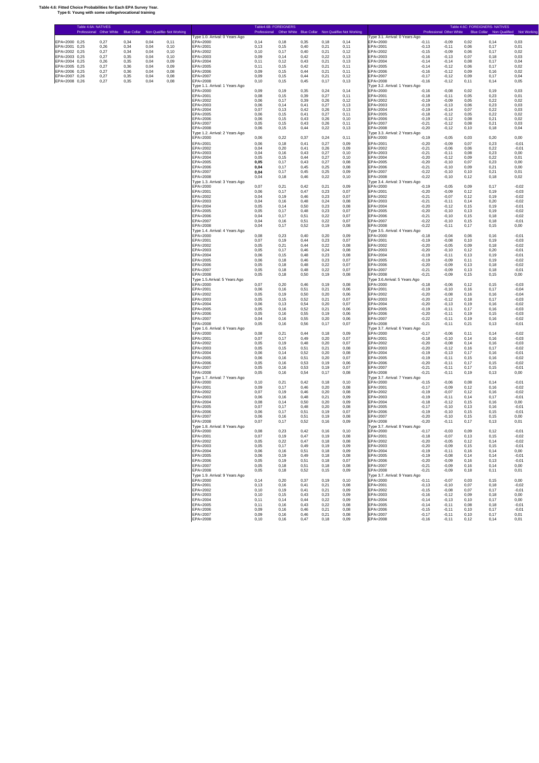#### **Table 4.6: Fitted Choice Probabilities for Each EPA Survey Year. Type 6: Young with some college/vocational training**

| Table 4.6A: NATIVES<br>Blue Collar Non Qualified Not Working<br>Professional Other White       |                                            |                | Table4.6B: FOREIGNERS |              |               | Professional Other White Blue Collar Non Qualified Not Working |                                            |                    | Professional Other White |               | Table 4.6C: FOREIGNERS- NATIVES | Blue Collar Non Qualified Not Working |
|------------------------------------------------------------------------------------------------|--------------------------------------------|----------------|-----------------------|--------------|---------------|----------------------------------------------------------------|--------------------------------------------|--------------------|--------------------------|---------------|---------------------------------|---------------------------------------|
|                                                                                                | Type 1.0. Arrival: 0 Years Ago             |                |                       |              |               |                                                                | Type 3.1. Arrival: 0 Years Ago             |                    |                          |               |                                 |                                       |
| EPA=2000 0,25<br>0.27<br>0.34<br>0.04<br>0.11<br>EPA=2001 0,25<br>0,26<br>0,34<br>0,04         | EPA=2000<br>EPA=2001                       | 0.14           | 0.18                  | 0.35<br>0,40 | 0.18          | 0.14                                                           | EPA=2000<br>EPA=2001                       | $-0.11$<br>$-0.13$ | $-0,09$<br>$-0,11$       | 0,02          | 0.14<br>0,17                    | 0.03<br>0,01                          |
| 0, 10<br>EPA=2002 0,25<br>0,27<br>0,34<br>0,04<br>0,10                                         | EPA=2002                                   | 0, 13<br>0, 10 | 0, 15<br>0,17         | 0,40         | 0,21<br>0,21  | 0,11<br>0,12                                                   | EPA=2002                                   | $-0,15$            | $-0,09$                  | 0,06<br>0,06  | 0,17                            | 0,02                                  |
| EPA=2003 0.25<br>0,27<br>0,35<br>0,04<br>0,10                                                  | EPA=2003                                   | 0.09           | 0,14                  | 0,42         | 0,22          | 0,13                                                           | EPA=2003                                   | $-0,16$            | $-0,13$                  | 0,07          | 0,18                            | 0,03                                  |
| EPA=2004 0,25<br>0,26<br>0,35<br>0,04<br>0,09<br>0,27<br>0,36<br>0,04<br>0,09<br>EPA=2005 0.25 | EPA=2004<br>EPA=2005                       | 0,11<br>0.11   | 0,12<br>0,15          | 0,43<br>0,42 | 0,21<br>0.21  | 0, 13<br>0.11                                                  | EPA=2004<br>$FPA=2005$                     | $-0,14$<br>$-0.14$ | $-0,14$<br>$-0,12$       | 0,08<br>0,06  | 0,17<br>0,17                    | 0,04<br>0,02                          |
| EPA=2006 0,25<br>0,04<br>0,08<br>0,27<br>0,36                                                  | EPA=2006                                   | 0,09           | 0, 15                 | 0,44         | 0,21          | 0,11                                                           | EPA=2006                                   | $-0,16$            | $-0,12$                  | 0,09          | 0,16                            | 0,02                                  |
| EPA=2007 0,26<br>0,27<br>0,35<br>0,04<br>0,08                                                  | EPA=2007                                   | 0,09           | 0,15                  | 0,44         | 0,21          | 0,12                                                           | EPA=2007                                   | $-0,17$            | $-0,12$                  | 0,09          | 0,17                            | 0,04                                  |
| EPA=2008 0,26<br>0,27<br>0,35<br>0,04<br>0,08                                                  | EPA=2008<br>Type 1.1. Arrival: 1 Years Ago | 0, 10          | 0,15                  | 0,45         | 0,17          | 0,13                                                           | EPA=2008<br>Type 3.2. Arrival: 1 Years Ago | $-0,16$            | $-0,12$                  | 0,11          | 0.14                            | 0,05                                  |
|                                                                                                | EPA=2000                                   | 0,09           | 0,19                  | 0,35         | 0,24          | 0,14                                                           | EPA=2000                                   | $-0.16$            | $-0,08$                  | 0,02          | 0.19                            | 0,03                                  |
|                                                                                                | EPA=2001                                   | 0,08           | 0,15                  | 0,39         | 0,27          | 0,11                                                           | EPA=2001                                   | $-0,18$            | $-0,11$                  | 0.05          | 0,23                            | 0,01                                  |
|                                                                                                | EPA=2002<br>EPA=2003                       | 0,06<br>0,06   | 0,17<br>0,14          | 0,39<br>0,41 | 0,26<br>0,27  | 0,12<br>0, 13                                                  | EPA=2002<br>EPA=2003                       | $-0,19$<br>$-0,19$ | $-0,09$<br>$-0,13$       | 0,05<br>0,06  | 0,22<br>0,23                    | 0,02<br>0,03                          |
|                                                                                                | EPA=2004                                   | 0.07           | 0,13                  | 0,42         | 0.26          | 0,13                                                           | EPA=2004                                   | $-0,19$            | $-0,14$                  | 0.07          | 0,22                            | 0,03                                  |
|                                                                                                | EPA=2005<br>EPA=2006                       | 0,06<br>0,06   | 0, 15<br>0, 15        | 0,41<br>0,43 | 0,27<br>0,26  | 0,11<br>0, 10                                                  | EPA=2005<br>EPA=2006                       | $-0,18$<br>$-0,19$ | $-0,12$<br>$-0,12$       | 0,05<br>0,08  | 0,22<br>0,21                    | 0,02<br>0,02                          |
|                                                                                                | $FPA=2007$                                 | 0.05           | 0,15                  | 0,43         | 0,26          | 0,11                                                           | EPA=2007                                   | $-0.21$            | $-0,12$                  | 0.08          | 0.21                            | 0.03                                  |
|                                                                                                | EPA=2008<br>Type 1.2. Arrival: 2 Years Ago | 0,06           | 0,15                  | 0,44         | 0,22          | 0,13                                                           | EPA=2008<br>Type 3.3. Arrival: 2 Years Ago | $-0,20$            | $-0.12$                  | 0, 10         | 0,18                            | 0,04                                  |
|                                                                                                | EPA=2000                                   | 0,06           | 0,22                  | 0,37         | 0,24          | 0,11                                                           | EPA=2000                                   | $-0,19$            | $-0,05$                  | 0,03          | 0,20                            | 0,00                                  |
|                                                                                                | EPA=2001                                   | 0,06           | 0,18                  | 0,41         | 0,27          | 0,09                                                           | EPA=2001                                   | $-0,20$            | $-0.09$                  | 0,07          | 0,23                            | $-0,01$                               |
|                                                                                                | EPA=2002<br>EPA=2003                       | 0.04<br>0,04   | 0.20<br>0, 16         | 0,41<br>0,43 | 0.26<br>0,27  | 0,09<br>0, 10                                                  | EPA=2002<br>EPA=2003                       | $-0.21$<br>$-0,21$ | $-0,06$<br>$-0,11$       | 0.06<br>0,08  | 0,22<br>0,23                    | $-0.01$<br>0.00                       |
|                                                                                                | EPA=2004                                   | 0.05           | 0.15                  | 0,44         | 0.27          | 0.10                                                           | EPA=2004                                   | $-0.20$            | $-0,12$                  | 0.09          | 0,22                            | 0.01                                  |
|                                                                                                | EPA=2005<br>EPA=2006                       | 0.05<br>0.04   | 0,17<br>0,17          | 0,43<br>0,45 | 0,27<br>0,25  | 0,08<br>0,08                                                   | EPA=2005<br>EPA=2006                       | $-0,20$<br>$-0,21$ | $-0,10$<br>$-0,10$       | 0,07<br>0,09  | 0,23<br>0,21                    | 0,00<br>0,00                          |
|                                                                                                | EPA=2007                                   | 0,04           | 0,17                  | 0,45         | 0,25          | 0,09                                                           | EPA=2007                                   | $-0.22$            | $-0,10$                  | 0,10          | 0,21                            | 0,01                                  |
|                                                                                                | EPA=2008                                   | 0,04           | 0,18                  | 0,46         | 0,22          | 0, 10                                                          | EPA=2008                                   | $-0,22$            | $-0,10$                  | 0,12          | 0,18                            | 0,02                                  |
|                                                                                                | Type 1.3. Arrival: 3 Years Ago<br>EPA=2000 | 0,07           | 0,21                  | 0,42         | 0,21          | 0,09                                                           | Type 3.4. Arrival: 3 Years Ago<br>EPA=2000 | $-0,19$            | $-0,05$                  | 0,09          | 0,17                            | $-0,02$                               |
|                                                                                                | EPA=2001                                   | 0,06           | 0,17                  | 0,47         | 0,23          | 0,07                                                           | EPA=2001                                   | $-0,20$            | $-0,09$                  | 0,12          | 0.19                            | $-0,03$                               |
|                                                                                                | EPA=2002<br>EPA=2003                       | 0,04           | 0,19                  | 0,46         | 0,23          | 0,07                                                           | EPA=2002                                   | $-0,21$            | $-0,07$                  | 0,12          | 0,19                            | $-0,02$                               |
|                                                                                                | EPA=2004                                   | 0,04<br>0.05   | 0,16<br>0,14          | 0,48<br>0,50 | 0,24<br>0,23  | 0,08<br>0,08                                                   | EPA=2003<br>EPA=2004                       | $-0,21$<br>$-0,20$ | $-0,11$<br>$-0,12$       | 0,14<br>0,15  | 0,20<br>0,19                    | $-0,02$<br>$-0,01$                    |
|                                                                                                | EPA=2005                                   | 0,05           | 0,17                  | 0,48         | 0,23          | 0,07                                                           | EPA=2005                                   | $-0,20$            | $-0.10$                  | 0,13          | 0, 19                           | $-0,02$                               |
|                                                                                                | EPA=2006<br>EPA=2007                       | 0,04<br>0,04   | 0.17<br>0,16          | 0,51<br>0,51 | 0,22<br>0,22  | 0,07<br>0,07                                                   | EPA=2006<br>EPA=2007                       | $-0,21$<br>$-0.22$ | $-0.10$<br>$-0,10$       | 0.15<br>0,15  | 0,18<br>0,18                    | $-0.02$<br>$-0,01$                    |
|                                                                                                | EPA=2008                                   | 0,04           | 0,17                  | 0,52         | 0, 19         | 0,08                                                           | EPA=2008                                   | $-0,22$            | $-0.11$                  | 0,17          | 0,15                            | 0,00                                  |
|                                                                                                | Type 1.4. Arrival: 4 Years Ago             |                |                       |              |               |                                                                | Type 3.5. Arrival: 4 Years Ago             |                    |                          |               |                                 |                                       |
|                                                                                                | EPA=2000<br>EPA=2001                       | 0,08<br>0,07   | 0,23<br>0,19          | 0,40<br>0,44 | 0,20<br>0,23  | 0,09<br>0,07                                                   | EPA=2000<br>EPA=2001                       | $-0,18$<br>$-0,19$ | $-0,04$<br>$-0,08$       | 0,06<br>0,10  | 0,16<br>0, 19                   | $-0,01$<br>$-0,03$                    |
|                                                                                                | EPA=2002                                   | 0,05           | 0,21                  | 0,44         | 0,22          | 0,08                                                           | EPA=2002                                   | $-0,20$            | $-0,05$                  | 0,09          | 0,18                            | $-0,02$                               |
|                                                                                                | EPA=2003<br>EPA=2004                       | 0,05<br>0,06   | 0,17<br>0,15          | 0,46<br>0,48 | 0,24<br>0,23  | 0,08<br>0,08                                                   | EPA=2003<br>EPA=2004                       | $-0,20$<br>$-0,19$ | $-0,10$<br>$-0,11$       | 0,12<br>0,13  | 0,20<br>0,19                    | $-0,01$<br>$-0,01$                    |
|                                                                                                | EPA=2005                                   | 0,06           | 0,18                  | 0,46         | 0,23          | 0,07                                                           | EPA=2005                                   | $-0,19$            | $-0,09$                  | 0,11          | 0, 19                           | $-0,02$                               |
|                                                                                                | EPA=2006                                   | 0,05           | 0,18                  | 0,48         | 0,22          | 0,07                                                           | EPA=2006                                   | $-0,20$            | $-0,09$                  | 0,13          | 0.18                            | $-0,02$                               |
|                                                                                                | EPA=2007<br>EPA=2008                       | 0,05<br>0,05   | 0,18<br>0,18          | 0,48<br>0,50 | 0,22<br>0, 19 | 0,07<br>0,08                                                   | EPA=2007<br>EPA=2008                       | $-0,21$<br>$-0,21$ | $-0.09$<br>$-0,09$       | 0,13<br>0, 15 | 0,18<br>0,15                    | $-0,01$<br>0,00                       |
|                                                                                                | Type 1.5.Arrival: 5 Years Ago              |                |                       |              |               |                                                                | Type 3.6.Arrival: 5 Years Ago              |                    |                          |               |                                 |                                       |
|                                                                                                | EPA=2000<br>EPA=2001                       | 0,07<br>0,06   | 0,20<br>0,16          | 0,46<br>0,51 | 0, 19<br>0.21 | 0,08<br>0,06                                                   | EPA=2000<br>EPA=2001                       | $-0,18$<br>$-0.19$ | $-0,06$<br>$-0,10$       | 0,12<br>0,16  | 0,15<br>0,17                    | $-0,03$<br>$-0,04$                    |
|                                                                                                | EPA=2002                                   | 0,05           | 0,19                  | 0,50         | 0,20          | 0,06                                                           | EPA=2002                                   | $-0,20$            | $-0.08$                  | 0,16          | 0,16                            | $-0,04$                               |
|                                                                                                | EPA=2003                                   | 0,05           | 0,15                  | 0,52         | 0,21          | 0,07                                                           | EPA=2003                                   | $-0,20$            | $-0,12$                  | 0,18          | 0,17                            | $-0,03$                               |
|                                                                                                | EPA=2004<br>EPA=2005                       | 0,06<br>0,05   | 0,13<br>0,16          | 0,54<br>0,52 | 0.20<br>0,21  | 0,07<br>0,06                                                   | EPA=2004<br>EPA=2005                       | $-0,20$<br>$-0,19$ | $-0,13$<br>$-0.11$       | 0.19<br>0,17  | 0,16<br>0,16                    | $-0,02$<br>$-0,03$                    |
|                                                                                                | EPA=2006                                   | 0,05           | 0,16                  | 0,55         | 0, 19         | 0,06                                                           | EPA=2006                                   | $-0.20$            | $-0,11$                  | 0.19          | 0.15                            | $-0.03$                               |
|                                                                                                | EPA=2007<br>EPA=2008                       | 0,04<br>0,05   | 0,16<br>0,16          | 0,55<br>0,56 | 0,20<br>0,17  | 0,06<br>0,07                                                   | EPA=2007<br>EPA=2008                       | $-0.22$<br>$-0,21$ | $-0,11$<br>$-0.11$       | 0,19<br>0,21  | 0,16<br>0, 13                   | $-0,02$<br>$-0,01$                    |
|                                                                                                | Type 1.6. Arrival: 6 Years Ago             |                |                       |              |               |                                                                | Type 3.7. Arrival: 6 Years Ago             |                    |                          |               |                                 |                                       |
|                                                                                                | EPA=2000                                   | 0,08           | 0,21                  | 0,44         | 0,18          | 0,09                                                           | EPA=2000                                   | $-0,17$            | $-0,06$                  | 0.11          | 0,14                            | $-0,02$                               |
|                                                                                                | EPA=2001<br>EPA=2002                       | 0,07<br>0,05   | 0,17<br>0,19          | 0,49<br>0,48 | 0,20<br>0,20  | 0,07<br>0,07                                                   | EPA=2001<br>EPA=2002                       | $-0,18$<br>$-0,20$ | $-0,10$<br>$-0.08$       | 0,14<br>0,14  | 0,16<br>0,16                    | $-0,03$<br>$-0.03$                    |
|                                                                                                | EPA=2003                                   | 0,05           | 0, 15                 | 0,51         | 0,21          | 0,08                                                           | EPA=2003                                   | $-0,20$            | $-0,12$                  | 0,16          | 0,17                            | $-0,02$                               |
|                                                                                                | EPA=2004<br>EPA=2005                       | 0,06<br>0,06   | 0,14<br>0,16          | 0,52<br>0,51 | 0,20<br>0,20  | 0,08<br>0,07                                                   | EPA=2004<br>EPA=2005                       | $-0,19$<br>$-0,19$ | $-0.13$<br>$-0,11$       | 0,17<br>0, 15 | 0,16<br>0,16                    | $-0,01$<br>$-0,02$                    |
|                                                                                                | EPA=2006                                   | 0,05           | 0,16                  | 0,53         | 0, 19         | 0,06                                                           | EPA=2006                                   | $-0.20$            | $-0.11$                  | 0.17          | 0.15                            | $-0,02$                               |
|                                                                                                | EPA=2007                                   | 0,05           | 0,16                  | 0,53         | 0,19          | 0,07                                                           | EPA=2007                                   | $-0,21$            | $-0,11$                  | 0,17          | 0,15                            | $-0,01$                               |
|                                                                                                | EPA=2008<br>Type 1.7. Arrival: 7 Years Ago | 0,05           | 0,16                  | 0,54         | 0,17          | 0,08                                                           | EPA=2008<br>Type 3.7. Arrival: 7 Years Ago | $-0,21$            | $-0.11$                  | 0, 19         | 0, 13                           | 0,00                                  |
|                                                                                                | EPA=2000                                   | 0, 10          | 0,21                  | 0,42         | 0,18          | 0,10                                                           | EPA=2000                                   | $-0, 15$           | $-0,06$                  | 0,08          | 0,14                            | $-0,01$                               |
|                                                                                                | EPA=2001<br>EPA=2002                       | 0,09<br>0,07   | 0,17<br>0,19          | 0,46<br>0,46 | 0,20<br>0,20  | 0,08<br>0,08                                                   | EPA=2001<br>EPA=2002                       | $-0.17$<br>$-0,19$ | $-0,09$<br>$-0,07$       | 0,12<br>0,12  | 0,16<br>0,16                    | $-0.02$<br>$-0,02$                    |
|                                                                                                | EPA=2003                                   | 0,06           | 0,16                  | 0,48         | 0,21          | 0,09                                                           | EPA=2003                                   | $-0,19$            | $-0,11$                  | 0,14          | 0,17                            | $-0,01$                               |
|                                                                                                | EPA=2004                                   | 0,08           | 0,14                  | 0,50         | 0,20          | 0,09                                                           | EPA=2004                                   | $-0,18$            | $-0.12$                  | 0.15          | 0,16                            | 0,00                                  |
|                                                                                                | EPA=2005<br>EPA=2006                       | 0,07<br>0,06   | 0,17<br>0,17          | 0,48<br>0,51 | 0,20<br>0, 19 | 0,08<br>0,07                                                   | $FPA=2005$<br>EPA=2006                     | $-0,17$<br>$-0,19$ | $-0,10$<br>$-0,10$       | 0,13<br>0,15  | 0,16<br>0,15                    | $-0,01$<br>$-0,01$                    |
|                                                                                                | EPA=2007                                   | 0,06           | 0,16                  | 0,51         | 0,19          | 0,08                                                           | EPA=2007                                   | $-0,20$            | $-0,10$                  | 0,15          | 0,15                            | 0,00                                  |
|                                                                                                | EPA=2008<br>Type 1.8. Arrival: 8 Years Ago | 0,07           | 0,17                  | 0.52         | 0, 16         | 0,09                                                           | EPA=2008                                   | $-0,20$            | $-0.11$                  | 0,17          | 0, 13                           | 0,01                                  |
|                                                                                                | EPA=2000                                   | 0.08           | 0.23                  | 0.42         | 0.16          | 0.10                                                           | Type 3.7. Arrival: 8 Years Ago<br>EPA=2000 | $-0,17$            | $-0.03$                  | 0.09          | 0,12                            | $-0,01$                               |
|                                                                                                | EPA=2001                                   | 0,07           | 0, 19                 | 0,47         | 0,19          | 0,08                                                           | EPA=2001                                   | $-0,18$            | $-0,07$                  | 0,13          | 0,15                            | $-0,02$                               |
|                                                                                                | EPA=2002<br>EPA=2003                       | 0,05<br>0,05   | 0,22<br>0,17          | 0,47<br>0,49 | 0.18<br>0, 19 | 0,08<br>0,09                                                   | EPA=2002<br>EPA=2003                       | $-0,20$<br>$-0,20$ | $-0,05$<br>$-0,09$       | 0.12<br>0,15  | 0,14<br>0,15                    | $-0,02$<br>$-0,01$                    |
|                                                                                                | EPA=2004                                   | 0,06           | 0,16                  | 0,51         | 0,18          | 0,09                                                           | EPA=2004                                   | $-0,19$            | $-0,11$                  | 0,16          | 0,14                            | 0,00                                  |
|                                                                                                | EPA=2005<br>EPA=2006                       | 0,06           | 0, 19                 | 0.49         | 0,18          | 0,08                                                           | EPA=2005                                   | $-0,19$<br>$-0,20$ | $-0.08$<br>$-0,09$       | 0,14          | 0,14<br>0,13                    | $-0,01$                               |
|                                                                                                | EPA=2007                                   | 0,05<br>0,05   | 0,19<br>0,18          | 0,51<br>0,51 | 0,18<br>0,18  | 0,07<br>0,08                                                   | EPA=2006<br>EPA=2007                       | $-0,21$            | $-0.09$                  | 0,16<br>0,16  | 0,14                            | $-0,01$<br>0,00                       |
|                                                                                                | EPA=2008                                   | 0,05           | 0,18                  | 0,52         | 0,15          | 0,09                                                           | EPA=2008                                   | $-0,21$            | $-0,09$                  | 0,18          | 0,11                            | 0,01                                  |
|                                                                                                | Type 1.9. Arrival: 9 Years Ago<br>EPA=2000 | 0, 14          | 0,20                  | 0,37         | 0, 19         | 0, 10                                                          | Type 3.7. Arrival: 9 Years Ago<br>EPA=2000 | $-0,11$            | $-0,07$                  | 0,03          | 0,15                            | 0,00                                  |
|                                                                                                | EPA=2001                                   | 0,13           | 0,16                  | 0,41         | 0,21          | 0,08                                                           | EPA=2001                                   | $-0,13$            | $-0,10$                  | 0,07          | 0,18                            | $-0,02$                               |
|                                                                                                | EPA=2002                                   | 0, 10          | 0,19                  | 0,41         | 0,21          | 0,09                                                           | EPA=2002<br>EPA=2003                       | $-0,15$            | $-0.08$                  | 0,07          | 0,17                            | $-0,01$                               |
|                                                                                                | EPA=2003<br>EPA=2004                       | 0, 10<br>0,11  | 0,15<br>0,14          | 0,43<br>0,44 | 0,23<br>0,22  | 0,09<br>0,09                                                   | EPA=2004                                   | $-0,16$<br>$-0,14$ | $-0,12$<br>$-0,13$       | 0,09<br>0, 10 | 0,18<br>0,17                    | 0,00<br>0,00                          |
|                                                                                                | EPA=2005                                   | 0,11           | 0, 16                 | 0,43         | 0,22          | 0,08                                                           | EPA=2005                                   | $-0,14$            | $-0.11$                  | 0,08          | 0,18                            | $-0,01$                               |
|                                                                                                | EPA=2006<br>EPA=2007                       | 0,09<br>0,09   | 0,16<br>0,16          | 0,46<br>0,46 | 0,21<br>0,21  | 0,08<br>0,08                                                   | EPA=2006<br>EPA=2007                       | $-0,15$<br>$-0,17$ | $-0,11$<br>$-0,11$       | 0,10<br>0,10  | 0,17<br>0,17                    | $-0,01$<br>0,01                       |
|                                                                                                | EPA=2008                                   | 0, 10          | 0, 16                 | 0,47         | 0,18          | 0,09                                                           | EPA=2008                                   | $-0,16$            | $-0,11$                  | 0,12          | 0,14                            | 0,01                                  |
|                                                                                                |                                            |                |                       |              |               |                                                                |                                            |                    |                          |               |                                 |                                       |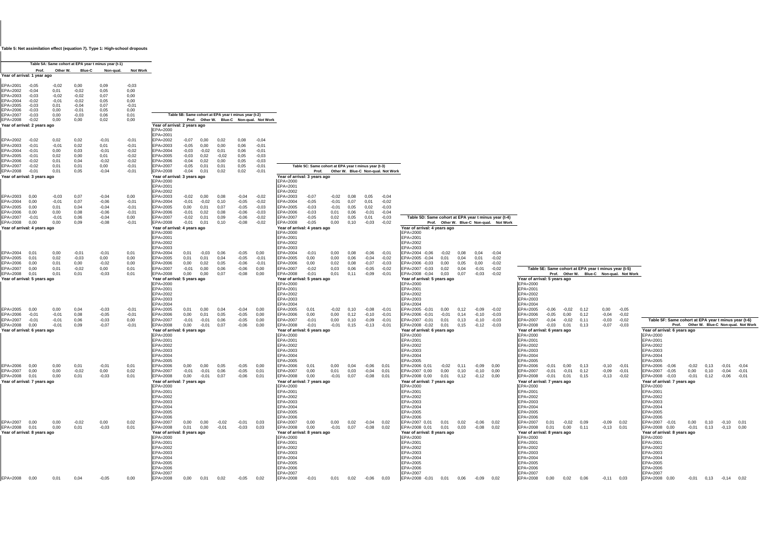#### **Table 5: Net assimilation effect (equation 7). Type 1: High-school dropouts**

|                                            |                    |                 |                    | Table 5A: Same cohort at EPA year t minus year (t-1) |                 |                                                                                                                                          |         |          |         |                                                      |                    |
|--------------------------------------------|--------------------|-----------------|--------------------|------------------------------------------------------|-----------------|------------------------------------------------------------------------------------------------------------------------------------------|---------|----------|---------|------------------------------------------------------|--------------------|
|                                            | Prof.              | Other W.        | Blue-C             | Non-qual.                                            | <b>Not Work</b> |                                                                                                                                          |         |          |         |                                                      |                    |
| Year of arrival: 1 year ago                |                    |                 |                    |                                                      |                 |                                                                                                                                          |         |          |         |                                                      |                    |
| $FPA=2001$                                 | $-0,05$            | $-0.02$         | 0,00               | 0.09                                                 | $-0,03$         |                                                                                                                                          |         |          |         |                                                      |                    |
| EPA=2002                                   | $-0,04$            | 0,01            | $-0,02$            | 0,05                                                 | 0,00            |                                                                                                                                          |         |          |         |                                                      |                    |
| EPA=2003<br>EPA=2004                       | $-0,03$            | $-0,02$         | $-0,02$            | 0,07<br>0,05                                         | 0,00<br>0,00    |                                                                                                                                          |         |          |         |                                                      |                    |
| EPA=2005                                   | $-0,02$<br>$-0,03$ | $-0,01$<br>0,01 | $-0,02$<br>$-0,04$ | 0,07                                                 | $-0,01$         |                                                                                                                                          |         |          |         |                                                      |                    |
| EPA=2006                                   | $-0,03$            | 0,00            | $-0,01$            | 0,05                                                 | 0,00            |                                                                                                                                          |         |          |         |                                                      |                    |
| EPA=2007                                   | $-0.03$            | 0,00            | $-0.03$            | 0,06                                                 | 0,01            |                                                                                                                                          |         |          |         | Table 5B: Same cohort at EPA year t minus year (t-2) |                    |
| EPA=2008                                   | $-0,02$            | 0,00            | 0,00               | 0,02                                                 | 0,00            |                                                                                                                                          | Prof.   | Other W. | Blue-C  |                                                      | Non-qual. Not Work |
| Year of arrival: 2 years ago               |                    |                 |                    |                                                      |                 | Year of arrival: 2 years ago<br>EPA=2000                                                                                                 |         |          |         |                                                      |                    |
| EPA=2002                                   | $-0,02$            | 0,02            | 0,02               | $-0,01$                                              | $-0,01$         | EPA=2001<br>EPA=2002                                                                                                                     | $-0.07$ | 0,00     | 0,02    | 0.08                                                 | $-0.04$            |
| EPA=2003                                   | $-0,01$            | $-0,01$         | 0.02               | 0,01                                                 | $-0,01$         | EPA=2003                                                                                                                                 | $-0,05$ | 0,00     | 0,00    | 0.06                                                 | $-0.01$            |
| EPA=2004                                   | $-0,01$            | 0,00            | 0,03               | $-0,01$                                              | $-0,02$         | EPA=2004                                                                                                                                 | $-0,03$ | $-0,02$  | 0,01    | 0,06                                                 | $-0,01$            |
| EPA=2005                                   | $-0,01$            | 0,02            | 0,00               | 0,01                                                 | $-0,02$         | EPA=2005                                                                                                                                 | $-0,03$ | 0,02     | $-0,02$ | 0.05                                                 | $-0.03$            |
| EPA=2006                                   | $-0,02$            | 0,01            | 0,04               | $-0,02$                                              | $-0,02$         | EPA=2006                                                                                                                                 | $-0,04$ | 0,02     | 0,00    | 0,05                                                 | $-0,03$            |
| EPA=2007                                   | $-0,02$            | 0,01            | 0,01               | 0,00                                                 | $-0,01$         | EPA=2007                                                                                                                                 | $-0,05$ | 0,01     | 0,01    | 0.05                                                 | $-0,01$            |
| EPA=2008                                   | $-0.01$            | 0,01            | 0,05               | $-0,04$                                              | $-0,01$         | EPA=2008                                                                                                                                 | $-0,04$ | 0.01     | 0,02    | 0,02                                                 | $-0,01$            |
| Year of arrival: 3 years ago               |                    |                 |                    |                                                      |                 | Year of arrival: 3 years ago                                                                                                             |         |          |         |                                                      |                    |
|                                            |                    |                 |                    |                                                      |                 | EPA=2000<br>EPA=2001<br>EPA=2002                                                                                                         |         |          |         |                                                      |                    |
| EPA=2003                                   | 0,00               | $-0,03$         | 0,07               | $-0,04$                                              | 0,00            | EPA=2003                                                                                                                                 | $-0,02$ | 0,00     | 0,08    | $-0,04$                                              | $-0,02$            |
| EPA=2004                                   | 0,00               | $-0.01$         | 0,07               | $-0.06$                                              | $-0,01$         | EPA=2004                                                                                                                                 | $-0,01$ | $-0,02$  | 0,10    | $-0.05$                                              | $-0.02$            |
| EPA=2005                                   | 0,00               | 0,01            | 0,04               | $-0,04$                                              | $-0,01$         | EPA=2005                                                                                                                                 | 0,00    | 0,01     | 0,07    | $-0,05$                                              | $-0,03$            |
| EPA=2006                                   | 0,00               | 0,00            | 0,08               | $-0,06$                                              | $-0,01$         | EPA=2006                                                                                                                                 | $-0,01$ | 0,02     | 0,08    | $-0,06$                                              | $-0,03$            |
| $FPA=2007$                                 | $-0,01$            | $-0,01$         | 0,06               | $-0,04$                                              | 0,00            | $FPA=2007$                                                                                                                               | $-0,02$ | 0,01     | 0,09    | $-0,06$                                              | $-0,02$            |
| EPA=2008                                   | 0,00               | 0,00            | 0.09               | $-0.08$                                              | $-0,01$         | EPA=2008                                                                                                                                 | $-0,01$ | 0,01     | 0,10    | $-0.08$                                              | $-0.02$            |
| Year of arrival: 4 years ago               |                    |                 |                    |                                                      |                 | Year of arrival: 4 years ago                                                                                                             |         |          |         |                                                      |                    |
|                                            |                    |                 |                    |                                                      |                 | EPA=2000<br>EPA=2001<br>EPA=2002<br>EPA=2003                                                                                             |         |          |         |                                                      |                    |
| EPA=2004                                   | 0,01               | 0,00            | $-0,01$            | $-0,01$                                              | 0,01            | EPA=2004                                                                                                                                 | 0,01    | $-0,03$  | 0,06    | $-0,05$                                              | 0,00               |
| EPA=2005                                   | 0,01               | 0,02            | $-0,03$            | 0,00                                                 | 0,00            | EPA=2005                                                                                                                                 | 0,01    | 0,01     | 0,04    | $-0,05$                                              | $-0,01$            |
| EPA=2006                                   | 0.00               | 0,01            | 0.00               | $-0.02$                                              | 0.00            | EPA=2006                                                                                                                                 | 0,00    | 0.02     | 0.05    | $-0,06$                                              | $-0.01$            |
| EPA=2007                                   | 0,00               | 0,01            | $-0.02$            | 0,00                                                 | 0,01            | EPA=2007                                                                                                                                 | $-0,01$ | 0,00     | 0,06    | $-0,06$                                              | 0,00               |
| EPA=2008                                   | 0,01               | 0,01            | 0.01               | $-0.03$                                              | 0,01            | EPA=2008                                                                                                                                 | 0,00    | 0,00     | 0,07    | $-0.08$                                              | 0,00               |
| Year of arrival: 5 years ago               |                    |                 |                    |                                                      |                 | Year of arrival: 5 years ago                                                                                                             |         |          |         |                                                      |                    |
|                                            |                    |                 |                    |                                                      |                 | EPA=2000<br>EPA=2001<br>EPA=2002<br>EPA=2003<br>EPA=2004                                                                                 |         |          |         |                                                      |                    |
| EPA=2005                                   | 0.00               | 0.00            | 0.04               | $-0.03$                                              | $-0.01$         | EPA=2005                                                                                                                                 | 0,01    | 0.00     | 0.04    | $-0.04$                                              | 0.00               |
| EPA=2006                                   | $-0,01$            | $-0,01$         | 0,08               | $-0,05$                                              | $-0,01$         | EPA=2006                                                                                                                                 | 0,00    | 0,01     | 0,05    | $-0,05$                                              | 0,00               |
| EPA=2007                                   | $-0,01$            | $-0,01$         | 0.06               | $-0.03$                                              | 0,00            | EPA=2007                                                                                                                                 | $-0,01$ | $-0,01$  | 0,06    | $-0.05$                                              | 0,00               |
| EPA=2008                                   | 0.00               | $-0.01$         | 0,09               | $-0,07$                                              | $-0,01$         | EPA=2008                                                                                                                                 | 0.00    | $-0.01$  | 0,07    | $-0,06$                                              | 0,00               |
| Year of arrival: 6 years ago               |                    |                 |                    |                                                      |                 | Year of arrival: 6 years ago<br>EPA=2000<br>EPA=2001                                                                                     |         |          |         |                                                      |                    |
|                                            |                    |                 |                    |                                                      |                 | EPA=2002<br>EPA=2003<br>EPA=2004<br>EPA=2005                                                                                             |         |          |         |                                                      |                    |
| EPA=2006                                   | 0,00               | 0,00            | 0.01               | $-0,01$                                              | 0,01            | EPA=2006                                                                                                                                 | 0,00    | 0,00     | 0,05    | $-0,05$                                              | 0,00               |
| EPA=2007                                   | 0,00               | 0,00            | $-0.02$            | 0,00                                                 | 0,02            | EPA=2007                                                                                                                                 | $-0.01$ | $-0.01$  | 0,06    | $-0,05$                                              | 0,01               |
| EPA=2008                                   | 0,01               | 0,00            | 0.01               | $-0,03$                                              | 0,01            | EPA=2008                                                                                                                                 | 0,00    | $-0,01$  | 0,07    | $-0,06$                                              | 0,01               |
| Year of arrival: 7 years ago               |                    |                 |                    |                                                      |                 | Year of arrival: 7 years ago<br>EPA=2000<br>EPA=2001<br>EPA=2002<br>EPA=2003<br>EPA=2004<br>EPA=2005<br>EPA=2006                         |         |          |         |                                                      |                    |
| EPA=2007                                   | 0,00               | 0,00            | $-0.02$            | 0,00                                                 | 0,02            | EPA=2007                                                                                                                                 | 0,00    | 0,00     | $-0,02$ | $-0.01$                                              | 0,03               |
| $FPA=2008$<br>Year of arrival: 8 years ago | 0,01               | 0,00            | 0,01               | $-0,03$                                              | 0,01            | EPA=2008<br>Year of arrival: 8 years ago<br>EPA=2000<br>EPA=2001<br>EPA=2002<br>EPA=2003<br>EPA=2004<br>EPA=2005<br>EPA=2006<br>EPA=2007 | 0,01    | 0,00     | $-0,01$ | $-0,03$                                              | 0,03               |

| EPA=2001<br>EPA=2002<br>EPA=2003<br>EPA=2004<br>EPA=2005<br>EPA=2006<br>EPA=2007                                 | $-0,05$<br>$-0,04$<br>$-0.03$<br>$-0.02$<br>$-0,03$<br>$-0.03$<br>$-0.03$ | $-0.02$<br>0,01<br>$-0,02$<br>$-0.01$<br>0,01<br>0.00<br>0,00 | 0,00<br>$-0.02$<br>$-0.02$<br>$-0.02$<br>$-0.04$<br>$-0.01$<br>$-0.03$ | 0,09<br>0,05<br>0,07<br>0.05<br>0,07<br>0.05<br>0,06             | $-0,03$<br>0,00<br>0,00<br>0.00<br>$-0,01$<br>0.00<br>0,01                |                                                                                                                                                                                          |                                                                           |                                                         | Table 5B: Same cohort at EPA year t minus year (t-2)    |                                                                |                                                                           |                                                                                                                                                                                          |                                                                |                                                       |                                               |                                                     |                                                                |                                                                                                                                                                                                                    |                                      |                                            |                                                     |                                                                                                                                                                                          |                                          |                                    |                                                                                                  |                                       |                                          |                                                                                                                                                                                                                      |
|------------------------------------------------------------------------------------------------------------------|---------------------------------------------------------------------------|---------------------------------------------------------------|------------------------------------------------------------------------|------------------------------------------------------------------|---------------------------------------------------------------------------|------------------------------------------------------------------------------------------------------------------------------------------------------------------------------------------|---------------------------------------------------------------------------|---------------------------------------------------------|---------------------------------------------------------|----------------------------------------------------------------|---------------------------------------------------------------------------|------------------------------------------------------------------------------------------------------------------------------------------------------------------------------------------|----------------------------------------------------------------|-------------------------------------------------------|-----------------------------------------------|-----------------------------------------------------|----------------------------------------------------------------|--------------------------------------------------------------------------------------------------------------------------------------------------------------------------------------------------------------------|--------------------------------------|--------------------------------------------|-----------------------------------------------------|------------------------------------------------------------------------------------------------------------------------------------------------------------------------------------------|------------------------------------------|------------------------------------|--------------------------------------------------------------------------------------------------|---------------------------------------|------------------------------------------|----------------------------------------------------------------------------------------------------------------------------------------------------------------------------------------------------------------------|
| EPA=2008<br>Year of arrival: 2 years ago                                                                         | $-0,02$                                                                   | 0,00                                                          | 0,00                                                                   | 0,02                                                             | 0,00                                                                      | Year of arrival: 2 years ago                                                                                                                                                             |                                                                           |                                                         |                                                         |                                                                | Prof. Other W. Blue-C Non-qual. Not Work                                  |                                                                                                                                                                                          |                                                                |                                                       |                                               |                                                     |                                                                |                                                                                                                                                                                                                    |                                      |                                            |                                                     |                                                                                                                                                                                          |                                          |                                    |                                                                                                  |                                       |                                          |                                                                                                                                                                                                                      |
| EPA=2002<br>EPA=2003<br>EPA=2004<br>EPA=2005<br>EPA=2006<br>EPA=2007<br>EPA=2008<br>Year of arrival: 3 years ago | $-0.02$<br>$-0.01$<br>$-0,01$<br>$-0,01$<br>$-0,02$<br>$-0,02$<br>$-0.01$ | 0.02<br>$-0.01$<br>0,00<br>0,02<br>0,01<br>0,01<br>0,01       | 0.02<br>0.02<br>0,03<br>0,00<br>0,04<br>0,01<br>0,05                   | $-0.01$<br>0.01<br>$-0.01$<br>0,01<br>$-0,02$<br>0,00<br>$-0,04$ | $-0.01$<br>$-0,01$<br>$-0,02$<br>$-0.02$<br>$-0,02$<br>$-0,01$<br>$-0.01$ | EPA=2000<br>EPA=2001<br>EPA=2002<br>EPA=2003<br>EPA=2004<br>EPA=2005<br>EPA=2006<br>EPA=2007<br>EPA=2008<br>Year of arrival: 3 years ago                                                 | $-0.07$<br>$-0.05$<br>$-0.03$<br>$-0.03$<br>$-0.04$<br>$-0.05$<br>$-0,04$ | 0.00<br>0,00<br>$-0.02$<br>0,02<br>0,02<br>0,01<br>0,01 | 0.02<br>0.00<br>0,01<br>$-0,02$<br>0,00<br>0,01<br>0,02 | 0.08<br>0,06<br>0,06<br>0,05<br>0,05<br>0,05<br>0,02           | $-0.04$<br>$-0.01$<br>$-0,01$<br>$-0.03$<br>$-0,03$<br>$-0,01$<br>$-0.01$ | Year of arrival: 3 years ago                                                                                                                                                             | Table 5C: Same cohort at EPA year t minus year (t-3)<br>Prof.  |                                                       |                                               |                                                     | Other W. Blue-C Non-qual. Not Work                             |                                                                                                                                                                                                                    |                                      |                                            |                                                     |                                                                                                                                                                                          |                                          |                                    |                                                                                                  |                                       |                                          |                                                                                                                                                                                                                      |
|                                                                                                                  |                                                                           |                                                               |                                                                        |                                                                  |                                                                           | EPA=2000<br>EPA=2001                                                                                                                                                                     |                                                                           |                                                         |                                                         |                                                                |                                                                           | EPA=2000<br>EPA=2001                                                                                                                                                                     |                                                                |                                                       |                                               |                                                     |                                                                |                                                                                                                                                                                                                    |                                      |                                            |                                                     |                                                                                                                                                                                          |                                          |                                    |                                                                                                  |                                       |                                          |                                                                                                                                                                                                                      |
| EPA=2003<br>EPA=2004<br>EPA=2005<br>EPA=2006<br>EPA=2007<br>EPA=2008<br>Year of arrival: 4 years ago             | 0.00<br>0.00<br>0.00<br>0.00<br>$-0.01$<br>0,00                           | $-0.03$<br>$-0.01$<br>0,01<br>0.00<br>$-0.01$<br>0,00         | 0.07<br>0.07<br>0,04<br>0.08<br>0.06<br>0,09                           | $-0.04$<br>$-0,06$<br>$-0,04$<br>$-0.06$<br>$-0,04$<br>$-0,08$   | 0,00<br>$-0,01$<br>$-0,01$<br>$-0.01$<br>0,00<br>$-0,01$                  | EPA=2002<br>EPA=2003<br>EPA=2004<br>EPA=2005<br>EPA=2006<br>EPA=2007<br>EPA=2008<br>Year of arrival: 4 years ago<br>EPA=2000<br>EPA=2001<br>EPA=2002<br>EPA=2003                         | $-0.02$<br>$-0.01$<br>0,00<br>$-0.01$<br>$-0.02$<br>$-0.01$               | 0,00<br>$-0,02$<br>0,01<br>0.02<br>0.01<br>0,01         | 0.08<br>0,10<br>0,07<br>0.08<br>0.09<br>0,10            | $-0.04$<br>$-0.05$<br>$-0.05$<br>$-0.06$<br>$-0,06$<br>$-0.08$ | $-0.02$<br>$-0,02$<br>$-0,03$<br>$-0.03$<br>$-0.02$<br>$-0.02$            | EPA=2002<br>EPA=2003<br>EPA=2004<br>EPA=2005<br>EPA=2006<br>EPA=2007<br>EPA=2008<br>Year of arrival: 4 years ago<br>EPA=2000<br>EPA=2001<br>EPA=2002<br>EPA=2003                         | $-0,07$<br>$-0.05$<br>$-0.03$<br>$-0.03$<br>$-0.05$<br>$-0.05$ | $-0.02$<br>$-0,01$<br>$-0,01$<br>0.01<br>0,02<br>0,00 | 0.08<br>0,07<br>0,05<br>0.06<br>0,05<br>0, 10 | 0.05<br>0,01<br>0,02<br>$-0.01$<br>0,01<br>$-0,03$  | $-0.04$<br>$-0,02$<br>$-0,03$<br>$-0.04$<br>$-0,03$<br>$-0,02$ | Table 5D: Same cohort at EPA year t minus year (t-4)<br>Year of arrival: 4 years ago<br>EPA=2000<br>EPA=2001<br>EPA=2002<br>EPA=2003                                                                               |                                      |                                            | Prof. Other W. Blue-C Non-qual. Not Work            |                                                                                                                                                                                          |                                          |                                    |                                                                                                  |                                       |                                          |                                                                                                                                                                                                                      |
| EPA=2004<br>EPA=2005<br>EPA=2006<br>EPA=2007<br>EPA=2008<br>Year of arrival: 5 years ago                         | 0.01<br>0.01<br>0,00<br>0.00<br>0,01                                      | 0.00<br>0,02<br>0,01<br>0.01<br>0,01                          | $-0.01$<br>$-0.03$<br>0,00<br>$-0.02$<br>0,01                          | $-0.01$<br>0,00<br>$-0.02$<br>0.00<br>$-0.03$                    | 0.01<br>0,00<br>0,00<br>0.01<br>0,01                                      | EPA=2004<br>EPA=2005<br>EPA=2006<br>EPA=2007<br>EPA=2008<br>Year of arrival: 5 years ago<br>EPA=2000<br>EPA=2001                                                                         | 0.01<br>0,01<br>0,00<br>$-0.01$<br>0,00                                   | $-0.03$<br>0,01<br>0,02<br>0.00<br>0,00                 | 0.06<br>0,04<br>0,05<br>0.06<br>0,07                    | $-0.05$<br>$-0.05$<br>$-0,06$<br>$-0.06$<br>$-0.08$            | 0.00<br>$-0,01$<br>$-0,01$<br>0.00<br>0,00                                | EPA=2004<br>EPA=2005<br>EPA=2006<br>EPA=2007<br>EPA=2008<br>Year of arrival: 5 years ago<br>EPA=2000<br>EPA=2001                                                                         | $-0.01$<br>0,00<br>0,00<br>$-0.02$<br>$-0.01$                  | 0.00<br>0,00<br>0,02<br>0.03<br>0,01                  | 0.08<br>0,06<br>0,08<br>0,06<br>0,11          | $-0.06$<br>$-0,04$<br>$-0,07$<br>$-0,05$<br>$-0,09$ | $-0.01$<br>$-0.02$<br>$-0,03$<br>$-0.02$<br>$-0,01$            | EPA=2004 -0.06<br>$-0.02$<br>EPA=2005 -0,04<br>0,01<br>EPA=2006 -0,03<br>0,00<br>EPA=2007 -0.03<br>0.02<br>EPA=2008 -0,04 0,03<br>Year of arrival: 5 years ago<br>EPA=2000<br>EPA=2001                             | 0.08<br>0.04<br>0,05<br>0.04<br>0,07 | 0.04<br>0.01<br>0,00<br>$-0.01$<br>$-0.03$ | $-0.04$<br>$-0.02$<br>$-0.02$<br>$-0.02$<br>$-0.02$ | Year of arrival: 5 years ago<br>EPA=2000<br>EPA=2001                                                                                                                                     |                                          |                                    | Table 5E: Same cohort at EPA year t minus year (t-5)<br>Prof. Other W. Blue-C Non-qual. Not Work |                                       |                                          |                                                                                                                                                                                                                      |
| EPA=2005<br>EPA=2006<br>EPA=2007<br>EPA=2008<br>Year of arrival: 6 years ago                                     | 0.00<br>$-0.01$<br>$-0,01$<br>0.00                                        | 0,00<br>$-0.01$<br>$-0,01$<br>$-0.01$                         | 0.04<br>0.08<br>0.06<br>0,09                                           | $-0,03$<br>$-0.05$<br>$-0,03$<br>$-0,07$                         | $-0,01$<br>$-0,01$<br>0,00<br>$-0.01$                                     | EPA=2002<br>EPA=2003<br>EPA=2004<br>EPA=2005<br>EPA=2006<br>EPA=2007<br>EPA=2008<br>Year of arrival: 6 years ago<br>EPA=2000<br>EPA=2001<br>EPA=2002                                     | 0,01<br>0,00<br>$-0,01$<br>0.00                                           | 0.00<br>0,01<br>$-0,01$<br>$-0,01$                      | 0.04<br>0,05<br>0,06<br>0,07                            | $-0.04$<br>$-0.05$<br>$-0,05$<br>$-0.06$                       | 0.00<br>0,00<br>0,00<br>0.00                                              | EPA=2002<br>EPA=2003<br>EPA=2004<br>EPA=2005<br>EPA=2006<br>EPA=2007<br>EPA=2008<br>Year of arrival: 6 years ago<br>EPA=2000<br>EPA=2001<br>EPA=2002                                     | 0,01<br>0.00<br>$-0,01$<br>$-0.01$                             | $-0.02$<br>0.00<br>0,00<br>$-0.01$                    | 0.10<br>0,12<br>0,10<br>0.15                  | $-0.08$<br>$-0.10$<br>$-0,09$<br>$-0.13$            | $-0.01$<br>$-0.01$<br>$-0.01$<br>$-0.01$                       | EPA=2002<br>EPA=2003<br>EPA=2004<br>EPA=2005 -0,01<br>0.00<br>EPA=2006 -0,01<br>$-0,01$<br>EPA=2007 -0,01<br>0,01<br>EPA=2008 -0,02<br>0.01<br>Year of arrival: 6 years ago<br>EPA=2000<br>EPA=2001<br>EPA=2002    | 0.12<br>0.14<br>0,13<br>0.15         | $-0.09$<br>$-0.10$<br>$-0,10$<br>$-0.12$   | $-0.02$<br>$-0,03$<br>$-0.03$<br>$-0.03$            | EPA=2002<br>EPA=2003<br>EPA=2004<br>EPA=2005<br>EPA=2006<br>EPA=2007<br>EPA=2008<br>Year of arrival: 6 years ago<br>EPA=2000<br>EPA=2001<br>EPA=2002                                     | $-0,06$<br>$-0.05$<br>$-0,04$<br>$-0,03$ | $-0,02$<br>0.00<br>$-0,02$<br>0.01 | 0,12<br>0,12<br>0,11<br>0,13                                                                     | 0,00<br>$-0,04$<br>$-0,03$<br>$-0.07$ | $-0,05$<br>$-0.02$<br>$-0,02$<br>$-0,03$ | Table 5F: Same cohort<br>Prof. Oth<br>Year of arrival: 6 years ago<br>EPA=2000<br>EPA=2001<br>EPA=2002                                                                                                               |
| EPA=2006<br>EPA=2007<br>EPA=2008<br>Year of arrival: 7 years ago                                                 | 0.00<br>0.00<br>0.01                                                      | 0.00<br>0,00<br>0,00                                          | 0.01<br>$-0.02$<br>0,01                                                | $-0.01$<br>0,00<br>$-0,03$                                       | 0.01<br>0,02<br>0,01                                                      | EPA=2003<br>EPA=2004<br>EPA=2005<br>EPA=2006<br>EPA=2007<br>EPA=2008<br>Year of arrival: 7 years ago<br>EPA=2000                                                                         | 0.00<br>$-0,01$<br>0,00                                                   | 0.00<br>$-0.01$<br>$-0,01$                              | 0.05<br>0,06<br>0,07                                    | $-0.05$<br>$-0.05$<br>$-0.06$                                  | 0.00<br>0,01<br>0,01                                                      | EPA=2003<br>EPA=2004<br>EPA=2005<br>EPA=2006<br>EPA=2007<br>EPA=2008<br>Year of arrival: 7 years ago<br>EPA=2000                                                                         | 0.01<br>0,00<br>0,00                                           | 0.00<br>0.01<br>$-0.01$                               | 0.04<br>0,03<br>0,07                          | $-0.06$<br>$-0,04$<br>$-0.08$                       | 0.01<br>0.01<br>0,01                                           | EPA=2003<br>EPA=2004<br>EPA=2005<br>EPA=2006 0.01<br>EPA=2007 0,00<br>0,00<br>EPA=2008 0,00<br>0,01<br>Year of arrival: 7 years ago<br>EPA=2000                                                                    | $-0.02$ 0.11<br>0.10<br>0,12         | $-0.09$<br>$-0.10$<br>$-0,12$              | 0.00<br>0,00<br>0,00                                | EPA=2003<br>EPA=2004<br>EPA=2005<br>EPA=2006<br>EPA=2007<br>EPA=2008<br>Year of arrival: 7 years ago<br>EPA=2000                                                                         | $-0.01$<br>$-0,01$<br>$-0,01$            | 0.00<br>$-0,01$<br>0,01            | 0.13<br>0,12<br>0,15                                                                             | $-0.10$<br>$-0.09$<br>$-0,13$         | $-0.01$<br>$-0,01$<br>$-0,02$            | EPA=2003<br>EPA=2004<br>EPA=2005<br>EPA=2006 -0.06<br>$-0.0$<br>EPA=2007 -0,05<br>0,0<br>EPA=2008 -0,03<br>$-0,0$<br>Year of arrival: 7 years ago<br>EPA=2000                                                        |
| EPA=2007<br>EPA=2008<br>Year of arrival: 8 years ago                                                             | 0.00<br>0.01                                                              | 0,00<br>0,00                                                  | $-0.02$<br>0,01                                                        | 0,00<br>$-0.03$                                                  | 0,02<br>0,01                                                              | EPA=2001<br>EPA=2002<br>EPA=2003<br>EPA=2004<br>EPA=2005<br>EPA=2006<br>EPA=2007<br>EPA=2008<br>Year of arrival: 8 years ago<br>EPA=2000<br>EPA=2001<br>EPA=2002<br>EPA=2003<br>EPA=2004 | 0,00<br>0,01                                                              | 0,00<br>0,00                                            | $-0.02$<br>$-0,01$                                      | $-0.01$<br>$-0.03$                                             | 0,03<br>0,03                                                              | EPA=2001<br>EPA=2002<br>EPA=2003<br>EPA=2004<br>EPA=2005<br>EPA=2006<br>EPA=2007<br>EPA=2008<br>Year of arrival: 8 years ago<br>EPA=2000<br>EPA=2001<br>EPA=2002<br>EPA=2003<br>EPA=2004 | 0.00<br>0,00                                                   | 0,00<br>$-0.01$                                       | 0,02<br>0,07                                  | $-0,04$<br>$-0,08$                                  | 0.02<br>0,02                                                   | EPA=2001<br>EPA=2002<br>EPA=2003<br>EPA=2004<br>EPA=2005<br>EPA=2006<br>EPA=2007 0.01<br>0.01<br>EPA=2008 0,01<br>0.01<br>Year of arrival: 8 years ago<br>EPA=2000<br>EPA=2001<br>EPA=2002<br>EPA=2003<br>EPA=2004 | 0.02<br>0,03                         | $-0.06$<br>$-0.08$                         | 0.02<br>0.02                                        | EPA=2001<br>EPA=2002<br>EPA=2003<br>EPA=2004<br>EPA=2005<br>EPA=2006<br>EPA=2007<br>EPA=2008<br>Year of arrival: 8 years ago<br>EPA=2000<br>EPA=2001<br>EPA=2002<br>EPA=2003<br>EPA=2004 | 0,01<br>0.01                             | $-0,02$<br>0,00                    | 0.09<br>0,11                                                                                     | $-0.09$<br>$-0,13$                    | 0,02<br>0.01                             | EPA=2001<br>EPA=2002<br>EPA=2003<br>EPA=2004<br>EPA=2005<br>EPA=2006<br>EPA=2007 -0,01<br>0,0<br>EPA=2008 0,00<br>$-0,0$<br>Year of arrival: 8 years ago<br>EPA=2000<br>EPA=2001<br>EPA=2002<br>EPA=2003<br>EPA=2004 |
| EPA=2008 0,00                                                                                                    |                                                                           | 0.01                                                          | 0.04                                                                   | $-0,05$                                                          | 0,00                                                                      | EPA=2005<br>EPA=2006<br>EPA=2007<br>EPA=2008                                                                                                                                             | 0,00                                                                      | 0,01                                                    | 0,02                                                    | $-0.05$                                                        | 0,02                                                                      | EPA=2005<br>EPA=2006<br>EPA=2007<br>EPA=2008                                                                                                                                             | $-0,01$                                                        | 0,01                                                  | 0,02                                          | $-0,06$                                             | 0,03                                                           | EPA=2005<br>EPA=2006<br>EPA=2007<br>EPA=2008 -0,01<br>0,01                                                                                                                                                         | 0,06                                 | $-0.09$                                    | 0,02                                                | EPA=2005<br>EPA=2006<br>EPA=2007<br>EPA=2008                                                                                                                                             | 0,00                                     | 0,02                               | 0,06                                                                                             |                                       | $-0,11$ 0.03                             | EPA=2005<br>EPA=2006<br>EPA=2007<br>EPA=2008 0,00<br>$-0.0$                                                                                                                                                          |

|           |                | at EPA year t minus year (t-3) |                                   |                                  |       |                                                      |              |                           |                    |
|-----------|----------------|--------------------------------|-----------------------------------|----------------------------------|-------|------------------------------------------------------|--------------|---------------------------|--------------------|
|           |                |                                | ther W. Blue-C Non-qual. Not Work |                                  |       |                                                      |              |                           |                    |
|           |                |                                |                                   |                                  |       |                                                      |              |                           |                    |
|           |                |                                |                                   |                                  |       |                                                      |              |                           |                    |
| 0.02      | 0,08           | 0,05                           | $-0,04$                           |                                  |       |                                                      |              |                           |                    |
| ,01       | 0,07           | 0,01                           | $-0,02$                           |                                  |       |                                                      |              |                           |                    |
| 01,<br>01 | 0,05<br>0,06   | 0,02<br>$-0,01$                | $-0,03$<br>$-0,04$                |                                  |       |                                                      |              |                           |                    |
| 02        | 0,05           | 0,01                           | $-0,03$                           |                                  |       | Table 5D: Same cohort at EPA year t minus year (t-4) |              |                           |                    |
| 00        | 0, 10          | $-0,03$                        | $-0,02$                           |                                  | Prof. |                                                      |              | Other W. Blue-C Non-qual. | <b>Not Work</b>    |
|           |                |                                |                                   | Year of arrival: 4 years ago     |       |                                                      |              |                           |                    |
|           |                |                                |                                   | EPA=2000                         |       |                                                      |              |                           |                    |
|           |                |                                |                                   | EPA=2001                         |       |                                                      |              |                           |                    |
|           |                |                                |                                   | EPA=2002                         |       |                                                      |              |                           |                    |
|           |                |                                |                                   | EPA=2003                         |       |                                                      |              |                           |                    |
| 00<br>00  | 0,08           | $-0,06$<br>$-0,04$             | $-0,01$                           | EPA=2004 -0,06                   |       | $-0,02$<br>0,01                                      | 0,08<br>0,04 | 0.04                      | $-0.04$            |
| 02        | 0,06<br>0,08   | $-0,07$                        | $-0,02$<br>$-0,03$                | EPA=2005 -0,04<br>EPA=2006 -0,03 |       | 0.00                                                 | 0.05         | 0,01<br>0,00              | $-0,02$<br>$-0.02$ |
| 03        | 0,06           | $-0,05$                        | $-0,02$                           | EPA=2007 -0,03                   |       | 0,02                                                 | 0,04         | $-0.01$                   | $-0.02$            |
| 01        | 0,11           | $-0,09$                        | $-0,01$                           | EPA=2008 -0,04                   |       | 0,03                                                 | 0,07         | $-0,03$                   | $-0,02$            |
|           |                |                                |                                   | Year of arrival: 5 years ago     |       |                                                      |              |                           |                    |
|           |                |                                |                                   | EPA=2000                         |       |                                                      |              |                           |                    |
|           |                |                                |                                   | EPA=2001                         |       |                                                      |              |                           |                    |
|           |                |                                |                                   | EPA=2002                         |       |                                                      |              |                           |                    |
|           |                |                                |                                   | EPA=2003                         |       |                                                      |              |                           |                    |
| 0.02      |                |                                |                                   | EPA=2004                         |       |                                                      |              |                           |                    |
| 00        | 0, 10<br>0, 12 | $-0,08$<br>$-0, 10$            | $-0,01$<br>$-0,01$                | EPA=2005 -0,01<br>EPA=2006 -0,01 |       | 0,00<br>$-0,01$                                      | 0,12<br>0,14 | $-0.09$<br>$-0, 10$       | $-0,02$<br>$-0,03$ |
| $00\,$    | 0, 10          | $-0,09$                        | $-0,01$                           | EPA=2007 -0,01                   |       | 0.01                                                 | 0,13         | $-0,10$                   | $-0.03$            |
| ,01       | 0, 15          | $-0,13$                        | $-0,01$                           | EPA=2008 -0,02                   |       | 0.01                                                 | 0,15         | $-0,12$                   | $-0,03$            |
|           |                |                                |                                   | Year of arrival: 6 years ago     |       |                                                      |              |                           |                    |
|           |                |                                |                                   | EPA=2000                         |       |                                                      |              |                           |                    |
|           |                |                                |                                   | EPA=2001                         |       |                                                      |              |                           |                    |
|           |                |                                |                                   | EPA=2002                         |       |                                                      |              |                           |                    |
|           |                |                                |                                   | EPA=2003                         |       |                                                      |              |                           |                    |
|           |                |                                |                                   | EPA=2004                         |       |                                                      |              |                           |                    |
| 00        | 0,04           | $-0,06$                        | 0,01                              | EPA=2005<br>EPA=2006 0,01        |       | $-0,02$                                              | 0,11         | $-0.09$                   | 0,00               |
| 01        | 0,03           | $-0,04$                        | 0,01                              | EPA=2007 0,00                    |       | 0,00                                                 | 0, 10        | $-0, 10$                  | 0,00               |
| 01,       | 0,07           | $-0,08$                        | 0,01                              | EPA=2008 0,00                    |       | 0,01                                                 | 0,12         | $-0,12$                   | 0,00               |
|           |                |                                |                                   | Year of arrival: 7 years ago     |       |                                                      |              |                           |                    |
|           |                |                                |                                   | EPA=2000                         |       |                                                      |              |                           |                    |
|           |                |                                |                                   | EPA=2001                         |       |                                                      |              |                           |                    |
|           |                |                                |                                   | EPA=2002                         |       |                                                      |              |                           |                    |
|           |                |                                |                                   | EPA=2003<br>EPA=2004             |       |                                                      |              |                           |                    |
|           |                |                                |                                   | EPA=2005                         |       |                                                      |              |                           |                    |
|           |                |                                |                                   | EPA=2006                         |       |                                                      |              |                           |                    |
| 00        | 0,02           | $-0,04$                        | 0,02                              | EPA=2007 0,01                    |       | 0.01                                                 | 0,02         | $-0.06$                   | 0,02               |
| ,01       | 0,07           | $-0,08$                        | 0,02                              | EPA=2008 0,01                    |       | 0.01                                                 | 0,03         | $-0.08$                   | 0,02               |
|           |                |                                |                                   | Year of arrival: 8 years ago     |       |                                                      |              |                           |                    |
|           |                |                                |                                   | EPA=2000                         |       |                                                      |              |                           |                    |
|           |                |                                |                                   | EPA=2001                         |       |                                                      |              |                           |                    |
|           |                |                                |                                   | EPA=2002                         |       |                                                      |              |                           |                    |
|           |                |                                |                                   | EPA=2003<br>EPA=2004             |       |                                                      |              |                           |                    |
|           |                |                                |                                   | EPA=2005                         |       |                                                      |              |                           |                    |
|           |                |                                |                                   | EPA=2006                         |       |                                                      |              |                           |                    |
|           |                |                                |                                   | EPA=2007                         |       |                                                      |              |                           |                    |
| 01        | 0,02           | $-0,06$                        | 0,03                              | EPA=2008 -0,01                   |       | 0.01                                                 | 0.06         | $-0.09$                   | 0,02               |
|           |                |                                |                                   |                                  |       |                                                      |              |                           |                    |

| LFA=4000      |                              |         | v.vu    | -0,02   | v,uc    | _r A=2000                                |          |         |         |         |      | .rn=2000                                 |         |         |      |              |         | r n=zuuu                                 |         |      | v.vu           | -u.uz   |                                                      |                                          |      |              |         |                                                      |                                          |      |         |         |
|---------------|------------------------------|---------|---------|---------|---------|------------------------------------------|----------|---------|---------|---------|------|------------------------------------------|---------|---------|------|--------------|---------|------------------------------------------|---------|------|----------------|---------|------------------------------------------------------|------------------------------------------|------|--------------|---------|------------------------------------------------------|------------------------------------------|------|---------|---------|
| EPA=2007 0.00 |                              | 0.01    | $-0.02$ | 0.00    | 0.01    | EPA=2007                                 | $-0.01$  | 0.00    | 0.06    | $-0.06$ | 0.00 | EPA=2007                                 | $-0.02$ | 0.03    | 0.06 | $-0.05$      | $-0.02$ | EPA=2007<br>$-0.03$                      | 0.02    | 0.04 | $-0.01$        | $-0.02$ | Table 5E: Same cohort at EPA year t minus year (t-5) |                                          |      |              |         |                                                      |                                          |      |         |         |
| EPA=2008 0.01 |                              | 0.01    | 0.01    | $-0.03$ | 0.01    | EPA=2008                                 | 0.00     | 0.00    | 0.07    | $-0.08$ | 0.00 | EPA=2008                                 | $-0.01$ | 0.01    | 0.11 | $-0.09$      | $-0.01$ | EPA=2008 -0.04                           | 0.03    | 0.07 | $-0.03$        | $-0.02$ |                                                      | Prof. Other W. Blue-C Non-gual. Not Work |      |              |         |                                                      |                                          |      |         |         |
|               | Year of arrival: 5 years ago |         |         |         |         | Year of arrival: 5 years ago             |          |         |         |         |      | Year of arrival: 5 years ago             |         |         |      |              |         | Year of arrival: 5 years ago             |         |      |                |         | Year of arrival: 5 years ago                         |                                          |      |              |         |                                                      |                                          |      |         |         |
|               |                              |         |         |         |         | EPA=2000                                 |          |         |         |         |      | EPA=2000                                 |         |         |      |              |         | EPA=2000                                 |         |      |                |         | EPA=2000                                             |                                          |      |              |         |                                                      |                                          |      |         |         |
|               |                              |         |         |         |         | EPA=2001                                 |          |         |         |         |      | EPA=2001                                 |         |         |      |              |         | EPA=2001                                 |         |      |                |         | EPA=2001                                             |                                          |      |              |         |                                                      |                                          |      |         |         |
|               |                              |         |         |         |         | EPA=2002                                 |          |         |         |         |      | EPA=2002                                 |         |         |      |              |         | EPA=2002                                 |         |      |                |         | EPA=2002                                             |                                          |      |              |         |                                                      |                                          |      |         |         |
|               |                              |         |         |         |         | EPA=2003                                 |          |         |         |         |      | EPA=2003                                 |         |         |      |              |         | EPA=2003                                 |         |      |                |         | EPA=2003                                             |                                          |      |              |         |                                                      |                                          |      |         |         |
|               |                              |         |         |         |         | EPA=2004                                 |          |         |         |         |      | EPA=2004                                 |         |         |      |              |         | EPA=2004                                 |         |      |                |         | EPA=2004                                             |                                          |      |              |         |                                                      |                                          |      |         |         |
| EPA=2005      | 0.00                         | 0,00    | 0,04    | $-0.03$ | $-0,01$ | EPA=2005                                 | 0,01     | 0.00    | 0.04    | $-0.04$ | 0,00 | EPA=2005                                 | 0.01    | $-0.02$ | 0.10 | $-0.08$      | $-0.01$ | EPA=2005<br>$-0.01$                      | 0.00    | 0.12 | $-0.09$        | $-0.02$ | EPA=2005                                             | $-0.06$<br>$-0.02$                       | 0.12 | 0,00         | $-0,05$ |                                                      |                                          |      |         |         |
| EPA=2006      | $-0.01$                      | $-0.01$ | 0.08    | $-0.05$ | $-0,01$ | EPA=2006                                 | 0.00     | 0.01    | 0.05    | $-0.05$ | 0,00 | EPA=2006                                 | 0.00    | 0.00    | 0,12 | $-0.10$      | $-0.01$ | EPA=2006<br>$-0.01$                      | $-0.01$ | 0.14 | $-0.10$        | $-0.03$ | EPA=2006                                             | $-0.05$<br>0.00                          | 0.12 | $-0,04$      | $-0,02$ |                                                      |                                          |      |         |         |
| EPA=2007      | $-0.01$                      | $-0,01$ | 0.06    | $-0.03$ | 0,00    | EPA=2007                                 | $-0.01$  | $-0.01$ | 0.06    | $-0.05$ | 0,00 | EPA=2007                                 | $-0.01$ | 0.00    | 0.10 | $-0.09$      | $-0.01$ | EPA=2007<br>$-0.01$                      | 0.01    | 0.13 | $-0.10$        | $-0.03$ | EPA=2007                                             | $-0.04$<br>$-0.02$                       | 0.11 | $-0,03$      | $-0,02$ | Table 5F: Same cohort at EPA year t minus year (t-6) |                                          |      |         |         |
| EPA=2008      | 0.00                         | $-0.01$ | 0.09    | $-0.07$ | $-0.01$ | EPA=2008                                 | 0.00     | $-0.01$ | 0.07    | $-0.06$ | 0.00 | EPA=2008                                 | $-0.01$ | $-0.01$ | 0.15 | $-0.13$      | $-0.01$ | EPA=2008 -0.02                           | 0.01    | 0.15 | $-0.12$        | $-0.03$ | EPA=2008                                             | $-0.03$<br>0.01                          | 0.13 | $-0.07$      | $-0.03$ |                                                      | Prof. Other W. Blue-C Non-qual. Not Work |      |         |         |
|               |                              |         |         |         |         |                                          |          |         |         |         |      |                                          |         |         |      |              |         |                                          |         |      |                |         |                                                      |                                          |      |              |         |                                                      |                                          |      |         |         |
|               | Year of arrival: 6 years ago |         |         |         |         | Year of arrival: 6 years ago<br>EPA=2000 |          |         |         |         |      | Year of arrival: 6 years ago<br>EPA=2000 |         |         |      |              |         | Year of arrival: 6 years ago<br>EPA=2000 |         |      |                |         | Year of arrival: 6 years ago<br>EPA=2000             |                                          |      |              |         | Year of arrival: 6 years ago<br>EPA=2000             |                                          |      |         |         |
|               |                              |         |         |         |         | EPA=2001                                 |          |         |         |         |      | EPA=2001                                 |         |         |      |              |         | EPA=2001                                 |         |      |                |         |                                                      |                                          |      |              |         |                                                      |                                          |      |         |         |
|               |                              |         |         |         |         | EPA=2002                                 |          |         |         |         |      |                                          |         |         |      |              |         |                                          |         |      |                |         | EPA=2001                                             |                                          |      |              |         | EPA=2001                                             |                                          |      |         |         |
|               |                              |         |         |         |         | EPA=2003                                 |          |         |         |         |      | EPA=2002<br>EPA=2003                     |         |         |      |              |         | EPA=2002<br>EPA=2003                     |         |      |                |         | EPA=2002<br>EPA=2003                                 |                                          |      |              |         | EPA=2002<br>EPA=2003                                 |                                          |      |         |         |
|               |                              |         |         |         |         | EPA=2004                                 |          |         |         |         |      | EPA=2004                                 |         |         |      |              |         | EPA=2004                                 |         |      |                |         | EPA=2004                                             |                                          |      |              |         | EPA=2004                                             |                                          |      |         |         |
|               |                              |         |         |         |         |                                          |          |         |         |         |      |                                          |         |         |      |              |         |                                          |         |      |                |         |                                                      |                                          |      |              |         |                                                      |                                          |      |         |         |
|               |                              |         |         |         |         | EPA=2005                                 |          |         |         |         |      | EPA=2005                                 |         |         |      |              |         | EPA=2005                                 |         |      |                |         | EPA=2005                                             |                                          |      |              |         | EPA=2005                                             |                                          |      |         |         |
| EPA=2006      | 0.00                         | 0.00    | 0.01    | $-0.01$ | 0.01    | EPA=2006                                 | 0.00     | 0.00    | 0.05    | $-0.05$ | 0.00 | EPA=2006                                 | 0.01    | 0.00    | 0.04 | $-0.06$      | 0.01    | EPA=2006 0.01                            | $-0.02$ | 0.11 | $-0.09$        | 0.00    | EPA=2006                                             | $-0.01$<br>0.00                          | 0.13 | $-0.10$      | $-0.01$ | EPA=2006<br>-0.06                                    | $-0.02$                                  | 0.13 | $-0.01$ | $-0.04$ |
| EPA=2007      | 0,00                         | 0,00    | $-0,02$ | 0,00    | 0,02    | EPA=2007                                 | $-0.01$  | $-0.01$ | 0.06    | $-0,05$ | 0,01 | EPA=2007                                 | 0.00    | 0.01    | 0,03 | $-0.04$      | 0.01    | EPA=2007 0.00                            | 0.00    | 0.10 | $-0.10$        | 0.00    | EPA=2007                                             | $-0.01$<br>$-0.01$                       | 0,12 | $-0.09$      | $-0,01$ | EPA=2007<br>$-0.05$                                  | 0.00                                     | 0.10 | $-0.04$ | $-0.01$ |
| EPA=2008 0.01 |                              | 0.00    | 0.01    | $-0.03$ | 0.01    | EPA=2008                                 | $0.00 -$ | $-0.01$ | 0.07    | $-0.06$ | 0.01 | EPA=2008                                 | 0.00    | $-0.01$ | 0.07 | $-0.08$ 0.01 |         | EPA=2008 0.00                            | 0.01    | 0.12 | $-0.12$ $0.00$ |         | EPA=2008                                             | $-0.01$<br>0.01                          | 0.15 | $-0.13$      | $-0.02$ | EPA=2008<br>$-0.03$                                  | $-0.01$                                  | 0.12 | $-0.06$ | $-0.01$ |
|               | Year of arrival: 7 years ago |         |         |         |         | Year of arrival: 7 years ago             |          |         |         |         |      | Year of arrival: 7 years ago             |         |         |      |              |         | Year of arrival: 7 years ago             |         |      |                |         | Year of arrival: 7 years ago                         |                                          |      |              |         | Year of arrival: 7 years ago                         |                                          |      |         |         |
|               |                              |         |         |         |         | EPA=2000                                 |          |         |         |         |      | EPA=2000                                 |         |         |      |              |         | EPA=2000                                 |         |      |                |         | EPA=2000                                             |                                          |      |              |         | EPA=2000                                             |                                          |      |         |         |
|               |                              |         |         |         |         | EPA=2001                                 |          |         |         |         |      | EPA=2001                                 |         |         |      |              |         | EPA=2001                                 |         |      |                |         | EPA=2001                                             |                                          |      |              |         | EPA=2001                                             |                                          |      |         |         |
|               |                              |         |         |         |         | EPA=2002                                 |          |         |         |         |      | EPA=2002                                 |         |         |      |              |         | EPA=2002                                 |         |      |                |         | EPA=2002                                             |                                          |      |              |         | EPA=2002                                             |                                          |      |         |         |
|               |                              |         |         |         |         | EPA=2003                                 |          |         |         |         |      | EPA=2003                                 |         |         |      |              |         | EPA=2003                                 |         |      |                |         | EPA=2003                                             |                                          |      |              |         | EPA=2003                                             |                                          |      |         |         |
|               |                              |         |         |         |         | EPA=2004                                 |          |         |         |         |      | EPA=2004                                 |         |         |      |              |         | EPA=2004                                 |         |      |                |         | EPA=2004                                             |                                          |      |              |         | EPA=2004                                             |                                          |      |         |         |
|               |                              |         |         |         |         | EPA=2005                                 |          |         |         |         |      | EPA=2005                                 |         |         |      |              |         | EPA=2005                                 |         |      |                |         | EPA=2005                                             |                                          |      |              |         | EPA=2005                                             |                                          |      |         |         |
|               |                              |         |         |         |         | EPA=2006                                 |          |         |         |         |      | EPA=2006                                 |         |         |      |              |         | EPA=2006                                 |         |      |                |         | EPA=2006                                             |                                          |      |              |         | EPA=2006                                             |                                          |      |         |         |
| EPA=2007      | 0.00                         | 0.00    | $-0.02$ | 0,00    | 0,02    | EPA=2007                                 | 0.00     | 0.00    | $-0.02$ | $-0.01$ | 0,03 | EPA=2007                                 | 0.00    | 0,00    | 0,02 | $-0,04$      | 0.02    | EPA=2007                                 | 0.01    | 0.02 | $-0.06$        | 0.02    | EPA=2007                                             | 0.01<br>$-0.02$                          | 0.09 | $-0.09$      | 0,02    | EPA=2007<br>$-0.01$                                  | 0.00                                     | 0.10 | $-0.10$ | 0.01    |
| EPA=2008 0.01 |                              | 0.00    | 0.01    | $-0.03$ | 0.01    | EPA=2008                                 | 0.01     | 0.00    | $-0.01$ | $-0.03$ | 0.03 | EPA=2008                                 | 0.00    | $-0.01$ | 0.07 | $-0.08$      | 0.02    | EPA=2008 0.01                            | 0.01    | 0.03 | $-0.08$        | 0.02    | EPA=2008<br>0.01                                     | 0.00                                     | 0.11 | $-0.13$ 0.01 |         | EPA=2008 0.00                                        | $-0.01$                                  | 0.13 | $-0.13$ | 0.00    |
|               | Year of arrival: 8 years ago |         |         |         |         | Year of arrival: 8 years ago             |          |         |         |         |      | Year of arrival: 8 years ago             |         |         |      |              |         | Year of arrival: 8 years ago             |         |      |                |         | Year of arrival: 8 years ago                         |                                          |      |              |         | Year of arrival: 8 years ago                         |                                          |      |         |         |
|               |                              |         |         |         |         | EPA=2000                                 |          |         |         |         |      | EPA=2000                                 |         |         |      |              |         | EPA=2000                                 |         |      |                |         | EPA=2000                                             |                                          |      |              |         | EPA=2000                                             |                                          |      |         |         |
|               |                              |         |         |         |         | EPA=2001                                 |          |         |         |         |      | EPA=2001                                 |         |         |      |              |         | EPA=2001                                 |         |      |                |         | EPA=2001                                             |                                          |      |              |         | EPA=2001                                             |                                          |      |         |         |
|               |                              |         |         |         |         | EPA=2002                                 |          |         |         |         |      | EPA=2002                                 |         |         |      |              |         | EPA=2002                                 |         |      |                |         | EPA=2002                                             |                                          |      |              |         | EPA=2002                                             |                                          |      |         |         |
|               |                              |         |         |         |         | EPA=2003                                 |          |         |         |         |      | EPA=2003                                 |         |         |      |              |         | EPA=2003                                 |         |      |                |         | EPA=2003                                             |                                          |      |              |         | EPA=2003                                             |                                          |      |         |         |
|               |                              |         |         |         |         | EPA=2004                                 |          |         |         |         |      | EPA=2004                                 |         |         |      |              |         | EPA=2004                                 |         |      |                |         | EPA=2004                                             |                                          |      |              |         | EPA=2004                                             |                                          |      |         |         |
|               |                              |         |         |         |         | EPA=2005                                 |          |         |         |         |      | EPA=2005                                 |         |         |      |              |         | EPA=2005                                 |         |      |                |         | EPA=2005                                             |                                          |      |              |         | EPA=2005                                             |                                          |      |         |         |
|               |                              |         |         |         |         | EPA=2006                                 |          |         |         |         |      | EPA=2006                                 |         |         |      |              |         | EPA=2006                                 |         |      |                |         | EPA=2006                                             |                                          |      |              |         | EPA=2006                                             |                                          |      |         |         |
|               |                              |         |         |         |         | EPA=2007                                 |          |         |         |         |      | EPA=2007                                 |         |         |      |              |         | EPA=2007                                 |         |      |                |         | EPA=2007                                             |                                          |      |              |         | EPA=2007                                             |                                          |      |         |         |
| EPA=2008 0,00 |                              | 0.01    | 0.04    | $-0.05$ | 0.00    | EPA=2008                                 | 0.00     | 0.01    | 0.02    | $-0.05$ | 0.02 | EPA=2008                                 | $-0.01$ | 0.01    | 0.02 | $-0.06$      | 0.03    | EPA=2008<br>$-0.01$                      | 0.01    | 0.06 | $-0.09$        | 0.02    | EPA=2008                                             | 0.02<br>0.00                             | 0.06 | $-0.11$      | 0.03    | EPA=2008<br>0.00                                     | $-0.01$                                  | 0.13 | $-0.14$ | 0.02    |
|               |                              |         |         |         |         |                                          |          |         |         |         |      |                                          |         |         |      |              |         |                                          |         |      |                |         |                                                      |                                          |      |              |         |                                                      |                                          |      |         |         |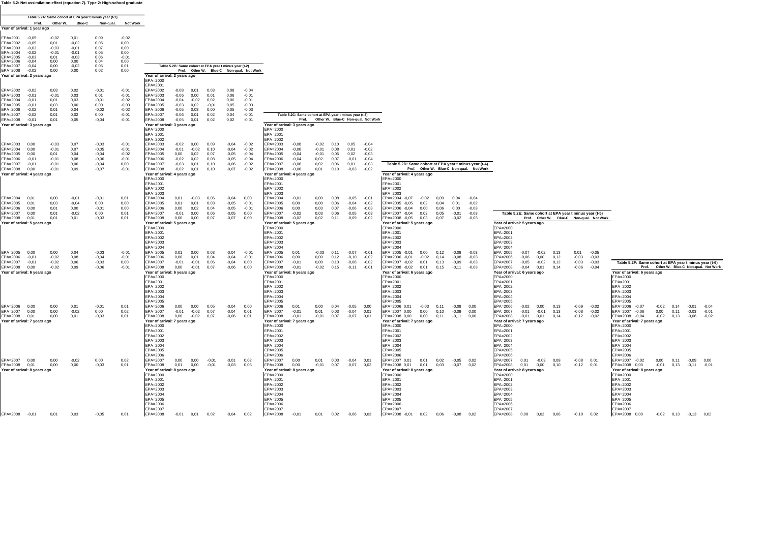#### **Table 5.2: Net assimilation effect (equation 7). Type 2: High-school graduate**

|                                               |                    |                    |                    | Table 5.2A: Same cohort at EPA year t minus year (t-1) |                    |                                          |                    |                    |              |                                                        |                                          |                                          |                                                        |                    |                                          |                         |                    |                                                        |              |                       |                                          |                                                                                                                                                                                                                                                   |
|-----------------------------------------------|--------------------|--------------------|--------------------|--------------------------------------------------------|--------------------|------------------------------------------|--------------------|--------------------|--------------|--------------------------------------------------------|------------------------------------------|------------------------------------------|--------------------------------------------------------|--------------------|------------------------------------------|-------------------------|--------------------|--------------------------------------------------------|--------------|-----------------------|------------------------------------------|---------------------------------------------------------------------------------------------------------------------------------------------------------------------------------------------------------------------------------------------------|
| Year of arrival: 1 year ago                   | Prof.              | Other W.           | <b>Blue-C</b>      | Non-qual.                                              | <b>Not Work</b>    |                                          |                    |                    |              |                                                        |                                          |                                          |                                                        |                    |                                          |                         |                    |                                                        |              |                       |                                          |                                                                                                                                                                                                                                                   |
| FPA=2001                                      | $-0.05$            | $-0.02$            | 0.01               | 0.09                                                   | $-0.02$            |                                          |                    |                    |              |                                                        |                                          |                                          |                                                        |                    |                                          |                         |                    |                                                        |              |                       |                                          |                                                                                                                                                                                                                                                   |
| EPA=2002                                      | $-0,05$            | 0,01               | $-0.02$            | 0,05                                                   | 0,00               |                                          |                    |                    |              |                                                        |                                          |                                          |                                                        |                    |                                          |                         |                    |                                                        |              |                       |                                          |                                                                                                                                                                                                                                                   |
| EPA=2003<br>EPA=2004                          | $-0.03$<br>$-0,02$ | $-0.03$<br>$-0,01$ | $-0.01$<br>$-0,01$ | 0,07<br>0,05                                           | 0.00<br>0,00       |                                          |                    |                    |              |                                                        |                                          |                                          |                                                        |                    |                                          |                         |                    |                                                        |              |                       |                                          |                                                                                                                                                                                                                                                   |
| EPA=2005                                      | $-0.03$<br>$-0.04$ | 0.01               | $-0.03$            | 0,06                                                   | $-0,01$            |                                          |                    |                    |              |                                                        |                                          |                                          |                                                        |                    |                                          |                         |                    |                                                        |              |                       |                                          |                                                                                                                                                                                                                                                   |
| EPA=2006<br>EPA=2007                          | $-0,04$            | 0.00<br>0,00       | 0.00<br>$-0.02$    | 0,04<br>0,06                                           | 0,00<br>0,01       |                                          |                    |                    |              | Table 5.2B: Same cohort at EPA year t minus year (t-2) |                                          |                                          |                                                        |                    |                                          |                         |                    |                                                        |              |                       |                                          |                                                                                                                                                                                                                                                   |
| EPA=2008<br>Year of arrival: 2 years ago      | $-0.02$            | 0,00               | 0,00               | 0,02                                                   | 0,00               | Year of arrival: 2 years ago             |                    |                    |              |                                                        | Prof. Other W. Blue-C Non-qual. Not Work |                                          |                                                        |                    |                                          |                         |                    |                                                        |              |                       |                                          |                                                                                                                                                                                                                                                   |
|                                               |                    |                    |                    |                                                        |                    | EPA=2000                                 |                    |                    |              |                                                        |                                          |                                          |                                                        |                    |                                          |                         |                    |                                                        |              |                       |                                          |                                                                                                                                                                                                                                                   |
| EPA=2002                                      | $-0,02$            | 0,03               | 0,02               | $-0,01$                                                | $-0,01$            | EPA=2001<br>EPA=2002                     | $-0,08$            | 0.01               | 0.03         | 0,08                                                   | $-0,04$                                  |                                          |                                                        |                    |                                          |                         |                    |                                                        |              |                       |                                          |                                                                                                                                                                                                                                                   |
| EPA=2003<br>EPA=2004                          | $-0.01$<br>$-0.01$ | $-0.01$<br>0.01    | 0.03<br>0.03       | 0.01<br>$-0,01$                                        | $-0.01$<br>$-0,02$ | EPA=2003<br>EPA=2004                     | $-0.06$<br>$-0,04$ | 0.00<br>$-0.02$    | 0.01<br>0.02 | 0.06<br>0,06                                           | $-0.01$<br>$-0.01$                       |                                          |                                                        |                    |                                          |                         |                    |                                                        |              |                       |                                          |                                                                                                                                                                                                                                                   |
| EPA=2005                                      | $-0.01$            | 0.03               | 0.00               | 0.00                                                   | $-0,03$            | EPA=2005                                 | $-0.03$            | 0.02               | $-0.01$      | 0.05                                                   | $-0.03$                                  |                                          |                                                        |                    |                                          |                         |                    |                                                        |              |                       |                                          |                                                                                                                                                                                                                                                   |
| EPA=2006<br>EPA=2007                          | $-0.02$<br>$-0,02$ | 0.01<br>0.01       | 0.04<br>0,02       | $-0.02$<br>0,00                                        | $-0.02$<br>$-0,01$ | EPA=2006<br>EPA=2007                     | $-0.05$<br>$-0,06$ | 0.03<br>0,01       | 0.00<br>0,02 | 0.05<br>0,04                                           | $-0.03$<br>$-0,01$                       |                                          | Table 5.2C: Same cohort at EPA year t minus year (t-3) |                    |                                          |                         |                    |                                                        |              |                       |                                          |                                                                                                                                                                                                                                                   |
| EPA=2008                                      | $-0.01$            | 0.01               | 0,05               | $-0,04$                                                | $-0.01$            | EPA=2008                                 | $-0.05$            | 0.01               | 0.02         | 0,02                                                   | $-0.01$                                  |                                          |                                                        |                    | Prof. Other W. Blue-C Non-qual. Not Work |                         |                    |                                                        |              |                       |                                          |                                                                                                                                                                                                                                                   |
| Year of arrival: 3 years ago                  |                    |                    |                    |                                                        |                    | Year of arrival: 3 years ago<br>EPA=2000 |                    |                    |              |                                                        |                                          | Year of arrival: 3 years ago<br>EPA=2000 |                                                        |                    |                                          |                         |                    |                                                        |              |                       |                                          |                                                                                                                                                                                                                                                   |
|                                               |                    |                    |                    |                                                        |                    | EPA=2001                                 |                    |                    |              |                                                        |                                          | EPA=2001                                 |                                                        |                    |                                          |                         |                    |                                                        |              |                       |                                          |                                                                                                                                                                                                                                                   |
| EPA=2003                                      | 0.00               | $-0.03$            | 0,07               | $-0,03$                                                | $-0,01$            | EPA=2002<br>EPA=2003                     | $-0,02$            | 0.00               | 0.09         | $-0.04$                                                | $-0.02$                                  | EPA=2002<br>EPA=2003                     | $-0.08$                                                | $-0.02$            | 0.10                                     | 0,05                    | $-0.04$            |                                                        |              |                       |                                          |                                                                                                                                                                                                                                                   |
| EPA=2004                                      | 0.00<br>0.00       | $-0.01$<br>0.01    | 0,07<br>0,04       | $-0,05$                                                | $-0.01$            | EPA=2004                                 | $-0,01$<br>0,00    | $-0.02$<br>0.02    | 0.10<br>0,07 | $-0.04$<br>$-0.05$                                     | $-0,02$<br>$-0.04$                       | EPA=2004                                 | $-0.06$<br>$-0.04$                                     | $-0.01$<br>$-0.01$ | 0,08<br>0,06                             | 0,01<br>0.02            | $-0.02$<br>$-0.03$ |                                                        |              |                       |                                          |                                                                                                                                                                                                                                                   |
| EPA=2005<br>EPA=2006                          | $-0.01$            | $-0.01$            | 0,08               | $-0,04$<br>$-0.06$                                     | $-0,02$<br>$-0,01$ | EPA=2005<br>EPA=2006                     | $-0.02$            | 0.02               | 0,08         | $-0,05$                                                | $-0.04$                                  | EPA=2005<br>EPA=2006                     | $-0.04$                                                | 0.02               | 0,07                                     | $-0.01$                 | $-0.04$            |                                                        |              |                       |                                          |                                                                                                                                                                                                                                                   |
| EPA=2007<br>EPA=2008                          | $-0,01$<br>0,00    | $-0,01$<br>$-0,01$ | 0,06<br>0,09       | $-0.04$<br>$-0,07$                                     | 0,00<br>$-0,01$    | EPA=2007<br>EPA=2008                     | $-0.03$<br>$-0,02$ | 0,01<br>0,01       | 0,10<br>0,10 | $-0,06$<br>$-0,07$                                     | $-0,02$<br>$-0,02$                       | EPA=2007<br>EPA=2008                     | $-0.06$<br>$-0,06$                                     | 0,02<br>0,01       | 0,06<br>0,10                             | 0,01<br>$-0,03$         | $-0.03$<br>$-0,02$ | Table 5.2D: Same cohort at EPA year t minus year (t-4) |              |                       | Prof. Other W. Blue-C Non-qual. Not Work |                                                                                                                                                                                                                                                   |
| Year of arrival: 4 years ago                  |                    |                    |                    |                                                        |                    | Year of arrival: 4 years ago             |                    |                    |              |                                                        |                                          | Year of arrival: 4 years ago             |                                                        |                    |                                          |                         |                    | Year of arrival: 4 years ago                           |              |                       |                                          |                                                                                                                                                                                                                                                   |
|                                               |                    |                    |                    |                                                        |                    | EPA=2000<br>EPA=2001                     |                    |                    |              |                                                        |                                          | FPA=2000<br>EPA=2001                     |                                                        |                    |                                          |                         |                    | EPA=2000<br>EPA=2001                                   |              |                       |                                          |                                                                                                                                                                                                                                                   |
|                                               |                    |                    |                    |                                                        |                    | EPA=2002                                 |                    |                    |              |                                                        |                                          | EPA=2002                                 |                                                        |                    |                                          |                         |                    | EPA=2002                                               |              |                       |                                          |                                                                                                                                                                                                                                                   |
| EPA=2004                                      | 0.01               | 0.00               | $-0,01$            | $-0,01$                                                | 0.01               | EPA=2003<br>EPA=2004                     | 0,01               | $-0.03$            | 0.06         | $-0.04$                                                | 0.00                                     | EPA=2003<br>EPA=2004                     | $-0,01$                                                | 0,00               | 0.08                                     | $-0.05$                 | $-0.01$            | EPA=2003<br>EPA=2004 -0,07<br>$-0.02$                  | 0.09         | 0.04                  | $-0.04$                                  |                                                                                                                                                                                                                                                   |
| EPA=2005<br>EPA=2006                          | 0.01<br>0.00       | 0.03<br>0,01       | $-0.04$<br>0,00    | 0.00<br>$-0,01$                                        | 0.00<br>0,00       | EPA=2005<br>EPA=2006                     | 0.01<br>0,00       | 0.01<br>0,02       | 0.03<br>0,04 | $-0.05$<br>$-0,05$                                     | $-0.01$<br>$-0.01$                       | FPA=2005<br>EPA=2006                     | 0.00<br>0,00                                           | 0.00<br>0,03       | 0.06<br>0,07                             | $-0.04$<br>$-0,06$      | $-0.02$<br>$-0.03$ | EPA=2005 -0.05<br>0.02<br>EPA=2006 -0,04<br>0,00       | 0.04<br>0,06 | 0.01<br>0,00          | $-0.02$<br>$-0.03$                       |                                                                                                                                                                                                                                                   |
| EPA=2007                                      | 0.00               | 0.01               | $-0.02$            | 0,00                                                   | 0.01               | EPA=2007                                 | $-0,01$            | 0,00               | 0,06         | $-0,05$                                                | 0.00                                     | EPA=2007                                 | $-0.02$                                                | 0.03               | 0,06                                     | $-0,05$                 | $-0.03$            | 0,02<br>EPA=2007 -0,04                                 | 0.05         | $-0,01$               | $-0,03$                                  | Table 5.2E: Same cohort at EPA year t minus year (t-5)                                                                                                                                                                                            |
| EPA=2008 0,01<br>fear of arrival: 5 years ago |                    | 0,01               | 0,01               | $-0,03$                                                | 0,01               | EPA=2008<br>Year of arrival: 5 years ago | 0,00               | 0,00               | 0.07         | $-0.07$                                                | 0,00                                     | EPA=2008<br>Year of arrival: 5 years ago | $-0.02$                                                | 0,02               | 0.11                                     | $-0.09$                 | $-0.02$            | EPA=2008 -0,05 0,03<br>Year of arrival: 5 years ago    | 0,07         | $-0.02$               | $-0,03$                                  | Prof. Other W. Blue-C Non-qual. Not Work<br>Year of arrival: 5 years ago                                                                                                                                                                          |
|                                               |                    |                    |                    |                                                        |                    | EPA=2000                                 |                    |                    |              |                                                        |                                          | EPA=2000                                 |                                                        |                    |                                          |                         |                    | EPA=2000                                               |              |                       |                                          | EPA=2000                                                                                                                                                                                                                                          |
|                                               |                    |                    |                    |                                                        |                    | EPA=2001<br>EPA=2002                     |                    |                    |              |                                                        |                                          | EPA=2001<br>EPA=2002                     |                                                        |                    |                                          |                         |                    | EPA=2001<br>EPA=2002                                   |              |                       |                                          | EPA=2001<br>EPA=2002                                                                                                                                                                                                                              |
|                                               |                    |                    |                    |                                                        |                    | EPA=2003                                 |                    |                    |              |                                                        |                                          | EPA=2003                                 |                                                        |                    |                                          |                         |                    | EPA=2003                                               |              |                       |                                          | EPA=2003                                                                                                                                                                                                                                          |
| EPA=2005                                      | 0.00               | 0.00               | 0.04               | $-0.03$                                                | $-0,01$            | EPA=2004<br>EPA=2005                     | 0,01               | 0.00               | 0.03         | $-0.04$                                                | $-0.01$                                  | EPA=2004<br>EPA=2005                     | 0.01                                                   | $-0.03$            | 0.11                                     | $-0.07$                 | $-0.01$            | EPA=2004<br>EPA=2005 -0,01<br>0.00                     | 0.12         | $-0.08$               | $-0.03$                                  | EPA=2004<br>EPA=2005<br>$-0,07$<br>$-0.02$<br>0.13<br>0.01<br>$-0.05$                                                                                                                                                                             |
| EPA=2006<br>EPA=2007                          | $-0.01$<br>$-0.01$ | $-0.02$<br>$-0,02$ | 0.08<br>0,06       | $-0.04$<br>$-0,03$                                     | $-0.01$<br>0,00    | EPA=2006<br>EPA=2007                     | 0.00<br>$-0.01$    | 0.01<br>$-0.01$    | 0.04<br>0.06 | $-0.04$<br>$-0.04$                                     | $-0.01$<br>0.00                          | EPA=2006<br>EPA=2007                     | 0.00<br>$-0.01$                                        | 0.00<br>0.00       | 0.12<br>0.10                             | $-0.10$<br>$-0.08$      | $-0.02$<br>$-0.02$ | EPA=2006 -0.01<br>$-0.02$<br>EPA=2007 -0.02<br>0.01    | 0.14<br>0.13 | $-0.08$<br>$-0.09$    | $-0.03$<br>$-0.03$                       | EPA=2006<br>$-0.06$<br>0.00<br>0.12<br>$-0.03$<br>$-0.03$<br>EPA=2007<br>$-0.05$<br>$-0.02$<br>$-0,03$<br>Table 5.2F: Same cohort at EPA year t minus year (t-6)<br>0.12<br>$-0.03$                                                               |
| EPA=2008                                      | 0.00               | $-0.02$            | 0.09               | $-0.06$                                                | $-0,01$            | EPA=2008                                 | 0,00               | $-0,01$            | 0.07         | $-0.06$                                                | 0.00                                     | EPA=2008                                 | $-0.01$                                                | $-0.02$            | 0.15                                     | $-0.11$                 | $-0.01$            | EPA=2008 -0,02 0,01                                    | 0.15         | $-0.11$               | $-0.03$                                  | EPA=2008<br>Prof. Other W. Blue-C Non-qual. Not Work<br>$-0.04$<br>0,01<br>$-0.06$<br>$-0.04$<br>0.14                                                                                                                                             |
| Year of arrival: 6 years ago                  |                    |                    |                    |                                                        |                    | Year of arrival: 6 years ago<br>EPA=2000 |                    |                    |              |                                                        |                                          | Year of arrival: 6 years ago<br>EPA=2000 |                                                        |                    |                                          |                         |                    | Year of arrival: 6 years ago<br>EPA=2000               |              |                       |                                          | Year of arrival: 6 years ago<br>Year of arrival: 6 years ago<br>EPA=2000<br>EPA=2000                                                                                                                                                              |
|                                               |                    |                    |                    |                                                        |                    | EPA=2001                                 |                    |                    |              |                                                        |                                          | EPA=2001                                 |                                                        |                    |                                          |                         |                    | EPA=2001                                               |              |                       |                                          | EPA=2001<br>EPA=2001                                                                                                                                                                                                                              |
|                                               |                    |                    |                    |                                                        |                    | EPA=2002<br>EPA=2003                     |                    |                    |              |                                                        |                                          | EPA=2002<br>EPA=2003                     |                                                        |                    |                                          |                         |                    | EPA=2002<br>EPA=2003                                   |              |                       |                                          | EPA=2002<br>EPA=2002<br>EPA=2003<br>EPA=2003                                                                                                                                                                                                      |
|                                               |                    |                    |                    |                                                        |                    | EPA=2004                                 |                    |                    |              |                                                        |                                          | EPA=2004                                 |                                                        |                    |                                          |                         |                    | EPA=2004                                               |              |                       |                                          | EPA=2004<br>EPA=2004                                                                                                                                                                                                                              |
| EPA=2006                                      | 0.00               | 0.00               | 0.01               | $-0.01$                                                | 0,01               | EPA=2005<br>EPA=2006                     | 0,00               | 0.00               | 0.05         | $-0.04$                                                | 0.00                                     | EPA=2005<br>EPA=2006                     | 0,01                                                   | 0,00               | 0.04                                     | $-0.05$                 | 0.00               | EPA=2005<br>EPA=2006 0,01<br>$-0.03$                   | 0.11         | $-0.08$               | 0.00                                     | EPA=2005<br>EPA=2005<br>EPA=2006<br>$-0.02$<br>0.00<br>0.13<br>$-0.09$<br>EPA=2006 -0,07<br>$-0,02$<br>$-0.02$<br>0.14<br>$-0.01$<br>$-0.04$                                                                                                      |
| EPA=2007<br>EPA=2008                          | 0.00<br>0,01       | 0,00<br>0,00       | $-0.02$<br>0.01    | 0,00<br>$-0,03$                                        | 0,02<br>0,01       | EPA=2007<br>EPA=2008                     | $-0,01$<br>0,00    | $-0.02$<br>$-0.02$ | 0,07<br>0,07 | $-0.04$<br>$-0,06$                                     | 0,01<br>0.01                             | EPA=2007<br>EPA=2008                     | $-0,01$<br>$-0,01$                                     | 0,01<br>$-0.01$    | 0,03<br>0,07                             | $-0.04$ 0.01<br>$-0.07$ | 0.01               | EPA=2007 0,00<br>0,00<br>EPA=2008 0,00<br>0,00         | 0,10<br>0.11 | $-0.09$<br>$-0.11$    | 0.00<br>0.00                             | EPA=2007<br>$-0,01$<br>$-0,01$<br>0,13<br>$-0,08$<br>$-0,02$<br>EPA=2007 -0,06<br>0,00<br>0,11<br>$-0,03$<br>$-0,01$<br>EPA=2008<br>EPA=2008<br>$-0,01$<br>0,01<br>0.14<br>$-0,12$<br>$-0.02$<br>$-0,04$<br>$-0,02$<br>0.13<br>$-0,06$<br>$-0.02$ |
| Year of arrival: 7 years ago                  |                    |                    |                    |                                                        |                    | Year of arrival: 7 years ago             |                    |                    |              |                                                        |                                          | Year of arrival: 7 years ago             |                                                        |                    |                                          |                         |                    | Year of arrival: 7 years ago                           |              |                       |                                          | Year of arrival: 7 years ago<br>Year of arrival: 7 years ago                                                                                                                                                                                      |
|                                               |                    |                    |                    |                                                        |                    | EPA=2000<br>EPA=2001                     |                    |                    |              |                                                        |                                          | EPA=2000<br>EPA=2001                     |                                                        |                    |                                          |                         |                    | EPA=2000<br>EPA=2001                                   |              |                       |                                          | EPA=2000<br>EPA=2000<br>EPA=2001<br>EPA=2001                                                                                                                                                                                                      |
|                                               |                    |                    |                    |                                                        |                    | EPA=2002                                 |                    |                    |              |                                                        |                                          | EPA=2002                                 |                                                        |                    |                                          |                         |                    | EPA=2002                                               |              |                       |                                          | EPA=2002<br>EPA=2002                                                                                                                                                                                                                              |
|                                               |                    |                    |                    |                                                        |                    | EPA=2003<br>EPA=2004                     |                    |                    |              |                                                        |                                          | EPA=2003<br>EPA=2004                     |                                                        |                    |                                          |                         |                    | EPA=2003<br>EPA=2004                                   |              |                       |                                          | EPA=2003<br>EPA=2003<br>EPA=2004<br>EPA=2004                                                                                                                                                                                                      |
|                                               |                    |                    |                    |                                                        |                    | EPA=2005                                 |                    |                    |              |                                                        |                                          | EPA=2005                                 |                                                        |                    |                                          |                         |                    | EPA=2005                                               |              |                       |                                          | EPA=2005<br>EPA=2005                                                                                                                                                                                                                              |
| EPA=2007 0,00                                 |                    | 0.00               | $-0.02$            | 0.00                                                   | 0,02               | EPA=2006<br>EPA=2007                     | 0.00               | 0.00               | $-0.01$      | $-0.01$                                                | 0.02                                     | EPA=2006<br>EPA=2007                     | 0.00                                                   | 0.01               | 0.03                                     | $-0.04$ 0.01            |                    | EPA=2006<br>EPA=2007 0.01<br>0.01                      |              | $0,02$ $-0,05$ $0,02$ |                                          | EPA=2006<br>EPA=2006<br>EPA=2007<br>EPA=2007 -0,02<br>0.01<br>$-0.03$<br>0.09<br>$-0.08$ 0.01<br>0.00<br>$0.11 - 0.09 0.00$                                                                                                                       |
| EPA=2008 0,01                                 |                    | 0,00               | 0,00               | $-0.03$                                                | 0,01               | EPA=2008                                 | 0,01               | 0,00               | $-0,01$      | $-0.03$                                                | 0,03                                     | EPA=2008                                 | 0,00                                                   | $-0.01$            | 0,07                                     | $-0.07$                 | 0,02               | EPA=2008 0,01<br>0,01                                  | 0,03         | $-0,07$               | 0,02                                     | EPA=2008<br>0,01<br>0,00<br>0,10<br>$-0,12$<br>0,01<br>EPA=2008 0,00<br>$-0,01$<br>$0,13 -0,11 -0,01$                                                                                                                                             |
| Year of arrival: 8 years ago                  |                    |                    |                    |                                                        |                    | Year of arrival: 8 years ago<br>EPA=2000 |                    |                    |              |                                                        |                                          | Year of arrival: 8 years ago<br>EPA=2000 |                                                        |                    |                                          |                         |                    | Year of arrival: 8 years ago<br>EPA=2000               |              |                       |                                          | Year of arrival: 8 years ago<br>Year of arrival: 8 years ago<br>EPA=2000<br>EPA=2000                                                                                                                                                              |
|                                               |                    |                    |                    |                                                        |                    | EPA=2001<br>EPA=2002                     |                    |                    |              |                                                        |                                          | EPA=2001<br>EPA=2002                     |                                                        |                    |                                          |                         |                    | EPA=2001<br>EPA=2002                                   |              |                       |                                          | EPA=2001<br>EPA=2001<br>EPA=2002<br>EPA=2002                                                                                                                                                                                                      |
|                                               |                    |                    |                    |                                                        |                    | EPA=2003                                 |                    |                    |              |                                                        |                                          | EPA=2003                                 |                                                        |                    |                                          |                         |                    | EPA=2003                                               |              |                       |                                          | EPA=2003<br>EPA=2003                                                                                                                                                                                                                              |
|                                               |                    |                    |                    |                                                        |                    | EPA=2004<br>EPA=2005                     |                    |                    |              |                                                        |                                          | EPA=2004<br>EPA=2005                     |                                                        |                    |                                          |                         |                    | EPA=2004<br>EPA=2005                                   |              |                       |                                          | EPA=2004<br>EPA=2004<br>EPA=2005<br>EPA=2005                                                                                                                                                                                                      |
|                                               |                    |                    |                    |                                                        |                    | EPA=2006                                 |                    |                    |              |                                                        |                                          | EPA=2006                                 |                                                        |                    |                                          |                         |                    | EPA=2006                                               |              |                       |                                          | EPA=2006<br>EPA=2006                                                                                                                                                                                                                              |
| EPA=2008 -0,01                                |                    | 0.01               | 0,03               | $-0.05$                                                | 0.01               | EPA=2007<br>EPA=2008                     | $-0,01$            | 0.01               | 0,02         | $-0,04$                                                | 0,02                                     | EPA=2007<br>EPA=2008                     | $-0,01$                                                | 0,01               | 0,02                                     | $-0,06$ 0,03            |                    | EPA=2007<br>EPA=2008 -0,01 0,02 0,06 -0,08             |              |                       | 0.02                                     | EPA=2007<br>EPA=2007<br>EPA=2008 0,00<br>$-0.02$ 0.13 $-0.13$ 0.02<br>EPA=2008<br>0,00<br>$0,02$ 0,06<br>$-0,10$ $0,02$                                                                                                                           |
|                                               |                    |                    |                    |                                                        |                    |                                          |                    |                    |              |                                                        |                                          |                                          |                                                        |                    |                                          |                         |                    |                                                        |              |                       |                                          |                                                                                                                                                                                                                                                   |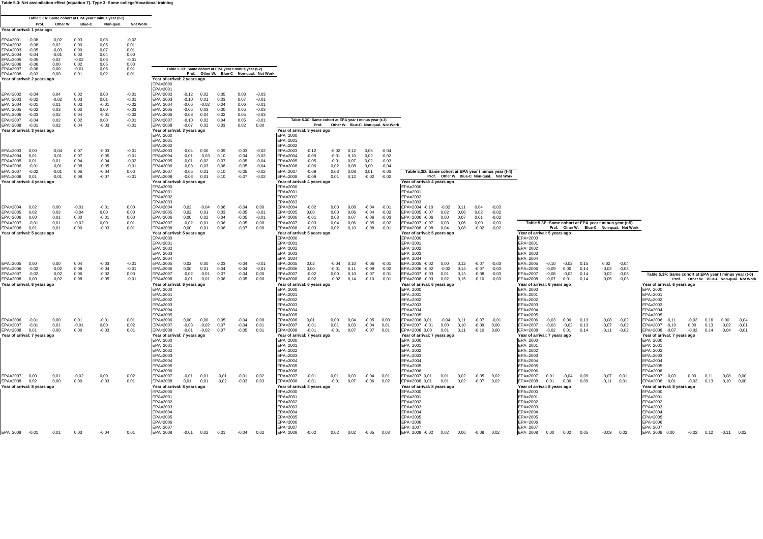**Table 5.3: Net assimilation effect (equation 7). Type 3: Some college/Vocational training**

|                                               |                    |                    |                 | Table 5.3A: Same cohort at EPA year t minus year (t-1) |                    |                                          |                    |                    |                                                        |                    |                                          |                                          |                                                        |                 |              |                       |                                          |                                                        |              |                    |                    |                                                             |         |                                          |                               |                                                        |                                          |      |         |                    |
|-----------------------------------------------|--------------------|--------------------|-----------------|--------------------------------------------------------|--------------------|------------------------------------------|--------------------|--------------------|--------------------------------------------------------|--------------------|------------------------------------------|------------------------------------------|--------------------------------------------------------|-----------------|--------------|-----------------------|------------------------------------------|--------------------------------------------------------|--------------|--------------------|--------------------|-------------------------------------------------------------|---------|------------------------------------------|-------------------------------|--------------------------------------------------------|------------------------------------------|------|---------|--------------------|
|                                               | Prof.              |                    | Other W. Blue-C | Non-qual.                                              | <b>Not Work</b>    |                                          |                    |                    |                                                        |                    |                                          |                                          |                                                        |                 |              |                       |                                          |                                                        |              |                    |                    |                                                             |         |                                          |                               |                                                        |                                          |      |         |                    |
| Year of arrival: 1 year ago                   |                    |                    |                 |                                                        |                    |                                          |                    |                    |                                                        |                    |                                          |                                          |                                                        |                 |              |                       |                                          |                                                        |              |                    |                    |                                                             |         |                                          |                               |                                                        |                                          |      |         |                    |
| PA=2001<br>EPA=2002                           | $-0.08$            | $-0.02$<br>0,02    | 0.03<br>0,00    | 0.08<br>0,05                                           | $-0,02$<br>0,01    |                                          |                    |                    |                                                        |                    |                                          |                                          |                                                        |                 |              |                       |                                          |                                                        |              |                    |                    |                                                             |         |                                          |                               |                                                        |                                          |      |         |                    |
| EPA=2003                                      | $-0.05$            | $-0.03$            | 0,00            | 0,07                                                   | 0,01               |                                          |                    |                    |                                                        |                    |                                          |                                          |                                                        |                 |              |                       |                                          |                                                        |              |                    |                    |                                                             |         |                                          |                               |                                                        |                                          |      |         |                    |
| EPA=2004                                      | $-0.04$            | $-0.01$            | 0,00            | 0,04                                                   | 0.00               |                                          |                    |                    |                                                        |                    |                                          |                                          |                                                        |                 |              |                       |                                          |                                                        |              |                    |                    |                                                             |         |                                          |                               |                                                        |                                          |      |         |                    |
| $EPA = 2005$<br>EPA=2006                      | $-0,05$<br>$-0.06$ | 0,02<br>0,00       | $-0.02$<br>0,02 | 0,06<br>0,05                                           | $-0,01$<br>0,00    |                                          |                    |                    |                                                        |                    |                                          |                                          |                                                        |                 |              |                       |                                          |                                                        |              |                    |                    |                                                             |         |                                          |                               |                                                        |                                          |      |         |                    |
| EPA=2007                                      | -0.06              | 0.00               | $-0,01$         | 0.06                                                   | 0.01               |                                          |                    |                    | Table 5.3B: Same cohort at EPA year t minus year (t-2) |                    |                                          |                                          |                                                        |                 |              |                       |                                          |                                                        |              |                    |                    |                                                             |         |                                          |                               |                                                        |                                          |      |         |                    |
| EPA=2008<br>Year of arrival: 2 years ago      | $-0.03$            | 0,00               | 0,01            | 0,02                                                   | 0,01               | Year of arrival: 2 years ago             |                    |                    |                                                        |                    | Prof. Other W. Blue-C Non-qual. Not Work |                                          |                                                        |                 |              |                       |                                          |                                                        |              |                    |                    |                                                             |         |                                          |                               |                                                        |                                          |      |         |                    |
|                                               |                    |                    |                 |                                                        |                    | EPA=2000                                 |                    |                    |                                                        |                    |                                          |                                          |                                                        |                 |              |                       |                                          |                                                        |              |                    |                    |                                                             |         |                                          |                               |                                                        |                                          |      |         |                    |
| PA=2002                                       | $-0,04$            | 0,04               | 0,02            | 0,00                                                   | $-0,01$            | EPA=2001<br>EPA=2002                     | $-0,12$            | 0,02               | 0,05                                                   | 0,08               | $-0,03$                                  |                                          |                                                        |                 |              |                       |                                          |                                                        |              |                    |                    |                                                             |         |                                          |                               |                                                        |                                          |      |         |                    |
| EPA=2003                                      | $-0.02$            | $-0.02$            | 0,03            | 0,01                                                   | $-0,01$            | EPA=2003                                 | $-0,10$            | 0,01               | 0.03                                                   | 0,07               | $-0.01$                                  |                                          |                                                        |                 |              |                       |                                          |                                                        |              |                    |                    |                                                             |         |                                          |                               |                                                        |                                          |      |         |                    |
| EPA=2004                                      | $-0.01$            | 0.01               | 0.03            | $-0.01$                                                | $-0.02$            | EPA=2004                                 | $-0.06$            | $-0.02$            | 0.04                                                   | 0.06               | $-0.01$                                  |                                          |                                                        |                 |              |                       |                                          |                                                        |              |                    |                    |                                                             |         |                                          |                               |                                                        |                                          |      |         |                    |
| EPA=2005<br>PA=2006                           | $-0.02$<br>$-0.03$ | 0,03<br>0,02       | 0,00<br>0,04    | 0,00<br>$-0.01$                                        | $-0,03$<br>$-0,02$ | EPA=2005<br>EPA=2006                     | $-0.05$<br>$-0.08$ | 0,03<br>0,04       | 0,00<br>0,02                                           | 0,05<br>0,05       | $-0,03$<br>$-0.03$                       |                                          |                                                        |                 |              |                       |                                          |                                                        |              |                    |                    |                                                             |         |                                          |                               |                                                        |                                          |      |         |                    |
| EPA=2007                                      | $-0.04$            | 0.02               | 0.02            | 0.00                                                   | $-0.01$            | EPA=2007                                 | $-0.10$            | 0.02               | 0.04                                                   | 0.05               | $-0.01$                                  |                                          | Table 5.3C: Same cohort at EPA year t minus year (t-3) |                 |              |                       |                                          |                                                        |              |                    |                    |                                                             |         |                                          |                               |                                                        |                                          |      |         |                    |
| EPA=2008                                      | $-0,01$            | 0,02               | 0,04            | $-0.03$                                                | $-0,01$            | EPA=2008                                 | $-0.07$            | 0,02               | 0,03                                                   | 0,02               | 0,00                                     |                                          |                                                        |                 |              |                       | Prof. Other W. Blue-C Non-qual. Not Work |                                                        |              |                    |                    |                                                             |         |                                          |                               |                                                        |                                          |      |         |                    |
| Year of arrival: 3 years ago                  |                    |                    |                 |                                                        |                    | Year of arrival: 3 years ago<br>EPA=2000 |                    |                    |                                                        |                    |                                          | Year of arrival: 3 years ago<br>EPA=2000 |                                                        |                 |              |                       |                                          |                                                        |              |                    |                    |                                                             |         |                                          |                               |                                                        |                                          |      |         |                    |
|                                               |                    |                    |                 |                                                        |                    | EPA=2001                                 |                    |                    |                                                        |                    |                                          | EPA=2001                                 |                                                        |                 |              |                       |                                          |                                                        |              |                    |                    |                                                             |         |                                          |                               |                                                        |                                          |      |         |                    |
| EPA=2003                                      | 0.00               | $-0,04$            | 0,07            | $-0,03$                                                | $-0,01$            | EPA=2002<br>EPA=2003                     | $-0,04$            | 0.00               | 0.09                                                   | $-0,03$            | $-0.02$                                  | EPA=2002<br>EPA=2003                     | $-0,12$                                                | $-0,02$         | 0,12         | 0.05                  | $-0.04$                                  |                                                        |              |                    |                    |                                                             |         |                                          |                               |                                                        |                                          |      |         |                    |
| $FPA=2004$                                    | 0.01               | $-0.01$            | 0.07            | $-0.05$                                                | $-0.01$            | EPA=2004                                 | $-0.01$            | $-0.03$            | 0.10                                                   | $-0.04$            | $-0.02$                                  | EPA=2004                                 | $-0.09$                                                | $-0.01$         | 0.10         | 0.02                  | $-0.02$                                  |                                                        |              |                    |                    |                                                             |         |                                          |                               |                                                        |                                          |      |         |                    |
| PA=2005                                       | 0.01               | 0,01               | 0,04            | $-0.04$                                                | $-0,02$            | EPA=2005                                 | $-0,01$            | 0,02               | 0,07                                                   | $-0.05$            | $-0.04$                                  | EPA=2005                                 | $-0.05$                                                | $-0.01$         | 0,07         | 0,02                  | $-0,03$                                  |                                                        |              |                    |                    |                                                             |         |                                          |                               |                                                        |                                          |      |         |                    |
| EPA=2006<br>EPA=2007                          | $-0.01$<br>$-0.02$ | $-0,01$<br>$-0.01$ | 0,08<br>0.06    | $-0,05$<br>$-0.04$                                     | $-0.01$<br>0.00    | EPA=2006<br>EPA=2007                     | $-0.03$<br>$-0.05$ | 0.03<br>0.01       | 0.08<br>0.10                                           | $-0,05$<br>$-0.05$ | $-0.04$<br>$-0.02$                       | EPA=2006<br>EPA=2007                     | $-0.06$<br>$-0.09$                                     | 0.02<br>0.03    | 0.08<br>0.08 | 0.00<br>0.01          | $-0.04$<br>$-0.03$                       | Table 5.3D: Same cohort at EPA year t minus year (t-4) |              |                    |                    |                                                             |         |                                          |                               |                                                        |                                          |      |         |                    |
| EPA=2008                                      | 0,01               | $-0,01$            | 0.08            | $-0.07$                                                | $-0,01$            | EPA=2008                                 | $-0,03$            | 0,01               | 0,10                                                   | $-0.07$            | $-0,02$                                  | EPA=2008                                 | $-0.09$                                                | 0,01            | 0,12         | $-0,02$               | $-0,02$                                  | Prof. Other W. Blue-C Non-qual. Not Work               |              |                    |                    |                                                             |         |                                          |                               |                                                        |                                          |      |         |                    |
| Year of arrival: 4 years ago                  |                    |                    |                 |                                                        |                    | Year of arrival: 4 years ago             |                    |                    |                                                        |                    |                                          | Year of arrival: 4 years ago             |                                                        |                 |              |                       |                                          | Year of arrival: 4 years ago<br>$FPA=2000$             |              |                    |                    |                                                             |         |                                          |                               |                                                        |                                          |      |         |                    |
|                                               |                    |                    |                 |                                                        |                    | EPA=2000<br>EPA=2001                     |                    |                    |                                                        |                    |                                          | EPA=2000<br>$FPA=2001$                   |                                                        |                 |              |                       |                                          | $FPA=200$                                              |              |                    |                    |                                                             |         |                                          |                               |                                                        |                                          |      |         |                    |
|                                               |                    |                    |                 |                                                        |                    | EPA=2002                                 |                    |                    |                                                        |                    |                                          | EPA=2002                                 |                                                        |                 |              |                       |                                          | EPA=2002                                               |              |                    |                    |                                                             |         |                                          |                               |                                                        |                                          |      |         |                    |
| EPA=2004                                      | 0.02               | 0.00               | $-0.01$         | $-0.01$                                                | 0.00               | EPA=2003<br>EPA=2004                     | 0,02               | $-0.04$            | 0.06                                                   | $-0.04$            | 0.00                                     | EPA=2003<br>EPA=2004                     | $-0.02$                                                | 0.00            | 0.08         | $-0.04$               | $-0.01$                                  | EPA=2003<br>EPA=2004 -0,10<br>$-0.02$                  | 0.11         | 0.04               | $-0.03$            |                                                             |         |                                          |                               |                                                        |                                          |      |         |                    |
| EPA=2005                                      | 0,02               | 0,03               | $-0.04$         | 0,00                                                   | 0,00               | EPA=2005                                 | 0,02               | 0,01               | 0,03                                                   | $-0.05$            | $-0.01$                                  | EPA=2005                                 | 0,00                                                   | 0,00            | 0.06         | $-0.04$               | $-0,02$                                  | EPA=2005 -0,07<br>0,02                                 | 0.06         | 0.02               | $-0.02$            |                                                             |         |                                          |                               |                                                        |                                          |      |         |                    |
| EPA=2006<br>EPA=2007                          | 0.00<br>$-0.01$    | 0.01<br>0.01       | 0,00<br>$-0.02$ | $-0,01$<br>0.00                                        | 0.00<br>0.01       | EPA=2006<br>EPA=2007                     | 0.00<br>$-0.02$    | 0.02<br>0.01       | 0.04<br>0.06                                           | $-0,05$<br>$-0.05$ | $-0.01$<br>0.00                          | EPA=2006<br>EPA=2007                     | $-0.01$<br>$-0.03$                                     | 0.03<br>0.04    | 0.07<br>0.06 | $-0.06$<br>$-0.05$    | $-0.03$<br>$-0.02$                       | EPA=2006 -0.06<br>0.00<br>EPA=2007 -0.07<br>0.03       | 0.07<br>0.06 | 0.01<br>0.00       | $-0.02$<br>$-0.03$ |                                                             |         |                                          |                               |                                                        |                                          |      |         |                    |
| EPA=2008                                      | 0,01               | 0,01               | 0,00            | $-0.03$                                                | 0.01               | EPA=2008                                 | 0,00               | 0,01               | 0,06                                                   | $-0.07$            | 0,00                                     | EPA=2008                                 | $-0.03$                                                | 0,02            | 0,10         | $-0,08$               | $-0,01$                                  | EPA=2008 -0,08<br>0,04                                 | 0,08         | $-0.02$            | $-0.02$            | Table 5.3E: Same cohort at EPA year t minus year (t-5)      |         | Prof. Other W. Blue-C Non-qual. Not Work |                               |                                                        |                                          |      |         |                    |
| Year of arrival: 5 years ago                  |                    |                    |                 |                                                        |                    | Year of arrival: 5 years ago             |                    |                    |                                                        |                    |                                          | Year of arrival: 5 years ago             |                                                        |                 |              |                       |                                          | Year of arrival: 5 years ago                           |              |                    |                    | Year of arrival: 5 years ago                                |         |                                          |                               |                                                        |                                          |      |         |                    |
|                                               |                    |                    |                 |                                                        |                    | EPA=2000<br>EPA=2001                     |                    |                    |                                                        |                    |                                          | EPA=2000<br>EPA=2001                     |                                                        |                 |              |                       |                                          | $FPA=2000$<br>EPA=2001                                 |              |                    |                    | EPA=2000<br>EPA=2001                                        |         |                                          |                               |                                                        |                                          |      |         |                    |
|                                               |                    |                    |                 |                                                        |                    | EPA=2002                                 |                    |                    |                                                        |                    |                                          | EPA=2002                                 |                                                        |                 |              |                       |                                          | FPA=2002                                               |              |                    |                    | EPA=2002                                                    |         |                                          |                               |                                                        |                                          |      |         |                    |
|                                               |                    |                    |                 |                                                        |                    | EPA=2003                                 |                    |                    |                                                        |                    |                                          | EPA=2003                                 |                                                        |                 |              |                       |                                          | EPA=2003                                               |              |                    |                    | EPA=2003                                                    |         |                                          |                               |                                                        |                                          |      |         |                    |
| EPA=2005                                      | 0.00               | 0,00               | 0,04            | $-0,03$                                                | $-0,01$            | EPA=2004<br>EPA=2005                     | 0,02               | 0,00               | 0,03                                                   | $-0,04$            | $-0.01$                                  | EPA=2004<br>EPA=2005                     | 0,02                                                   | $-0.04$         | 0.10         | $-0,06$               | $-0.01$                                  | EPA=2004<br>EPA=2005 -0,02 0,00                        | 0.12         | $-0.07$            | $-0.03$            | EPA=2004<br>EPA=2005<br>$-0,10$                             | $-0.02$ | 0,15<br>0,02                             | $-0,04$                       |                                                        |                                          |      |         |                    |
| EPA=2006                                      | $-0.02$            | $-0,02$            | 0,08            | $-0,04$                                                | $-0,01$            | EPA=2006                                 | 0.00               | 0.01               | 0.04                                                   | $-0,04$            | $-0.01$                                  | EPA=2006                                 | 0.00                                                   | $-0,01$         | 0.11         | $-0.09$               | $-0.02$                                  | EPA=2006 -0.02<br>$-0.02$                              | 0.14         | $-0.07$            | $-0.03$            | EPA=2006<br>$-0.09$<br>0.00                                 |         | 0.14<br>$-0.02$                          | $-0.03$                       |                                                        |                                          |      |         |                    |
| EPA=2007                                      | $-0.02$<br>0,00    | $-0.02$<br>$-0.02$ | 0.06<br>0.08    | $-0.02$<br>$-0.05$                                     | 0.00<br>$-0,01$    | EPA=2007<br>EPA=2008                     | $-0.02$<br>$-0.01$ | $-0.01$<br>$-0,01$ | 0.07<br>0,06                                           | $-0.04$<br>$-0.05$ | 0.00<br>0,00                             | EPA=2007                                 | $-0.02$<br>$-0.02$                                     | 0.00<br>$-0.02$ | 0.10<br>0,14 | $-0.07$<br>$-0,10$    | $-0.01$<br>$-0,01$                       | EPA=2007 -0.03<br>0.01<br>EPA=2008 -0,03<br>0,02       | 0.13<br>0,15 | $-0.08$<br>$-0,10$ | $-0.03$<br>$-0.03$ | EPA=2007<br>$-0.08$<br>EPA=2008<br>$-0,07$<br>0,01          | $-0.02$ | 0.14<br>0,14<br>$-0.05$                  | $-0.02$<br>$-0.03$<br>$-0.03$ | Table 5.3F: Same cohort at EPA year t minus year (t-6) | Prof. Other W. Blue-C Non-qual. Not Work |      |         |                    |
| EPA=2008<br>Year of arrival: 6 years ago      |                    |                    |                 |                                                        |                    | Year of arrival: 6 years ago             |                    |                    |                                                        |                    |                                          | EPA=2008<br>Year of arrival: 6 years ago |                                                        |                 |              |                       |                                          | Year of arrival: 6 years ago                           |              |                    |                    | Year of arrival: 6 years ago                                |         |                                          |                               | Year of arrival: 6 years ago                           |                                          |      |         |                    |
|                                               |                    |                    |                 |                                                        |                    | EPA=2000                                 |                    |                    |                                                        |                    |                                          | EPA=2000                                 |                                                        |                 |              |                       |                                          | EPA=2000                                               |              |                    |                    | EPA=2000                                                    |         |                                          |                               | EPA=2000                                               |                                          |      |         |                    |
|                                               |                    |                    |                 |                                                        |                    | EPA=2001<br>EPA=2002                     |                    |                    |                                                        |                    |                                          | EPA=2001<br>EPA=2002                     |                                                        |                 |              |                       |                                          | EPA=2001<br>$FPA=2002$                                 |              |                    |                    | EPA=2001<br>EPA=2002                                        |         |                                          |                               | EPA=2001<br>$FPA=2002$                                 |                                          |      |         |                    |
|                                               |                    |                    |                 |                                                        |                    | EPA=2003                                 |                    |                    |                                                        |                    |                                          | EPA=2003                                 |                                                        |                 |              |                       |                                          | EPA=2003                                               |              |                    |                    | EPA=2003                                                    |         |                                          |                               | EPA=2003                                               |                                          |      |         |                    |
|                                               |                    |                    |                 |                                                        |                    | EPA=2004<br>EPA=2005                     |                    |                    |                                                        |                    |                                          | EPA=2004<br>EPA=2005                     |                                                        |                 |              |                       |                                          | EPA=2004<br>EPA=2005                                   |              |                    |                    | EPA=2004<br>EPA=2005                                        |         |                                          |                               | EPA=2004<br>EPA=2005                                   |                                          |      |         |                    |
| EPA=2006                                      | $-0,01$            | 0,00               | 0.01            | $-0,01$                                                | 0.01               | EPA=2006                                 | 0.00               | 0.00               | 0,05                                                   | $-0,04$            | 0,00                                     | EPA=2006                                 | 0.01                                                   | 0,00            | 0.04         | $-0,05$               | 0.00                                     | EPA=2006 0,01<br>$-0,04$                               | 0.11         | $-0.07$            | $-0.01$            | EPA=2006<br>$-0,03$<br>0.00                                 |         | 0.13<br>$-0.08$                          | $-0.02$                       | EPA=2006 -0,11                                         | $-0,02$                                  | 0,16 | 0.00    | $-0.04$            |
| EPA=2007                                      | $-0.01$            | 0.01               | $-0.01$         | 0.00                                                   | 0.02               | EPA=2007                                 | $-0.03$            | $-0.02$            | 0.07                                                   | $-0.04$            | 0.01                                     | EPA=2007                                 | $-0.01$                                                | 0.01            | 0.03         | $-0.04$               | 0.01                                     | EPA=2007 -0.01<br>0.00                                 | 0.10         | $-0.09$            | 0.00               | EPA=2007<br>$-0.03$                                         | $-0.02$ | 0.13<br>$-0.07$                          | $-0.02$                       | EPA=2007 -0.10                                         | 0.00                                     | 0.13 | $-0.02$ | $-0.01$<br>$-0.01$ |
| EPA=2008<br>Year of arrival: 7 years ago      | 0,01               | 0,00               | 0,00            | $-0.03$                                                | 0,01               | EPA=2008<br>Year of arrival: 7 years ago | $-0.01$            | $-0,02$            | 0,07                                                   | $-0.05$            | 0,01                                     | EPA=2008<br>Year of arrival: 7 years ago | $-0,01$                                                | $-0.01$         | 0,07         | $-0,07$               | 0,01                                     | EPA=2008 0,00<br>0,01<br>Year of arrival: 7 years ago  | 0.11         | $-0,10$            | 0.00               | EPA=2008<br>$-0,02$<br>0,01<br>Year of arrival: 7 years ago |         | $-0,11$<br>0.14                          | $-0,02$                       | EPA=2008 -0.07<br>Year of arrival: 7 years ago         | $-0.02$                                  | 0,14 | $-0.04$ |                    |
|                                               |                    |                    |                 |                                                        |                    | EPA=2000                                 |                    |                    |                                                        |                    |                                          | EPA=2000                                 |                                                        |                 |              |                       |                                          | EPA=2000                                               |              |                    |                    | EPA=2000                                                    |         |                                          |                               | EPA=2000                                               |                                          |      |         |                    |
|                                               |                    |                    |                 |                                                        |                    | EPA=2001<br>EPA=2002                     |                    |                    |                                                        |                    |                                          | EPA=2001<br>EPA=2002                     |                                                        |                 |              |                       |                                          | EPA=2001<br>EPA=2002                                   |              |                    |                    | EPA=2001<br>EPA=2002                                        |         |                                          |                               | EPA=2001<br>EPA=2002                                   |                                          |      |         |                    |
|                                               |                    |                    |                 |                                                        |                    | EPA=2003                                 |                    |                    |                                                        |                    |                                          | EPA=2003                                 |                                                        |                 |              |                       |                                          | EPA=2003                                               |              |                    |                    | EPA=2003                                                    |         |                                          |                               | EPA=2003                                               |                                          |      |         |                    |
|                                               |                    |                    |                 |                                                        |                    | EPA=2004<br>EPA=2005                     |                    |                    |                                                        |                    |                                          | EPA=2004                                 |                                                        |                 |              |                       |                                          | $FPA=2004$<br>EPA=2005                                 |              |                    |                    | EPA=2004                                                    |         |                                          |                               | EPA=2004                                               |                                          |      |         |                    |
|                                               |                    |                    |                 |                                                        |                    | EPA=2006                                 |                    |                    |                                                        |                    |                                          | EPA=2005<br>EPA=2006                     |                                                        |                 |              |                       |                                          | EPA=2006                                               |              |                    |                    | EPA=2005<br>EPA=2006                                        |         |                                          |                               | EPA=2005<br>EPA=2006                                   |                                          |      |         |                    |
| EPA=2007                                      | 0.00               | 0,01               | $-0.02$         | 0,00                                                   | 0,02               | EPA=2007                                 |                    | $-0.01$ 0.01       | $-0,01$                                                | $-0.01$            | 0,02                                     | EPA=2007                                 | $-0,01$                                                | 0,01            | 0,03         | $-0.04$ 0.01          |                                          | EPA=2007 0,01<br>0,01                                  | 0,02         | $-0.05$            | 0.02               | EPA=2007<br>0,01                                            | $-0.04$ | 0,09                                     | $-0.07$ 0.01                  | EPA=2007 -0,03                                         | 0,00                                     | 0,11 | $-0.08$ | 0.00               |
| EPA=2008 0,02<br>Year of arrival: 8 years ago |                    | 0,00               | 0,00            | $-0,03$                                                | 0,01               | EPA=2008<br>Year of arrival: 8 years ago | 0,01               | 0,01               | $-0,02$                                                | $-0,03$            | 0.03                                     | EPA=2008<br>Year of arrival: 8 years ago | $-0,01$                                                | $-0,01$         | 0.07         | $-0,06$               | 0.02                                     | EPA=2008 0,01<br>0,01<br>Year of arrival: 8 years ago  | 0,02         | $-0.07$            | 0.02               | EPA=2008<br>0,01<br>Year of arrival: 8 years ago            | 0,00    | 0,09                                     | $-0,11$ 0,01                  | EPA=2008 -0,01<br>Year of arrival: 8 years ago         | $-0,02$                                  | 0,13 | $-0.10$ | 0.00               |
|                                               |                    |                    |                 |                                                        |                    | EPA=2000                                 |                    |                    |                                                        |                    |                                          | EPA=2000                                 |                                                        |                 |              |                       |                                          | EPA=2000                                               |              |                    |                    | EPA=2000                                                    |         |                                          |                               | EPA=2000                                               |                                          |      |         |                    |
|                                               |                    |                    |                 |                                                        |                    | EPA=2001                                 |                    |                    |                                                        |                    |                                          | EPA=2001                                 |                                                        |                 |              |                       |                                          | $FPA=200$                                              |              |                    |                    | EPA=2001                                                    |         |                                          |                               | EPA=2001                                               |                                          |      |         |                    |
|                                               |                    |                    |                 |                                                        |                    | EPA=2002<br>EPA=2003                     |                    |                    |                                                        |                    |                                          | EPA=2002<br>EPA=2003                     |                                                        |                 |              |                       |                                          | EPA=2002<br>EPA=2003                                   |              |                    |                    | EPA=2002<br>EPA=2003                                        |         |                                          |                               | EPA=2002<br>EPA=2003                                   |                                          |      |         |                    |
|                                               |                    |                    |                 |                                                        |                    | EPA=2004                                 |                    |                    |                                                        |                    |                                          | EPA=2004                                 |                                                        |                 |              |                       |                                          | EPA=2004                                               |              |                    |                    | EPA=2004                                                    |         |                                          |                               | EPA=2004                                               |                                          |      |         |                    |
|                                               |                    |                    |                 |                                                        |                    | EPA=2005                                 |                    |                    |                                                        |                    |                                          | EPA=2005                                 |                                                        |                 |              |                       |                                          | EPA=2005                                               |              |                    |                    | EPA=2005                                                    |         |                                          |                               | EPA=2005                                               |                                          |      |         |                    |
|                                               |                    |                    |                 |                                                        |                    | EPA=2006<br>EPA=2007                     |                    |                    |                                                        |                    |                                          | EPA=2006<br>EPA=2007                     |                                                        |                 |              |                       |                                          | EPA=2006<br>EPA=2007                                   |              |                    |                    | EPA=2006<br>EPA=2007                                        |         |                                          |                               | EPA=2006<br>EPA=2007                                   |                                          |      |         |                    |
| EPA=2008 -0,01                                |                    | 0.01               | 0.03            | $-0,04$                                                | 0.01               | EPA=2008                                 |                    | $-0,01$ 0,02       | 0,01                                                   | $-0,04$            | 0.02                                     | EPA=2008                                 | $-0,02$                                                | 0,02            |              | $0,02$ $-0,05$ $0,03$ |                                          | EPA=2008 -0,02 0,02 0,06 -0,08 0,02                    |              |                    |                    | EPA=2008<br>0,00<br>0,02                                    |         | 0,05                                     | $-0,09$ 0,02                  | EPA=2008 0,00                                          | $-0,02$ $0,12$ $-0,11$ $0,02$            |      |         |                    |
|                                               |                    |                    |                 |                                                        |                    |                                          |                    |                    |                                                        |                    |                                          |                                          |                                                        |                 |              |                       |                                          |                                                        |              |                    |                    |                                                             |         |                                          |                               |                                                        |                                          |      |         |                    |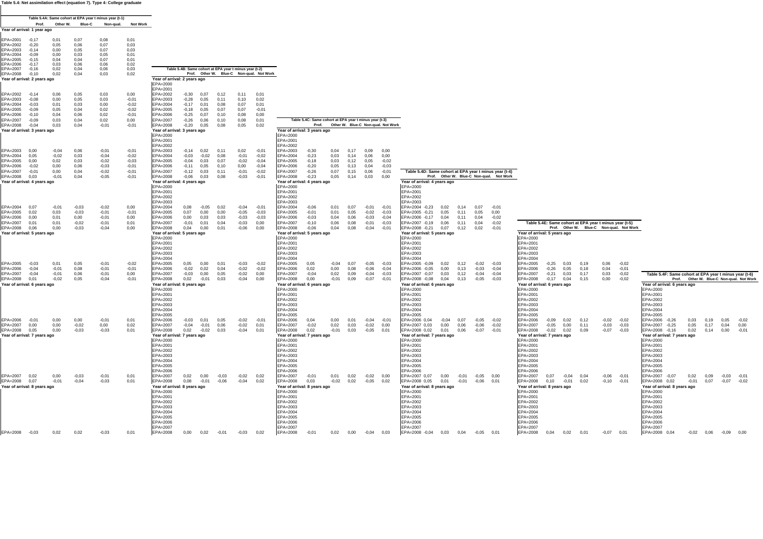**Table 5.4: Net assimilation effect (equation 7). Type 4: College graduate**

|                                          |                    |                    |                    | Table 5.4A: Same cohort at EPA year t minus year (t-1) |                    |                                          |                         |                 |                                                        |                    |                                          |                                          |                                                        |              |              |                                          |                    |                                                        |              |                    |                                          |                                                                                                                                                                                |
|------------------------------------------|--------------------|--------------------|--------------------|--------------------------------------------------------|--------------------|------------------------------------------|-------------------------|-----------------|--------------------------------------------------------|--------------------|------------------------------------------|------------------------------------------|--------------------------------------------------------|--------------|--------------|------------------------------------------|--------------------|--------------------------------------------------------|--------------|--------------------|------------------------------------------|--------------------------------------------------------------------------------------------------------------------------------------------------------------------------------|
|                                          | Prof.              | Other W.           | Blue-C             | Non-qual.                                              | <b>Not Work</b>    |                                          |                         |                 |                                                        |                    |                                          |                                          |                                                        |              |              |                                          |                    |                                                        |              |                    |                                          |                                                                                                                                                                                |
| Year of arrival: 1 year ago              |                    |                    |                    |                                                        |                    |                                          |                         |                 |                                                        |                    |                                          |                                          |                                                        |              |              |                                          |                    |                                                        |              |                    |                                          |                                                                                                                                                                                |
| EPA=2001                                 | $-0.17$            | 0,01               | 0,07               | 0,08                                                   | 0,01               |                                          |                         |                 |                                                        |                    |                                          |                                          |                                                        |              |              |                                          |                    |                                                        |              |                    |                                          |                                                                                                                                                                                |
| PA=2002<br>EPA=2003                      | $-0,20$<br>$-0.14$ | 0,05<br>0,00       | 0,06<br>0,05       | 0,07<br>0,07                                           | 0,03<br>0,03       |                                          |                         |                 |                                                        |                    |                                          |                                          |                                                        |              |              |                                          |                    |                                                        |              |                    |                                          |                                                                                                                                                                                |
| $EPA = 2004$                             | $-0.09$            | 0,00               | 0,03               | 0,05                                                   | 0,01               |                                          |                         |                 |                                                        |                    |                                          |                                          |                                                        |              |              |                                          |                    |                                                        |              |                    |                                          |                                                                                                                                                                                |
| $EPA = 2005$<br>PA=2006                  | $-0,15$<br>$-0.17$ | 0,04<br>0,03       | 0,04<br>0,06       | 0,07<br>0.06                                           | 0,01<br>0.02       |                                          |                         |                 |                                                        |                    |                                          |                                          |                                                        |              |              |                                          |                    |                                                        |              |                    |                                          |                                                                                                                                                                                |
| $EPA = 2007$                             | $-0,16$            | 0,02               | 0,04               | 0,06                                                   | 0,03               |                                          |                         |                 | Table 5.4B: Same cohort at EPA year t minus year (t-2) |                    |                                          |                                          |                                                        |              |              |                                          |                    |                                                        |              |                    |                                          |                                                                                                                                                                                |
| EPA=2008                                 | $-0,10$            | 0,02               | 0,04               | 0,03                                                   | 0,02               |                                          |                         |                 |                                                        |                    | Prof. Other W. Blue-C Non-qual. Not Work |                                          |                                                        |              |              |                                          |                    |                                                        |              |                    |                                          |                                                                                                                                                                                |
| fear of arrival: 2 years ago             |                    |                    |                    |                                                        |                    | Year of arrival: 2 years ago<br>EPA=2000 |                         |                 |                                                        |                    |                                          |                                          |                                                        |              |              |                                          |                    |                                                        |              |                    |                                          |                                                                                                                                                                                |
|                                          |                    |                    |                    |                                                        |                    | EPA=2001                                 |                         |                 |                                                        |                    |                                          |                                          |                                                        |              |              |                                          |                    |                                                        |              |                    |                                          |                                                                                                                                                                                |
| EPA=2002<br>PA=2003                      | $-0.14$<br>$-0.08$ | 0.06<br>0,00       | 0,05<br>0,05       | 0,03<br>0,03                                           | 0,00<br>$-0,01$    | EPA=2002<br>EPA=2003                     | $-0,30$<br>$-0,28$      | 0.07<br>0,05    | 0.12<br>0,11                                           | 0,11<br>0,10       | 0.01<br>0,02                             |                                          |                                                        |              |              |                                          |                    |                                                        |              |                    |                                          |                                                                                                                                                                                |
| $EPA = 2004$                             | $-0.03$            | 0,01               | 0,03               | 0,00                                                   | $-0,02$            | EPA=2004                                 | $-0,17$                 | 0,01            | 0,08                                                   | 0.07               | 0,01                                     |                                          |                                                        |              |              |                                          |                    |                                                        |              |                    |                                          |                                                                                                                                                                                |
| PA=2005                                  | $-0.09$            | 0,05               | 0.04               | 0,02                                                   | $-0.02$            | EPA=2005<br>EPA=2006                     | $-0.18$                 | 0.05            | 0.07<br>0.10                                           | 0.07               | $-0,01$                                  |                                          |                                                        |              |              |                                          |                    |                                                        |              |                    |                                          |                                                                                                                                                                                |
| $EPA = 2006$<br>PA=2007                  | $-0,10$<br>$-0.09$ | 0,04<br>0,03       | 0.06<br>0,04       | 0,02<br>0,02                                           | $-0,01$<br>0,00    | EPA=2007                                 | $-0,25$<br>$-0,26$      | 0,07<br>0,06    | 0,10                                                   | 0.08<br>0.08       | 0,00<br>0,01                             |                                          | Table 5.4C: Same cohort at EPA year t minus year (t-3) |              |              |                                          |                    |                                                        |              |                    |                                          |                                                                                                                                                                                |
| EPA=2008                                 | $-0,04$            | 0,03               | 0,04               | $-0,01$                                                | $-0,01$            | EPA=2008                                 | $-0,20$                 | 0,05            | 0,08                                                   | 0,05               | 0,02                                     |                                          |                                                        |              |              | Prof. Other W. Blue-C Non-qual. Not Work |                    |                                                        |              |                    |                                          |                                                                                                                                                                                |
| Year of arrival: 3 years ago             |                    |                    |                    |                                                        |                    | Year of arrival: 3 years ago             |                         |                 |                                                        |                    |                                          | Year of arrival: 3 years ago             |                                                        |              |              |                                          |                    |                                                        |              |                    |                                          |                                                                                                                                                                                |
|                                          |                    |                    |                    |                                                        |                    | EPA=2000<br>EPA=2001                     |                         |                 |                                                        |                    |                                          | EPA=2000<br>EPA=2001                     |                                                        |              |              |                                          |                    |                                                        |              |                    |                                          |                                                                                                                                                                                |
|                                          |                    |                    |                    |                                                        |                    | EPA=2002                                 |                         |                 |                                                        |                    |                                          | EPA=2002                                 |                                                        |              |              |                                          |                    |                                                        |              |                    |                                          |                                                                                                                                                                                |
| EPA=2003<br>PA=2004                      | 0.00<br>0,05       | $-0,04$<br>$-0.02$ | 0.06<br>0,03       | $-0.01$<br>$-0,04$                                     | $-0.01$<br>$-0,02$ | EPA=2003<br>EPA=2004                     | $-0,14$ 0,02<br>$-0,03$ | $-0.02$         | 0.11<br>0,08                                           | 0.02<br>$-0.01$    | $-0.01$<br>$-0.02$                       | EPA=2003<br>EPA=2004                     | $-0,30$<br>$-0,23$                                     | 0.04<br>0,03 | 0.17<br>0.14 | 0.09<br>0,06                             | 0.00<br>0,00       |                                                        |              |                    |                                          |                                                                                                                                                                                |
| PA=2005                                  | 0,00               | 0,02               | 0,03               | $-0,02$                                                | $-0,03$            | EPA=2005                                 | $-0,04$                 | 0,03            | 0,07                                                   | $-0.02$            | $-0.04$                                  | EPA=2005                                 | $-0.18$                                                | 0,03         | 0,12         | 0,05                                     | $-0,02$            |                                                        |              |                    |                                          |                                                                                                                                                                                |
| $EPA = 2006$<br>EPA=2007                 | $-0.02$<br>$-0,01$ | 0,00<br>0,00       | 0,06<br>0,04       | $-0,03$<br>$-0.02$                                     | $-0.01$<br>$-0,01$ | EPA=2006<br>EPA=2007                     | $-0.11$<br>$-0,12$      | 0,05<br>0,03    | 0.10<br>0,11                                           | 0,00<br>$-0,01$    | $-0.04$<br>$-0.02$                       | EPA=2006<br>EPA=2007                     | $-0.20$<br>$-0,26$                                     | 0.05<br>0,07 | 0.13<br>0,15 | 0,04<br>0,06                             | $-0,03$<br>$-0,01$ | Table 5.4D: Same cohort at EPA year t minus year (t-4) |              |                    |                                          |                                                                                                                                                                                |
| EPA=2008                                 | 0,03               | $-0.01$            | 0,04               | $-0.05$                                                | $-0,01$            | EPA=2008                                 | $-0.06$                 | 0,03            | 0,08                                                   | $-0.03$            | $-0.01$                                  | EPA=2008                                 | $-0,23$                                                | 0,05         | 0,14         | 0,03                                     | 0,00               |                                                        |              |                    | Prof. Other W. Blue-C Non-qual. Not Work |                                                                                                                                                                                |
| Year of arrival: 4 years ago             |                    |                    |                    |                                                        |                    | Year of arrival: 4 years ago             |                         |                 |                                                        |                    |                                          | Year of arrival: 4 years ago             |                                                        |              |              |                                          |                    | Year of arrival: 4 years ago                           |              |                    |                                          |                                                                                                                                                                                |
|                                          |                    |                    |                    |                                                        |                    | EPA=2000<br>EPA=2001                     |                         |                 |                                                        |                    |                                          | EPA=2000<br>EPA=2001                     |                                                        |              |              |                                          |                    | EPA=2000<br>EPA=2001                                   |              |                    |                                          |                                                                                                                                                                                |
|                                          |                    |                    |                    |                                                        |                    | EPA=2002                                 |                         |                 |                                                        |                    |                                          | EPA=2002                                 |                                                        |              |              |                                          |                    | EPA=2002                                               |              |                    |                                          |                                                                                                                                                                                |
| PA=2004                                  | 0.07               |                    | $-0.03$            |                                                        | 0,00               | EPA=2003<br>EPA=2004                     |                         |                 | 0,02                                                   | $-0.04$            | $-0.01$                                  | EPA=2003                                 | $-0.06$                                                | 0.01         | 0.07         | $-0.01$                                  | $-0.01$            | EPA=2003                                               | 0.14         | 0.07               | $-0.01$                                  |                                                                                                                                                                                |
| $EPA = 2005$                             | 0,02               | $-0,01$<br>0,03    | $-0.03$            | $-0,02$<br>$-0.01$                                     | $-0,01$            | EPA=2005                                 | 0,08<br>0,07            | $-0,05$<br>0,00 | 0,00                                                   | $-0.05$            | $-0,03$                                  | EPA=2004<br>EPA=2005                     | $-0,01$                                                | 0,01         | 0,05         | $-0,02$                                  | $-0,03$            | EPA=2004 -0,23<br>0,02<br>EPA=2005 -0,21<br>0,05       | 0.11         | 0,05               | 0,00                                     |                                                                                                                                                                                |
| PA=2006                                  | 0,00               | 0,01               | 0,00               | $-0.01$                                                | 0,00               | EPA=2006                                 | 0,00                    | 0,03            | 0,03                                                   | $-0.03$            | $-0,03$                                  | EPA=2006                                 | $-0,03$                                                | 0,04         | 0,06         | $-0.03$                                  | $-0,04$            | EPA=2006 -0,17<br>0,04                                 | 0,11         | 0,04               | $-0.02$                                  |                                                                                                                                                                                |
| EPA=2007<br>PA=2008                      | 0,01<br>0,06       | 0,01<br>0,00       | $-0.02$<br>$-0.03$ | $-0.01$<br>$-0.04$                                     | 0.01<br>0,00       | EPA=2007<br>EPA=2008                     | $-0,01$<br>0,04         | 0,01<br>0,00    | 0.04<br>0,01                                           | $-0.03$<br>$-0.06$ | 0,00<br>0.00                             | EPA=2007<br>EPA=2008                     | $-0.10$<br>$-0.06$                                     | 0.06<br>0,04 | 0,08<br>0,08 | $-0,01$<br>$-0,04$                       | $-0.03$<br>$-0.01$ | EPA=2007 -0,19<br>0,06<br>EPA=2008 -0,21 0,07          | 0.11<br>0,12 | 0,04<br>0,02       | $-0,02$<br>$-0.01$                       | Table 5.4E: Same cohort at EPA year t minus year (t-5)<br>Prof. Other W. Blue-C Non-qual. Not Work                                                                             |
| Year of arrival: 5 years ago             |                    |                    |                    |                                                        |                    | Year of arrival: 5 years ago             |                         |                 |                                                        |                    |                                          | Year of arrival: 5 years ago             |                                                        |              |              |                                          |                    | Year of arrival: 5 years ago                           |              |                    |                                          | Year of arrival: 5 years ago                                                                                                                                                   |
|                                          |                    |                    |                    |                                                        |                    | EPA=2000                                 |                         |                 |                                                        |                    |                                          | EPA=2000                                 |                                                        |              |              |                                          |                    | EPA=2000                                               |              |                    |                                          | EPA=2000                                                                                                                                                                       |
|                                          |                    |                    |                    |                                                        |                    | EPA=2001<br>EPA=2002                     |                         |                 |                                                        |                    |                                          | EPA=2001<br>EPA=2002                     |                                                        |              |              |                                          |                    | EPA=2001<br>EPA=2002                                   |              |                    |                                          | EPA=2001<br>EPA=2002                                                                                                                                                           |
|                                          |                    |                    |                    |                                                        |                    | EPA=2003                                 |                         |                 |                                                        |                    |                                          | EPA=2003                                 |                                                        |              |              |                                          |                    | $FPA=2003$                                             |              |                    |                                          | EPA=2003                                                                                                                                                                       |
| EPA=2005                                 | $-0,03$            | 0.01               | 0,05               | $-0.01$                                                | $-0.02$            | EPA=2004<br>EPA=2005                     | 0,05                    | 0,00            | 0.01                                                   | $-0.03$            | $-0.02$                                  | EPA=2004<br>FPA=2005                     | 0.05                                                   | $-0.04$      | 0.07         | $-0,05$                                  | $-0.03$            | EPA=2004<br>EPA=2005 -0,09<br>0,02                     | 0.12         | $-0.02$            | $-0.03$                                  | EPA=2004<br>EPA=2005<br>0.03<br>0.06<br>$-0,02$<br>$-0,25$<br>0.19                                                                                                             |
| PA=2006                                  | $-0.04$            | $-0.01$            | 0,08               | $-0.01$                                                | $-0,01$            | EPA=2006                                 | $-0.02$                 | 0,02            | 0,04                                                   | $-0.02$            | $-0.02$                                  | EPA=2006                                 | 0,02                                                   | 0,00         | 0,08         | $-0,06$                                  | $-0,04$            | EPA=2006 -0,05<br>0,00                                 | 0.13         | $-0.03$            | $-0.04$                                  | 0,04<br>EPA=2006<br>$-0,26$<br>0,05<br>0,18<br>$-0,01$                                                                                                                         |
| PA=2007                                  | $-0.04$<br>0.01    | $-0,01$            | 0,06               | $-0,01$                                                | 0,00               | EPA=2007                                 | $-0,03$                 | 0,00            | 0.05<br>0.03                                           | $-0,02$<br>$-0.04$ | 0,00<br>0.00                             | EPA=2007                                 | $-0.04$<br>0.00                                        | 0,02         | 0,09         | $-0,04$                                  | $-0,03$<br>$-0.01$ | EPA=2007 -0,07<br>0,03                                 | 0,12         | $-0,04$<br>$-0.05$ | $-0,04$<br>$-0.03$                       | 0,03<br>EPA=2007<br>$-0,21$<br>0,03<br>0.17<br>$-0,02$<br>Table 5.4F: Same cohort at EPA year t minus year (t-6)<br>$-0.17$<br>0.04<br>0.15                                    |
| EPA=2008<br>Year of arrival: 6 years ago |                    | $-0.02$            | 0,05               | $-0.04$                                                | $-0.01$            | EPA=2008<br>Year of arrival: 6 years ago | 0,02                    | $-0.01$         |                                                        |                    |                                          | EPA=2008<br>Year of arrival: 6 years ago |                                                        | $-0,01$      | 0,09         | $-0,07$                                  |                    | EPA=2008 -0,08 0,04<br>Year of arrival: 6 years ago    | 0.13         |                    |                                          | EPA=2008<br>0,00<br>$-0.02$<br>Prof. Other W. Blue-C Non-qual. Not Work<br>Year of arrival: 6 years ago<br>Year of arrival: 6 years ago                                        |
|                                          |                    |                    |                    |                                                        |                    | EPA=2000                                 |                         |                 |                                                        |                    |                                          | EPA=2000                                 |                                                        |              |              |                                          |                    | EPA=2000                                               |              |                    |                                          | EPA=2000<br>EPA=2000                                                                                                                                                           |
|                                          |                    |                    |                    |                                                        |                    | EPA=2001<br>EPA=2002                     |                         |                 |                                                        |                    |                                          | EPA=2001<br>EPA=2002                     |                                                        |              |              |                                          |                    | EPA=2001<br>EPA=2002                                   |              |                    |                                          | EPA=2001<br>EPA=2001<br>EPA=2002<br>EPA=2002                                                                                                                                   |
|                                          |                    |                    |                    |                                                        |                    | EPA=2003                                 |                         |                 |                                                        |                    |                                          | EPA=2003                                 |                                                        |              |              |                                          |                    | EPA=2003                                               |              |                    |                                          | EPA=2003<br>EPA=2003                                                                                                                                                           |
|                                          |                    |                    |                    |                                                        |                    | EPA=2004                                 |                         |                 |                                                        |                    |                                          | EPA=2004                                 |                                                        |              |              |                                          |                    | EPA=2004                                               |              |                    |                                          | EPA=2004<br>EPA=2004                                                                                                                                                           |
| EPA=2006                                 | $-0.01$            | 0.00               | 0,00               | $-0.01$                                                | 0.01               | EPA=2005<br>EPA=2006                     | $-0.03$                 | 0,01            | 0,05                                                   | $-0.02$            | $-0.01$                                  | EPA=2005<br>EPA=2006                     | 0.04                                                   | 0,00         | 0.01         | $-0,04$                                  | $-0.01$            | EPA=2005<br>EPA=2006 0,04<br>$-0,04$                   | 0.07         | $-0.05$            | $-0.02$                                  | EPA=2005<br>EPA=2005<br>EPA=2006<br>EPA=2006 -0,26<br>$-0,09$<br>0.02<br>0.12<br>$-0,02$<br>0,03<br>0.05<br>$-0.02$<br>0.19<br>$-0.02$                                         |
| PA=2007                                  | 0.00               | 0,00               | $-0,02$            | 0,00                                                   | 0,02               | EPA=2007                                 | $-0,04$                 | $-0,01$         | 0,06                                                   | $-0,02$            | 0,01                                     | EPA=2007                                 | $-0,02$                                                | 0,02         | 0,03         | $-0,02$                                  | 0,00               | EPA=2007 0,03<br>0,00                                  | 0,06         | $-0.06$            | $-0.02$                                  | EPA=2007<br>$-0,05$<br>0,00<br>$-0,03$<br>$-0,03$<br>EPA=2007<br>$-0,25$<br>0,05<br>0,17<br>0,04<br>0.11<br>0.00                                                               |
| EPA=2008<br>Year of arrival: 7 years ago | 0.05               | 0.00               | $-0,03$            | $-0,03$                                                | 0,01               | EPA=2008<br>Year of arrival: 7 years ago | 0,02                    | $-0.02$         | 0.03                                                   | $-0.04$            | 0.01                                     | EPA=2008<br>Year of arrival: 7 years ago | 0,02                                                   | $-0.01$      | 0.03         | $-0,05$                                  | 0.01               | EPA=2008 0,02<br>0,01<br>Year of arrival: 7 years ago  | 0,06         | $-0.07$            | $-0.01$                                  | EPA=2008<br>$-0,02$<br>$-0.07$<br>$-0.03$<br>EPA=2008 -0,16<br>0,02<br>0.02<br>0.09<br>0.14<br>0.00<br>$-0.01$<br>Year of arrival: 7 years ago<br>Year of arrival: 7 years ago |
|                                          |                    |                    |                    |                                                        |                    | EPA=2000                                 |                         |                 |                                                        |                    |                                          | EPA=2000                                 |                                                        |              |              |                                          |                    | EPA=2000                                               |              |                    |                                          | EPA=2000<br>EPA=2000                                                                                                                                                           |
|                                          |                    |                    |                    |                                                        |                    | EPA=2001<br>EPA=2002                     |                         |                 |                                                        |                    |                                          | EPA=2001<br>EPA=2002                     |                                                        |              |              |                                          |                    | EPA=2001<br>EPA=2002                                   |              |                    |                                          | EPA=2001<br>EPA=2001<br>EPA=2002<br>EPA=2002                                                                                                                                   |
|                                          |                    |                    |                    |                                                        |                    | EPA=2003                                 |                         |                 |                                                        |                    |                                          | EPA=2003                                 |                                                        |              |              |                                          |                    | EPA=2003                                               |              |                    |                                          | EPA=2003<br>EPA=2003                                                                                                                                                           |
|                                          |                    |                    |                    |                                                        |                    | EPA=2004                                 |                         |                 |                                                        |                    |                                          | EPA=2004                                 |                                                        |              |              |                                          |                    | EPA=2004                                               |              |                    |                                          | EPA=2004<br>EPA=2004                                                                                                                                                           |
|                                          |                    |                    |                    |                                                        |                    | EPA=2005<br>EPA=2006                     |                         |                 |                                                        |                    |                                          | EPA=2005<br>EPA=2006                     |                                                        |              |              |                                          |                    | EPA=2005<br>$FPA=2006$                                 |              |                    |                                          | EPA=2005<br>EPA=2005<br>EPA=2006<br>EPA=2006                                                                                                                                   |
| EPA=2007                                 | 0,02               | 0,00               | $-0,03$            | $-0,01$                                                | 0,01               | EPA=2007                                 | 0,02                    | 0,00            | $-0,03$                                                | $-0,02$            | 0,02                                     | EPA=2007                                 | $-0.01$                                                | 0.01         | 0,02         | $-0,02$                                  | 0.00               | EPA=2007 0,07<br>0,00                                  | $-0.01$      | $-0,05$            | 0.00                                     | EPA=2007<br>0,07<br>EPA=2007<br>$-0.04$<br>0.04<br>$-0,06$<br>$-0,01$<br>$-0,07$<br>0,02<br>0,09<br>$-0.03$<br>$-0.01$                                                         |
| EPA=2008 0,07                            |                    | $-0,01$            | $-0,04$            | $-0,03$                                                | 0,01               | EPA=2008                                 | 0,08                    | $-0,01$         | $-0,06$                                                | $-0.04$            | 0.02                                     | EPA=2008                                 | 0,03                                                   | $-0,02$      | 0,02         | $-0,05$                                  | 0.02               | EPA=2008 0,05<br>0,01                                  | $-0,01$      | $-0.06$            | 0.01                                     | EPA=2008<br>0, 10<br>$-0,10$<br>EPA=2008 0,02<br>0,07<br>$-0,01$<br>0,02<br>$-0.01$<br>$-0,01$<br>$-0.07$<br>$-0.02$                                                           |
| Year of arrival: 8 years ago             |                    |                    |                    |                                                        |                    | Year of arrival: 8 years ago<br>EPA=2000 |                         |                 |                                                        |                    |                                          | Year of arrival: 8 years ago<br>EPA=2000 |                                                        |              |              |                                          |                    | Year of arrival: 8 years ago<br>EPA=2000               |              |                    |                                          | Year of arrival: 8 years ago<br>Year of arrival: 8 years ago<br>EPA=2000<br>EPA=2000                                                                                           |
|                                          |                    |                    |                    |                                                        |                    | EPA=2001                                 |                         |                 |                                                        |                    |                                          | EPA=2001                                 |                                                        |              |              |                                          |                    | EPA=2001                                               |              |                    |                                          | EPA=2001<br>EPA=2001                                                                                                                                                           |
|                                          |                    |                    |                    |                                                        |                    | EPA=2002<br>EPA=2003                     |                         |                 |                                                        |                    |                                          | EPA=2002<br>EPA=2003                     |                                                        |              |              |                                          |                    | EPA=2002<br>EPA=2003                                   |              |                    |                                          | EPA=2002<br>EPA=2002<br>EPA=2003<br>EPA=2003                                                                                                                                   |
|                                          |                    |                    |                    |                                                        |                    | EPA=2004                                 |                         |                 |                                                        |                    |                                          | EPA=2004                                 |                                                        |              |              |                                          |                    | EPA=2004                                               |              |                    |                                          | EPA=2004<br>EPA=2004                                                                                                                                                           |
|                                          |                    |                    |                    |                                                        |                    | EPA=2005                                 |                         |                 |                                                        |                    |                                          | EPA=2005                                 |                                                        |              |              |                                          |                    | EPA=2005                                               |              |                    |                                          | EPA=2005<br>EPA=2005                                                                                                                                                           |
|                                          |                    |                    |                    |                                                        |                    | EPA=2006<br>EPA=2007                     |                         |                 |                                                        |                    |                                          | EPA=2006<br>EPA=2007                     |                                                        |              |              |                                          |                    | EPA=2006<br>EPA=2007                                   |              |                    |                                          | EPA=2006<br>EPA=2006<br>EPA=2007<br>EPA=2007                                                                                                                                   |
| EPA=2008 -0,03                           |                    | 0,02               | 0,02               | $-0.03$                                                | 0,01               | EPA=2008                                 | 0,00                    | 0,02            | $-0,01$                                                | $-0.03$            | 0,02                                     | EPA=2008                                 | $-0,01$                                                |              | $0,02$ 0,00  | $-0,04$                                  | 0,03               | EPA=2008 -0,04 0,03                                    |              | $0,04$ $-0,05$     | 0,01                                     | EPA=2008<br>0,04<br>0,02<br>0,01<br>$-0.07$<br>0,01<br>EPA=2008 0.04<br>$-0.02$ $0.06$ $-0.09$ $0.00$                                                                          |
|                                          |                    |                    |                    |                                                        |                    |                                          |                         |                 |                                                        |                    |                                          |                                          |                                                        |              |              |                                          |                    |                                                        |              |                    |                                          |                                                                                                                                                                                |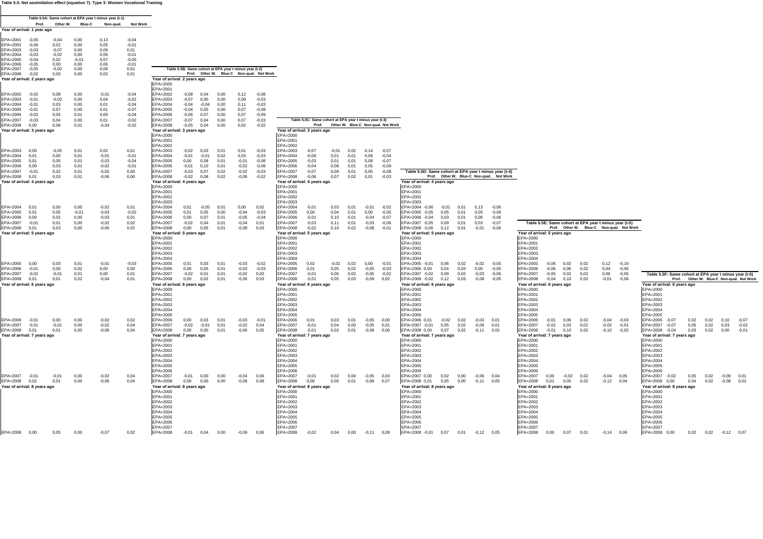**Table 5.5: Net assimilation effect (equation 7). Type 3: Women Vocational Training**

|                                          |                    |                 |                 | Table 5.5A: Same cohort at EPA year t minus year (t-1) |                    |                                          |                    |                 |                                                        |                    |                                          |                                          |                                                        |              |                                          |                    |                    |                                                                          |              |                       |                    |                                                                                                                                                                                                                      |
|------------------------------------------|--------------------|-----------------|-----------------|--------------------------------------------------------|--------------------|------------------------------------------|--------------------|-----------------|--------------------------------------------------------|--------------------|------------------------------------------|------------------------------------------|--------------------------------------------------------|--------------|------------------------------------------|--------------------|--------------------|--------------------------------------------------------------------------|--------------|-----------------------|--------------------|----------------------------------------------------------------------------------------------------------------------------------------------------------------------------------------------------------------------|
| Year of arrival: 1 year ago              | Prof.              | Other W.        | Blue-C          | Non-qual.                                              | Not Work           |                                          |                    |                 |                                                        |                    |                                          |                                          |                                                        |              |                                          |                    |                    |                                                                          |              |                       |                    |                                                                                                                                                                                                                      |
|                                          |                    |                 |                 |                                                        |                    |                                          |                    |                 |                                                        |                    |                                          |                                          |                                                        |              |                                          |                    |                    |                                                                          |              |                       |                    |                                                                                                                                                                                                                      |
| EPA=2001<br>EPA=2002                     | $-0.05$<br>$-0,06$ | $-0.04$<br>0,02 | 0.00<br>0,00    | 0.13<br>0,05                                           | $-0.04$<br>$-0,01$ |                                          |                    |                 |                                                        |                    |                                          |                                          |                                                        |              |                                          |                    |                    |                                                                          |              |                       |                    |                                                                                                                                                                                                                      |
| $FPA=2003$                               | $-0.03$            | $-0.07$         | 0,00            | 0,09                                                   | 0.01               |                                          |                    |                 |                                                        |                    |                                          |                                          |                                                        |              |                                          |                    |                    |                                                                          |              |                       |                    |                                                                                                                                                                                                                      |
| EPA=2004<br>PA=2005                      | $-0,03$<br>$-0,04$ | $-0.02$<br>0,02 | 0,00<br>$-0.01$ | 0,06<br>0,07                                           | $-0,01$<br>$-0,05$ |                                          |                    |                 |                                                        |                    |                                          |                                          |                                                        |              |                                          |                    |                    |                                                                          |              |                       |                    |                                                                                                                                                                                                                      |
| EPA=2006                                 | $-0.05$            | 0.00            | 0.00            | 0,06                                                   | $-0.01$            |                                          |                    |                 |                                                        |                    |                                          |                                          |                                                        |              |                                          |                    |                    |                                                                          |              |                       |                    |                                                                                                                                                                                                                      |
| EPA=2007<br>EPA=2008                     | $-0,05$<br>$-0,02$ | $-0.02$<br>0,00 | 0,00<br>0,00    | 0,06<br>0,02                                           | 0,01<br>0,01       |                                          |                    |                 | Table 5.5B: Same cohort at EPA year t minus year (t-2) |                    | Prof. Other W. Blue-C Non-qual. Not Work |                                          |                                                        |              |                                          |                    |                    |                                                                          |              |                       |                    |                                                                                                                                                                                                                      |
| Year of arrival: 2 years ago             |                    |                 |                 |                                                        |                    | Year of arrival: 2 years ago             |                    |                 |                                                        |                    |                                          |                                          |                                                        |              |                                          |                    |                    |                                                                          |              |                       |                    |                                                                                                                                                                                                                      |
|                                          |                    |                 |                 |                                                        |                    | $FPA=2000$<br>EPA=2001                   |                    |                 |                                                        |                    |                                          |                                          |                                                        |              |                                          |                    |                    |                                                                          |              |                       |                    |                                                                                                                                                                                                                      |
| EPA=2002                                 | $-0.02$            | 0.08            | 0.00            | $-0.01$                                                | $-0.04$            | $FPA = 2002$                             | $-0.08$            | 0.04            | 0.00                                                   | 0.12               | $-0.08$                                  |                                          |                                                        |              |                                          |                    |                    |                                                                          |              |                       |                    |                                                                                                                                                                                                                      |
| PA=2003<br>EPA=2004                      | $-0.01$<br>$-0.01$ | $-0.02$<br>0,03 | 0,00<br>0,00    | 0,04<br>0,01                                           | $-0,02$<br>$-0,04$ | EPA=2003<br>EPA=2004                     | $-0.07$<br>$-0,04$ | 0,00<br>$-0.04$ | 0,00<br>0.00                                           | 0.09<br>0,11       | $-0.03$<br>$-0.03$                       |                                          |                                                        |              |                                          |                    |                    |                                                                          |              |                       |                    |                                                                                                                                                                                                                      |
| EPA=2005                                 | $-0.01$            | 0.07            | 0.00            | 0.01                                                   | $-0.07$            | EPA=2005                                 | $-0.04$            | 0.05            | 0.00                                                   | 0.07               | $-0.08$                                  |                                          |                                                        |              |                                          |                    |                    |                                                                          |              |                       |                    |                                                                                                                                                                                                                      |
| PA=2006<br>EPA=2007                      | $-0,02$<br>$-0.03$ | 0,05<br>0,04    | 0,01<br>0,00    | 0,00<br>0,01                                           | $-0,04$<br>$-0.02$ | EPA=2006<br>EPA=2007                     | $-0.06$<br>$-0,07$ | 0,07<br>0,04    | 0,00<br>0,00                                           | 0.07<br>0.07       | $-0.09$<br>$-0.03$                       |                                          | Table 5.5C: Same cohort at EPA year t minus year (t-3) |              |                                          |                    |                    |                                                                          |              |                       |                    |                                                                                                                                                                                                                      |
| EPA=2008                                 | 0.00               | 0.06            | 0.01            | $-0.04$                                                | $-0.02$            | EPA=2008                                 | $-0.05$ 0.04       |                 | 0.00                                                   | 0.02               | $-0.02$                                  |                                          |                                                        |              | Prof. Other W. Blue-C Non-qual. Not Work |                    |                    |                                                                          |              |                       |                    |                                                                                                                                                                                                                      |
| Year of arrival: 3 years ago             |                    |                 |                 |                                                        |                    | Year of arrival: 3 years ago<br>EPA=2000 |                    |                 |                                                        |                    |                                          | Year of arrival: 3 years ago<br>EPA=2000 |                                                        |              |                                          |                    |                    |                                                                          |              |                       |                    |                                                                                                                                                                                                                      |
|                                          |                    |                 |                 |                                                        |                    | EPA=2001                                 |                    |                 |                                                        |                    |                                          | EPA=2001                                 |                                                        |              |                                          |                    |                    |                                                                          |              |                       |                    |                                                                                                                                                                                                                      |
| EPA=2003                                 | 0.00               | $-0.05$         | 0,01            | 0,02                                                   | 0,01               | $FPA=2002$<br>EPA=2003                   | $-0.02$            | 0,03            | 0,01                                                   | 0,01               | $-0,03$                                  | EPA=2002<br>EPA=2003                     | $-0,07$                                                | $-0,01$      | 0,02                                     | 0,14               | $-0,07$            |                                                                          |              |                       |                    |                                                                                                                                                                                                                      |
| EPA=2004                                 | 0.01               | 0,00            | 0,01            | $-0,01$                                                | $-0,01$            | EPA=2004                                 | $-0,01$            | $-0.01$         | 0.02                                                   | 0,03               | $-0.03$                                  | EPA=2004                                 | $-0.06$                                                | 0.01         | 0.01                                     | 0,08               | $-0.04$            |                                                                          |              |                       |                    |                                                                                                                                                                                                                      |
| FPA=2005<br>PA=2006                      | 0.01<br>0,00       | 0,05<br>0,03    | 0.01<br>0,01    | $-0.03$<br>$-0,02$                                     | $-0.04$<br>$-0,01$ | $FPA=2005$<br>EPA=2006                   | 0.00<br>$-0,01$    | 0.08<br>0, 10   | 0.01<br>0,01                                           | $-0.01$<br>$-0.02$ | $-0.08$<br>$-0.08$                       | FPA=2005<br>EPA=2006                     | $-0.03$<br>$-0.04$                                     | 0.01<br>0,08 | 0.01<br>0,01                             | 0.08<br>0,05       | $-0.07$<br>$-0.09$ |                                                                          |              |                       |                    |                                                                                                                                                                                                                      |
| EPA=2007                                 | $-0,01$            | 0,02            | 0,01            | $-0.02$                                                | 0,00               | EPA=2007                                 | $-0.03$            | 0,07            | 0,02                                                   | $-0.02$            | $-0,03$                                  | EPA=2007                                 | $-0.07$                                                | 0,09         | 0,01                                     | 0,05               | $-0.08$            | Table 5.5D: Same cohort at EPA year t minus year (t-4)                   |              |                       |                    |                                                                                                                                                                                                                      |
| EPA=2008<br>Year of arrival: 4 years ago | 0.01               | 0,03            | 0,01            | $-0,06$                                                | 0,00               | EPA=2008<br>Year of arrival: 4 years ago | $-0,02$            | 0,08            | 0,02                                                   | $-0.06$            | $-0.02$                                  | EPA=2008<br>Year of arrival: 4 years ago | $-0.06$                                                | 0,07         | 0,02                                     | 0.01               | $-0,03$            | Prof. Other W. Blue-C Non-qual. Not Work<br>Year of arrival: 4 years ago |              |                       |                    |                                                                                                                                                                                                                      |
|                                          |                    |                 |                 |                                                        |                    | EPA=2000                                 |                    |                 |                                                        |                    |                                          | EPA=2000                                 |                                                        |              |                                          |                    |                    | EPA=2000                                                                 |              |                       |                    |                                                                                                                                                                                                                      |
|                                          |                    |                 |                 |                                                        |                    | EPA=2001<br>EPA=2002                     |                    |                 |                                                        |                    |                                          | EPA=2001<br>EPA=2002                     |                                                        |              |                                          |                    |                    | EPA=2001<br>EPA=2002                                                     |              |                       |                    |                                                                                                                                                                                                                      |
|                                          |                    |                 |                 |                                                        |                    | EPA=2003                                 |                    |                 |                                                        |                    |                                          | EPA=2003                                 |                                                        |              |                                          |                    |                    | EPA=2003                                                                 |              |                       |                    |                                                                                                                                                                                                                      |
| PA=2004<br>EPA=2005                      | 0.01<br>0.01       | 0,00<br>0,05    | 0,00<br>$-0,01$ | $-0.02$<br>$-0,03$                                     | 0,01<br>$-0.02$    | EPA=2004<br>EPA=2005                     | 0,01<br>0,01       | $-0.05$<br>0,05 | 0,01<br>0.00                                           | 0,00<br>$-0.04$    | 0,02<br>$-0.03$                          | EPA=2004<br>EPA=2005                     | $-0.01$<br>0.00                                        | 0,03<br>0.04 | 0.01<br>0.01                             | $-0,01$<br>0,00    | $-0.02$<br>$-0.05$ | EPA=2004 -0,06<br>$-0,01$<br>EPA=2005 -0,05<br>0.05                      | 0.01<br>0.01 | 0,13<br>0.05          | $-0.06$<br>$-0.06$ |                                                                                                                                                                                                                      |
| EPA=2006                                 | 0.00               | 0.02            | 0.00            | $-0.03$                                                | 0.01               | EPA=2006                                 | 0.00               | 0.07            | 0.01                                                   | $-0.05$            | $-0.04$                                  | EPA=2006                                 | $-0.01$                                                | 0.10         | 0.01                                     | $-0.04$            | $-0.07$            | EPA=2006 -0.04<br>0.03                                                   | 0.01         | 0.06                  | $-0.06$            |                                                                                                                                                                                                                      |
| EPA=2007<br>EPA=2008                     | $-0,01$<br>0.01    | 0,01<br>0,03    | 0,00<br>0,00    | $-0,02$<br>$-0,06$                                     | 0,02<br>0,02       | EPA=2007<br>EPA=2008                     | $-0.02$<br>0,00    | 0,04<br>0,05    | 0,01<br>0,01                                           | $-0.04$<br>$-0.08$ | 0,01<br>0.03                             | EPA=2007<br>EPA=2008                     | $-0,03$<br>$-0,02$                                     | 0,11<br>0,10 | 0,01<br>0,02                             | $-0,03$<br>$-0,08$ | $-0,06$<br>$-0,01$ | EPA=2007 -0,05<br>0,09<br>EPA=2008 -0,06 0,12 0,01                       | 0,01         | 0,03<br>$-0.01$       | $-0.07$<br>$-0,06$ | Table 5.5E: Same cohort at EPA year t minus year (t-5)<br>Prof. Other W. Blue-C Non-qual. Not Work                                                                                                                   |
| Year of arrival: 5 years ago             |                    |                 |                 |                                                        |                    | Year of arrival: 5 years ago             |                    |                 |                                                        |                    |                                          | Year of arrival: 5 years ago             |                                                        |              |                                          |                    |                    | Year of arrival: 5 years ago                                             |              |                       |                    | Year of arrival: 5 years ago                                                                                                                                                                                         |
|                                          |                    |                 |                 |                                                        |                    | EPA=2000<br>EPA=2001                     |                    |                 |                                                        |                    |                                          | EPA=2000<br>EPA=2001                     |                                                        |              |                                          |                    |                    | EPA=2000<br>EPA=2001                                                     |              |                       |                    | EPA=2000<br>EPA=2001                                                                                                                                                                                                 |
|                                          |                    |                 |                 |                                                        |                    | EPA=2002                                 |                    |                 |                                                        |                    |                                          | EPA=2002                                 |                                                        |              |                                          |                    |                    | EPA=2002                                                                 |              |                       |                    | EPA=2002                                                                                                                                                                                                             |
|                                          |                    |                 |                 |                                                        |                    | EPA=2003<br>EPA=2004                     |                    |                 |                                                        |                    |                                          | EPA=2003<br>EPA=2004                     |                                                        |              |                                          |                    |                    | $FPA=2003$<br>EPA=2004                                                   |              |                       |                    | EPA=2003<br>EPA=2004                                                                                                                                                                                                 |
| EPA=2005                                 | 0.00               | 0,03            | 0,01            | $-0,01$                                                | $-0,03$            | EPA=2005                                 | 0,01               | 0.03            | 0.01                                                   | $-0.03$            | $-0.02$                                  | EPA=2005                                 | 0.02                                                   | $-0.02$      | 0.02                                     | 0,00               | $-0.01$            | EPA=2005 -0,01<br>0.06                                                   | 0.02         | $-0.02$               | $-0.05$            | EPA=2005<br>$-0,06$<br>0.02<br>0,02<br>0,12<br>$-0,10$                                                                                                                                                               |
| $P_{A=2006}$<br>EPA=2007                 | $-0.01$<br>$-0.02$ | 0.00<br>$-0,01$ | 0.02<br>0,01    | 0.00<br>0,00                                           | 0.00<br>0.01       | $FPA=2006$<br>EPA=2007                   | 0.00<br>$-0.02$    | 0.05<br>0,01    | 0.01<br>0,01                                           | $-0.03$<br>$-0.02$ | $-0.03$<br>0.02                          | FPA=2006<br>EPA=2007                     | 0.01<br>$-0.01$                                        | 0.05<br>0,06 | 0.02<br>0,02                             | $-0.05$<br>$-0.05$ | $-0.03$<br>$-0,02$ | EPA=2006 0.00<br>0.04<br>EPA=2007 -0,02<br>0,09                          | 0.03<br>0.02 | 0.00<br>$-0.03$       | $-0.05$<br>$-0.06$ | EPA=2006<br>$-0.06$<br>0.06<br>0.02<br>0.04<br>$-0.06$<br>EPA=2007<br>$-0,05$<br>0,02<br>0,02<br>0,06<br>$-0,05$<br>Table 5.5F: Same cohort at EPA year t minus year (t-6)                                           |
| EPA=2008                                 | 0.01               | 0.01            | 0,02            | $-0.04$                                                | 0.01               | EPA=2008                                 | 0,00               | 0,02            | 0.01                                                   | $-0.06$            | 0.03                                     | EPA=2008                                 | $-0.01$                                                | 0,05         | 0.03                                     | $-0.09$            | 0.02               | EPA=2008 -0,02 0,12                                                      | 0,03         | $-0.08$               | $-0.05$            | EPA=2008<br>$-0,04$<br>0.10<br>0.02<br>$-0.01$<br>$-0,06$<br>Prof. Other W. Blue-C Non-qual. Not Work                                                                                                                |
| Year of arrival: 6 years ago             |                    |                 |                 |                                                        |                    | Year of arrival: 6 years ago<br>EPA=2000 |                    |                 |                                                        |                    |                                          | Year of arrival: 6 years ago<br>EPA=2000 |                                                        |              |                                          |                    |                    | Year of arrival: 6 years ago<br>EPA=2000                                 |              |                       |                    | Year of arrival: 6 years ago<br>Year of arrival: 6 years ago<br>EPA=2000<br>EPA=2000                                                                                                                                 |
|                                          |                    |                 |                 |                                                        |                    | EPA=2001                                 |                    |                 |                                                        |                    |                                          | EPA=2001                                 |                                                        |              |                                          |                    |                    | EPA=2001                                                                 |              |                       |                    | EPA=2001<br>EPA=2001                                                                                                                                                                                                 |
|                                          |                    |                 |                 |                                                        |                    | EPA=2002<br>EPA=2003                     |                    |                 |                                                        |                    |                                          | EPA=2002<br>EPA=2003                     |                                                        |              |                                          |                    |                    | EPA=2002<br>EPA=2003                                                     |              |                       |                    | EPA=2002<br>EPA=2002<br>EPA=2003<br>EPA=2003                                                                                                                                                                         |
|                                          |                    |                 |                 |                                                        |                    | EPA=2004                                 |                    |                 |                                                        |                    |                                          | EPA=2004                                 |                                                        |              |                                          |                    |                    | EPA=2004                                                                 |              |                       |                    | EPA=2004<br>EPA=2004                                                                                                                                                                                                 |
| EPA=2006                                 | $-0.01$            | 0.00            | 0.00            | $-0.02$                                                | 0.02               | EPA=2005<br>EPA=2006                     | 0.00               | 0.03            | 0.01                                                   | $-0.03$            | $-0.01$                                  | EPA=2005<br>EPA=2006                     | 0,01                                                   | 0.03         | 0.01                                     | $-0.05$ 0.00       |                    | EPA=2005<br>$-0,02$<br>EPA=2006 0,01                                     | 0.02         | $-0.03$               | $0.0^{\circ}$      | EPA=2005<br>EPA=2005<br>EPA=2006<br>EPA=2006 -0,07<br>$-0.01$<br>0.06<br>0.02<br>$-0.04$<br>0.02<br>$-0.03$<br>0.02<br>0.10<br>$-0.07$                                                                               |
| EPA=2007                                 | $-0.01$<br>0.01    | $-0.01$         | 0,00            | $-0.02$                                                | 0,04<br>0.04       | EPA=2007<br>EPA=2008                     | $-0.02$            | $-0,01$<br>0.00 | 0.01<br>0.01                                           | $-0.02$<br>$-0.06$ | 0,04<br>0.05                             | EPA=2007                                 | $-0.01$                                                | 0.04         | 0,00<br>0.01                             | $-0,05$<br>$-0.08$ | 0,01<br>0.06       | EPA=2007 -0,01<br>0,05<br>0,07                                           | 0.02<br>0.02 | $-0.06$<br>$-0.11$    | 0.01<br>0.02       | EPA=2007<br>$-0,02$<br>0.03<br>0.02<br>$-0,02$<br>$-0,01$<br>EPA=2007 -0,07<br>0.05<br>0.02<br>0.03<br>$-0.02$<br>$-0,01$<br>EPA=2008 -0,04<br>0.10<br>0.02<br>$-0.10$<br>$-0.02$<br>0.03<br>0.02<br>0.00<br>$-0.01$ |
| EPA=2008<br>Year of arrival: 7 years ago |                    | 0,01            | 0,00            | $-0,06$                                                |                    | Year of arrival: 7 years ago             | 0,00               |                 |                                                        |                    |                                          | EPA=2008<br>Year of arrival: 7 years ago | $-0,01$                                                | 0,02         |                                          |                    |                    | EPA=2008 0,00<br>Year of arrival: 7 years ago                            |              |                       |                    | EPA=2008<br>Year of arrival: 7 years ago<br>Year of arrival: 7 years ago                                                                                                                                             |
|                                          |                    |                 |                 |                                                        |                    | EPA=2000<br>EPA=2001                     |                    |                 |                                                        |                    |                                          | EPA=2000<br>EPA=2001                     |                                                        |              |                                          |                    |                    | EPA=2000<br>EPA=2001                                                     |              |                       |                    | EPA=2000<br>EPA=2000<br>EPA=2001<br>EPA=2001                                                                                                                                                                         |
|                                          |                    |                 |                 |                                                        |                    | EPA=2002                                 |                    |                 |                                                        |                    |                                          | EPA=2002                                 |                                                        |              |                                          |                    |                    | EPA=2002                                                                 |              |                       |                    | EPA=2002<br>EPA=2002                                                                                                                                                                                                 |
|                                          |                    |                 |                 |                                                        |                    | EPA=2003<br>EPA=2004                     |                    |                 |                                                        |                    |                                          | EPA=2003<br>EPA=2004                     |                                                        |              |                                          |                    |                    | EPA=2003<br>EPA=2004                                                     |              |                       |                    | EPA=2003<br>EPA=2003<br>EPA=2004<br>EPA=2004                                                                                                                                                                         |
|                                          |                    |                 |                 |                                                        |                    | EPA=2005                                 |                    |                 |                                                        |                    |                                          | EPA=2005                                 |                                                        |              |                                          |                    |                    | EPA=2005                                                                 |              |                       |                    | EPA=2005<br>EPA=2005                                                                                                                                                                                                 |
| EPA=2007                                 | $-0,01$            | $-0,01$         | 0,00            | $-0.02$                                                | 0,04               | EPA=2006<br>EPA=2007                     | $-0.01$            | 0,00            | 0,00                                                   | $-0.04$            | 0,06                                     | EPA=2006<br>EPA=2007                     | $-0,01$                                                |              | 0.02 0.00                                | $-0.05$ 0.03       |                    | $FPA=2006$<br>EPA=2007 0,00<br>0,02                                      |              | $0,00 -0,06$          | 0.04               | EPA=2006<br>EPA=2006<br>EPA=2007<br>0,00<br>$-0,02$<br>0,02<br>$-0.04$ 0.05<br>EPA=2007 -0.02<br>0,05<br>0,02<br>$-0.06$<br>0.01                                                                                     |
| EPA=2008 0,02                            |                    | 0.01            | 0,00            | $-0,06$                                                | 0.04               | EPA=2008                                 | 0,00               | 0,00            | 0.00                                                   | $-0,08$            | 0.08                                     | EPA=2008                                 | 0,00                                                   |              | $0,00$ $0,01$                            | $-0.08$ 0.07       |                    | 0,05<br>EPA=2008 0,01                                                    | 0.00         | $-0.11$               | 0.05               | EPA=2008 0,01<br>0,05<br>$-0.12$ 0.04<br>EPA=2008 0,00<br>0.02<br>0.02<br>0,04<br>$-0.08$ 0.02                                                                                                                       |
| Year of arrival: 8 years ago             |                    |                 |                 |                                                        |                    | Year of arrival: 8 years ago<br>EPA=2000 |                    |                 |                                                        |                    |                                          | Year of arrival: 8 years ago<br>EPA=2000 |                                                        |              |                                          |                    |                    | Year of arrival: 8 years ago<br>EPA=2000                                 |              |                       |                    | Year of arrival: 8 years ago<br>Year of arrival: 8 years ago<br>EPA=2000<br>EPA=2000                                                                                                                                 |
|                                          |                    |                 |                 |                                                        |                    | EPA=2001                                 |                    |                 |                                                        |                    |                                          | EPA=2001                                 |                                                        |              |                                          |                    |                    | EPA=2001                                                                 |              |                       |                    | EPA=2001<br>EPA=2001                                                                                                                                                                                                 |
|                                          |                    |                 |                 |                                                        |                    | EPA=2002<br>EPA=2003                     |                    |                 |                                                        |                    |                                          | EPA=2002<br>EPA=2003                     |                                                        |              |                                          |                    |                    | EPA=2002<br>EPA=2003                                                     |              |                       |                    | EPA=2002<br>EPA=2002<br>EPA=2003<br>EPA=2003                                                                                                                                                                         |
|                                          |                    |                 |                 |                                                        |                    | EPA=2004                                 |                    |                 |                                                        |                    |                                          | EPA=2004                                 |                                                        |              |                                          |                    |                    | EPA=2004                                                                 |              |                       |                    | EPA=2004<br>EPA=2004                                                                                                                                                                                                 |
|                                          |                    |                 |                 |                                                        |                    | EPA=2005<br>EPA=2006                     |                    |                 |                                                        |                    |                                          | EPA=2005<br>EPA=2006                     |                                                        |              |                                          |                    |                    | EPA=2005<br>EPA=2006                                                     |              |                       |                    | EPA=2005<br>EPA=2005<br>EPA=2006<br>EPA=2006                                                                                                                                                                         |
|                                          |                    |                 |                 |                                                        |                    | EPA=2007                                 |                    |                 |                                                        |                    |                                          | EPA=2007                                 |                                                        |              |                                          |                    |                    | EPA=2007                                                                 |              |                       |                    | EPA=2007<br>EPA=2007                                                                                                                                                                                                 |
| EPA=2008 0,00                            |                    | 0.05            | 0.00            | $-0.07$                                                | 0.02               | EPA=2008                                 | $-0.01$ 0.04       |                 | 0,00                                                   | $-0.09$            | 0,06                                     | EPA=2008                                 | $-0.02$                                                |              | $0,04$ 0,00                              | $-0,11$ 0,09       |                    | EPA=2008 -0,01 0,07                                                      |              | $0,01$ $-0,12$ $0,05$ |                    | EPA=2008<br>EPA=2008 0,00<br>$0,00$ 0,07<br>$-0.14$ 0.06<br>$0,02$ $0,02$ $-0,12$ $0,07$<br>0.01                                                                                                                     |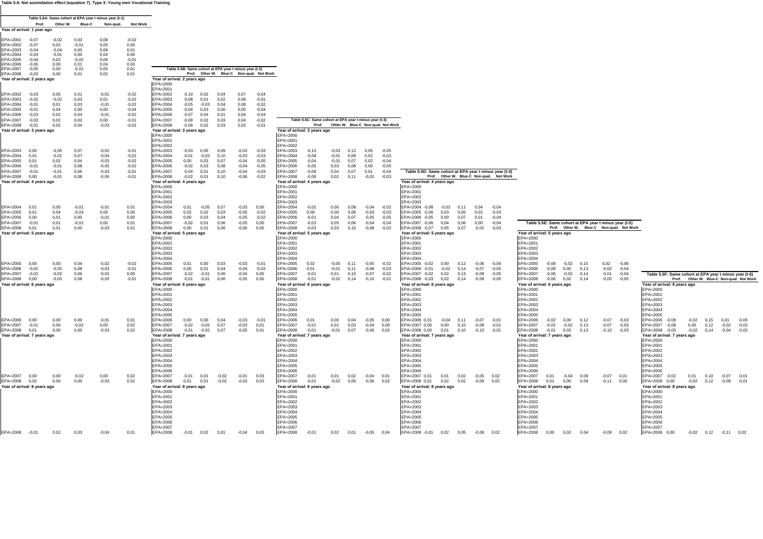**Table 5.6: Net assimilation effect (equation 7). Type 3: Young men Vocational Training**

|                                          |                    |                    |                 | Table 5.6A: Same cohort at EPA year t minus year (t-1) |                    |                                                        |              |              |                                          |                    |                                                        |                    |                              |                                          |                                                        |                      |                    |                                                                                                    |                                                                   |
|------------------------------------------|--------------------|--------------------|-----------------|--------------------------------------------------------|--------------------|--------------------------------------------------------|--------------|--------------|------------------------------------------|--------------------|--------------------------------------------------------|--------------------|------------------------------|------------------------------------------|--------------------------------------------------------|----------------------|--------------------|----------------------------------------------------------------------------------------------------|-------------------------------------------------------------------|
|                                          | Prof.              |                    | Other W. Blue-C | Non-gual.                                              | <b>Not Work</b>    |                                                        |              |              |                                          |                    |                                                        |                    |                              |                                          |                                                        |                      |                    |                                                                                                    |                                                                   |
| Year of arrival: 1 year ago              |                    |                    |                 |                                                        |                    |                                                        |              |              |                                          |                    |                                                        |                    |                              |                                          |                                                        |                      |                    |                                                                                                    |                                                                   |
| EPA=2001                                 | $-0.07$            | $-0.02$            | 0,03            | 0,08                                                   | $-0,02$            |                                                        |              |              |                                          |                    |                                                        |                    |                              |                                          |                                                        |                      |                    |                                                                                                    |                                                                   |
| FPA=2002                                 | $-0.07$            | 0.02               | $-0.01$         | 0.05                                                   | 0.00               |                                                        |              |              |                                          |                    |                                                        |                    |                              |                                          |                                                        |                      |                    |                                                                                                    |                                                                   |
| EPA=2003<br>EPA=2004                     | $-0.04$<br>$-0.03$ | $-0.04$<br>$-0,01$ | 0,00<br>0,00    | 0,06<br>0,04                                           | 0,01<br>0,00       |                                                        |              |              |                                          |                    |                                                        |                    |                              |                                          |                                                        |                      |                    |                                                                                                    |                                                                   |
| EPA=2005                                 | $-0.04$            | 0.02               | $-0.02$         | 0,06                                                   | $-0.01$            |                                                        |              |              |                                          |                    |                                                        |                    |                              |                                          |                                                        |                      |                    |                                                                                                    |                                                                   |
| PA=2006                                  | $-0.05$            | 0,00               | 0,01            | 0,04                                                   | 0.00               |                                                        |              |              |                                          |                    |                                                        |                    |                              |                                          |                                                        |                      |                    |                                                                                                    |                                                                   |
| EPA=2007                                 | $-0.05$            | 0,00               | $-0.01$         | 0,05                                                   | 0,01               | Table 5.6B: Same cohort at EPA year t minus year (t-2) |              |              |                                          |                    |                                                        |                    |                              |                                          |                                                        |                      |                    |                                                                                                    |                                                                   |
| EPA=2008                                 | $-0.03$            | 0,00               | 0,01            | 0,02                                                   | 0,01               |                                                        |              |              | Prof. Other W. Blue-C Non-qual. Not Work |                    |                                                        |                    |                              |                                          |                                                        |                      |                    |                                                                                                    |                                                                   |
| Year of arrival: 2 years ago             |                    |                    |                 |                                                        |                    | Year of arrival: 2 years ago<br>EPA=2000               |              |              |                                          |                    |                                                        |                    |                              |                                          |                                                        |                      |                    |                                                                                                    |                                                                   |
|                                          |                    |                    |                 |                                                        |                    | EPA=2001                                               |              |              |                                          |                    |                                                        |                    |                              |                                          |                                                        |                      |                    |                                                                                                    |                                                                   |
| PA=2002                                  | $-0.03$            | 0,05               | 0,01            | $-0,01$                                                | $-0,02$            | EPA=2002<br>$-0,10$                                    | 0.02         | 0,04         | 0.07                                     | $-0.04$            |                                                        |                    |                              |                                          |                                                        |                      |                    |                                                                                                    |                                                                   |
| EPA=2003                                 | $-0.02$            | $-0.02$            | 0,03            | 0.01                                                   | $-0,02$            | EPA=2003<br>$-0.08$                                    | 0,01         | 0.02         | 0.06                                     | $-0.01$            |                                                        |                    |                              |                                          |                                                        |                      |                    |                                                                                                    |                                                                   |
| PA=2004                                  | $-0.01$            | 0,01               | 0,03            | $-0,01$                                                | $-0,02$            | EPA=2004<br>$-0.05$                                    | $-0.03$      | 0.04         | 0.06                                     | $-0.02$            |                                                        |                    |                              |                                          |                                                        |                      |                    |                                                                                                    |                                                                   |
| PA=2005<br>EPA=2006                      | $-0.01$<br>$-0,03$ | 0.04<br>0,02       | 0,00<br>0,04    | 0.00<br>$-0,01$                                        | $-0,04$<br>$-0,02$ | EPA=2005<br>$-0.04$<br>EPA=2006<br>$-0.07$             | 0.03<br>0,04 | 0.00<br>0,01 | 0.05<br>0,04                             | $-0.04$<br>$-0.04$ |                                                        |                    |                              |                                          |                                                        |                      |                    |                                                                                                    |                                                                   |
| PA=2007                                  | $-0.03$            | 0,02               | 0,02            | 0,00                                                   | $-0,01$            | EPA=2007<br>0,0.                                       | 0,02         | 0,03         | 0,04                                     | $-0,02$            | Table 5.6C: Same cohort at EPA year t minus year (t-3) |                    |                              |                                          |                                                        |                      |                    |                                                                                                    |                                                                   |
| EPA=2008                                 | $-0,01$            | 0,02               | 0,04            | $-0,03$                                                | $-0,02$            | EPA=2008<br>$-0,06$                                    | 0,02         | 0,03         | 0,02                                     | $-0,01$            |                                                        |                    |                              | Prof. Other W. Blue-C Non-qual. Not Work |                                                        |                      |                    |                                                                                                    |                                                                   |
| Year of arrival: 3 years ago             |                    |                    |                 |                                                        |                    | Year of arrival: 3 years ago                           |              |              |                                          |                    | Year of arrival: 3 years ago                           |                    |                              |                                          |                                                        |                      |                    |                                                                                                    |                                                                   |
|                                          |                    |                    |                 |                                                        |                    | EPA=2000                                               |              |              |                                          |                    | EPA=2000                                               |                    |                              |                                          |                                                        |                      |                    |                                                                                                    |                                                                   |
|                                          |                    |                    |                 |                                                        |                    | EPA=2001                                               |              |              |                                          |                    | EPA=2001                                               |                    |                              |                                          |                                                        |                      |                    |                                                                                                    |                                                                   |
|                                          | 0.00               | $-0.05$            | 0,07            | $-0.02$                                                |                    | EPA=2002<br>EPA=2003                                   | 0.00         | 0.09         | $-0.03$                                  | $-0.03$            | EPA=2002                                               |                    |                              |                                          |                                                        |                      |                    |                                                                                                    |                                                                   |
| EPA=2003<br>PA=2004                      | 0.01               | $-0.02$            | 0.07            | $-0.04$                                                | $-0,01$<br>$-0.02$ | $-0,03$<br>EPA=2004<br>$-0,01$                         | $-0.03$      | 0,10         | $-0.03$                                  | $-0.03$            | EPA=2003<br>$-0,10$<br>$EPA = 2004$<br>$-0.08$         | $-0,03$<br>$-0.01$ | 0,05<br>0,12<br>0,09<br>0,02 | $-0,05$<br>$-0.03$                       |                                                        |                      |                    |                                                                                                    |                                                                   |
| PA=2005                                  | 0.01               | 0,02               | 0.04            | $-0,03$                                                | $-0,02$            | EPA=2005<br>0,00                                       | 0.03         | 0.07         | $-0.04$                                  | $-0.05$            | EPA=2005<br>$-0.04$                                    | $-0.01$            | 0.07<br>0.02                 | $-0.04$                                  |                                                        |                      |                    |                                                                                                    |                                                                   |
| EPA=2006                                 | $-0.01$            | $-0,01$            | 0.08            | $-0,05$                                                | $-0,02$            | EPA=2006<br>$-0.02$                                    | 0.03         | 0.08         | $-0.04$                                  | $-0.05$            | EPA=2006<br>$-0.05$                                    | 0,03               | 0,08<br>0,00                 | $-0,05$                                  |                                                        |                      |                    |                                                                                                    |                                                                   |
| PA=2007                                  | $-0.01$            | $-0,01$            | 0.06            | $-0.03$                                                | $-0,01$            | EPA=2007<br>$-0,04$                                    | 0,01         | 0,10         | $-0.04$                                  | $-0.03$            | EPA=2007<br>$-0.08$                                    | 0,04               | 0,07<br>0,01                 | $-0,04$                                  | Table 5.5D: Same cohort at EPA year t minus year (t-4) |                      |                    |                                                                                                    |                                                                   |
| EPA=2008                                 | 0.00               | $-0,01$            | 0,08            | -0,06                                                  | $-0,01$            | EPA=2008<br>$-0,02$                                    | 0,01         | 0,10         | $-0,06$                                  | $-0.02$            | EPA=2008<br>$-0,08$                                    | 0,02               | 0,11<br>$-0,02$              | $-0,03$                                  | Prof. Other W. Blue-C Non-qual. Not Work               |                      |                    |                                                                                                    |                                                                   |
| Year of arrival: 4 years ago             |                    |                    |                 |                                                        |                    | Year of arrival: 4 years ago<br>EPA=2000               |              |              |                                          |                    | Year of arrival: 4 years ago<br>EPA=2000               |                    |                              |                                          | Year of arrival: 4 years ago<br>EPA=2000               |                      |                    |                                                                                                    |                                                                   |
|                                          |                    |                    |                 |                                                        |                    | EPA=2001                                               |              |              |                                          |                    | $FPA=2001$                                             |                    |                              |                                          | EPA=2001                                               |                      |                    |                                                                                                    |                                                                   |
|                                          |                    |                    |                 |                                                        |                    | EPA=2002                                               |              |              |                                          |                    | EPA=2002                                               |                    |                              |                                          | EPA=2002                                               |                      |                    |                                                                                                    |                                                                   |
|                                          |                    |                    |                 |                                                        |                    | EPA=2003                                               |              |              |                                          |                    | EPA=2003                                               |                    |                              |                                          | EPA=2003                                               |                      |                    |                                                                                                    |                                                                   |
| $FPA=2004$                               | 0.01               | 0.00               | $-0.01$         | $-0.01$                                                | 0.01               | EPA=2004<br>0.01                                       | $-0.05$      | 0.07         | $-0.03$                                  | 0.00               | EPA=2004<br>$-0.02$                                    | 0.00               | 0.08<br>$-0.04$              | $-0.02$                                  | EPA=2004 -0,08<br>$-0.03$                              | 0.11<br>0.04         | $-0.04$            |                                                                                                    |                                                                   |
| PA=2005                                  | 0.01               | 0,04               | $-0,04$         | 0,00                                                   | 0,00               | EPA=2005<br>0,02                                       | 0,02         | 0,03         | $-0.05$                                  | $-0.02$            | EPA=2005<br>0,00                                       | 0,00               | 0,06                         | $-0,03$<br>$-0,03$                       | EPA=2005 -0,06<br>0,03                                 | 0,05<br>0,02         | $-0.03$            |                                                                                                    |                                                                   |
| EPA=2006                                 | 0.00               | 0,01<br>0,01       | 0,00            | $-0,01$<br>0,00                                        | 0,00               | EPA=2006<br>0,00<br>EPA=2007                           | 0,03         | 0,04         | $-0,05$<br>$-0.05$                       | $-0,02$            | EPA=2006<br>$-0.01$<br>EPA=2007                        | 0,04               | 0,07<br>$-0,05$<br>$-0,04$   | $-0,05$                                  | 0,00<br>EPA=2006 -0.05<br>0,04                         | 0,07<br>0,01         | $-0,04$<br>$-0,04$ |                                                                                                    |                                                                   |
| PA=2007<br>EPA=2008                      | $-0,01$<br>0.01    | 0,01               | $-0.02$<br>0,00 | $-0,03$                                                | 0,01<br>0,01       | $-0.02$<br>EPA=2008<br>0,00                            | 0,01<br>0,01 | 0,06<br>0,06 | $-0,06$                                  | 0,00<br>0.00       | $-0.03$<br>EPA=2008<br>$-0,03$                         | 0,05<br>0,03       | 0,06<br>0, 10<br>$-0,08$     | $-0,04$<br>$-0.02$                       | EPA=2007 -0,06<br>0,05<br>EPA=2008 -0,07               | 0.06<br>0,00<br>0,07 | $-0,02$<br>$-0.03$ | Table 5.5E: Same cohort at EPA year t minus year (t-5)<br>Prof. Other W. Blue-C Non-qual. Not Work |                                                                   |
| Year of arrival: 5 years ago             |                    |                    |                 |                                                        |                    | Year of arrival: 5 years ago                           |              |              |                                          |                    | Year of arrival: 5 years ago                           |                    |                              |                                          | Year of arrival: 5 years ago                           |                      |                    | Year of arrival: 5 years ago                                                                       |                                                                   |
|                                          |                    |                    |                 |                                                        |                    | EPA=2000                                               |              |              |                                          |                    | EPA=2000                                               |                    |                              |                                          | EPA=2000                                               |                      |                    | EPA=2000                                                                                           |                                                                   |
|                                          |                    |                    |                 |                                                        |                    | EPA=2001                                               |              |              |                                          |                    | EPA=2001                                               |                    |                              |                                          | EPA=2001                                               |                      |                    | EPA=2001                                                                                           |                                                                   |
|                                          |                    |                    |                 |                                                        |                    | EPA=2002                                               |              |              |                                          |                    | EPA=2002                                               |                    |                              |                                          | EPA=2002                                               |                      |                    | EPA=2002                                                                                           |                                                                   |
|                                          |                    |                    |                 |                                                        |                    | EPA=2003                                               |              |              |                                          |                    | EPA=2003                                               |                    |                              |                                          | EPA=2003                                               |                      |                    | EPA=2003                                                                                           |                                                                   |
| PA=2005                                  | 0.00               | 0,00               | 0.04            | $-0.02$                                                | $-0.02$            | EPA=2004<br>EPA=2005<br>0,01                           | 0,00         | 0,03         | $-0.03$                                  | $-0,01$            | $FPA=2004$<br>0.02                                     | $-0,05$            | 0.11<br>$-0.05$              | $-0.02$                                  | $P_{A=2004}$<br>0.00                                   | 0.12<br>$-0.06$      | $-0.04$            | EPA=2004<br>$-0,02$<br>0,15<br>0,02<br>$-0,06$                                                     |                                                                   |
| EPA=2006                                 | $-0.01$            | $-0,02$            | 0,08            | $-0,03$                                                | $-0,01$            | EPA=2006<br>0,00                                       | 0,01         | 0,04         | $-0.04$                                  | $-0.02$            | $EPA = 2005$<br>0,01<br>EPA=2006                       | $-0,01$            | $-0,08$<br>0.11              | $-0.03$                                  | PA=2005 -0,02<br>EPA=2006 -0,01<br>$-0,02$             | $-0.07$<br>0.14      | $-0,05$            | EPA=2005<br>$-0,08$<br>EPA=2006<br>$-0,08$<br>0,00<br>0,13<br>$-0,02$<br>$-0.04$                   |                                                                   |
| PA=2007                                  | $-0.02$            | $-0.02$            | 0,06            | $-0.02$                                                | 0,00               | EPA=2007<br>$-0.02$                                    | $-0,01$      | 0,06         | $-0.04$                                  | 0,00               | EPA=2007<br>$-0.01$                                    | 0,01               | 0, 10<br>$-0,07$             | $-0,02$                                  | 0,02<br>EPA=2007 -0,02                                 | 0,13                 | $-0.08$<br>$-0.05$ | EPA=2007<br>$-0,02$<br>$-0,01$<br>$-0,06$<br>0.14<br>$-0,04$                                       | Table 5.5F: Same cohort at EPA year t minus year (t-6)            |
| EPA=2008                                 | 0.00               | $-0,03$            | 0,08            | $-0,05$                                                | $-0,01$            | EPA=2008<br>$-0,01$                                    | $-0,01$      | 0,06         | $-0,05$                                  | 0.00               | EPA=2008<br>$-0,01$                                    | $-0,02$            | 0,14<br>$-0, 10$             | $-0.01$                                  | EPA=2008 -0,03<br>0,02                                 | 0.14<br>$-0.09$      | $-0.05$            | EPA=2008<br>$-0,06$<br>0,02<br>0.14<br>$-0,05$<br>$-0,05$                                          | Prof. Other W. Blue-C Non-qual. Not Work                          |
| Year of arrival: 6 years ago             |                    |                    |                 |                                                        |                    | Year of arrival: 6 years ago                           |              |              |                                          |                    | Year of arrival: 6 years ago                           |                    |                              |                                          | Year of arrival: 6 years ago                           |                      |                    | Year of arrival: 6 years ago                                                                       | Year of arrival: 6 years ago                                      |
|                                          |                    |                    |                 |                                                        |                    | EPA=2000                                               |              |              |                                          |                    | EPA=2000                                               |                    |                              |                                          | EPA=2000                                               |                      |                    | EPA=2000                                                                                           | EPA=2000                                                          |
|                                          |                    |                    |                 |                                                        |                    | EPA=2001                                               |              |              |                                          |                    | EPA=2001<br>EPA=2002                                   |                    |                              |                                          | $FPA=200$                                              |                      |                    | EPA=2001<br>EPA=2002                                                                               | EPA=2001<br>EPA=2002                                              |
|                                          |                    |                    |                 |                                                        |                    | EPA=2002<br>EPA=2003                                   |              |              |                                          |                    | EPA=2003                                               |                    |                              |                                          | EPA=2002<br>EPA=2003                                   |                      |                    | EPA=2003                                                                                           | EPA=2003                                                          |
|                                          |                    |                    |                 |                                                        |                    | EPA=2004                                               |              |              |                                          |                    | $FPA=2004$                                             |                    |                              |                                          | $FPA=2004$                                             |                      |                    | EPA=2004                                                                                           | EPA=2004                                                          |
|                                          |                    |                    |                 |                                                        |                    | EPA=2005                                               |              |              |                                          |                    | $EPA = 2005$                                           |                    |                              |                                          | $EPA = 2005$                                           |                      |                    | EPA=2005                                                                                           | EPA=2005                                                          |
| EPA=2006                                 | 0.00               | 0.00               | 0.00            | $-0.01$                                                | 0.01               | EPA=2006<br>0.00                                       | 0,00         | 0.04         | $-0,03$                                  | $-0,01$            | EPA=2006<br>0.01                                       | 0.00               | 0.04                         | $-0,05$<br>0.00                          | EPA=2006 0,01<br>$-0,04$                               | 0.11<br>$-0.07$      | $-0.01$            | EPA=2006<br>$-0,02$<br>0.00<br>0.12<br>$-0.07$<br>$-0.03$                                          | EPA=2006 -0,09<br>$-0,02$<br>0.15                                 |
| PA=2007                                  | $-0,01$            | 0,00               | $-0.02$         | 0,00                                                   | 0,02               | EPA=2007<br>$-0,02$                                    | $-0.02$      | 0,07         | $-0.03$                                  | 0,01               | EPA=2007<br>$-0.01$                                    | 0,01               | 0,03                         | $-0,04$<br>0,00                          | EPA=2007 0,00<br>0,00                                  | 0,10                 | $-0.08$<br>$-0,01$ | EPA=2007<br>$-0,02$<br>$-0,02$<br>$-0.07$<br>0,13<br>$-0,03$                                       | 0,00<br>EPA=2007 -0,08<br>0,12                                    |
| EPA=2008<br>Year of arrival: 7 years ago | 0.01               | 0,00               | 0,00            | $-0,03$                                                | 0,02               | EPA=2008<br>$-0,01$<br>Year of arrival: 7 years ago    | $-0,02$      | 0.07         | $-0,05$                                  | 0.01               | EPA=2008<br>$-0,01$<br>Year of arrival: 7 years ago    | $-0,01$            | 0,07                         | $-0,06$<br>0.02                          | EPA=2008 0,00<br>0,01<br>Year of arrival: 7 years ago  | 0, 10                | $-0,10$<br>$-0.01$ | EPA=2008<br>$-0,01$<br>0,02<br>0,13<br>$-0,10$<br>$-0.03$<br>Year of arrival: 7 years ago          | EPA=2008 -0,05<br>$-0,02$<br>0,14<br>Year of arrival: 7 years ago |
|                                          |                    |                    |                 |                                                        |                    | EPA=2000                                               |              |              |                                          |                    | EPA=2000                                               |                    |                              |                                          | EPA=2000                                               |                      |                    | EPA=2000                                                                                           | EPA=2000                                                          |
|                                          |                    |                    |                 |                                                        |                    | EPA=2001                                               |              |              |                                          |                    | EPA=2001                                               |                    |                              |                                          | $FPA=2001$                                             |                      |                    | EPA=2001                                                                                           | EPA=2001                                                          |
|                                          |                    |                    |                 |                                                        |                    | EPA=2002                                               |              |              |                                          |                    | EPA=2002                                               |                    |                              |                                          | EPA=2002                                               |                      |                    | EPA=2002                                                                                           | EPA=2002                                                          |
|                                          |                    |                    |                 |                                                        |                    | EPA=2003                                               |              |              |                                          |                    | EPA=2003                                               |                    |                              |                                          | $FPA=2003$                                             |                      |                    | EPA=2003                                                                                           | EPA=2003                                                          |
|                                          |                    |                    |                 |                                                        |                    | EPA=2004                                               |              |              |                                          |                    | EPA=2004                                               |                    |                              |                                          | $EPA = 2004$                                           |                      |                    | EPA=2004                                                                                           | EPA=2004                                                          |
|                                          |                    |                    |                 |                                                        |                    | EPA=2005<br>EPA=2006                                   |              |              |                                          |                    | EPA=2005<br>EPA=2006                                   |                    |                              |                                          | EPA=2005<br>EPA=2006                                   |                      |                    | EPA=2005<br>EPA=2006                                                                               | EPA=2005<br>EPA=2006                                              |
| EPA=2007                                 | 0,00               | 0,00               | $-0.02$         | 0,00                                                   | 0,02               | EPA=2007<br>$-0.01$                                    | 0,01         | $-0,02$      | $-0.01$                                  | 0,03               | EPA=2007<br>$-0.01$                                    | 0,01               | 0,02<br>$-0,04$              | 0,01                                     | EPA=2007 0,01<br>0,01                                  | 0,02<br>$-0.05$      | 0,02               | EPA=2007<br>0,01<br>$-0,04$<br>0,09<br>$-0,07$<br>0,01                                             | EPA=2007<br>$-0.02$<br>0,01<br>0,10                               |
| EPA=2008 0,02                            |                    | 0,00               | 0,00            | $-0.03$                                                | 0,02               | EPA=2008<br>0,01                                       | 0,01         | $-0,02$      | $-0,03$                                  | 0.03               | EPA=2008<br>$-0.01$                                    | $-0.02$ 0.06       | $-0,06$                      | 0.02                                     | EPA=2008 0,01<br>0,02                                  | 0,02<br>$-0.06$      | 0.02               | EPA=2008<br>0,01<br>0,00<br>$-0,11$<br>0.09<br>0.00                                                | EPA=2008 0,00<br>$-0,02$ 0,12                                     |
| Year of arrival: 8 years ago             |                    |                    |                 |                                                        |                    | Year of arrival: 8 years ago                           |              |              |                                          |                    | Year of arrival: 8 years ago                           |                    |                              |                                          | Year of arrival: 8 years ago                           |                      |                    | Year of arrival: 8 years ago                                                                       | Year of arrival: 8 years ago                                      |
|                                          |                    |                    |                 |                                                        |                    | EPA=2000                                               |              |              |                                          |                    | EPA=2000                                               |                    |                              |                                          | EPA=2000                                               |                      |                    | EPA=2000                                                                                           | EPA=2000                                                          |
|                                          |                    |                    |                 |                                                        |                    | EPA=2001                                               |              |              |                                          |                    | EPA=2001                                               |                    |                              |                                          | EPA=2001                                               |                      |                    | EPA=2001                                                                                           | EPA=2001                                                          |
|                                          |                    |                    |                 |                                                        |                    | EPA=2002                                               |              |              |                                          |                    | EPA=2002                                               |                    |                              |                                          | EPA=2002                                               |                      |                    | EPA=2002                                                                                           | EPA=2002                                                          |
|                                          |                    |                    |                 |                                                        |                    | EPA=2003                                               |              |              |                                          |                    | EPA=2003                                               |                    |                              |                                          | EPA=2003                                               |                      |                    | EPA=2003                                                                                           | EPA=2003                                                          |
|                                          |                    |                    |                 |                                                        |                    | EPA=2004<br>EPA=2005                                   |              |              |                                          |                    | EPA=2004<br>EPA=2005                                   |                    |                              |                                          | EPA=2004<br>EPA=2005                                   |                      |                    | EPA=2004<br>EPA=2005                                                                               | EPA=2004<br>EPA=2005                                              |
|                                          |                    |                    |                 |                                                        |                    | EPA=2006                                               |              |              |                                          |                    | EPA=2006                                               |                    |                              |                                          | EPA=2006                                               |                      |                    | EPA=2006                                                                                           | EPA=2006                                                          |
|                                          |                    |                    |                 |                                                        |                    | EPA=2007                                               |              |              |                                          |                    | EPA=2007                                               |                    |                              |                                          | EPA=2007                                               |                      |                    | EPA=2007                                                                                           | EPA=2007                                                          |
| EPA=2008 -0,01                           |                    | 0.02               | 0.03            | $-0.04$                                                | 0,01               | EPA=2008                                               | $-0.01$ 0.02 | 0,01         | $-0.04$ 0.03                             |                    | EPA=2008<br>$-0.01$                                    | $0.02$ 0.01        |                              | $-0.05$ 0.04                             | EPA=2008 -0,01 0,02 0,05 -0,08 0,02                    |                      |                    | EPA=2008<br>0,00<br>0,02<br>0,04<br>$-0.09$<br>0,02                                                | EPA=2008 0,00<br>$-0.02$ $0.12$ $-0.11$ $0.02$                    |
|                                          |                    |                    |                 |                                                        |                    |                                                        |              |              |                                          |                    |                                                        |                    |                              |                                          |                                                        |                      |                    |                                                                                                    |                                                                   |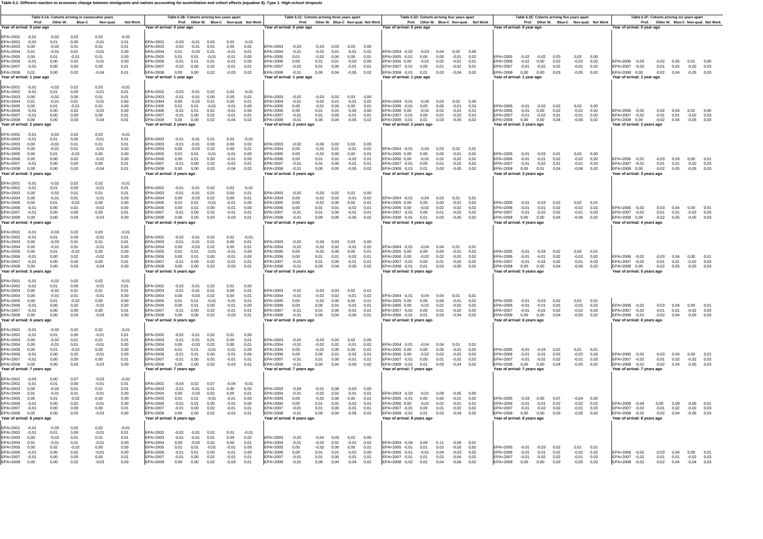Table 6.1: Different reaction to economic change between immigrants and natives accounting for assimiliation and cohort effects (equation 8). Type 1: High-school dr

|                                                                                                                                                                                                                    | Prof. |                                                                       | Table 6.1A: Cohorts arriving in consecutive years<br>Other W. Blue-C | Non-qual.                                                                   | <b>Not Work</b>                                                 |                                                                                                                      |                                                                  |                                                                      | Table 6.1B: Cohorts arriving two years apart            |                                                                     | Prof. Other W. Blue-C Non-qual. Not Work                |                                                                                                            | Table 6.1C: Cohorts arriving three years apart           |                                                                |                                                             |                                                                      | Prof. Other W. Blue-C Non-qual. Not Work |                                                                                                                                                                                     |                                        | Table 6.1D: Cohorts arriving four years apart        |                                                                                     | Prof. Other W. Blue-C Non-qual. Not Work |                                                                                                 |                                                                    |                                       | Table 6.1E: Cohorts arriving five years apart |                                                        | Prof. Other W. Blue-C Non-qual. Not Work |                                                                                         | Table 6.1F: Cohorts arriving six years apart |                                              |      | Prof. Other W. Blue-C Non-qual. Not Work                                     |  |
|--------------------------------------------------------------------------------------------------------------------------------------------------------------------------------------------------------------------|-------|-----------------------------------------------------------------------|----------------------------------------------------------------------|-----------------------------------------------------------------------------|-----------------------------------------------------------------|----------------------------------------------------------------------------------------------------------------------|------------------------------------------------------------------|----------------------------------------------------------------------|---------------------------------------------------------|---------------------------------------------------------------------|---------------------------------------------------------|------------------------------------------------------------------------------------------------------------|----------------------------------------------------------|----------------------------------------------------------------|-------------------------------------------------------------|----------------------------------------------------------------------|------------------------------------------|-------------------------------------------------------------------------------------------------------------------------------------------------------------------------------------|----------------------------------------|------------------------------------------------------|-------------------------------------------------------------------------------------|------------------------------------------|-------------------------------------------------------------------------------------------------|--------------------------------------------------------------------|---------------------------------------|-----------------------------------------------|--------------------------------------------------------|------------------------------------------|-----------------------------------------------------------------------------------------|----------------------------------------------|----------------------------------------------|------|------------------------------------------------------------------------------|--|
| Year of arrival: 0 year ago                                                                                                                                                                                        |       |                                                                       |                                                                      |                                                                             |                                                                 | Year of arrival: 0 year ago                                                                                          |                                                                  |                                                                      |                                                         |                                                                     |                                                         | Year of arrival: 0 year ago                                                                                |                                                          |                                                                |                                                             |                                                                      |                                          | Year of arrival: 0 year ago                                                                                                                                                         |                                        |                                                      |                                                                                     |                                          | Year of arrival: 0 year ago                                                                     |                                                                    |                                       |                                               |                                                        |                                          | Year of arrival: 0 year ago                                                             |                                              |                                              |      |                                                                              |  |
| EPA=2001<br>$-0.01$<br>EPA=2002<br>$-0.02$<br>EPA=2003<br>0.00<br>FPA=2004<br>0.01<br>EPA=2005<br>0.00<br>EPA=2006<br>$-0.01$<br>EPA=2007<br>$-0.01$<br>EPA=2008<br>0,01<br>Year of arrival: 1 year ago            |       | $-0.02$<br>0.01<br>$-0.02$<br>$-0.01$<br>0.01<br>0.00<br>0.00<br>0,00 | 0.02<br>0.00<br>0.01<br>0.01<br>$-0.01$<br>0.02<br>0.00<br>0,02      | 0.03<br>$-0.01$<br>0.01<br>$-0.01$<br>0.01<br>$-0.01$<br>0,00<br>$-0,04$    | $-0.02$<br>0.01<br>0.01<br>0.00<br>0.00<br>0.00<br>0.01<br>0,01 | EPA=2002<br>EPA=2003<br>$FPA=2004$<br>EPA=2005<br>EPA=2006<br>EPA=2007<br>EPA=2008<br>Year of arrival: 1 year ago    | $-0.03$<br>$-0.02$<br>0.01<br>0.01<br>$-0.01$<br>$-0,02$<br>0,00 | $-0.01$<br>$-0.01$<br>$-0.03$<br>0.01<br>0.01<br>0,00<br>0,00        | 0.03<br>0.01<br>0.01<br>$-0.01$<br>0.01<br>0,02<br>0,02 | 0.02<br>0.00<br>$-0.01$<br>$-0.01$<br>$-0.01$<br>$-0,01$<br>$-0,03$ | $-0.01$<br>0.02<br>0.01<br>0.00<br>0.00<br>0,01<br>0,02 | EPA=2003<br>$FPA=2004$<br>EPA=2005<br>EPA=2006<br>EPA=2007<br>EPA=2008<br>Year of arrival: 1 year ago      | $-0.03$<br>$-0.01$<br>0.01<br>0.00<br>$-0,02$<br>$-0,01$ | $-0.02$<br>$-0.02$<br>0.01<br>0,01<br>$0,00$ $0,04$            | $-0.03$ 0.03<br>0.01<br>0.00<br>0.01<br>0,00                | 0.03 0.00<br>$-0.01$<br>0.00<br>$-0.02$<br>$-0,01$<br>$-0,05$ 0,02   | 0.02<br>0.01<br>0.00<br>0,01             | FPA=2004 -0.02 -0.03<br>EPA=2005 -0.01<br>EPA=2006 0.00<br>EPA=2007 -0,01 0,00<br>EPA=2008 -0,01 0,01<br>Year of arrival: 1 year ago                                                | 0.00<br>$-0.02$                        | 0.00<br>0.02<br>0,01                                 | $0.04$ $0.02$ $0.00$<br>$-0.01$<br>$-0.01$<br>$-0,02$ 0,01<br>$0,03 -0,04 0,02$     | 0.02<br>0.01                             | EPA=2005<br>EPA=2006<br>EPA=2007<br>EPA=2008<br>Year of arrival: 1 year ago                     | $-0.02 - 0.02 - 0.03$<br>$-0,02$<br>$-0.01$<br>$0,00$ $0,00$       | 0.00<br>$-0.02$ 0.02                  | 0.02<br>0,03                                  | 0.02 0.00<br>$-0,02$<br>$-0,01$ 0,02<br>$-0,05$ 0,02   | 0.02                                     | EPA=2006 -0.03<br>EPA=2007 -0,03<br>EPA=2008 0,00<br>Year of arrival: 1 vear ago        |                                              | $-0.02$ 0.05<br>$-0,01$ 0,02<br>$-0,02$ 0,04 |      | 0.01 0.00<br>$-0.02$ 0.03<br>$-0,05$ 0,03                                    |  |
| EPA=2001<br>$-0.01$<br>EPA=2002<br>$-0,01$<br>EPA=2003<br>0.00<br>EPA=2004<br>0.01<br>EPA=2005<br>0.00<br>EPA=2006<br>$-0,01$<br>EPA=2007<br>$-0.01$<br>EPA=2008<br>0,00<br>Year of arrival: 2 years ago           |       | $-0.02$<br>0.01<br>$-0.02$<br>$-0.01$<br>0.01<br>0.00<br>0.00<br>0.00 | 0.02<br>0,00<br>0.00<br>0.01<br>$-0.01$<br>0.02<br>0.00<br>0.03      | 0.03<br>$-0,01$<br>0.01<br>$-0,01$<br>0.01<br>$-0,02$<br>0,00<br>$-0.04$    | $-0.02$<br>0,01<br>0.01<br>0.00<br>0.00<br>0.00<br>0,01<br>0.01 | EPA=2002<br>EPA=2003<br>EPA=2004<br>EPA=2005<br>EPA=2006<br>EPA=2007<br>EPA=2008<br>Year of arrival: 2 years ago     | $-0.01$<br>0.00<br>0.01<br>$-0,01$<br>$-0,01$<br>0,00            | $-0,02 -0,01$<br>$-0.01$<br>$-0.03$<br>0.01<br>0.01<br>0,00<br>0,00  | 0.02<br>0.00<br>0.01<br>$-0.01$<br>0.01<br>0,02<br>0,02 | 0,02<br>0.00<br>0.00<br>$-0.01$<br>$-0.01$<br>$-0,01$<br>$-0.04$    | $-0,01$<br>0.02<br>0.01<br>0.00<br>0.00<br>0.01<br>0.02 | EPA=2003<br>EPA=2004<br>PA=2005<br>$FPA=2006$<br>PA=2007<br>EPA=2008<br>Year of arrival: 2 years ago       | $-0.02$<br>$-0.01$<br>0.00<br>0,00<br>$-0,01$<br>$-0,01$ | $-0.03$<br>$-0.02$<br>$-0.01$<br>0,01<br>0,01<br>$0,00$ $0,04$ | 0.02<br>0.01<br>0.00<br>0.01<br>0,00                        | 0.03<br>$-0.01$<br>0.00<br>$-0,02$<br>$-0,01$<br>$-0.05$ 0.02        | 0.00<br>0.02<br>0.01<br>0,00<br>0,01     | EPA=2004 -0.01 -0.04<br>EPA=2005 -0.01 0.00<br>EPA=2006 0,00<br>EPA=2007 -0,01<br>EPA=2008 -0.01 0.01 0.03 -0.05 0.02<br>Year of arrival: 2 years ago                               | $-0,02$<br>0,00                        | 0.03<br>0.00<br>0.02<br>0,01                         | 0.02<br>$-0.01$<br>$-0.01$<br>$-0,02$                                               | 0.00<br>0.02<br>0,01<br>0,01             | EPA=2005<br>EPA=2006<br>PA=2007<br>EPA=2008<br>Year of arrival: 2 years ago                     | $-0.01$<br>$-0,01$ 0,00<br>$-0.01$<br>0,00                         | $-0.02$<br>$-0,02$<br>0,00            | 0.02<br>0,02<br>0.01<br>0.04                  | 0.02<br>$-0,02$<br>$-0,01$<br>$-0.06$ 0.02             | 0.00<br>0,02<br>0,02                     | EPA=2006 -0,02<br>PA=2007 -0,02<br>EPA=2008 0,00<br>Year of arrival: 2 years ago        |                                              | $-0.02$ 0.04<br>$-0,01$<br>$-0.02$ 0.04      | 0,01 | 0.01<br>0.00<br>$-0.02$ 0.03<br>$-0.05$<br>0.03                              |  |
| EPA=2001<br>$-0,01$<br>EPA=2002<br>$-0.01$<br>EPA=2003<br>0.00<br>$FPA=2004$<br>0.00<br>EPA=2005<br>0,00<br>EPA=2006<br>0.00<br>EPA=2007<br>$-0.01$<br>$FPA = 2008$<br>0.00<br>Year of arrival: 3 years ago        |       | $-0.02$<br>0.01<br>$-0.02$<br>$-0.01$<br>0.01<br>0.00<br>0.00<br>0.00 | 0.02<br>0.00<br>0.01<br>0.01<br>$-0.02$<br>0.02<br>0.00<br>0.03      | 0.03<br>$-0.01$<br>0.01<br>$-0.01$<br>0,00<br>$-0.02$<br>0,00<br>$-0.04$    | $-0.01$<br>0.01<br>0.01<br>0.00<br>0.00<br>0.00<br>0,01<br>0.01 | EPA=2002<br>EPA=2003<br>$FPA=2004$<br>EPA=2005<br>EPA=2006<br>EPA=2007<br>$FPA=2008$<br>Year of arrival: 3 years ago | $-0.01$<br>$-0.01$<br>0.00<br>0.01<br>0.00<br>$-0,01$<br>0.00    | $-0.01$<br>$-0.01$<br>$-0.03$<br>0.01<br>0.01<br>0,00<br>0.00        | 0.01<br>0.00<br>0.02<br>$-0.01$<br>0.00<br>0,02<br>0,03 | 0.02<br>0.00<br>0.00<br>$-0.01$<br>$-0.01$<br>$-0,02$<br>$-0.04$    | $-0.01$<br>0.02<br>0.01<br>0.00<br>0.00<br>0,01<br>0,02 | EPA=2003<br>$FPA=2004$<br>EPA=2005<br>EPA=2006<br>EPA=2007<br>$FPA=2008$<br>Year of arrival: 3 years ago   | $-0.02$<br>0.00<br>0.00<br>0.00<br>$-0,01$<br>$-0.01$    | $-0.02$<br>$-0.02$<br>0.01<br>0,01                             | $-0.04$ 0.02<br>0.01<br>0.00<br>0.01<br>0,00<br>$0,00$ 0,05 | $0.03$ 0.00<br>$-0.01$<br>0.00<br>$-0.02$<br>$-0,01$<br>$-0,05$ 0,02 | 0.02<br>0.01<br>0.01<br>0,01             | FPA=2004 -0.01 -0.04 0.03 0.02 0.01<br>EPA=2005 0,00<br>EPA=2006 0,00<br>EPA=2007 -0,01<br>EPA=2008 -0,01 0,01 0,03 -0,05 0,02<br>Year of arrival: 3 years ago                      | 0.00<br>$-0.02$<br>0,00                | 0.00<br>0.02<br>0,01                                 | $-0.01$<br>$-0.02$<br>$-0,02$ 0,02                                                  | 0.02<br>0.01                             | EPA=2005 -0,01 -0,03 0,01<br>EPA=2006<br>EPA=2007<br>$FPA=2008$<br>Year of arrival: 3 years ago | $-0.01$<br>$-0,01$<br>$0,00$ $0,01$ $0,04$                         | $-0.01$<br>$-0,02$ 0,01               | 0.02                                          | 0.02 0.00<br>$-0.02$ 0.02<br>$-0,01$<br>$-0.06$ 0.02   | 0,03                                     | EPA=2006 -0,01<br>EPA=2007 -0.01<br>FPA=2008 0.00<br>Year of arrival: 3 years ago       |                                              | $-0.03$ 0.03<br>$-0,01$ 0,01<br>$-0,02$ 0,05 |      | 0.0000001<br>$-0.02$ 0.03<br>$-0.05$ 0.03                                    |  |
| EPA=2001<br>$-0.01$<br>EPA=2002<br>$-0.01$<br>EPA=2003<br>0.00<br>EPA=2004<br>0.00<br>EPA=2005<br>0,00<br>EPA=2006<br>$-0,01$<br>EPA=2007<br>$-0.01$<br>EPA=2008<br>0.00<br>Year of arrival: 4 years ago           |       | $-0.02$<br>0.01<br>$-0.02$<br>$-0.01$<br>0.01<br>0.00<br>0.00<br>0,00 | 0.02<br>0.00<br>0.01<br>0.01<br>$-0.02$<br>0.02<br>0.00<br>0,03      | 0.02<br>$-0.01$<br>0.01<br>$-0.01$<br>0,00<br>$-0.02$<br>0.00<br>$-0,03$    | $-0.01$<br>0.01<br>0.01<br>0.00<br>0,00<br>0.00<br>0.01<br>0,00 | EPA=2002<br>EPA=2003<br>EPA=2004<br>EPA=2005<br>EPA=2006<br>EPA=2007<br>EPA=2008<br>Year of arrival: 4 years ago     | $-0.01$<br>$-0.01$<br>0.00<br>0,01<br>0.00<br>$-0.01$<br>0,00    | $-0.01$<br>$-0.01$<br>$-0.03$<br>0,01<br>0.01<br>0.00<br>0,00        | 0,02<br>0.01<br>0.02<br>$-0,01$<br>0.00<br>0.02<br>0,03 | 0,02<br>0.00<br>0.00<br>$-0,01$<br>$-0.01$<br>$-0.01$<br>$-0,03$    | $-0.01$<br>0.01<br>0.01<br>0,00<br>0.00<br>0.01<br>0,01 | EPA=2003<br>$FPA=2004$<br>EPA=2005<br>EPA=2006<br>EPA=2007<br>EPA=2008<br>Year of arrival: 4 years ago     | $-0.02$<br>0.00<br>0,00<br>0.00<br>$-0.01$<br>$-0,01$    | $-0.02$<br>$-0.02$<br>0,01<br>0.01<br>$0,00$ 0,05              | $-0.03$ 0.02<br>0.02<br>0.00<br>0.01<br>0.00                | 0.02 0.00<br>$-0.01$<br>0,00<br>$-0,02$<br>$-0.01$<br>$-0,05$        | 0.02<br>0,01<br>0.01<br>0.01<br>0,02     | EPA=2004 -0.01 -0.04 0.03 0.01 0.01<br>EPA=2005 0,00<br>EPA=2006 0,00<br>EPA=2007 -0.01 0.00 0.01 -0.02 0.02<br>EPA=2008 -0,01 0,01 0,03 -0,05 0,02<br>Year of arrival: 4 years ago | 0,00                                   | 0,00<br>$-0.02$ $0.02$ $-0.02$                       | $-0,01$                                                                             | 0.02<br>0.02                             | EPA=2005<br>EPA=2006<br>EPA=2007<br>EPA=2008<br>Year of arrival: 4 years ago                    | $-0,01$ $-0,03$ $0,02$<br>$-0,01$<br>$-0.01$<br>$0,00$ $0,00$      | $-0.01$ 0.02<br>$-0.02$               | 0.02<br>0,04                                  | $0,02$ 0,01<br>$-0.02$ 0.02<br>$-0.01$<br>$-0,06$ 0,02 | 0.03                                     | EPA=2006 -0,02<br>EPA=2007 -0,01<br>EPA=2008 0.00<br>Year of arrival: 4 years ago       |                                              | $-0.03$ 0.04<br>$-0.01$ 0.01<br>$-0,02$ 0,05 |      | 0.00<br>0.01<br>$-0.02$ 0.03<br>$-0.05$ 0.03                                 |  |
| EPA=2001<br>$-0.01$<br>$FPA=2002$<br>$-0.01$<br>EPA=2003<br>0,00<br>EPA=2004<br>0.00<br>EPA=2005<br>0.00<br>FPA=2006<br>$-0.01$<br>EPA=2007<br>$-0.01$<br>EPA=2008<br>0,00<br>Year of arrival: 5 years ago         |       | $-0.03$<br>0.01<br>$-0.03$<br>$-0.01$<br>0.01<br>0.00<br>0.00<br>0,00 | 0.02<br>0.00<br>0.01<br>0.01<br>$-0.02$<br>0.02<br>0.00<br>0.03      | 0.03<br>$-0.01$<br>0,01<br>$-0.01$<br>0,00<br>$-0.02$<br>0.00<br>$-0.04$    | $-0.01$<br>0.01<br>0,01<br>0.00<br>0.00<br>0.00<br>0.01<br>0.00 | $FPA=2002$<br>EPA=2003<br>EPA=2004<br>EPA=2005<br>$FPA=2006$<br>EPA=2007<br>EPA=2008<br>Year of arrival: 5 years ago | $-0.01$<br>0.00<br>0.01<br>0.00<br>$-0.01$<br>0,00               | $-0.02 - 0.01$<br>$-0,01$<br>$-0.03$<br>0.01<br>0.01<br>0.00<br>0,00 | 0.02<br>0.01<br>0.02<br>$-0.01$<br>0.00<br>0.02<br>0,02 | 0.02<br>0,00<br>0.00<br>$-0.01$<br>$-0.01$<br>$-0.01$<br>$-0,03$    | $-0.01$<br>0.01<br>0.01<br>0.00<br>0.00<br>0.01<br>0.01 | EPA=2003<br>EPA=2004<br>PA=2005<br>$FPA=2006$<br>$FPA=2007$<br>EPA=2008<br>Year of arrival: 5 years ago    | $-0.02$<br>$-0.01$<br>0.00<br>0.00<br>$-0.01$<br>$-0,01$ | $-0.04$<br>$-0.02$<br>$-0.02$<br>0.01<br>$0,00$ $0,04$         | 0.03<br>0.02<br>0.00<br>0.01<br>0.01 0.00                   | 0.03 0.00<br>$-0.01$<br>0.00<br>$-0.02$<br>$-0,01$<br>$-0,05$ 0,02   | 0.02<br>0.01<br>0.01<br>0,01             | EPA=2004 -0.01 -0.04<br>EPA=2005 0.00<br>FPA=2006 0.00<br>EPA=2007 -0.01<br>EPA=2008 -0,01<br>Year of arrival: 5 years ago                                                          | 0.00<br>$-0.02$ $0.02$<br>0.00<br>0,01 | 0.04<br>0.00                                         | 0.01 0.01<br>$-0.01$<br>$-0.02$ 0.02<br>$0.01 - 0.02 0.02$<br>$0,03$ $-0,05$ $0,02$ | 0.02                                     | EPA=2005<br>$FPA=2006$<br>$FPA=2007$<br>EPA=2008<br>Year of arrival: 5 years ago                | $-0,01$ $-0,03$ $0,02$<br>$-0.01 - 0.01 - 0.02$<br>$-0.01$<br>0,00 | $-0.02$ 0.02<br>0.00                  | 0.04                                          | 0,02<br>$-0.02$ 0.02<br>$-0.01$ 0.03<br>$-0.06$ 0.02   | 0.01                                     | FPA=2006 -0.02<br>FPA=2007 -0.02<br>EPA=2008 0,00<br>Year of arrival: 5 years ago       |                                              | $-0.02$ 0.05                                 |      | $-0.03$ $0.04$ $0.00$ $0.01$<br>$-0.01$ 0.01 $-0.02$ 0.03<br>$-0.05$<br>0.03 |  |
| EPA=2001<br>$-0.01$<br>EPA=2002<br>$-0.01$<br>EPA=2003<br>0.00<br>EPA=2004<br>0.00<br>EPA=2005<br>0.00<br>FPA=2006<br>$-0.01$<br>EPA=2007<br>$-0.01$<br>EPA=2008<br>0,00<br>Year of arrival: 6 years ago           |       | $-0.02$<br>0.01<br>$-0.02$<br>$-0.01$<br>0.01<br>0.00<br>0,00<br>0,00 | 0.02<br>0.00<br>0.01<br>0.01<br>$-0.02$<br>0.02<br>0.00<br>0,03      | 0.02<br>$-0.01$<br>0.01<br>$-0.01$<br>0.00<br>$-0.02$<br>0,00<br>$-0,03$    | $-0.01$<br>0.01<br>0.01<br>0.00<br>0.00<br>0.00<br>0,01<br>0,00 | EPA=2002<br>EPA=2003<br>EPA=2004<br>EPA=2005<br>EPA=2006<br>EPA=2007<br>EPA=2008<br>Year of arrival: 6 years ago     | $-0.01$<br>0.00<br>0.01<br>0.00<br>$-0.01$<br>0,00               | $-0.02 - 0.01$<br>$-0.01$<br>$-0.03$<br>0.01<br>0.01<br>0,00<br>0,00 | 0.02<br>0.01<br>0.02<br>$-0.01$<br>0.00<br>0,02<br>0,02 | 0.01<br>0.00<br>0.00<br>$-0.01$<br>$-0.01$<br>$-0,01$<br>$-0,03$    | 0.00<br>0.01<br>0.01<br>0.01<br>0.00<br>0,01<br>0,01    | EPA=2003<br>EPA=2004<br>EPA=2005<br>$FPA=2006$<br>EPA=2007<br>EPA=2008<br>Year of arrival: 6 years ago     | $-0.02$<br>$-0,01$<br>0.00<br>0.00<br>$-0.01$<br>$-0,01$ | $-0.03$<br>$-0.02$<br>$-0.02$<br>0.00<br>0,01<br>$0,00$ $0,04$ | 0.03<br>0.02<br>0.00<br>0.01<br>0,00                        | 0.02<br>$-0.01$<br>0.00<br>$-0.02$<br>$-0,01$<br>$-0,05$ 0,01        | 0.01<br>0.02<br>0.01<br>0.01<br>0,01     | FPA=2004 -0.01 -0.04 0.04<br>EPA=2005 0.00<br>EPA=2006 0.00<br>EPA=2007 -0,01<br>EPA=2008 -0,01<br>Year of arrival: 6 years ago                                                     | 0.00<br>$-0.02$<br>0,00                | 0.00<br>0.02<br>0,01 0,03 -0,04 0,02                 | 0.01<br>$-0.01$<br>$-0.02$<br>$0,01$ $-0,02$ $0,02$                                 | 0.01<br>0.02<br>0.02                     | EPA=2005 -0.01 -0.03 0.02<br>$FPA=2006$<br>EPA=2007<br>EPA=2008<br>Year of arrival: 6 years ago | $-0.01$<br>$-0.01$<br>0,00                                         | $-0.01$<br>$-0.02$<br>0,00            | 0.02<br>0.02<br>0,04                          | 0.01<br>$-0.02$<br>$-0,02$ 0,03<br>$-0,05$ 0,02        | 0.01<br>0.02                             | FPA=2006 -0.02<br>EPA=2007 -0.02<br>EPA=2008 -0,01<br>Year of arrival: 6 years ago      |                                              | $-0,01$ 0,01<br>$-0,02$ 0,04                 |      | $-0.03$ $0.04$ $0.00$ $0.01$<br>$-0,02$ 0,03<br>$-0,05$<br>0.03              |  |
| EPA=2001<br>$-0,01$<br>EPA=2002<br>$-0.01$<br>EPA=2003<br>0.00<br>$FPA=2004$<br>0.00<br>$FPA = 2005$<br>0.00<br>EPA=2006<br>$-0,01$<br>EPA=2007<br>$-0.01$<br>$FPA = 2008$<br>0.00<br>Year of arrival: 7 years ago |       | $-0.02$<br>0.01<br>$-0.02$<br>$-0.01$<br>0.01<br>0.00<br>0.00<br>0.00 | 0.02<br>0.00<br>0.01<br>0.01<br>$-0.02$<br>0,02<br>0.00<br>0.03      | 0.02<br>$-0.01$<br>0.01<br>$-0.01$<br>0.00<br>$-0,01$<br>0.00<br>$-0.03$    | $-0,01$<br>0.01<br>0.01<br>0.00<br>0.00<br>0,00<br>0.01<br>0.00 | EPA=2002<br>EPA=2003<br>$FPA=2004$<br>EPA=2005<br>EPA=2006<br>EPA=2007<br>$FPA=2008$<br>Year of arrival: 7 years ago | $-0.02$<br>$-0.01$<br>0.00<br>0.01<br>$-0,01$<br>$-0.01$<br>0.00 | $-0.01$<br>$-0.01$<br>$-0.03$<br>0.01<br>0,01<br>0.00<br>0.00        | 0.02<br>0.01<br>0.02<br>$-0.01$<br>0,00<br>0.02<br>0,02 | 0.01<br>0.00<br>0.00<br>$-0.01$<br>$-0,01$<br>$-0.01$<br>$-0.03$    | 0.00<br>0.01<br>0.01<br>0.00<br>0.00<br>0.01<br>0.01    | EPA=2003<br>$FPA=2004$<br>$FPA=2005$<br>EPA=2006<br>EPA=2007<br>$FPA=2008$<br>Year of arrival: 7 years ago | $-0.02$<br>$-0.01$<br>0.00<br>0,00<br>$-0.01$<br>$-0.01$ | $-0.03$<br>$-0.02$<br>$-0.02$<br>0,00<br>0.01                  | 0.03<br>0.02<br>0.00<br>0.01<br>0.00<br>$0,00$ $0,04$       | 0.02<br>$-0.01$<br>0.00<br>$-0.02$<br>$-0.01$ 0.01<br>$-0.05$ 0.02   | 0.00<br>0.02<br>0.01<br>0.01             | FPA=2004 -0.01 -0.04 0.04<br>EPA=2005 0.00<br>EPA=2006 0,00<br>EPA=2007 -0.01<br>EPA=2008 -0.01 0.01 0.03 -0.04 0.02<br>Year of arrival: 7 years ago                                | 0.00<br>$-0.02$                        | 0.00<br>0.02<br>$0.00$ $0.01$ $-0.02$ $0.02$         | 0.01<br>$-0.01$ 0.02<br>$-0,02$                                                     | 0.01<br>0.02                             | EPA=2005 -0.01 -0.03 0.02<br>EPA=2006<br>EPA=2007<br>$FPA=2008$<br>Year of arrival: 7 years ago | $-0,01$<br>$-0.01$<br>0.00                                         | $-0.01$<br>$-0.02$ 0.02<br>0.00       | 0.02<br>0.04                                  | 0.01<br>$-0,02$<br>$-0.01$ 0.03<br>$-0.05$ 0.02        | 0.01<br>0.02                             | EPA=2006 -0,02<br>EPA=2007 -0.02<br>FPA=2008 -0.01<br>Year of arrival: 7 years ago      |                                              | $-0.01$ 0.02<br>$-0.02$ 0.04                 |      | $-0,03$ 0,04 0,00 0,01<br>$-0.02$ 0.03<br>$-0.05$ 0.03                       |  |
| EPA=2001<br>$-0.03$<br>EPA=2002<br>$-0.01$<br>FPA=2003<br>0.00<br>EPA=2004<br>0.01<br>EPA=2005<br>0.00<br>EPA=2006<br>$-0,01$<br>EPA=2007<br>$-0.01$<br>EPA=2008<br>0.00<br>Year of arrival: 8 years ago           |       | 0.00<br>0.01<br>$-0.02$<br>$-0.01$<br>0.01<br>0.00<br>0.00<br>0,00    | 0.07<br>0.00<br>0.01<br>0.01<br>$-0.02$<br>0.02<br>0.00<br>0,03      | $-0.03$<br>$-0.01$<br>0.01<br>$-0.01$<br>0.00<br>$-0,01$<br>0.00<br>$-0,03$ | $-0.02$<br>0.01<br>0.01<br>0.00<br>0.00<br>0.00<br>0.01<br>0,00 | EPA=2002<br>$FPA=2003$<br>EPA=2004<br>EPA=2005<br>$FPA=2006$<br>EPA=2007<br>EPA=2008<br>Year of arrival: 8 years ago | $-0.01$<br>0.00<br>0.01<br>$-0,01$<br>$-0.01$<br>0,00            | $-0,04$ 0,02<br>$-0.01$<br>$-0.03$<br>0.01<br>0.01<br>0.00<br>0,00   | 0.07<br>0.01<br>0.02<br>$-0.01$<br>0,00<br>0.02<br>0,02 | $-0.04$<br>0.00<br>0.00<br>$-0.01$<br>$-0,01$<br>$-0.01$<br>$-0.03$ | $-0.01$<br>0.02<br>0.01<br>0.00<br>0.00<br>0.01<br>0,01 | $FPA=2003$<br>EPA=2004<br>EPA=2005<br>EPA=2006<br>EPA=2007<br>$FPA=2008$<br>Year of arrival: 8 years ago   | $-0.04$<br>$-0.01$<br>0.00<br>0,00<br>$-0.01$<br>$-0,01$ | $-0.02$<br>$-0.02$<br>0,01<br>0.01<br>$0,00$ $0,04$            | $-0.01$ 0.08<br>0.02<br>0.00<br>0.01<br>0.00                | $-0.03$<br>$-0.01$<br>0.00<br>$-0,02$<br>$-0.01$ 0.01<br>$-0,05$     | 0.00<br>0.02<br>0.01<br>0.01<br>0,02     | EPA=2004 -0.03 -0.01<br>EPA=2005 -0.01 0.00<br>FPA=2006 0.00<br>EPA=2007 -0.01<br>EPA=2008 -0,01 0,01 0,03 -0,04<br>Year of arrival: 8 years ago                                    | $-0.02$                                | 0.09<br>0.00<br>0.02<br>$0.00$ $0.01$ $-0.02$ $0.02$ | $-0.05$ 0.00<br>$-0.01$<br>$-0.01$                                                  | 0.02<br>0.01<br>0,02                     | EPA=2005<br>$FPA=2006$<br>EPA=2007<br>EPA=2008 0,00 0,00<br>Year of arrival: 8 years ago        | $-0.03$ 0.00<br>$-0,01$<br>$-0.01$                                 | $-0.01$<br>$-0.02$                    | 0.07<br>0.02<br>0.02<br>0,03                  | $-0.04$<br>$-0,02$<br>$-0.01$ 0.03<br>$-0,05$          | 0.00<br>0.02<br>0,02                     | $FPA = 2006 - 0.04$<br>EPA=2007 -0,02<br>FPA=2008 -0.01<br>Year of arrival: 8 years ago |                                              | 0.0000009<br>$-0.01$ 0.02<br>$-0,02$ 0,04    |      | $-0.06$<br>$-0.02$ 0.03<br>$-0.05$                                           |  |
| EPA=2001<br>$-0.01$<br>FPA=2002<br>$-0.01$<br>EPA=2003<br>0.00<br>EPA=2004<br>0,01<br>EPA=2005<br>0.00<br>FPA=2006<br>$-0.01$<br>EPA=2007<br>$-0.01$<br>EPA=2008<br>0,00                                           |       | $-0.03$<br>0.01<br>$-0.03$<br>$-0,01$<br>0.02<br>0.00<br>0.00<br>0,00 | 0.02<br>0.00<br>0.01<br>0,01<br>$-0.02$<br>0.02<br>0.00<br>0,02      | 0.02<br>$-0.01$<br>0.01<br>$-0.01$<br>0.00<br>$-0.01$<br>0.00<br>$-0.03$    | $-0.01$<br>0.01<br>0.01<br>0,00<br>0.00<br>0.00<br>0.01<br>0,00 | $FPA=2002$<br>EPA=2003<br>EPA=2004<br>EPA=2005<br>$FPA=2006$<br>EPA=2007<br>EPA=2008                                 | $-0.02$<br>$-0.01$<br>0,00<br>0.01<br>$-0.01$<br>$-0.01$<br>0,00 | $-0.01$<br>$-0.01$<br>$-0.03$<br>0.01<br>0.01<br>0.00<br>0,00        | 0.02<br>0.01<br>0,02<br>$-0.01$<br>0.00<br>0.02<br>0,02 | 0.01<br>0.00<br>0,00<br>$-0.01$<br>$-0.01$<br>$-0.01$<br>$-0.03$    | $-0.01$<br>0.02<br>0,01<br>0.00<br>0.00<br>0.01<br>0,01 | EPA=2003<br>EPA=2004<br>EPA=2005<br>$FPA = 2006$<br>EPA=2007<br>EPA=2008                                   | $-0.02$<br>$-0,01$<br>0.00<br>0.00<br>$-0.01$<br>$-0,01$ | $-0.04$<br>$-0.02$<br>$-0.02$<br>0.01<br>0.01<br>$0,00$ $0,04$ | 0.03<br>0,02<br>0.00<br>0.01<br>0.00                        | 0.02<br>$-0,01$<br>0.00 0.01<br>$-0.02$<br>$-0.01$<br>$-0,04$        | 0.00<br>0,02<br>0.00<br>0.01<br>0,02     | EPA=2004 -0,04 0,00<br>EPA=2005 -0,01<br>FPA=2006 -0.01<br>EPA=2007 -0.01 0.01<br>EPA=2008 -0,02 0,02                                                                               | 0.01<br>$-0.01$                        | 0,11<br>0.02<br>0.04<br>0.02<br>0,04                 | $-0.06$<br>$-0.03$<br>$-0.03$<br>$-0.04$<br>$-0.06$                                 | 0,01<br>0.02<br>0.02<br>0.02<br>0,02     | EPA=2005<br>$FPA=2006$<br>$FPA=2007$<br>EPA=2008                                                | $-0.01$<br>$-0.01$<br>$-0.01$<br>0,00                              | $-0.03$<br>$-0.01$<br>$-0.02$<br>0,00 | 0.02<br>0.02<br>0.02<br>0,03                  | 0.01<br>$-0.02$<br>$-0.01$ 0.03<br>$-0.05$ 0.02        | 0.01<br>0.02                             | FPA=2006 -0.02<br>EPA=2007 -0,02<br>EPA=2008 -0,01                                      |                                              | $-0.03$ 0.04<br>$-0.01$ 0.01<br>$-0.02$ 0.04 |      | 0.00<br>0.01<br>$-0.02$<br>0.03<br>$-0.04$                                   |  |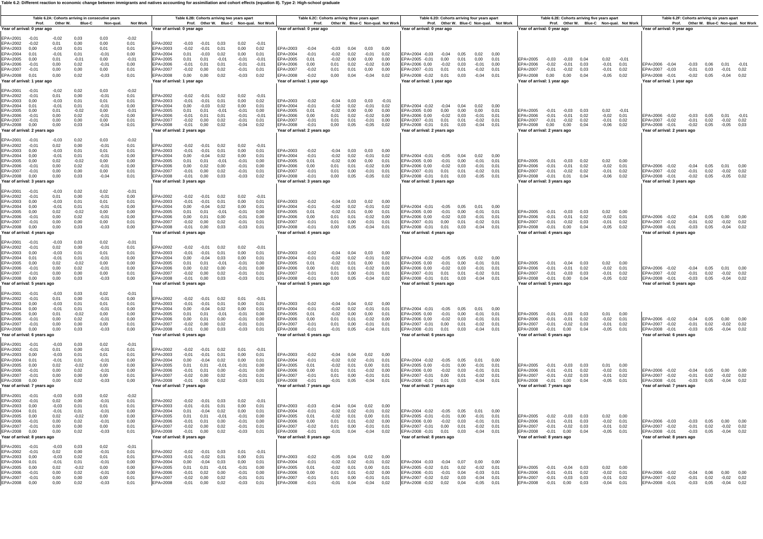**Table 6.2: Different reaction to economic change between immigrants and natives accounting for assimiliation and cohort effects (equation 8). Type 2: High-school graduate** 

| Table 6.2A: Cohorts arriving in consecutive vears<br>Table 6.2B: Cohorts arriving two years apart<br>Prof. Other W. Blue-C Non-qual. Not Work<br>Other W. Blue-C<br>Non-gual.<br><b>Not Work</b><br>Year of arrival: 0 year ago<br>0.03<br>0.03<br>$-0.02$ |                                                                 |                                                                          |                                                                    |                                                                                                                      |                                                                           |                                                                    |                                                         |                                                                  |                                                               | Year of arrival: 0 year ago                                                                              | Table 6.2C: Cohorts arriving three years apart           | Prof. Other W. Blue-C Non-qual. Not Work                      |                                              |                                                            |                                                | Year of arrival: 0 year ago                                                                                                                           | Table 6.2D: Cohorts arriving four years apart           |                                      |                                                            | Prof. Other W. Blue-C Non-qual. Not Work | Year of arrival: 0 year ago                                                      |                                               |                                       | Table 6.2E: Cohorts arriving five years apart |                                               | Prof. Other W. Blue-C Non-qual. Not Work | Table 6.2F: Cohorts arriving six years apart<br>Year of arrival: 0 year ago                       |                                    |                                       |                                 | Prof. Other W. Blue-C Non-qual. Not Work |
|------------------------------------------------------------------------------------------------------------------------------------------------------------------------------------------------------------------------------------------------------------|-----------------------------------------------------------------|--------------------------------------------------------------------------|--------------------------------------------------------------------|----------------------------------------------------------------------------------------------------------------------|---------------------------------------------------------------------------|--------------------------------------------------------------------|---------------------------------------------------------|------------------------------------------------------------------|---------------------------------------------------------------|----------------------------------------------------------------------------------------------------------|----------------------------------------------------------|---------------------------------------------------------------|----------------------------------------------|------------------------------------------------------------|------------------------------------------------|-------------------------------------------------------------------------------------------------------------------------------------------------------|---------------------------------------------------------|--------------------------------------|------------------------------------------------------------|------------------------------------------|----------------------------------------------------------------------------------|-----------------------------------------------|---------------------------------------|-----------------------------------------------|-----------------------------------------------|------------------------------------------|---------------------------------------------------------------------------------------------------|------------------------------------|---------------------------------------|---------------------------------|------------------------------------------|
| 0.00<br>0.00<br>0.01<br>0,01<br>0.01<br>$-0.01$<br>$-0,01$<br>0.00<br>0.02<br>$-0.01$<br>0,00<br>0,00<br>0,02<br>$-0.03$                                                                                                                                   |                                                                 |                                                                          | 0.01<br>0.01<br>0.00<br>$-0.01$<br>0.00<br>0,01<br>0.01            | $FPA=2002$<br>EPA=2003<br>EPA=2004<br>EPA=2005<br>$FPA=2006$<br>EPA=2007<br>EPA=2008<br>Year of arrival: 1 year ago  | $-0.03$<br>$-0,02$<br>0.01<br>0,01<br>$-0.01$<br>$-0.02$<br>$0,00$ $0,00$ | $-0.01$<br>$-0.01$<br>$-0.03$<br>0.01<br>0.01<br>0,00              | 0.03<br>0.01<br>0.02<br>$-0,01$<br>0.01<br>0,02<br>0,02 | 0.02<br>0,00<br>0.00<br>$-0,01$<br>$-0.01$<br>$-0.01$<br>$-0,03$ | $-0.01$<br>0.02<br>0.01<br>$-0.01$<br>$-0.01$<br>0,01<br>0.02 | EPA=2003<br>EPA=2004<br>EPA=2005<br>FPA=2006<br>EPA=2007<br>EPA=2008<br>Year of arrival: 1 year ago      | $-0.04$<br>$-0.01$<br>0.01<br>0.00<br>$-0.02$<br>$-0,02$ | $-0.03$<br>$-0.02$<br>$-0.02$<br>0.01<br>0,01<br>0,00         | 0.04<br>0.02<br>0.00<br>0.02<br>0,01<br>0,04 | 0.03 0.00<br>$-0.01$<br>0,00<br>$-0.02$<br>0,00<br>$-0,04$ | 0.02<br>0.00<br>0.00<br>0,00<br>0.02           | EPA=2004 -0.03<br>EPA=2005 -0,01<br>FPA=2006 0.00<br>EPA=2007 -0,01<br>EPA=2008 -0,02 0,01 0,03 -0,04 0,01<br>Year of arrival: 1 year ago             | $-0.04$<br>0.00<br>$-0.02$<br>0,01                      | 0.05<br>0.01<br>0.03<br>0,01         | 0.02 0.00<br>0.00<br>$-0.01$<br>$-0,02$                    | 0,01<br>0.00<br>0,01                     | EPA=2005<br>$FPA=2006$<br>EPA=2007<br>$FPA=2008$<br>Year of arrival: 1 year ago  | $-0,03$<br>$-0.02$<br>$-0,01$<br>0.00         | $-0.03$<br>$-0.01$<br>$-0,02$<br>0,00 | 0.04<br>0.03<br>0.03<br>0.04                  | 0.02<br>$-0.01$<br>$-0,01$<br>$-0.05$ 0.02    | $-0.01$<br>0.01<br>0,02                  | $FPA = 2006 - 0.04$<br>EPA=2007 -0.03<br>EPA=2008 -0,01 -0,02 0,05<br>Year of arrival: 1 year ago | $-0.01$ 0.03                       | $-0.03$ $0.06$ $0.01$                 | $-0.01$ 0.02<br>$-0.04$         | $-0.01$<br>0.02                          |
| 0.02<br>0.03<br>0.00<br>$-0.01$<br>0.01<br>0,01<br>0,01<br>$-0,01$<br>$-0,02$<br>0,00<br>0.02<br>$-0,01$<br>0,00<br>0,00<br>$-0,04$<br>0.03                                                                                                                |                                                                 |                                                                          | $-0.02$<br>0.01<br>0.01<br>0,00<br>$-0.01$<br>0,00<br>0.01<br>0.01 | $FPA=2002$<br>EPA=2003<br>EPA=2004<br>EPA=2005<br>EPA=2006<br>EPA=2007<br>EPA=2008<br>Year of arrival: 2 years ago   | $-0.02$<br>$-0,01$<br>0,00<br>0,01<br>$-0,01$<br>$-0,02$<br>$-0,01$       | $-0.01$ 0.02<br>$-0.01$<br>$-0.03$<br>0.01<br>0.01<br>0,00<br>0,00 | 0.01<br>0,02<br>$-0.01$<br>0,01<br>0,02<br>0,02         | 0.02<br>0,00<br>0,00<br>$-0.01$<br>$-0,01$<br>$-0,01$<br>$-0.04$ | $-0.01$<br>0.02<br>0.01<br>0.00<br>$-0.01$<br>0.01<br>0.02    | EPA=2003<br>EPA=2004<br>EPA=2005<br>EPA=2006<br>EPA=2007<br>EPA=2008<br>Year of arrival: 2 years ago     | $-0.02$<br>$-0.01$<br>0.01<br>0.00<br>$-0.01$<br>$-0,01$ | $-0.04$<br>$-0.02$<br>$-0.02$<br>0,01<br>0.01<br>0,00         | 0.03<br>0.02<br>0.00<br>0.02<br>0,01<br>0,05 | 0.03<br>$-0,01$<br>0,00<br>$-0,02$<br>$-0,01$<br>$-0,05$   | $-0.0$<br>0,02<br>0,00<br>0,00<br>0,00<br>0,02 | EPA=2004 -0.02<br>EPA=2005 0.00<br>EPA=2006 0,00<br>EPA=2007 -0.01<br>EPA=2008 -0,01<br>Year of arrival: 2 years ago                                  | $-0.04$<br>0.00<br>$-0,02$<br>0,01<br>$0,01$ 0.03       | 0.04<br>0.00<br>0.03<br>0,01         | 0.02<br>0,00<br>$-0,01$<br>$-0,02$<br>$-0,04$              | 0.00<br>0.01<br>0,01<br>0,01<br>0.01     | EPA=2005<br>EPA=2006<br>EPA=2007<br>EPA=2008<br>Year of arrival: 2 years ago     | $-0.01$<br>$-0,01$<br>$-0,01$<br>0,00         | $-0.03$<br>$-0,01$<br>$-0.02$<br>0,00 | 0.03<br>0,02<br>0.02<br>0.04                  | 0.02<br>$-0,02$<br>$-0,01$<br>$-0,06$         | $-0.01$<br>0,01<br>0.02<br>0.02          | EPA=2006 -0,02<br>EPA=2007 -0.02<br>EPA=2008 -0,01<br>Year of arrival: 2 years ago                | $-0,01$ 0,02<br>$-0.02$ 0.05       | $-0,03$ 0,05 0,01                     | $-0.02$ 0.02<br>$-0.05$         | $-0.01$<br>0.03                          |
| 0.02<br>0,00<br>0.01<br>0.01<br>$-0.02$<br>0.02<br>0,00<br>0,03                                                                                                                                                                                            |                                                                 | 0.03<br>$-0,01$<br>0.01<br>$-0.01$<br>0.00<br>$-0.01$<br>0,00<br>$-0,04$ | $-0.02$<br>0,01<br>0.01<br>0.00<br>0.00<br>0.00<br>0,01<br>0,01    | EPA=2002<br>EPA=2003<br>EPA=2004<br>$FPA=2005$<br>EPA=2006<br>EPA=2007<br>EPA=2008<br>Year of arrival: 3 years ago   | $-0,02$<br>$-0.01$<br>0.00<br>0.01<br>0,00<br>$-0,01$<br>$-0,01$          | $-0,01$<br>$-0.01$<br>$-0.04$<br>0.01<br>0.02<br>0,00<br>0,00      | 0,02<br>0.01<br>0.02<br>$-0.01$<br>0.00<br>0,02<br>0,03 | 0,02<br>0.00<br>0.00<br>$-0.01$<br>$-0.01$<br>$-0.01$<br>$-0,03$ | $-0,01$<br>0.01<br>0.01<br>0.00<br>0.00<br>0,01<br>0,02       | EPA=2003<br>EPA=2004<br>$FPA=2005$<br>EPA=2006<br>EPA=2007<br>EPA=2008<br>Year of arrival: 3 years ago   | $-0.02$<br>$-0.01$<br>0.01<br>0.00<br>$-0.01$<br>$-0,01$ | $-0.04$<br>$-0.02$<br>$-0.02$<br>0.01<br>0,01<br>0,00         | 0.03<br>0.02<br>0.00<br>0.01<br>0,00<br>0,05 | 0.03<br>$-0.01$<br>0.00<br>$-0,02$<br>$-0,01$<br>$-0,05$   | 0.00<br>0.02<br>0.01<br>0.00<br>0,01<br>0,02   | EPA=2004 -0,01<br>$FPA=2005$ 0.00<br>EPA=2006 0.00<br>EPA=2007 -0,01<br>EPA=2008 -0,01<br>Year of arrival: 3 years ago                                | $-0.05$<br>$-0.01$<br>$-0.02$<br>0,01<br>$0,01$ 0,03    | 0.04<br>0.00<br>0.03<br>0,01         | 0.02<br>$-0.01$<br>$-0.01$<br>$-0.02$<br>$-0,05$           | 0.00<br>0.01<br>0.01<br>0,01<br>0,01     | $FPA=2005$<br>EPA=2006<br>EPA=2007<br>EPA=2008<br>Year of arrival: 3 years ago   | $-0.01$<br>$-0,01$<br>$-0,01$<br>$-0,01$      | $-0.03$<br>$-0.01$<br>$-0.02$<br>0,01 | 0.02<br>0.02<br>0,02<br>0,04                  | 0.02000<br>$-0.02$<br>$-0,01$<br>$-0,06$      | 0.01<br>0,02<br>0,02                     | EPA=2006 -0.02<br>EPA=2007 -0,02<br>EPA=2008 -0,01<br>Year of arrival: 3 years ago                | $-0,01$ 0,02<br>$-0,02$ 0,05       | $-0.04$ 0.05 0.01                     | $-0.02$ 0.02<br>$-0.05$         | 0.00<br>0.02                             |
|                                                                                                                                                                                                                                                            | 0.02<br>0.00<br>0.01<br>0.01<br>$-0.02$<br>0,02<br>0.00<br>0.03 | 0.02<br>$-0.01$<br>0.01<br>$-0.01$<br>0.00<br>$-0,01$<br>0.00<br>$-0.03$ | $-0.01$<br>0.00<br>0.01<br>0.00<br>0.00<br>0.00<br>0.01<br>0.00    | EPA=2002<br>EPA=2003<br>$FPA=2004$<br>EPA=2005<br>EPA=2006<br>EPA=2007<br>EPA=2008<br>Year of arrival: 4 years ago   | $-0.02$<br>$-0.01$<br>0.00<br>0,01<br>0,00<br>$-0,02$<br>$-0,01$          | $-0.01$<br>$-0.01$<br>$-0.04$<br>0.01<br>0,01<br>0.00<br>0.00      | 0.02<br>0.01<br>0.02<br>$-0.01$<br>0,00<br>0.02<br>0,03 | 0.02<br>0,00<br>0.00<br>$-0.01$<br>$-0,01$<br>$-0.01$<br>$-0.03$ | $-0.01$<br>0.01<br>0.01<br>0.00<br>0.00<br>0.01<br>0.01       | EPA=2003<br>$FPA=2004$<br>EPA=2005<br>EPA=2006<br>EPA=2007<br>EPA=2008<br>Year of arrival: 4 years ago   | $-0.02$<br>$-0.01$<br>0.01<br>0.00<br>$-0.01$<br>$-0.01$ | $-0.04$<br>$-0.02$<br>$-0.02$<br>0,01<br>0.01<br>0,00         | 0.03<br>0.02<br>0.01<br>0,01<br>0.00<br>0.05 | 0,02<br>$-0.01$<br>0.00<br>$-0,02$<br>$-0.01$<br>$-0.04$   | 0.00<br>0.02<br>0.01<br>0,00<br>0.01<br>0.01   | FPA=2004 -0.01 -0.05<br>EPA=2005 0.00<br>EPA=2006 0,00<br>EPA=2007 -0.01<br>EPA=2008 -0,01 0,01 0,03<br>Year of arrival: 4 years ago                  | $-0.01$<br>$-0,02$<br>0.00                              | 0.05<br>0.00<br>0,03<br>0.01         | 0.01<br>$-0.01$<br>$-0,01$<br>$-0.02$ 0.01<br>$-0.04$ 0.01 | 0.00<br>0.01<br>0,01                     | EPA=2005<br>EPA=2006<br>EPA=2007<br>EPA=2008<br>Year of arrival: 4 years ago     | $-0.01$<br>$-0,01$<br>$-0.01$<br>$-0.01$ 0.00 | $-0.03$<br>$-0,01$<br>$-0.02$         | 0.03<br>0.02<br>0.03<br>0.04                  | 0.02000<br>$-0.02$<br>$-0.01$<br>$-0.05$ 0.02 | 0,01<br>0.02                             | EPA=2006 -0,02<br>EPA=2007 -0.02<br>EPA=2008 -0,01<br>Year of arrival: 4 years ago                | $-0.01$ 0.02<br>$-0.03$ 0.05       | $-0.04$ 0.05 0.00                     | $-0.02$ 0.02<br>$-0.04$         | 0.00<br>0.02                             |
| $-0.03$<br>0.02<br>$-0.03$<br>$-0.01$<br>0.02<br>0,00<br>0.00<br>0,00<br>Year of arrival: 5 years ago                                                                                                                                                      | 0.03<br>0.00<br>0.01<br>0,01<br>$-0.02$<br>0,02<br>0.00<br>0,03 | 0.02<br>$-0.01$<br>0.01<br>$-0,01$<br>0.00<br>$-0,01$<br>0.00<br>$-0,03$ | $-0.01$<br>0.01<br>0.01<br>0,00<br>0.00<br>0.00<br>0.01<br>0,00    | EPA=2002<br>EPA=2003<br>EPA=2004<br>EPA=2005<br>EPA=2006<br>$FPA=2007$<br>EPA=2008<br>Year of arrival: 5 years ago   | $-0.02$<br>$-0.01$<br>0,00<br>0.01<br>0,00<br>$-0.02$<br>$-0,01$          | $-0.01$<br>$-0.01$<br>$-0.04$<br>0.01<br>0,02<br>0.00<br>0,00      | 0.02<br>0.01<br>0,03<br>$-0.01$<br>0,00<br>0.02<br>0,03 | 0.02<br>0.00<br>0,00<br>$-0.01$<br>$-0,01$<br>$-0.01$<br>$-0.03$ | $-0.01$<br>0.01<br>0.01<br>0.00<br>0.00<br>0.01<br>0,01       | $FPA=2003$<br>EPA=2004<br>EPA=2005<br>EPA=2006<br>$FPA=2007$<br>EPA=2008<br>Year of arrival: 5 years ago | $-0.02$<br>$-0.01$<br>0.01<br>0,00<br>$-0.01$<br>$-0,01$ | $-0.04$<br>$-0.02$<br>$-0.02$<br>0,01<br>0.01<br>0,00         | 0.04<br>0.02<br>0.01<br>0,01<br>0.00<br>0,05 | 0.03<br>$-0,01$<br>0.00<br>$-0,02$<br>$-0.01$<br>$-0,04$   | 0.00<br>0.02<br>0.01<br>0.00<br>0.01<br>0,02   | EPA=2004 -0.02<br>EPA=2005 0.00<br>FPA=2006 0.00<br>FPA=2007 -0.01<br>EPA=2008 -0,01 0,01 0,03<br>ear of arrival: 5 years ago                         | $-0.05$<br>$-0.01$<br>$-0,02$<br>0.01 0.01              | 0.05<br>0.00<br>0.03                 | 0.02<br>$-0.01$<br>$-0,01$<br>$-0.02$ 0.01<br>$-0.04$      | 0.00<br>0.01<br>0.01<br>0,01             | EPA=2005<br>EPA=2006<br>$FPA=2007$<br>EPA=2008<br>Year of arrival: 5 years ago   | $-0.01$<br>$-0,01$<br>$-0.01$<br>$-0.01$      | $-0.04$<br>$-0,01$<br>$-0.03$<br>0,00 | 0.03<br>0.02<br>0.03<br>0,04                  | 0.02<br>$-0,02$<br>$-0.01$ 0.02<br>$-0.05$    | 0.00<br>0.01<br>0.02                     | EPA=2006 -0,02<br>FPA=2007 -0.02<br>EPA=2008 -0,01<br>Year of arrival: 5 years ago                | $-0.01$ 0.02<br>$-0.03$ 0.05       | $-0,04$ 0,05 0,01                     | $-0.02$ 0.02<br>$-0.04$         | 0.00<br>0.02                             |
| $-0.03$<br>0.01<br>$-0.03$<br>$-0,01$<br>0,01<br>0.00<br>0.00<br>0,00                                                                                                                                                                                      | 0.03<br>0.00<br>0.01<br>0,01<br>$-0.02$<br>0.02<br>0.00<br>0,03 | 0.02<br>$-0.01$<br>0.01<br>$-0,01$<br>0,00<br>$-0.01$<br>0.00<br>$-0,03$ | $-0.01$<br>0.00<br>0.01<br>0,00<br>0.00<br>0.00<br>0.01<br>0,00    | $FPA=2002$<br>EPA=2003<br>EPA=2004<br>EPA=2005<br>EPA=2006<br>EPA=2007<br>EPA=2008<br>Year of arrival: 6 years ago   | $-0.02$<br>$-0.01$<br>0,00<br>0,01<br>0.00<br>$-0.02$<br>$-0,01$          | $-0.01$<br>$-0.01$<br>$-0.04$<br>0.01<br>0.01<br>0.00<br>0,00      | 0.02<br>0.01<br>0,02<br>$-0.01$<br>0.00<br>0.02<br>0,03 | 0.01<br>0.00<br>0,00<br>$-0.01$<br>$-0.01$<br>$-0.01$<br>$-0,03$ | $-0.01$<br>0.01<br>0,01<br>0.00<br>0.00<br>0.01<br>0.01       | FPA=2003<br>EPA=2004<br>EPA=2005<br>EPA=2006<br>$FPA=2007$<br>EPA=2008<br>Year of arrival: 6 years ago   | $-0.02$<br>$-0,01$<br>0.01<br>0.00<br>$-0.01$<br>$-0,01$ | $-0.04$<br>$-0.02$<br>$-0.02$<br>0.01<br>0.01<br>$-0,01$      | 0.04<br>0,02<br>0.00<br>0.01<br>0.00<br>0,05 | 0.02<br>$-0,01$<br>0.00<br>$-0.02$<br>$-0.01$<br>$-0,04$   | 0.00<br>0,01<br>0.01<br>0.00<br>0.01<br>0.01   | EPA=2004 -0,01<br>FPA=2005 0.00<br>EPA=2006 0.00<br>$FPA=2007 -0.01$<br>EPA=2008 -0,01<br>Year of arrival: 6 years ago                                | $-0,05$<br>$-0.01$<br>$-0.02$<br>0.00<br>0,01           | 0,05<br>0.00<br>0.03<br>0.01<br>0,03 | 0.01<br>$-0.01$<br>$-0.01$<br>$-0.02$<br>$-0,04$           | 0.00<br>0.01<br>0.01<br>0.01<br>0,01     | EPA=2005<br>EPA=2006<br>$FPA=2007$<br>EPA=2008<br>Year of arrival: 6 years ago   | $-0.01$<br>$-0.01$<br>$-0.01$<br>$-0,01$      | $-0.03$<br>$-0.01$<br>$-0.02$<br>0,00 | 0.03<br>0.02<br>0.03<br>0,04                  | 0.01<br>$-0.02$<br>$-0.01$ 0.02<br>$-0,05$    | 0.00<br>0.01<br>0.01                     | EPA=2006 -0,02<br>FPA=2007 -0.02<br>EPA=2008 -0.01<br>Year of arrival: 6 years ago                | $-0.01$ 0.02<br>$-0,03$            | $-0.04$ 0.05<br>0,05                  | 0.00<br>$-0.02$ 0.02<br>$-0.04$ | 0.00                                     |
| $-0.03$<br>0.01<br>$-0.03$<br>$-0.01$<br>0.02<br>0.00<br>0,00<br>0,00<br>Year of arrival: 7 years ago                                                                                                                                                      | 0.03<br>0.00<br>0,01<br>0.01<br>$-0.02$<br>0.02<br>0,00<br>0,02 | 0.02<br>$-0.01$<br>0,01<br>$-0.01$<br>0.00<br>$-0.01$<br>0,00<br>$-0,03$ | $-0.01$<br>0.01<br>0,01<br>0.00<br>0.00<br>0.00<br>0,01<br>0,00    | EPA=2002<br>EPA=2003<br>EPA=2004<br>$FPA=2005$<br>$FPA=2006$<br>EPA=2007<br>EPA=2008<br>Year of arrival: 7 years ago | $-0.02$<br>$-0,01$<br>0.00<br>0.01<br>$-0,01$<br>$-0,02$<br>$-0,01$       | $-0.01$<br>$-0.01$<br>$-0.04$<br>0.01<br>0.01<br>0,00<br>0,00      | 0.02<br>0,01<br>0,02<br>$-0.01$<br>0.00<br>0,02<br>0,02 | 0.01<br>0,00<br>0,00<br>$-0.01$<br>$-0.01$<br>$-0,01$<br>$-0,03$ | $-0.01$<br>0.01<br>0.01<br>0.00<br>0.00<br>0,01<br>0,01       | EPA=2003<br>EPA=2004<br>$FPA=2005$<br>$FPA=2006$<br>EPA=2007<br>EPA=2008<br>Year of arrival: 7 years ago | $-0,02$<br>$-0.01$<br>0.01<br>0.00<br>$-0,01$<br>$-0,01$ | $-0.04$<br>$-0.02$<br>$-0.02$<br>0.01<br>0,01<br>$-0,01$ 0,05 | 0.04<br>0,02<br>0.01<br>0.01<br>0,00         | 0,02<br>$-0.01$<br>0.00<br>$-0.02$<br>$-0,01$<br>$-0,04$   | 0.00<br>0.01<br>0.01<br>0.00<br>0,01<br>0,01   | EPA=2004 -0,02 -0,05 0,05<br>FPA=2005 0.00<br>FPA=2006 0.00<br>EPA=2007 -0,01<br>EPA=2008 -0,01<br>Year of arrival: 7 years ago                       | $-0.01$ 0.00<br>$-0.02$<br>0,00<br>0,01 0,03 -0,04 0,01 | 0.03<br>0,01                         | 0.01<br>$-0.01$<br>$-0.01$ 0.01<br>$-0,02$                 | 0.00<br>0.01<br>0,01                     | $FPA=2005$<br>$FPA=2006$<br>EPA=2007<br>EPA=2008<br>Year of arrival: 7 years ago | $-0.01$<br>$-0.01$<br>$-0,01$<br>$-0.01$      | $-0.03$<br>$-0.01$<br>$-0.02$<br>0.00 | 0.03<br>0.02<br>0,03<br>0,04                  | 0.01<br>$-0.02$<br>$-0,01$<br>$-0,05$ 0,01    | 0.00<br>0.01<br>0,02                     | FPA=2006 -0.02<br>EPA=2007 -0,02<br>EPA=2008 -0.01<br>Year of arrival: 7 years ago                | $-0,03$ 0,05                       | $-0.04$ $0.05$ $0.00$<br>$-0,01$ 0,02 | $-0,02$<br>$-0.04$              | 0.00<br>0,02<br>0.02                     |
| $-0.03$<br>0.02<br>$-0.03$<br>$-0.01$<br>0,02<br>0,00<br>0.00<br>0.00                                                                                                                                                                                      | 0.03<br>0.00<br>0.01<br>0.01<br>$-0.02$<br>0,02<br>0.00<br>0.02 | 0.02<br>$-0.01$<br>0.01<br>$-0.01$<br>0,00<br>$-0,01$<br>0.00<br>$-0.03$ | $-0.02$<br>0.01<br>0.01<br>0.00<br>0,00<br>0,00<br>0.01<br>0.01    | EPA=2002<br>EPA=2003<br>$FPA=2004$<br>EPA=2005<br>EPA=2006<br>EPA=2007<br>EPA=2008<br>Year of arrival: 8 years ago   | $-0.02$<br>$-0.01$<br>0.01<br>0,01<br>$-0,01$<br>$-0,02$<br>$-0.01$       | $-0.01$<br>$-0.01$<br>$-0.04$<br>0.01<br>0,01<br>0.00<br>0.00      | 0.03<br>0.01<br>0.02<br>$-0,01$<br>0,00<br>0.02<br>0,02 | 0.02<br>0.00<br>0.00<br>$-0.01$<br>$-0,01$<br>$-0.01$<br>$-0.03$ | 0.01<br>0.01<br>0.00<br>0,00<br>0.01<br>0.01                  | EPA=2003<br>$FPA=2004$<br>EPA=2005<br>EPA=2006<br>EPA=2007<br>EPA=2008<br>Year of arrival: 8 years ago   | $-0.03$<br>$-0.01$<br>0.01<br>0,00<br>$-0.02$<br>$-0.01$ | $-0.04$<br>$-0.02$<br>$-0.02$<br>0,01<br>0.01<br>$-0.01$      | 0.04<br>0.02<br>0.01<br>0.01<br>0.00<br>0,04 | 0.02<br>$-0.01$<br>0,00<br>$-0,02$<br>$-0,01$<br>$-0,04$   | 0.00<br>0.02<br>0,01<br>0,00<br>0.01<br>0.02   | FPA=2004 -0.02 -0.05 0.05<br>EPA=2005 -0,01<br>EPA=2006 0,00<br>EPA=2007 -0.01<br>EPA=2008 -0,01 0,01 0,03 -0,04 0,01<br>Year of arrival: 8 years ago | $-0,01$<br>$-0,02$<br>0.00                              | 0.00<br>0,03<br>0.01                 | 0.01<br>$-0.01$<br>$-0,01$<br>$-0.02$                      | 0.00<br>0.01<br>0,01<br>0.01             | EPA=2005<br>EPA=2006<br>EPA=2007<br>EPA=2008<br>Year of arrival: 8 years ago     | $-0.02$<br>$-0,01$<br>$-0.01$<br>$-0.01$      | $-0.03$<br>$-0,01$<br>$-0.02$<br>0.00 | 0.03<br>0,03<br>0.03<br>0.04                  | 0.02<br>$-0,02$<br>$-0.01$<br>$-0.05$ 0.01    | 0.00<br>0,01<br>0.02                     | EPA=2006 -0,03<br>EPA=2007 -0.02<br>EPA=2008 -0.01<br>Year of arrival: 8 years ago                | $-0,03$<br>$-0.01$<br>$-0.03$ 0.05 | 0.05<br>0,02                          | 0.00<br>$-0.02$<br>$-0.04$      | 0.00<br>0.02<br>0.02                     |
| $-0,03$<br>0.02<br>$-0.03$<br>$-0.01$<br>0,02<br>0.00<br>0.00<br>0,00                                                                                                                                                                                      | 0,03<br>0.00<br>0.02<br>0.01<br>$-0,02$<br>0.02<br>0.00<br>0,02 | 0,02<br>$-0.01$<br>0.01<br>$-0.01$<br>0,00<br>$-0.01$<br>0.00<br>$-0,03$ | $-0,01$<br>0.01<br>0.01<br>0.00<br>0.00<br>0.00<br>0.01<br>0.01    | EPA=2002<br>EPA=2003<br>EPA=2004<br>EPA=2005<br>EPA=2006<br>$FPA=2007$<br>EPA=2008                                   | $-0,02$<br>$-0.01$<br>0.00<br>0,01<br>$-0.01$<br>$-0.02$<br>$-0,01$       | $-0.01$<br>$-0.02$<br>$-0.04$<br>0,01<br>0.02<br>0.00<br>0,00      | 0.03<br>0.01<br>0.03<br>$-0,01$<br>0.00<br>0.02<br>0,02 | 0.01<br>0.00<br>0.00<br>$-0,01$<br>$-0.01$<br>$-0.01$<br>$-0.03$ | $-0.01$<br>0.01<br>0.01<br>0.00<br>0.00<br>0.01<br>0,01       | EPA=2003<br>$FPA=2004$<br>EPA=2005<br>EPA=2006<br>$FPA=2007$<br>EPA=2008                                 | $-0.02$<br>$-0.01$<br>0.01<br>0.00<br>$-0.01$<br>$-0.01$ | $-0.05$<br>$-0.02$<br>$-0,02$<br>0.01<br>0.01<br>$-0,01$      | 0.04<br>0.02<br>0.01<br>0.01<br>0.00<br>0,04 | 0.02<br>$-0.01$<br>0,00<br>$-0.02$<br>$-0.01$<br>$-0,04$   | - 0.00<br>0.02<br>0,01<br>0.00<br>0.01<br>0,02 | EPA=2004 -0.03<br>EPA=2005 -0,02<br>EPA=2006 -0.01<br>FPA=2007 -0.02 0.02 0.03<br>EPA=2008 -0,02 0,02                                                 | $-0.04$<br>0,01<br>$-0.01$                              | 0.07<br>0.02<br>0.04<br>0,04         | 0.00<br>$-0,02$<br>$-0.03$<br>$-0.04$<br>$-0,05$           | 0.00<br>0,01<br>0.01<br>0.01<br>0,01     | EPA=2005<br>EPA=2006<br>EPA=2007<br>EPA=2008                                     | $-0.01$<br>$-0.01$<br>$-0.01$<br>$-0,01$      | $-0.04$<br>$-0.01$<br>$-0.03$<br>0,00 | 0.03<br>0.02<br>0.03<br>0,03                  | 0.02<br>$-0.02$<br>$-0.01$ 0.02<br>$-0.04$    | 0.00<br>0.01<br>0,01                     | EPA=2006 -0.02<br>EPA=2007 -0,02<br>EPA=2008 -0,01                                                | $-0.01$ 0.02<br>$-0.03$ 0.05       | $-0.04$ 0.06                          | 0.00<br>$-0.02$<br>$-0.04$      | 0.02<br>0,02                             |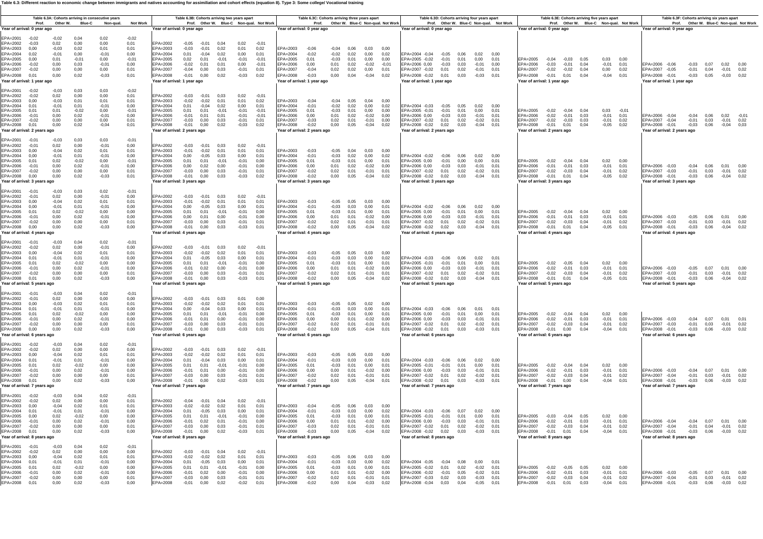**Table 6.3: Different reaction to economic change between immigrants and natives accounting for assimiliation and cohort effects (equation 8). Type 3: Some college/ Vocational training**

|                                                                                                                                                                                                                | Prof.                       |                                                                       |                                                                 | Table 6.3A: Cohorts arriving in consecutive years<br>Other W. Blue-C Non-qual. | <b>Not Work</b>                                                    |                                                                                                                        | Table 6.3B: Cohorts arriving two years apart             |                                                                                             |                                                         |                                                                       | Prof. Other W. Blue-C Non-qual. Not Work                      |                                                                                                            | Table 6.3C: Cohorts arriving three years apart           |                                               |                                                                                                            |                                                                 | Prof. Other W. Blue-C Non-qual. Not Work     | Table 6.3D: Cohorts arriving four years apart                                                                                                                                        |                                                      |                      |                                       | Prof. Other W. Blue-C Non-qual. Not Work |                                                                                                              |                                      |                                                                   | Table 6.3E: Cohorts arriving five years apart |                                                            | Prof. Other W. Blue-C Non-qual. Not Work | Table 6.3F: Cohorts arriving six years apart                                                             |                              |                                       |                                                  | Prof. Other W. Blue-C Non-qual. Not Work |
|----------------------------------------------------------------------------------------------------------------------------------------------------------------------------------------------------------------|-----------------------------|-----------------------------------------------------------------------|-----------------------------------------------------------------|--------------------------------------------------------------------------------|--------------------------------------------------------------------|------------------------------------------------------------------------------------------------------------------------|----------------------------------------------------------|---------------------------------------------------------------------------------------------|---------------------------------------------------------|-----------------------------------------------------------------------|---------------------------------------------------------------|------------------------------------------------------------------------------------------------------------|----------------------------------------------------------|-----------------------------------------------|------------------------------------------------------------------------------------------------------------|-----------------------------------------------------------------|----------------------------------------------|--------------------------------------------------------------------------------------------------------------------------------------------------------------------------------------|------------------------------------------------------|----------------------|---------------------------------------|------------------------------------------|--------------------------------------------------------------------------------------------------------------|--------------------------------------|-------------------------------------------------------------------|-----------------------------------------------|------------------------------------------------------------|------------------------------------------|----------------------------------------------------------------------------------------------------------|------------------------------|---------------------------------------|--------------------------------------------------|------------------------------------------|
|                                                                                                                                                                                                                | Year of arrival: 0 year ago |                                                                       |                                                                 |                                                                                |                                                                    | Year of arrival: 0 year ago                                                                                            |                                                          |                                                                                             |                                                         |                                                                       |                                                               | Year of arrival: 0 year ago                                                                                |                                                          |                                               |                                                                                                            |                                                                 |                                              | Year of arrival: 0 year ago                                                                                                                                                          |                                                      |                      |                                       |                                          | Year of arrival: 0 year ago                                                                                  |                                      |                                                                   |                                               |                                                            |                                          | Year of arrival: 0 year ago                                                                              |                              |                                       |                                                  |                                          |
| EPA=2001<br>$-0.02$<br>EPA=2002<br>$-0.03$<br>EPA=2003<br>0.00<br>FPA=2004<br>0.02<br>EPA=2005<br>0.00<br>EPA=2006<br>$-0.02$<br>EPA=2007<br>$-0,02$<br>EPA=2008<br>0,01<br>Year of arrival: 1 year ago        |                             | $-0.02$<br>0.02<br>$-0.03$<br>$-0.01$<br>0.01<br>0.00<br>0,00<br>0,00 | 0.04<br>0.00<br>0.02<br>0.00<br>$-0.01$<br>0.03<br>0,00<br>0,02 | 0.02<br>0.00<br>0.01<br>$-0.01$<br>0.00<br>$-0.01$<br>0,00<br>$-0.03$          | $-0.02$<br>0.01<br>0.01<br>0.00<br>$-0.01$<br>0.00<br>0,01<br>0,01 | EPA=2002<br>EPA=2003<br>$FPA=2004$<br>EPA=2005<br>EPA=2006<br>EPA=2007<br>EPA=2008<br>Year of arrival: 1 year ago      | $-0.05$<br>$-0.03$<br>0.01<br>0.02<br>$-0.02$            | $-0.01$<br>$-0.01$<br>$-0.04$<br>0.01<br>0.01<br>$-0.04$ 0.00 0.03<br>$-0.01$ 0.00 0.02     | 0.04<br>0.02<br>0.02<br>$-0.01$<br>0.01                 | 0.02<br>0.01<br>0.00<br>$-0.01$<br>0.00<br>$-0.01$<br>$-0.03$         | $-0.01$<br>0,02<br>0.01<br>$-0.01$<br>$-0.01$<br>0.01<br>0,02 | EPA=2003<br>$FPA=2004$<br>EPA=2005<br>EPA=2006<br>EPA=2007<br>EPA=2008<br>Year of arrival: 1 year ago      | $-0.06$<br>$-0.02$<br>0.01<br>0.00<br>$-0,04$<br>$-0.03$ | $-0.02$<br>$-0.03$<br>0.01<br>0,02            | $-0.04$ 0.06 0.03 0.00<br>0.02<br>0.01<br>0.02<br>0,02<br>$0,00$ $0,04$ $-0,04$ $0,02$                     | 0.00<br>0.00<br>$-0.02$<br>$0,00$ $0,01$                        | 0.02<br>0.00<br>$-0.01$                      | FPA=2004 -0.04 -0.05 0.06<br>EPA=2005 -0.02<br>EPA=2006 0.00<br>EPA=2007 -0,02 0,01 0,02 -0,01 0,01<br>EPA=2008 -0,02 0,01 0,03 -0,03 0,01<br>Year of arrival: 1 year ago            | $-0.01$<br>$-0.03$                                   | 0.01<br>0.03         | 0.02 0.00<br>0.00<br>$-0.01$          | 0.01<br>0.00                             | EPA=2005 -0.04 -0.03 0.05<br>EPA=2006<br>EPA=2007<br>EPA=2008 -0,01 0,01 0,04<br>Year of arrival: 1 year ago | $-0.03$                              | $-0.01$ 0.04<br>$-0.02 -0.02 0.04$                                |                                               | 0.03 0.00<br>$-0.01$ 0.01<br>$0,00$ $0,02$<br>$-0.04$ 0.01 |                                          | EPA=2006 -0,06<br>EPA=2007 -0,05<br>EPA=2008 -0.01 -0.03 0.05 -0.03 0.02<br>Year of arrival: 1 year ago  |                              | $-0.03$ 0.07 0.02                     | $-0.01$ $0.04$ $-0.01$ $0.02$                    | 0.00                                     |
| EPA=2001<br>$-0.02$<br>EPA=2002<br>$-0.02$<br>FPA=2003<br>0.00<br>EPA=2004<br>0.01<br>FPA=2005<br>0.01<br>EPA=2006<br>$-0.01$<br>EPA=2007<br>$-0.02$<br>EPA=2008<br>0,01<br>Year of arrival: 2 years ago       |                             | $-0.03$<br>0.02<br>$-0.03$<br>$-0.01$<br>0.01<br>0.00<br>0.00<br>0,00 | 0.03<br>0.00<br>0.01<br>0.01<br>$-0.02$<br>0.02<br>0.00<br>0,02 | 0.03<br>0.00<br>0.01<br>$-0.01$<br>0.00<br>$-0.01$<br>0.00<br>$-0,04$          | $-0.02$<br>0.01<br>0.01<br>0.00<br>$-0.01$<br>0.00<br>0.01<br>0,01 | EPA=2002<br>$FPA=2003$<br>$FPA=2004$<br>$FPA=2005$<br>EPA=2006<br>EPA=2007<br>EPA=2008<br>Year of arrival: 2 years ago | $-0.02$<br>0.01<br>0.01<br>$-0.01$                       | $-0.03 - 0.01 0.03$<br>$-0.02$<br>$-0.04$<br>0.01<br>0.01<br>$-0.03$ 0.00<br>$-0,01$ 0,00   | 0.01<br>0.02<br>$-0.01$<br>0.01<br>0.03<br>0,02         | 0,02<br>0.01<br>0.00<br>$-0.01$<br>$-0.01$<br>$-0.01$<br>$-0,03$      | $-0.01$<br>0.02<br>0.01<br>$-0.01$<br>$-0.01$<br>0.01<br>0,02 | $FPA=2003$<br>$FPA=2004$<br>$FPA=2005$<br>EPA=2006<br>EPA=2007<br>EPA=2008<br>Year of arrival: 2 years ago | $-0.04$<br>$-0.01$<br>0.01<br>0.00<br>$-0.03$<br>$-0,02$ | $-0.04$<br>$-0.02$<br>$-0.03$<br>0.01<br>0.02 | 0.05<br>0.02<br>0.01<br>0.02<br>0.01<br>$0,00$ 0,05                                                        | 0.04<br>0.00<br>0.00<br>$-0.02$<br>$-0.01$<br>$-0,04$           | 0.00<br>0.02<br>0.00<br>0.00<br>0,00<br>0,02 | $FPA = 2004 - 0.03 - 0.05$<br>EPA=2005 -0.01 -0.01<br>EPA=2006 0.00<br>EPA=2007 -0,02 0,01 0,02 -0,02 0,01<br>EPA=2008 -0,02 0,02 0,03 -0,04 0,01<br>Year of arrival: 2 years ago    | $-0.03$                                              | 0.05<br>0.01<br>0.03 | 0.02<br>0.00<br>$-0.01$               | 0.00<br>0.01<br>0.01                     | EPA=2005<br>EPA=2006<br>$FPA=2007$<br>EPA=2008<br>Year of arrival: 2 years ago                               | $-0.02 - 0.04$<br>$-0.02$<br>$-0.02$ | $-0.01$ 0.03<br>$-0,03$<br>$-0,01$ 0,01                           | 0.04<br>0.03<br>0,04                          | 0.03<br>$-0.01$<br>$-0.01$ 0.02<br>$-0,05$ 0,02            | $-0.01$<br>0.01                          | FPA=2006 -0.04<br>$FPA=2007 -0.04$<br>EPA=2008 -0,01<br>Year of arrival: 2 years ago                     | $-0,01$ 0.03<br>$-0,03$ 0,06 | $-0.04$ $0.06$ $0.02$                 | $-0.01$ 0.02<br>$-0,04$ 0,03                     | $-0.01$                                  |
| EPA=2001<br>$-0.01$<br>EPA=2002<br>$-0.01$<br>EPA=2003<br>0.00<br>EPA=2004<br>0.00<br>$FPA=2005$<br>0.01<br>EPA=2006<br>$-0.01$<br>EPA=2007<br>$-0.02$<br>EPA=2008<br>0.00<br>Year of arrival: 3 years ago     |                             | $-0.03$<br>0.02<br>$-0.04$<br>$-0.01$<br>0.02<br>0.00<br>0.00<br>0,00 | 0.03<br>0.00<br>0.02<br>0.01<br>$-0.02$<br>0.02<br>0.00<br>0,02 | 0.03<br>$-0.01$<br>0.01<br>$-0.01$<br>0.00<br>$-0.01$<br>0.00<br>$-0,03$       | $-0.01$<br>0,00<br>0.01<br>0.00<br>$-0.01$<br>0.00<br>0.01<br>0,01 | EPA=2002<br>EPA=2003<br>$FPA=2004$<br>$FPA=2005$<br>EPA=2006<br>EPA=2007<br>EPA=2008<br>Year of arrival: 3 years ago   | $-0.01$<br>0.00<br>0.01<br>0.00                          | $-0.03 - 0.01$<br>$-0.02$<br>$-0.05$<br>0.01<br>0.02<br>$-0.03$ 0.00<br>$-0,01$ 0,00        | 0.03<br>0.01<br>0.03<br>$-0.01$<br>0.00<br>0.03<br>0,03 | 0.02<br>0.01<br>0.00<br>$-0.01$<br>$-0.01$<br>$-0.01$<br>$-0,03$      | $-0.01$<br>0.01<br>0.01<br>0.00<br>0.00<br>0.01<br>0,02       | EPA=2003<br>EPA=2004<br>$FPA=2005$<br>EPA=2006<br>EPA=2007<br>EPA=2008<br>Year of arrival: 3 years ago     | $-0.03$<br>$-0.01$<br>0.01<br>0.00<br>$-0.02$<br>$-0,02$ | $-0.05$<br>$-0.03$<br>$-0.03$<br>0.01<br>0.02 | 0.04<br>0.02<br>0.01<br>0.02<br>0.01<br>$0,00$ $0,05$ $-0,04$ $0,02$                                       | $0,03$ 0,00<br>0.00<br>0.00<br>$-0.02$<br>$-0.01$               | 0.02<br>0.01<br>0.00<br>0.01                 | EPA=2004 -0,02 -0,06 0,06<br>FPA=2005 0.00 -0.01<br>EPA=2006 0.00<br>EPA=2007 -0.02 0.01 0.02 -0.02 0.01<br>EPA=2008 -0,02 0,02 0,03 -0,04 0,01<br>Year of arrival: 3 years ago      | $-0.03$ 0.03                                         | 0.00                 | 0.02 0.00<br>0.00<br>$-0.01$          | 0.01<br>0.01                             | FPA=2005 -0.02 -0.04 0.04<br>EPA=2006<br>EPA=2007<br>EPA=2008<br>Year of arrival: 3 years ago                | $-0,02$                              | $-0.01 - 0.01 - 0.03$<br>$-0.03$<br>$-0,01$ 0,01 0,04             | 0.04                                          | 0.02 0.00<br>$-0.01$<br>$-0,01$ 0,02<br>$-0,05$ 0,02       | 0.01                                     | EPA=2006 -0.03<br>EPA=2007 -0,03<br>EPA=2008 -0,01<br>Year of arrival: 3 years ago                       | $-0,03$ 0,06 $-0,04$ 0,02    | $-0.04$ $0.06$ $0.01$<br>$-0,01$ 0,03 | $-0.01$ 0.02                                     | 0.00                                     |
| EPA=2001<br>$-0,01$<br>EPA=2002<br>$-0.01$<br>EPA=2003<br>0.00<br>EPA=2004<br>0.00<br>EPA=2005<br>0.01<br>EPA=2006<br>$-0.01$<br>EPA=2007<br>$-0.02$<br>EPA=2008 0.00<br>Year of arrival: 4 years ago          |                             | $-0.03$<br>0.02<br>$-0.04$<br>$-0.01$<br>0.02<br>0.00<br>0.00<br>0.00 | 0.03<br>0.00<br>0.02<br>0.01<br>$-0.02$<br>0.02<br>0.00<br>0.02 | 0.02<br>$-0.01$<br>0.01<br>$-0.01$<br>0,00<br>$-0.01$<br>0.00<br>$-0.03$       | $-0,01$<br>0.00<br>0.01<br>0.00<br>0,00<br>0.00<br>0.01<br>0.00    | EPA=2002<br>EPA=2003<br>EPA=2004<br>EPA=2005<br>EPA=2006<br>EPA=2007<br>EPA=2008<br>Year of arrival: 4 years ago       | $-0.01$<br>0.00<br>0.01<br>0.00                          | $-0.03 - 0.01$<br>$-0.02$<br>$-0.05$<br>0.01<br>0.01<br>$-0.03$ 0.00<br>$-0.01$ 0.00        | 0.03<br>0.01<br>0.03<br>$-0.01$<br>0.00<br>0.03<br>0.03 | 0.02<br>0.01<br>0.00<br>$-0.01$<br>$-0.01$<br>$-0.01$<br>$-0.03$      | $-0.01$<br>0.01<br>0.01<br>0.00<br>0.00<br>0.01<br>0.01       | EPA=2003<br>EPA=2004<br>EPA=2005<br>EPA=2006<br>EPA=2007<br>EPA=2008<br>Year of arrival: 4 years ago       | $-0.03$<br>$-0.01$<br>0.01<br>0.00<br>$-0.02$<br>$-0.02$ | $-0.05$<br>$-0.03$<br>$-0.03$<br>0.01<br>0.02 | 0.03<br>0.01<br>0.01<br>0.01<br>$0,00$ $0,05$ $-0,04$ $0,02$                                               | $0.05$ $0.03$ $0.00$<br>0.00<br>0.00<br>$-0.02$<br>$-0.01$ 0.01 | 0.01<br>0.01<br>0.00                         | EPA=2004 -0.02 -0.06 0.06<br>EPA=2005 0.00<br>EPA=2006 0.00<br>EPA=2007 -0,02<br>EPA=2008 -0,02 0,02 0,03 -0,04 0,01<br>Year of arrival: 4 years ago                                 | $-0.01$<br>$-0.03$<br>$0.01$ $0.02$ $-0.02$ 0.01     | 0.01<br>0.03         | 0.02<br>0.00<br>$-0.01$               | 0.00<br>0.01<br>0.01                     | EPA=2005 -0,02 -0,04 0,04<br>EPA=2006<br>EPA=2007<br>EPA=2008 -0.01 0.01<br>Year of arrival: 4 years ago     | $-0.01$<br>$-0,02$                   | $-0.01$<br>$-0.03$ 0.04                                           | 0.03<br>0.04                                  | 0.02 0.00<br>$-0.01$<br>$-0.01$ 0.02<br>$-0.05$ 0.01       | 0.01                                     | EPA=2006 -0,03<br>EPA=2007 -0,03<br>EPA=2008 -0.01<br>Year of arrival: 4 years ago                       | $-0.03$ 0.06                 | $-0.05$ 0.06 0.01                     | $-0.01$ $0.03$ $-0.01$ $0.02$<br>$-0.04$ 0.02    | 0.00                                     |
| $FPA=2001$<br>$-0.01$<br>EPA=2002<br>$-0.02$<br>EPA=2003<br>0,00<br>EPA=2004<br>0.01<br>EPA=2005<br>0.01<br>$FPA = 2006$<br>$-0.01$<br>EPA=2007<br>$-0,02$<br>EPA=2008<br>0.01<br>Year of arrival: 5 years ago |                             | $-0.03$<br>0.02<br>$-0.04$<br>$-0.01$<br>0.02<br>0.00<br>0.00<br>0.00 | 0.04<br>0.00<br>0,02<br>0.01<br>$-0.02$<br>0.02<br>0,00<br>0.02 | 0.02<br>$-0.01$<br>0,01<br>$-0,01$<br>0.00<br>$-0.01$<br>0,00<br>$-0,03$       | $-0.01$<br>0.00<br>0,01<br>0.00<br>0.00<br>0.00<br>0,01<br>0,00    | EPA=2002<br>EPA=2003<br>$FPA=2004$<br>EPA=2005<br>$FPA = 2006$<br>EPA=2007<br>EPA=2008<br>Year of arrival: 5 years ago | $-0,02$<br>0.01<br>0.01<br>$-0,03$                       | $-0.03 - 0.01 - 0.03$<br>$-0,02$<br>$-0.05$<br>0.01<br>$-0.01$ 0.02<br>0,00<br>$-0,01$ 0,00 | 0,02<br>0.03<br>$-0.01$<br>0.00<br>0,03<br>0,03         | 0.02<br>0,01<br>0,00<br>$-0.01$<br>$-0.01$<br>$-0,01$<br>$-0,03$      | $-0.01$<br>0.01<br>0.01<br>0.00<br>0.00<br>0.01<br>0,01       | EPA=2003<br>EPA=2004<br>EPA=2005<br>$FPA = 2006$<br>EPA=2007<br>EPA=2008<br>Year of arrival: 5 years ago   | $-0,03$<br>$-0.01$<br>0.01<br>0.00<br>$-0.02$<br>$-0.02$ | $-0.03$<br>$-0.03$<br>0.01<br>0,02            | $-0.05$ 0.05 0.03 0.00<br>0.03<br>0.01<br>0.01<br>0,01<br>$0,00$ $0,05$                                    | 0,00<br>0.00 0.01<br>$-0.02$<br>$-0,01$<br>$-0,04$ 0,02         | 0.02<br>0.00<br>0,01                         | EPA=2004 -0,03 -0,06 0,06<br>EPA=2005 -0.01 -0.01 0.01<br>$FPA = 2006.000$<br>EPA=2007 -0,02<br>EPA=2008 -0,02 0,02 0,03 -0,04 0,01<br>Year of arrival: 5 years ago                  | $-0.03$ $0.03$ $-0.01$ 0.01<br>$0,01$ $0,02$ $-0,02$ |                      | 0.02<br>0.00                          | 0.01<br>0.01<br>0.01                     | EPA=2005 -0.02 -0.05 0.04<br>$FPA = 2006$<br>EPA=2007<br>EPA=2008<br>Year of arrival: 5 years ago            | $-0.02$<br>$-0.02$                   | $-0.01$<br>$-0.03$<br>$-0,01$ 0,01 0,04                           | 0.03<br>0.04                                  | 0.02 0.00<br>$-0.01$<br>$-0,01$<br>$-0,05$ 0,01            | 0.01<br>0,02                             | EPA=2006 -0.03<br>EPA=2007 -0,03<br>EPA=2008 -0.01<br>Year of arrival: 5 years ago                       |                              | $-0.05$ 0.07 0.01<br>$-0,01$ 0,03     | $-0.01$ 0.02<br>$-0,03$ 0,06 $-0,04$ 0,02        | 0.00                                     |
| EPA=2001<br>$-0.01$<br>EPA=2002<br>$-0.01$<br>EPA=2003<br>0.00<br>$FPA=2004$<br>0.01<br>EPA=2005<br>0,01<br>EPA=2006<br>$-0.01$<br>EPA=2007<br>$-0,02$<br>EPA=2008<br>0.00<br>Year of arrival: 6 years ago     |                             | $-0.03$<br>0.02<br>$-0.03$<br>$-0.01$<br>0.02<br>0.00<br>0,00<br>0.00 | 0.04<br>0.00<br>0.02<br>0.01<br>$-0.02$<br>0.02<br>0.00<br>0,02 | 0.02<br>0.00<br>0.01<br>$-0.01$<br>0,00<br>$-0.01$<br>0,00<br>$-0,03$          | $-0.01$<br>0.00<br>0.01<br>0.00<br>0.00<br>0.00<br>0,01<br>0.00    | EPA=2002<br>EPA=2003<br>$FPA=2004$<br>EPA=2005<br>EPA=2006<br>EPA=2007<br>EPA=2008<br>Year of arrival: 6 years ago     | $-0.03$<br>$-0.02$<br>0.00<br>0.01<br>$-0.01$<br>$-0,03$ | $-0.01$<br>$-0.02$<br>$-0.04$<br>0.01<br>0.01<br>0,00<br>$-0.01$ 0.00                       | 0.03<br>0.02<br>0.03<br>$-0.01$<br>0.00<br>0,03<br>0,03 | 0,01<br>0.01<br>0.00<br>$-0.01$<br>$-0.01$<br>$-0,01$<br>$-0.03$      | 0.00<br>0.01<br>0.01<br>0.00<br>0.00<br>0.01<br>0.01          | EPA=2003<br>$FPA=2004$<br>EPA=2005<br>EPA=2006<br>EPA=2007<br>$FPA=2008$<br>Year of arrival: 6 years ago   | $-0.03$<br>$-0.01$<br>0.01<br>0.00<br>$-0,02$<br>$-0.02$ | $-0.05$<br>$-0.03$<br>$-0.03$<br>0.00<br>0,02 | 0.05<br>0.03<br>0.01<br>0.01<br>0,01<br>$0,00$ $0,05$                                                      | 0.02 0.00<br>0.00<br>0,00<br>$-0.02$<br>$-0,01$<br>$-0.04$      | 0.01<br>0.01<br>0.00<br>0,01<br>0.01         | FPA=2004 -0.03 -0.06 0.06<br>EPA=2005 0.00<br>EPA=2006 0.00<br>EPA=2007 -0,02 0,01 0,02 -0,02 0,01<br>EPA=2008 -0,02 0,01 0,03 -0,03 0,01<br>Year of arrival: 6 years ago            | $-0.01$ 0.01<br>$-0.03$ 0.03                         |                      | 0.01 0.01<br>0.00<br>$-0.01$          | 0.01<br>0.01                             | EPA=2005<br>EPA=2006<br>$FPA=2007$<br>$FPA=2008$<br>Year of arrival: 6 years ago                             | $-0.02$<br>$-0,02$                   | $-0.02 - 0.04$<br>$-0.01$<br>$-0,03$<br>$-0.01$ 0.00 0.04         | 0.04<br>0.03<br>0,04                          | 0.02<br>$-0.01$<br>$-0,01$ 0,02<br>$-0.04$ 0.01            | 0.00<br>0.01                             | EPA=2006 -0.03<br>EPA=2007 -0,03<br>FPA=2008 -0.01<br>Year of arrival: 6 years ago                       |                              | $-0.04$ 0.07<br>$-0,01$ 0,03          | 0.01<br>$-0.01$<br>$-0.03$ $0.06$ $-0.03$ $0.02$ | 0.01<br>0.02                             |
| FPA=2001<br>$-0.02$<br>EPA=2002<br>$-0.02$<br>EPA=2003<br>0,00<br>EPA=2004<br>0.01<br>EPA=2005<br>0.01<br>EPA=2006<br>$-0.01$<br>EPA=2007<br>$-0.02$<br>EPA=2008<br>0.01<br>Year of arrival: 7 years ago       |                             | $-0.03$<br>0.02<br>$-0.04$<br>$-0.01$<br>0.02<br>0.00<br>0.00<br>0.00 | 0.04<br>0.00<br>0.02<br>0.01<br>$-0.02$<br>0.02<br>0.00<br>0.02 | 0.02<br>0.00<br>0,01<br>$-0.01$<br>0.00<br>$-0.01$<br>0.00<br>$-0,03$          | $-0.01$<br>0.00<br>0.01<br>0.00<br>0.00<br>0.00<br>0.01<br>0.00    | EPA=2002<br>EPA=2003<br>EPA=2004<br>EPA=2005<br>EPA=2006<br>EPA=2007<br>EPA=2008<br>Year of arrival: 7 years ago       | $-0.02$<br>0.01<br>0.01<br>$-0.01$<br>$-0,01$            | $-0.03 - 0.01$<br>$-0,02$<br>$-0.04$<br>0.01<br>0.01<br>$-0,03$ 0,00<br>0.00                | 0.03<br>0.02<br>0.03<br>$-0.01$<br>0.00<br>0,03<br>0,02 | 0.02<br>0.01<br>0.00<br>$-0.01$<br>$-0.01$<br>$-0.01$<br>$-0.03$      | $-0.01$<br>0.01<br>0.01<br>0.00<br>0.00<br>0.01<br>0.01       | EPA=2003<br>EPA=2004<br>EPA=2005<br>$FPA=2006$<br>EPA=2007<br>EPA=2008<br>Year of arrival: 7 years ago     | $-0.03$<br>$-0.01$<br>0.01<br>0.00<br>$-0.02$<br>$-0.02$ | $-0.03$<br>$-0.03$<br>0.00<br>0.02            | $-0.05$ 0.05 0.03 0.00<br>0.03<br>0.01<br>0.01<br>0.01<br>$0,00$ 0,05                                      | 0.00<br>0.00<br>$-0.02$<br>$-0.01$ 0.01<br>$-0,04$ 0,01         | 0.01<br>0.01<br>0.00                         | EPA=2004 -0,03 -0,06 0,06<br>EPA=2005 -0,01 -0,01<br>$FPA = 2006 0.00$<br>EPA=2007 -0.02 0.01 0.02 -0.02 0.01<br>EPA=2008 -0,02 0,01 0,03 -0,03 0,01<br>Year of arrival: 7 years ago | $-0.03$ 0.03                                         | 0.01                 | 0.02 0.00<br>0.00<br>$-0.01$ 0.01     | 0.01                                     | EPA=2005<br>$FPA=2006$<br>$FPA=2007$<br>EPA=2008<br>Year of arrival: 7 years ago                             | $-0,02$<br>$-0.02$<br>$-0.02$        | $-0.04$<br>$-0.01$ 0.03<br>$-0.03$<br>$-0.01$ $0.00$ $0.04$       | 0.04<br>0.04                                  | $0,02$ 0,00<br>$-0.01$<br>$-0.01$ 0.02<br>$-0,04$ 0,01     | 0.01                                     | $FPA = 2006 - 0.03$<br>EPA=2007 -0.04<br>EPA=2008 -0.01<br>Year of arrival: 7 years ago                  |                              | $-0.04$ $0.07$ $0.01$<br>$-0,01$ 0,03 | $-0.01$ 0.02<br>$-0,03$ $0,06$ $-0,03$ $0,02$    | 0.00                                     |
| EPA=2001<br>$-0.02$<br>EPA=2002<br>$-0.02$<br>EPA=2003<br>0,00<br>$FPA=2004$<br>0.01<br>FPA=2005<br>0,00<br>EPA=2006<br>$-0,01$<br>EPA=2007<br>$-0.02$<br>EPA=2008<br>0.01<br>Year of arrival: 8 years ago     |                             | $-0.03$<br>0.02<br>$-0.04$<br>$-0.01$<br>0.02<br>0,00<br>0.00<br>0.00 | 0.04<br>0.00<br>0,02<br>0.01<br>$-0.02$<br>0,02<br>0.00<br>0.02 | 0.02<br>0.00<br>0,01<br>$-0.01$<br>0,00<br>$-0,01$<br>0.00<br>$-0.03$          | $-0.01$<br>0.01<br>0.01<br>0.00<br>0,00<br>0,00<br>0.01<br>0.00    | EPA=2002<br>EPA=2003<br>$FPA=2004$<br>$FPA=2005$<br>EPA=2006<br>EPA=2007<br>EPA=2008<br>Year of arrival: 8 years ago   | $-0,02$<br>0.01<br>0,01<br>$-0,01$                       | $-0.04 - 0.01$<br>$-0.02$<br>$-0.05$<br>0.01<br>0,02<br>$-0,03$ 0,00<br>$-0.01$ 0.00        | 0.04<br>0.02<br>0.03<br>$-0,01$<br>0,01<br>0,03<br>0,02 | 0.02<br>0,01<br>0.00<br>$-0.01$<br>$-0,01$<br>$-0,01$<br>$-0.03$      | $-0.01$<br>0.01<br>0.01<br>0.00<br>0,00<br>0.01<br>0.01       | EPA=2003<br>$FPA=2004$<br>$FPA=2005$<br>EPA=2006<br>EPA=2007<br>EPA=2008<br>Year of arrival: 8 years ago   | $-0.04$<br>$-0.01$<br>0.01<br>0,00<br>$-0,03$<br>$-0.03$ | $-0.05$<br>$-0.03$<br>$-0.03$<br>0,01<br>0,02 | 0.03<br>0.01<br>0,01<br>0,01<br>$0,00$ $0,05$ $-0,04$ $0,02$                                               | $0,06$ $0,03$ $0,00$<br>0.00<br>0,00<br>$-0,02$<br>$-0,01$ 0,01 | 0.02<br>0,01<br>0,00                         | FPA=2004 -0.03 -0.06 0.07<br>EPA=2005 -0,01 -0,01<br>EPA=2006 0,00<br>EPA=2007 -0,02 0,01 0,02 -0,02 0,01<br>EPA=2008 -0,02 0,02 0,03 -0,03 0,01<br>Year of arrival: 8 years ago     | $-0,03$                                              | 0.01<br>0.03         | $0.02 \qquad 0.00$<br>0.00<br>$-0,01$ | 0.01<br>0.01                             | $FPA=2005$<br>EPA=2006<br>EPA=2007<br>EPA=2008<br>Year of arrival: 8 years ago                               | $-0,03$<br>$-0,02$                   | $-0.04$<br>$-0,01$<br>$-0,02$ $-0,03$ $0,04$<br>$-0.01$ 0.01 0.04 | 0.05<br>0,03                                  | 0.02 0.00<br>$-0,01$<br>$-0.01$ 0.02<br>$-0.04$ 0.01       | 0,01                                     | EPA=2006 -0,04<br>EPA=2007 -0,04<br>EPA=2008 -0,01 -0,03 0,06 -0,03 0,02<br>Year of arrival: 8 years ago |                              | $-0,04$ 0,07                          | 0.01<br>$-0,01$ 0,04 $-0,01$ 0,02                | 0.00                                     |
| EPA=2001<br>$-0.01$<br>EPA=2002<br>$-0.02$<br>FPA=2003<br>0.00<br>EPA=2004<br>0.01<br>EPA=2005<br>0.01<br>EPA=2006<br>$-0,01$<br>EPA=2007 -0,02<br>FPA=2008 0.01                                               |                             | $-0.03$<br>0.02<br>$-0.04$<br>$-0.01$<br>0.02<br>0,00<br>0.00<br>0.00 | 0.04<br>0.00<br>0.02<br>0.01<br>$-0.02$<br>0,02<br>0.00<br>0.02 | 0.02<br>0.00<br>0.01<br>$-0.01$<br>0.00<br>$-0.01$<br>0.00<br>$-0.03$          | $-0.01$<br>0.00<br>0.01<br>0.00<br>0.00<br>0,00<br>0.01<br>0.00    | EPA=2002<br>$FPA=2003$<br>EPA=2004<br>EPA=2005<br>EPA=2006<br>EPA=2007<br>$FPA=2008$                                   | $-0.02$<br>0.01<br>0.01<br>$-0,01$                       | $-0.03 - 0.01$<br>$-0.02$<br>$-0.05$<br>0.01<br>0,02<br>$-0.03$ 0.00<br>$-0.01$ $0.00$      | 0.04<br>0.02<br>0.03<br>$-0.01$<br>0,00<br>0,03<br>0.02 | 0.02<br>0.01<br>0.00<br>$-0.01$<br>$-0,01$<br>$-0.01$<br>$-0.02$ 0.01 | $-0.01$<br>0.01<br>0.01<br>0.00<br>0.00<br>0.01               | $FPA=2003$<br>EPA=2004<br>EPA=2005<br>EPA=2006<br>EPA=2007<br>$FPA=2008$                                   | $-0.03$<br>$-0.01$<br>0.01<br>0,00<br>$-0.02$<br>$-0.02$ | $-0.03$<br>$-0.03$<br>0,01<br>0.02            | $-0.05$ $0.06$ $0.03$ $0.00$<br>0.03<br>0.01<br>0.01<br>$0.01 - 0.01 0.01$<br>$0.00$ $0.04$ $-0.03$ $0.02$ | 0.00<br>0.00<br>$-0.02$ 0.00                                    | 0.02<br>0.01                                 | EPA=2004 -0.05 -0.04 0.08<br>EPA=2005 -0,02 0,01<br>EPA=2006 -0,02 -0,01 0,05 -0,02 0,01<br>EPA=2007 -0,03 0,02 0,03 -0,03 0,01<br>FPA=2008 -0.04 0.03 0.04 -0.05 0.01               |                                                      | 0.02                 | 0.00 0.01<br>$-0.02$ 0.01             |                                          | EPA=2005<br>EPA=2006<br>EPA=2007 -0.02 -0.03 0.04<br>FPA=2008 -0.01 0.01 0.03                                | $-0,02$                              | $-0.05$ 0.05<br>$-0.02 -0.01 -0.03$                               |                                               | 0.02 0.00<br>$-0.01$ 0.01<br>$-0.01$ 0.02<br>$-0.04$ 0.01  |                                          | EPA=2006 -0,03<br>EPA=2007 -0,04 -0,01 0,03<br>FPA=2008 -0.01 -0.03 0.06 -0.03 0.02                      |                              | $-0.05$ 0.07 0.01                     | $-0.01$ 0.02                                     | 0.00                                     |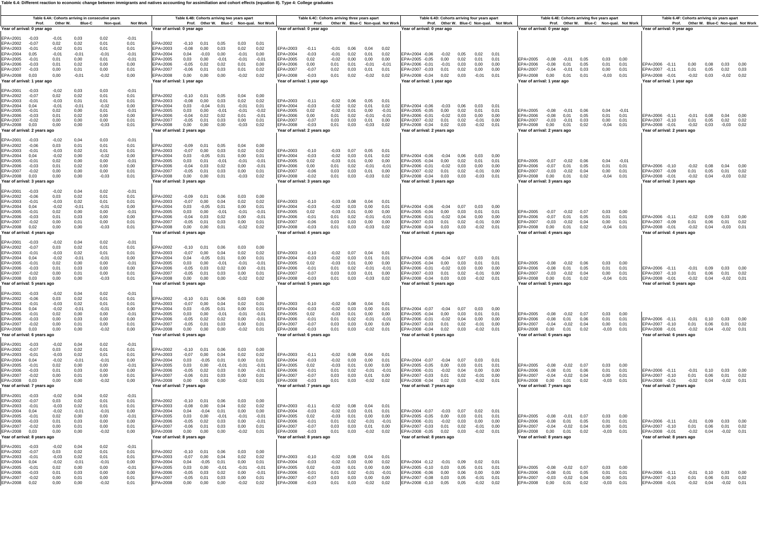**Table 6.4: Different reaction to economic change between immigrants and natives accounting for assimiliation and cohort effects (equation 8). Type 4: College graduates**

| EPA=2006 -0.10<br>$-0.02$ $0.08$ $0.04$<br>EPA=2007 -0,09<br>$0,01$ 0,05<br>EPA=2008 -0.01<br>$-0,02$ 0,04<br>Year of arrival: 3 years ago | $-0.01$<br>0.01<br>0,01 | 0.04<br>0.05<br>0.01<br>0,04<br>0,00<br>0,02<br>$-0,04$<br>0,01<br>0.03<br>0.00<br>0,05<br>0,01<br>EPA=2006 -0,11<br>$-0,02$ 0,09<br>0,01<br>0.04<br>0.00<br>0.01<br>EPA=2007 -0.09<br>0.01<br>0.06<br>$-0,04$<br>EPA=2008 -0,01<br>$-0.02$ 0.04<br>0.02<br>0.01<br>Year of arrival: 4 years ago | $-0.07$<br>0.01<br>$-0,03$<br>$-0,02$<br>0.00<br>0,01<br>$-0.07 - 0.02 0.07$<br>$-0,07$<br>0,01<br>$-0.03$<br>$-0.02$<br>0.00 0.01 | FPA=2005 -0.07 -0.02 0.06<br>FPA=2005 -0.04 0.00<br>0.02<br>0.01<br>0.01<br>EPA=2006 -0.01<br>$-0.02$<br>0.03<br>0.00<br>0.00<br>EPA=2006<br>EPA=2007<br>EPA=2007 -0,02<br>0,01<br>0,02<br>$-0,01$<br>0,00<br>EPA=2008 -0,04 0,03 0,03<br>$-0,03$ 0,01<br>EPA=2008<br>Year of arrival: 3 years ago<br>Year of arrival: 3 years ago<br>FPA=2004 -0.06 -0.04 0.07<br>0.03<br>0.00<br>EPA=2005<br>EPA=2005 -0.04 0.00<br>0.03<br>0.01<br>0.01<br>EPA=2006 -0,01<br>$-0,02$<br>0,04<br>0,00<br>0,00<br>EPA=2006<br>EPA=2007 -0.03<br>0.01<br>0.02<br>$-0.01$<br>0.00<br>EPA=2007<br>EPA=2008 -0,04 0,03 0,03<br>$-0.02$ 0.01<br>EPA=2008<br>Year of arrival: 4 years ago<br>Year of arrival: 4 years ago | $-0.03$<br>0.01<br>0.00<br>0.00<br>0.01<br>0.02<br>$-0.01$<br>$-0.01$<br>0,03<br>0,03<br>0,01<br>0,00<br>0,01<br>0,03<br>$-0,03$<br>0,02<br>$-0,03$<br>0.08<br>0.04<br>0.01 | $FPA=2005$<br>0.02<br>EPA=2006<br>0.00<br>EPA=2007<br>$-0.06$                                                                       |                                                                                                                                       | $-0.07$<br>0.00<br>0.03<br>0.02<br>EPA=2003<br>$-0.10$<br>$-0.03$<br>0.07<br>0.05<br>0.01<br>0.02                                                                                                                                                                                                                                                                                                   | EPA=2002<br>$-0,09$<br>0,01<br>0,05<br>0,04<br>0,01<br>0.00<br>0.01<br>EPA=2003                                                                                                                                                         | 0,00<br>$-0,03$<br>0,01<br>0,02<br>$-0,04$<br>EPA=2008 -0,01<br>$-0.03$<br>0,01<br>EPA=2008<br>0,00<br>0,00<br>$-0,03$<br>0.02<br>EPA=2008<br>0,03<br>$-0,03$<br>0.02<br>EPA=2008 -0.04<br>0,03<br>$-0,02$<br>0.01<br>EPA=2008<br>0.00<br>0.01<br>0.02<br>0.01<br>$-0,02$ 0,03<br>Year of arrival: 2 years ago<br>Year of arrival: 2 years ago<br>Year of arrival: 2 years ago<br>Year of arrival: 2 years ago<br>Year of arrival: 2 years ago<br>0.03<br>$-0.01$<br>0,01<br>0.01 |
|--------------------------------------------------------------------------------------------------------------------------------------------|-------------------------|--------------------------------------------------------------------------------------------------------------------------------------------------------------------------------------------------------------------------------------------------------------------------------------------------|------------------------------------------------------------------------------------------------------------------------------------|------------------------------------------------------------------------------------------------------------------------------------------------------------------------------------------------------------------------------------------------------------------------------------------------------------------------------------------------------------------------------------------------------------------------------------------------------------------------------------------------------------------------------------------------------------------------------------------------------------------------------------------------------------------------------------------------------|-----------------------------------------------------------------------------------------------------------------------------------------------------------------------------|-------------------------------------------------------------------------------------------------------------------------------------|---------------------------------------------------------------------------------------------------------------------------------------|-----------------------------------------------------------------------------------------------------------------------------------------------------------------------------------------------------------------------------------------------------------------------------------------------------------------------------------------------------------------------------------------------------|-----------------------------------------------------------------------------------------------------------------------------------------------------------------------------------------------------------------------------------------|-----------------------------------------------------------------------------------------------------------------------------------------------------------------------------------------------------------------------------------------------------------------------------------------------------------------------------------------------------------------------------------------------------------------------------------------------------------------------------------|
|                                                                                                                                            |                         |                                                                                                                                                                                                                                                                                                  |                                                                                                                                    |                                                                                                                                                                                                                                                                                                                                                                                                                                                                                                                                                                                                                                                                                                      | $-0.03$<br>0.01<br>0.00<br>0.00                                                                                                                                             | Year of arrival: 3 years ago<br>EPA=2003<br>$-0.10$<br>$FPA=2004$<br>$-0.02$<br>0.03<br>0.00<br>$-0.03$<br>0.01<br>EPA=2005<br>0.02 | $-0.01$<br>$-0.01$<br>$-0.01$<br>0,01<br>$-0,03$<br>0,02<br>EPA=2008<br>$-0,02$<br>0.00<br>0,02<br>0.02<br>0.01<br>$-0.01$<br>$-0.01$ | EPA=2004 -0,06 -0,04 0,06<br>0.03<br>EPA=2004<br>$-0.02$<br>0.01<br>0.03<br>0.00<br>$-0.05$<br>0.01<br>0.00<br>0.01<br>$-0.03$<br>0.03<br>0.02<br>0.03<br>0.01<br>$-0.01$<br>$-0.04$<br>0.03<br>0.02<br>0.00<br>$-0,05$<br>0,01<br>0,03<br>0,00<br>0,00<br>0,00<br>0,01<br>$-0.09$<br>0.01<br>0.06<br>0.03<br>$-0,07$<br>0.00<br>0.04<br>0.03<br>$-0.05$<br>0.01<br>0.00<br>0,03<br>0.00<br>$-0.01$ | EPA=2004<br>0.00<br>$FPA=2005$<br>$-0.01$<br>0.00<br>EPA=2006<br>0,01<br>EPA=2007<br>0,01<br>EPA=2008<br>Year of arrival: 3 years ago<br>$-0.01$<br>0.01<br>EPA=2002<br>$FPA=2003$<br>0.01<br>$FPA=2004$<br>0.00<br>$-0.01$<br>EPA=2005 | $-0.02$<br>0.00<br>0.00<br>0,00<br>$-0,03$<br>0.02<br>0.01<br>0.01<br>$-0.01$<br>0.00                                                                                                                                                                                                                                                                                                                                                                                             |
|                                                                                                                                            |                         |                                                                                                                                                                                                                                                                                                  |                                                                                                                                    |                                                                                                                                                                                                                                                                                                                                                                                                                                                                                                                                                                                                                                                                                                      | 0,01<br>0,02<br>$-0,01$<br>$-0,01$<br>0.03<br>0.03<br>0.00<br>0.00<br>0,01<br>0.03<br>$-0.03$<br>0.02                                                                       | EPA=2006<br>$-0,01$<br>EPA=2007<br>$-0.06$<br>EPA=2008<br>$-0,03$<br>Year of arrival: 4 years ago                                   | $-0.01$<br>0.01<br>0.02                                                                                                               | $-0,04$<br>0,03<br>0,02<br>0,00<br>$-0,05$<br>0,01<br>0.03<br>0.00<br>0,00<br>0,00<br>$-0.02$<br>0.01                                                                                                                                                                                                                                                                                               | 0,00<br>EPA=2006<br>0.01<br>EPA=2007<br>EPA=2008<br>0.01<br>Year of arrival: 4 years ago                                                                                                                                                | 0,00<br>0.00<br>$-0.03$                                                                                                                                                                                                                                                                                                                                                                                                                                                           |
| 0.03<br>0.00<br>0,01<br>0.01<br>FPA=2007 -0.10                                                                                             |                         | 0.06<br>0,05                                                                                                                                                                                                                                                                                     | $-0.08$<br>$-0.02$<br>$-0,08$<br>0,01                                                                                              | EPA=2004 -0.06 -0.04<br>0.07<br>0.03<br>0.01<br>EPA=2005<br>EPA=2005 -0.04<br>0.00<br>0.03<br>0.01<br>0.01<br>FPA=2006 -0.01<br>$-0,02$<br>0,03<br>0,00<br>$FPA=2006$<br>0.00                                                                                                                                                                                                                                                                                                                                                                                                                                                                                                                        | $-0.02$<br>0.07<br>0.04<br>0.01<br>$-0.02$<br>0.03<br>0.01<br>0.01<br>$-0.03$<br>0.01<br>0.00<br>0.00<br>0,01<br>0,02<br>$-0,01$<br>$-0,01$                                 | $FPA=2003$<br>$-0.10$<br>EPA=2004<br>$-0.03$<br>EPA=2005<br>0.02<br>EPA=2006<br>$-0,01$                                             | 0.00<br>0.02<br>0.01<br>$-0.01$<br>$-0.0^{\circ}$<br>$-0.01$                                                                          | $-0.10$ 0.01<br>0.06<br>0.03<br>$-0.07$<br>0.00<br>0.04<br>0.02<br>0.04<br>$-0.05$<br>0.01<br>0.00<br>0.03<br>0.00<br>$-0.01$<br>$-0,05$<br>0,03<br>0,02<br>0,00<br>$-0,05$                                                                                                                                                                                                                         | $-0.01$<br>EPA=2002<br>0.01<br>$FPA=2003$<br>0.01<br>0,00<br>EPA=2004<br>$-0.0$<br>EPA=2005<br>EPA=2006<br>0.00<br>$FPA=2007$                                                                                                           | 0.02<br>0.01<br>0.01<br>$-0.01$<br>0.00<br>0,00                                                                                                                                                                                                                                                                                                                                                                                                                                   |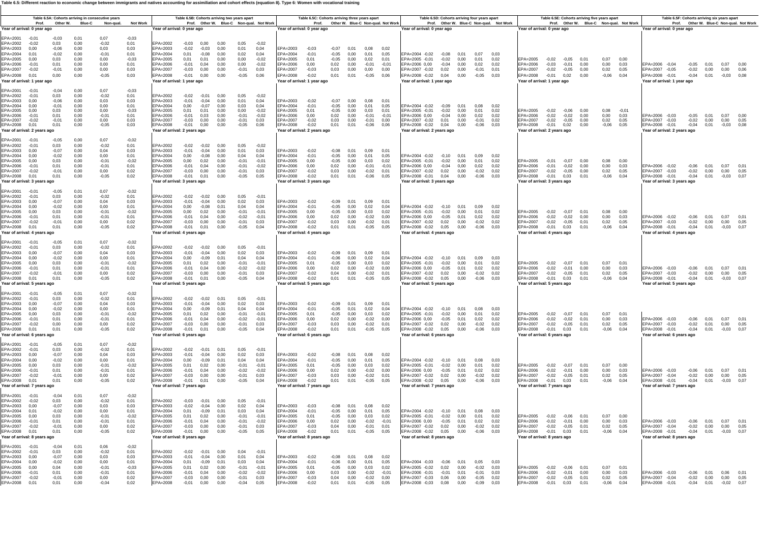#### **Table 6.5: Different reaction to economic change between immigrants and natives accounting for assimiliation and cohort effects (equation 8). Type 6: Women with vocational training**

| Prof.<br>Other W.                                                                                                                                                                                                                                                                      | Table 6.5A: Cohorts arriving in consecutive years<br><b>Blue-C</b>                                                                       | Non-gual.<br><b>Not Work</b>                                       | Table 6.5B: Cohorts arriving two years apart<br>Prof. Other W. Blue-C Non-qual. Not Work                                                                                                                                                                                                                                                                                                                                                                       | Table 6.5C: Cohorts arriving three years apart<br>Prof. Other W. Blue-C Non-qual. Not Work                                                                                                                                                                                                                                                                                                     | Table 6.5D: Cohorts arriving four years apart<br>Prof. Other W. Blue-C Non-qual. Not Work                                                                                                                                                                                                    | Table 6.5E: Cohorts arriving five years apart<br>Prof. Other W. Blue-C Non-qual. Not Work                                                                                                                                                                                      | Table 6.5F: Cohorts arriving six years apart<br>Prof. Other W. Blue-C Non-qual. Not Work                                                                                                          |
|----------------------------------------------------------------------------------------------------------------------------------------------------------------------------------------------------------------------------------------------------------------------------------------|------------------------------------------------------------------------------------------------------------------------------------------|--------------------------------------------------------------------|----------------------------------------------------------------------------------------------------------------------------------------------------------------------------------------------------------------------------------------------------------------------------------------------------------------------------------------------------------------------------------------------------------------------------------------------------------------|------------------------------------------------------------------------------------------------------------------------------------------------------------------------------------------------------------------------------------------------------------------------------------------------------------------------------------------------------------------------------------------------|----------------------------------------------------------------------------------------------------------------------------------------------------------------------------------------------------------------------------------------------------------------------------------------------|--------------------------------------------------------------------------------------------------------------------------------------------------------------------------------------------------------------------------------------------------------------------------------|---------------------------------------------------------------------------------------------------------------------------------------------------------------------------------------------------|
| ear of arrival: 0 year ago                                                                                                                                                                                                                                                             |                                                                                                                                          |                                                                    | Year of arrival: 0 year ago                                                                                                                                                                                                                                                                                                                                                                                                                                    | Year of arrival: 0 year ago                                                                                                                                                                                                                                                                                                                                                                    | Year of arrival: 0 year ago                                                                                                                                                                                                                                                                  | Year of arrival: 0 year ago                                                                                                                                                                                                                                                    | Year of arrival: 0 year ago                                                                                                                                                                       |
| PA=2001<br>$-0,03$<br>$-0.01$<br>$EPA = 2002$<br>0,03<br>$-0.02$<br>EPA=2003<br>0,00<br>$-0.06$<br>EPA=2004<br>0.01<br>$-0.02$<br>EPA=2005<br>0.00<br>0,03<br>EPA=2006<br>0,01<br>$-0.01$<br>EPA=2007<br>$-0.02$<br>$-0,01$<br>EPA=2008<br>0,01<br>0,00<br>'ear of arrival: 1 year ago | 0,07<br>0,01<br>0,00<br>$-0.02$<br>0,00<br>0,03<br>0.00<br>$-0.01$<br>0.00<br>0.00<br>0,00<br>0.00<br>0,00<br>0,00<br>0,00<br>$-0.05$    | $-0,03$<br>0,01<br>0,03<br>0.01<br>$-0.03$<br>0.01<br>0,03<br>0,03 | EPA=2002<br>$-0.03$<br>0.00<br>0.00<br>0.05<br>$-0.02$<br>EPA=2003<br>$-0.02$<br>$-0.03$<br>0,00<br>0,01<br>0,04<br>EPA=2004<br>0,02<br>0.01<br>$-0.08$<br>0.00<br>0.04<br>EPA=2005<br>0.01<br>0,01<br>0.00<br>0.00<br>$-0.02$<br>EPA=2006<br>$-0,01$<br>0,00<br>0,00<br>0.04<br>$-0.02$<br>EPA=2007<br>$-0.03$<br>0,00<br>0,00<br>$-0.01$<br>0,03<br>EPA=2008<br>$-0.01$<br>0,00<br>0,00<br>$-0,05$<br>0,06<br>Year of arrival: 1 year ago                    | EPA=2003<br>$-0,03$<br>$-0.07$<br>0,01<br>0,08<br>0,02<br>EPA=2004<br>$-0.05$<br>$-0.01$<br>0.00<br>0.01<br>0.05<br>EPA=2005<br>0.01<br>$-0,05$<br>0.00<br>0.02<br>0.01<br>EPA=2006<br>0,02<br>0.00<br>0.00<br>$-0.01$<br>$-0.01$<br>EPA=2007<br>$-0,03$<br>0,03<br>0,00<br>0,00<br>0.00<br>EPA=2008<br>$-0.02$<br>0,01<br>0,01<br>$-0,05$<br>0,06<br>Year of arrival: 1 year ago              | EPA=2004 -0,02 -0,08<br>0.01<br>0.07<br>0.03<br>EPA=2005 -0.01<br>$-0.02$<br>0.00<br>0.01<br>0.02<br>EPA=2006 0,00<br>$-0,04$<br>0,00<br>0.02<br>0.02<br>EPA=2007 -0,02 0,02 0,00<br>$-0,01$<br>0,01<br>EPA=2008 -0,02 0,04<br>0,00<br>$-0.05$<br>0.03<br>Year of arrival: 1 year ago        | EPA=2005<br>$-0.02$<br>$-0.05$<br>0.01<br>0.07<br>0.00<br>EPA=2006<br>$-0,03$<br>$-0.01$<br>0,00<br>0,00<br>0.03<br>EPA=2007<br>$-0,02$<br>$-0,05$<br>0,00<br>0,02<br>0.05<br>EPA=2008<br>$-0,01$<br>0,02<br>0,00<br>$-0,06$<br>0,04<br>Year of arrival: 1 year ago            | EPA=2006 -0,04<br>0.01 0.07<br>$-0.05$<br>0.00<br>EPA=2007 -0.05<br>$-0.02$ 0.00<br>0,00<br>0.06<br>EPA=2008 -0.01<br>$-0.04$ 0.01<br>$-0.03$<br>Year of arrival: 1 year ago                      |
| EPA=2001<br>$-0,01$<br>$-0,04$<br>EPA=2002<br>$-0,01$<br>0,03<br>EPA=2003<br>0.00<br>$-0,06$<br>PA=2004<br>0,00<br>$-0,01$<br>EPA=2005<br>0.00<br>0,03<br>PA=2006<br>$-0,01$<br>0,01<br>EPA=2007<br>$-0.02$<br>$-0,01$<br>EPA=2008<br>0,01<br>0,01<br>Year of arrival: 2 years ago     | 0,00<br>0,07<br>0,00<br>$-0.02$<br>0.00<br>0.03<br>0,00<br>0.00<br>0,00<br>0,00<br>0,00<br>$-0.01$<br>0,00<br>0,00<br>$-0,05$<br>0,00    | $-0,03$<br>0,01<br>0.03<br>0,01<br>$-0.03$<br>0,01<br>0.03<br>0,03 | EPA=2002<br>$-0.02$<br>$-0.01$<br>0,00<br>0,05<br>$-0.02$<br>EPA=2003<br>$-0,01$<br>0,01<br>$-0.04$<br>0.00<br>0.04<br>EPA=2004<br>0,00<br>$-0.07$<br>0,00<br>0,03<br>0,04<br>EPA=2005<br>0,01<br>0,01<br>0.00<br>0.00<br>$-0.02$<br>EPA=2006<br>$-0.01$<br>0,03<br>0,00<br>$-0.01$<br>$-0.02$<br>EPA=2007<br>$-0.03$<br>0,00<br>0,00<br>$-0,01$<br>0.03<br>EPA=2008<br>$-0.01$<br>0,00<br>$-0,05$<br>0,00<br>0.06<br>Year of arrival: 2 years ago             | EPA=2003<br>$-0.07$<br>$-0.02$<br>0.00<br>0.08<br>$0.0^{\circ}$<br>EPA=2004<br>$-0,01$<br>$-0.05$<br>0,00<br>0,01<br>0,05<br>EPA=2005<br>0.01<br>$-0,05$<br>0.00<br>0.03<br>0,01<br>EPA=2006<br>0,00<br>0,02<br>0,00<br>$-0.01$<br>$-0,01$<br>EPA=2007<br>$-0.02$<br>0,03<br>0,00<br>$-0,01$<br>0,00<br>EPA=2008<br>$-0.02$<br>0,01<br>0,01<br>$-0,06$<br>0.06<br>Year of arrival: 2 years ago | EPA=2004 -0,02 -0,09 0,01<br>0.08<br>0.02<br>EPA=2005 -0.01<br>$-0.02$<br>0.00<br>0.01<br>0.02<br>EPA=2006 0,00<br>$-0,04$<br>0,00<br>0,02<br>0,02<br>EPA=2007 -0.02<br>0,01<br>0,00<br>$-0,01$<br>0.02<br>EPA=2008 -0,02 0,04 0,00<br>$-0,06$<br>0.03<br>Year of arrival: 2 years ago       | EPA=2005<br>$-0,02$<br>$-0.06$<br>0.00<br>0.08<br>$-0.0^{\circ}$<br>EPA=2006<br>$-0,02$<br>$-0,02$<br>0,00<br>0,00<br>0.03<br>EPA=2007<br>$-0,02$<br>$-0.05$<br>0,00<br>0,02<br>0,05<br>EPA=2008<br>$-0,01$<br>0,02<br>0,00<br>$-0,06$<br>0,05<br>Year of arrival: 2 years ago | EPA=2006 -0,03<br>$-0,05$<br>0,01<br>0,07<br>0.00<br>EPA=2007 -0,03<br>$-0,02$<br>0,00<br>0,00<br>0.05<br>EPA=2008 -0,01<br>$-0,04$<br>0,01<br>$-0,03$<br>0.08<br>Year of arrival: 2 years ago    |
| EPA=2001<br>$-0.01$<br>$-0,05$<br>EPA=2002<br>0,03<br>$-0,01$<br>PA=2003<br>0,00<br>$-0.07$<br>EPA=2004<br>0,00<br>$-0.02$<br>EPA=2005<br>0,00<br>0,03<br>PA=2006<br>0,01<br>$-0.01$<br>EPA=2007<br>$-0.02$<br>$-0,01$<br>EPA=2008<br>0.01<br>0,01<br>ear of arrival: 3 years ago      | 0,07<br>0.00<br>0,00<br>$-0.02$<br>0,00<br>0,04<br>0,00<br>0,00<br>0,00<br>$-0,01$<br>0,00<br>$-0,01$<br>0,00<br>0,00<br>0,00<br>$-0,05$ | $-0,02$<br>0,01<br>0,03<br>0,01<br>$-0,02$<br>0.01<br>0.02<br>0,02 | EPA=2002<br>$-0.02$<br>$-0.02$<br>0.00<br>0.05<br>$-0.02$<br>EPA=2003<br>$-0,01$<br>$-0.04$<br>0,00<br>0,01<br>0,03<br>EPA=2004<br>0,00<br>$-0.08$<br>0,00<br>0,04<br>0,04<br>EPA=2005<br>0,00<br>0,02<br>0,00<br>$-0,01$<br>$-0,01$<br>EPA=2006<br>$-0,01$<br>0,00<br>$-0.01$<br>0,04<br>$-0.02$<br>EPA=2007<br>$-0,03$<br>0,00<br>0,00<br>$-0.01$<br>0,03<br>$-0,01$<br>EPA=2008<br>0,01<br>0,00<br>$-0,05$<br>0.05<br>Year of arrival: 3 years ago          | EPA=2003<br>$-0,02$<br>$-0.08$<br>0,01<br>0,09<br>0,01<br>EPA=2004<br>$-0,01$<br>$-0.05$<br>0,00<br>0,01<br>0,05<br>EPA=2005<br>0,00<br>$-0,05$<br>0.00<br>0,03<br>0,02<br>EPA=2006<br>0,00<br>0,02<br>0.00<br>$-0,01$<br>$-0,01$<br>EPA=2007<br>$-0.02$<br>0,03<br>0,00<br>$-0,02$<br>0,01<br>0,01<br>0,01<br>EPA=2008<br>$-0.02$<br>$-0,06$<br>0.05<br>Year of arrival: 3 years ago          | EPA=2004 -0,02<br>$-0,10$<br>0.01<br>0.09<br>0.02<br>EPA=2005 -0,01<br>$-0,02$<br>0,00<br>0.01<br>0,02<br>EPA=2006 0,00<br>$-0,04$<br>0,02<br>0.00<br>0,02<br>EPA=2007 -0,02<br>0,02<br>0,00<br>$-0.02$ 0.02<br>EPA=2008 -0,01 0,04 0,00<br>$-0,06$<br>0.03<br>Year of arrival: 3 years ago  | EPA=2005<br>$-0.07$<br>$-0,01$<br>0.00<br>0,08<br>0.00<br>EPA=2006<br>$-0,01$<br>$-0,02$<br>0,00<br>0,00<br>0,03<br>EPA=2007<br>$-0,02$<br>$-0.05$<br>0,00<br>0,02<br>0.05<br>EPA=2008<br>0,03<br>$-0.01$<br>0.01<br>$-0,06$<br>0.04<br>Year of arrival: 3 years ago           | EPA=2006 -0,02<br>$-0.06$<br>0.01<br>0.07<br>- 0.01<br>EPA=2007 -0,03<br>$-0.02$ 0.00<br>0,00<br>0.05<br>EPA=2008 -0,01<br>$-0,04$ 0,01<br>$-0.03$<br>0.07<br>Year of arrival: 3 years ago        |
| EPA=2001<br>$-0.01$<br>$-0.05$<br>EPA=2002<br>$-0,01$<br>0,03<br>EPA=2003<br>0.00<br>$-0,07$<br>EPA=2004<br>0.00<br>$-0.02$<br>EPA=2005<br>0,00<br>0,03<br>EPA=2006<br>0,01<br>$-0.01$<br>EPA=2007<br>$-0,01$<br>$-0.02$<br>EPA=2008<br>0,01<br>0.01<br>fear of arrival: 4 years ago   | 0,01<br>0,07<br>0,00<br>$-0.02$<br>0.00<br>0.04<br>0.00<br>0.00<br>0,00<br>$-0.01$<br>$-0.01$<br>0.00<br>0.00<br>0.00<br>0,00<br>$-0.05$ | $-0,02$<br>0.01<br>0.03<br>0.01<br>$-0.02$<br>0.01<br>0.02<br>0,02 | EPA=2002<br>$-0.02$<br>$-0.02$<br>0.00<br>0.05<br>$-0.02$<br>EPA=2003<br>$-0.01$<br>$-0.04$<br>0.00<br>0.02<br>0.03<br>EPA=2004<br>0,04<br>0.00<br>$-0.08$<br>0.01<br>0.04<br>EPA=2005<br>0,00<br>0,00<br>$-0.01$<br>$-0,01$<br>0.02<br>EPA=2006<br>$-0.02$<br>$-0.01$<br>0.04<br>0.00<br>$-0.02$<br>EPA=2007<br>$-0,03$<br>0,00<br>0.00<br>$-0,01$<br>0.03<br>EPA=2008<br>$-0,01$<br>0,00<br>$-0,05$<br>0,04<br>0,01<br>Year of arrival: 4 years ago          | EPA=2003<br>$-0.02$<br>$-0.09$<br>0.01<br>0.09<br>$0.0^{\circ}$<br>EPA=2004<br>0,02<br>$-0.01$<br>$-0.05$<br>0.00<br>0.04<br>EPA=2005<br>0,00<br>$-0.05$<br>0,00<br>0,03<br>0,02<br>EPA=2006<br>0,02<br>$-0,02$<br>0.00<br>0.00<br>0.00<br>0,03<br>EPA=2007<br>$-0,02$<br>0.00<br>$-0.02$<br>0.01<br>$-0.02$<br>0,01<br>0,01<br>0,05<br>EPA=2008<br>$-0.05$<br>Year of arrival: 4 years ago    | EPA=2004 -0,02 -0,10 0,01<br>0.09<br>0.02<br>EPA=2005 -0,01<br>$-0,02$<br>0,00<br>0.01<br>0,02<br>EPA=2006 0,00<br>$-0.05$<br>0.01<br>0.02<br>0.02<br>EPA=2007 -0,02 0,02<br>0.00<br>$-0.02$<br>0.02<br>EPA=2008 -0,02 0,05 0,00<br>$-0.06$ 0.03<br>Year of arrival: 4 years ago             | EPA=2005<br>$-0,02$<br>$-0.07$<br>0,08<br>0.00<br>0.01<br>EPA=2006<br>$-0,02$<br>$-0,02$<br>0,00<br>0,00<br>0.03<br>EPA=2007<br>0,01<br>$-0.02$<br>$-0,05$<br>0,02<br>0.05<br>EPA=2008<br>$-0.06$<br>$-0,01$ 0,03<br>0.01<br>0.04<br>Year of arrival: 4 years ago              | EPA=2006 -0,02<br>$-0.06$<br>0,01<br>0.07<br>EPA=2007 -0.03<br>$-0.02$<br>0.00<br>0.00<br>0.05<br>EPA=2008 -0,01<br>$-0,04$ 0,01<br>$-0.03$<br>0.07<br>Year of arrival: 4 years ago               |
| EPA=2001<br>$-0.01$<br>$-0.05$<br>EPA=2002<br>$-0,01$<br>0,03<br>EPA=2003<br>$-0,07$<br>0.00<br>EPA=2004<br>0,00<br>$-0,02$<br>PA=2005<br>0,03<br>0.00<br>EPA=2006<br>0,01<br>$-0.01$<br>EPA=2007<br>$-0.02$<br>$-0,01$<br>EPA=2008<br>0,01<br>0,01<br>Year of arrival: 5 years ago    | 0,01<br>0,07<br>0,00<br>$-0,02$<br>0.00<br>0.04<br>0,00<br>0,00<br>0.00<br>$-0.01$<br>0.00<br>$-0.01$<br>0.00<br>0.00<br>0,00<br>$-0.05$ | $-0.02$<br>0,01<br>0.03<br>0.01<br>$-0.02$<br>0.01<br>0.02<br>0,02 | EPA=2002<br>$-0,02$<br>$-0,02$<br>0.00<br>0,05<br>$-0.0^{\circ}$<br>EPA=2003<br>$-0.01$<br>$-0.04$<br>0,00<br>0,02<br>0.03<br>EPA=2004<br>0,00<br>$-0.09$<br>0,01<br>0,04<br>0,04<br>EPA=2005<br>$-0.01$<br>0.01<br>0.02<br>0.00<br>$-0.01$<br>EPA=2006<br>$-0.01$<br>0,04<br>0.00<br>$-0.02$<br>$-0.02$<br>$FPA=2007$<br>$-0.03$<br>0,00<br>0.00<br>$-0.01$<br>0.03<br>EPA=2008<br>$-0.01$<br>0,01<br>0,00<br>$-0.05$<br>0,04<br>Year of arrival: 5 years ago | EPA=2003<br>$-0.02$<br>$-0.09$<br>0.01<br>0.09<br>$0.0^{\circ}$<br>EPA=2004<br>$-0,01$<br>$-0.06$<br>0,00<br>0,02<br>0,04<br>0,02<br>EPA=2005<br>0.01<br>$-0.05$<br>0.00<br>0.03<br>EPA=2006<br>0.00<br>0.02<br>0.00<br>$-0.02$<br>0.00<br>$FPA=2007$<br>$-0.02$<br>0,04<br>0.00<br>$-0,02$<br>0,01<br>EPA=2008<br>$-0,02$<br>0,01<br>0,01<br>$-0,05$<br>0,05<br>Year of arrival: 5 years ago  | EPA=2004 -0,02 -0,10 0,01<br>0.0903<br>EPA=2005 -0.01<br>$-0.02$<br>0.00<br>0.01<br>0.02<br>$-0,05$<br>$FPA = 2006 0.00$<br>0.01<br>0.02<br>0.02<br>EPA=2007 -0,02<br>$0,02$ 0,00<br>$-0.02$<br>0.02<br>EPA=2008 -0,02 0,05 0,00<br>$-0.06$ 0.03<br>Year of arrival: 5 years ago             | EPA=2005<br>$-0.02$<br>$-0.07$<br>0.01<br>0.07<br>0.01<br>EPA=2006<br>0,00<br>$-0.02$<br>$-0.01$<br>0.00<br>0.03<br>$FPA=2007$<br>$-0,05$<br>0.01<br>0,02<br>$-0.02$<br>0.05<br>EPA=2008<br>$-0.01$ 0.03<br>0,01<br>$-0.06$<br>0,04<br>Year of arrival: 5 years ago            | EPA=2006 -0,03<br>$-0,06$ 0,01 0,07<br>$0.0^{\circ}$<br>FPA=2007 -0.03<br>$-0.02$ 0.00<br>0.00<br>0.05<br>EPA=2008 -0,01<br>$-0.04$ $0.01$ $-0.03$ $0.07$<br>Year of arrival: 5 years ago         |
| EPA=2001<br>$-0.01$<br>$-0.05$<br>EPA=2002<br>$-0,01$<br>0,03<br>EPA=2003<br>$-0.07$<br>0.00<br>EPA=2004<br>0.00<br>$-0.02$<br>EPA=2005<br>0,03<br>0,00<br>EPA=2006<br>$-0,01$<br>0,01<br>EPA=2007<br>$-0.02$<br>0,00<br>EPA=2008<br>0,01<br>0,01<br>Year of arrival: 6 years ago      | 0.07<br>0.01<br>0,00<br>$-0.02$<br>0,00<br>0,04<br>0,00<br>0.00<br>$-0.01$<br>0,00<br>0,00<br>$-0.01$<br>0,00<br>0,00<br>0,00<br>$-0,05$ | $-0,02$<br>0,01<br>0,03<br>0.01<br>$-0.02$<br>0,01<br>0.02<br>0,02 | EPA=2002<br>$-0.02$<br>$-0.02$<br>0.01<br>0,05<br>$-0.0^{\circ}$<br>EPA=2003<br>$-0.01$<br>0,00<br>0,02<br>$-0.04$<br>0.03<br>EPA=2004<br>0.00<br>$-0.09$<br>0.01<br>0.04<br>0.04<br>EPA=2005<br>0,01<br>0,02<br>0,00<br>$-0.01$<br>$-0.01$<br>EPA=2006<br>$-0.01$<br>0,04<br>0,00<br>$-0.02$<br>$-0,01$<br>EPA=2007<br>$-0,03$<br>0,00<br>0,00<br>$-0.01$<br>0.03<br>EPA=2008<br>$-0,01$<br>0,01<br>0,00<br>$-0,05$<br>0,04<br>Year of arrival: 6 years ago   | EPA=2003<br>$-0,02$<br>$-0.09$<br>0,01<br>0,09<br>0,01<br>EPA=2004<br>$-0.05$<br>0,01<br>0,02<br>$-0.01$<br>0.04<br>EPA=2005<br>0.01<br>$-0.05$<br>0.00<br>0,03<br>0,02<br>EPA=2006<br>0,00<br>0,02<br>0,00<br>$-0,02$<br>0,00<br>EPA=2007<br>$-0.03$<br>0,03<br>0,00<br>$-0,02$<br>0,01<br>EPA=2008<br>$-0,02$<br>0,01<br>0,01<br>$-0,05$<br>0.05<br>Year of arrival: 6 years ago             | EPA=2004 -0,02 -0,10<br>0.01<br>0.08<br>0.03<br>EPA=2005 -0,01<br>$-0.02$<br>0.00<br>0.01<br>0.02<br>EPA=2006 0,00<br>$-0,05$<br>0,01<br>0,02<br>0,02<br>EPA=2007 -0,02<br>0,02<br>0,00<br>$-0.02$<br>0.02<br>EPA=2008 -0,02 0,05<br>0,00<br>$-0,06$<br>0.03<br>Year of arrival: 6 years ago | EPA=2005<br>$-0,02$<br>$-0.07$<br>0.01<br>0,07<br>0.01<br>EPA=2006<br>$-0,02$<br>$-0,02$<br>0,01<br>0,00<br>0,03<br>EPA=2007<br>$-0,02$<br>$-0.05$<br>0,01<br>0,02<br>0,05<br>EPA=2008<br>$-0,01$<br>0,03<br>0,01<br>$-0,06$<br>0.04<br>Year of arrival: 6 years ago           | EPA=2006 -0,03<br>$-0.06$<br>0,01<br>0,07<br>$0.0^{\circ}$<br>EPA=2007 -0,03<br>$-0.02$<br>0,01<br>0,00<br>0.05<br>EPA=2008 -0,01<br>$-0,04$ 0,01 $-0,03$<br>0.07<br>Year of arrival: 6 years ago |
| EPA=2001<br>$-0,05$<br>$-0.01$<br>PA=2002<br>0,03<br>$-0,01$<br>EPA=2003<br>$-0.07$<br>0,00<br>EPA=2004<br>$-0.02$<br>0.00<br>PA=2005<br>0,00<br>0,03<br>PA=2006<br>$-0,01$<br>0,01<br>EPA=2007<br>$-0.02$<br>$-0,01$<br>EPA=2008<br>0,01<br>0,01<br>ear of arrival: 7 years ago       | 0,01<br>0,07<br>0,00<br>$-0,02$<br>0,00<br>0,04<br>0.00<br>0.00<br>0,00<br>$-0.01$<br>0,00<br>$-0.01$<br>0,00<br>0,00<br>0,00<br>$-0,05$ | $-0,02$<br>0,01<br>0,03<br>0.01<br>$-0,02$<br>0.01<br>0,02<br>0,02 | EPA=2002<br>$-0.02$<br>$-0.01$<br>0.01<br>0,05<br>$-0.0^{\circ}$<br>EPA=2003<br>$-0.01$<br>0,00<br>0,02<br>$-0.04$<br>0.03<br>EPA=2004<br>0,00<br>$-0.09$<br>0.01<br>0,04<br>0.04<br>EPA=2005<br>0,01<br>0,02<br>0,00<br>$-0.01$<br>$-0,01$<br>EPA=2006<br>$-0.01$<br>0,04<br>0,00<br>$-0.02$<br>$-0.02$<br>EPA=2007<br>$-0,03$<br>0,00<br>0,00<br>$-0,01$<br>0,03<br>$-0.01$<br>$-0,05$<br>EPA=2008<br>0,01<br>0,00<br>0.04<br>Year of arrival: 7 years ago   | EPA=2003<br>0,01<br>$-0.02$<br>$-0.08$<br>0.08<br>0.02<br>$FPA=2004$<br>$-0.01$<br>$-0.05$<br>0.00<br>0,01<br>0,05<br>EPA=2005<br>0,01<br>$-0.05$<br>0,00<br>0,03<br>0,02<br>EPA=2006<br>0,00<br>0,02<br>$-0,02$<br>0,00<br>0.00<br>EPA=2007<br>$-0.03$<br>0,03<br>0,00<br>$-0,02$<br>0,01<br>0,01<br>EPA=2008<br>$-0.02$<br>0,01<br>$-0,05$<br>0,05<br>Year of arrival: 7 years ago           | EPA=2004 -0,02 -0,10<br>0.01<br>0.08<br>0.03<br>EPA=2005 -0.01<br>$-0,02$<br>0,00<br>0,01<br>0,02<br>EPA=2006 0,00<br>$-0,05$<br>0,02<br>0,02<br>0.01<br>EPA=2007 -0.02<br>$0,02$ 0,00<br>$-0.02$<br>0.02<br>EPA=2008 -0,02 0,05 0,00<br>$-0,06$<br>0.03<br>Year of arrival: 7 years ago     | EPA=2005<br>$-0,02$<br>$-0.07$<br>0,01<br>0,07<br>0.00<br>EPA=2006<br>$-0,02$<br>$-0,01$<br>0,00<br>0,00<br>0.03<br>EPA=2007<br>0,02<br>$-0.02$<br>$-0.05$<br>0,01<br>0,05<br>EPA=2008<br>$-0.01$ 0.03<br>0.01<br>$-0,06$<br>0.04<br>Year of arrival: 7 years ago              | EPA=2006 -0,03<br>$-0.06$<br>0.01<br>0.07<br>$-0,02$<br>0,00<br>EPA=2007 -0,04<br>0,00<br>0.05<br>EPA=2008 -0.01<br>$-0,04$ 0,01<br>$-0,03$<br>0.07<br>Year of arrival: 7 years ago               |
| EPA=2001<br>$-0.01$<br>$-0.04$<br>EPA=2002<br>$-0.02$<br>0,03<br>EPA=2003<br>0,00<br>$-0,07$<br>EPA=2004<br>0,01<br>$-0.02$<br>EPA=2005<br>0,03<br>0.00<br>EPA=2006 -0,01<br>0,01<br>EPA=2007 -0,02<br>$-0.01$<br>EPA=2008 0,01<br>0,01<br>Year of arrival: 8 years ago                | 0,07<br>0.01<br>$-0.02$<br>0.00<br>0,00<br>0,03<br>0,00<br>0,00<br>0,00<br>$-0.01$<br>0,00<br>$-0.01$<br>0.00<br>0.00<br>0,00<br>$-0.05$ | $-0.02$<br>0,01<br>0,03<br>0,01<br>$-0.02$<br>0,01<br>0.02<br>0,02 | EPA=2002<br>$-0.03$<br>$-0.01$<br>0.00<br>0.05<br>$-0.01$<br>EPA=2003<br>$-0.02$<br>$-0,04$<br>0,00<br>0,02<br>0,04<br>EPA=2004<br>0,01<br>$-0.09$<br>0,01<br>0,03<br>0,04<br>EPA=2005<br>0,01<br>0,02<br>0,00<br>$-0,01$<br>$-0,01$<br>EPA=2006<br>$-0.01$ 0.04 0.00<br>-0.01<br>$-0.02$<br>EPA=2007<br>$-0.03$ $0.00$ $0.00$<br>$-0.01$<br>0,03<br>EPA=2008<br>$-0.01$ 0.00 0.00<br>$-0,05$<br>0.05<br>Year of arrival: 8 years ago                          | EPA=2003<br>$-0.08$<br>0,01<br>0,08<br>0,02<br>$-0.03$<br>EPA=2004<br>$-0.01$<br>$-0.05$<br>0,00<br>0,01<br>0,05<br>EPA=2005<br>0,01<br>$-0,05$<br>0,00<br>0,03<br>0,02<br>EPA=2006<br>0,00<br>0.00<br>$-0,02$<br>0,02<br>$-0,01$<br>EPA=2007 -0.03<br>0,04<br>$0.00 - 0.01 0.01$<br>EPA=2008 -0,02<br>$0,01$ 0,01<br>$-0,05$ 0,05<br>Year of arrival: 8 years ago                             | EPA=2004 -0,02 -0,10 0,01<br>0,08<br>0.03<br>EPA=2005 -0,01 -0,02<br>0,00<br>0.01<br>0,02<br>EPA=2006 0,00 -0,05 0,01<br>$0.02$ 0.02<br>EPA=2007 -0,02 0,02 0,00 -0,02 0,02<br>EPA=2008 -0,02 0,05 0,00 -0,06 0,03<br>Year of arrival: 8 years ago                                           | EPA=2005 -0,02 -0,06 0,01<br>0,07<br>0.00<br>EPA=2006 -0,02 -0,01<br>0,00<br>0.00<br>0,03<br>EPA=2007 -0,02 -0,05 0,01<br>$0,02$ 0.05<br>EPA=2008 -0,01 0,03 0,01<br>$-0,06$<br>0.04<br>Year of arrival: 8 years ago                                                           | EPA=2006 -0,03<br>$-0,06$ 0,01 0,07<br>$0.0^{\circ}$<br>EPA=2007 -0,04<br>$-0,02$ 0,00 0,00<br>0.05<br>EPA=2008 -0,01 -0,04 0,01 -0,03 0,07<br>Year of arrival: 8 years ago                       |
| EPA=2001<br>$-0.01$<br>$-0.04$<br>EPA=2002<br>0,03<br>$-0,01$<br>EPA=2003<br>0,00<br>$-0,07$<br>EPA=2004<br>0.00<br>$-0,02$<br>EPA=2005<br>0,00<br>0,04<br>EPA=2006<br>0,01<br>$-0,01$<br>EPA=2007<br>$-0,02$<br>$-0,01$<br>EPA=2008 0,01<br>0,01                                      | 0,01<br>0,06<br>0,00<br>$-0.02$<br>0,00<br>0,03<br>0.00<br>0,00<br>0,00<br>$-0,01$<br>0,00<br>$-0.01$<br>0,00<br>0,00<br>0,00<br>$-0,04$ | $-0,02$<br>0.01<br>0,03<br>0,01<br>$-0.03$<br>0.01<br>0,02<br>0,02 | EPA=2002<br>$-0,02$<br>$-0.01$ 0.00<br>0.04<br>$-0.01$<br>EPA=2003<br>$-0,01$<br>$-0,04$<br>0,00<br>0,01<br>0,04<br>EPA=2004<br>$-0.09$<br>0.01<br>0.03<br>0.04<br>0.01<br>EPA=2005<br>$0,02$ 0,00<br>$-0.01$<br>$-0,01$<br>0.01<br>EPA=2006<br>$-0,02$<br>$-0,01$<br>0,04<br>0,00<br>$-0.02$<br>EPA=2007<br>$-0,03$<br>0,00<br>0,00<br>$-0,01$<br>0,03<br>EPA=2008<br>0,00<br>$-0,01$<br>0,00<br>$-0,04$<br>0,05                                              | EPA=2003<br>$-0,02$<br>$-0,08$ 0,01<br>$0,08$ 0,02<br>EPA=2004<br>$-0.01$<br>$-0.06$ 0.00<br>0.01<br>0.05<br>EPA=2005<br>0,01<br>$-0.05$ 0.00<br>$0,03$ 0.02<br>EPA=2006<br>0,00<br>0,03<br>0.00<br>$-0.02$<br>$-0,01$<br>EPA=2007<br>$-0,03$<br>0,04<br>0,00<br>$-0,02$<br>0,00<br>EPA=2008<br>$0,01$ 0,01<br>0,05<br>$-0,02$<br>$-0,05$                                                      | EPA=2004 -0,03 -0,06 0,01 0,05 0,03<br>EPA=2005 -0,02 0,02 0,00<br>$-0.02$ 0.03<br>EPA=2006 -0,01 -0,01<br>0.01<br>$-0.01$ 0.03<br>EPA=2007 -0,03 0,06<br>0,00<br>$-0.05$<br>0,02<br>EPA=2008 -0,03 0,08 0,00<br>$-0,09$<br>0,03                                                             | EPA=2005 -0,02 -0,06 0,01<br>$0,07$ 0,01<br>EPA=2006<br>$-0,01$<br>0,00<br>0,00<br>$-0.02$<br>0.03<br>EPA=2007<br>$-0,02$<br>$-0,05$ 0,01<br>0,02<br>0.05<br>EPA=2008<br>$-0,06$ 0,04<br>$-0,01$ 0,03 0,01                                                                     | EPA=2006 -0,03<br>$-0.06$ $0.01$ $0.06$ $0.01$<br>EPA=2007 -0,04<br>$-0,02$ 0,00<br>0,00<br>0.05<br>EPA=2008 -0,01<br>$-0,04$ 0,01 $-0,02$ 0,07                                                   |